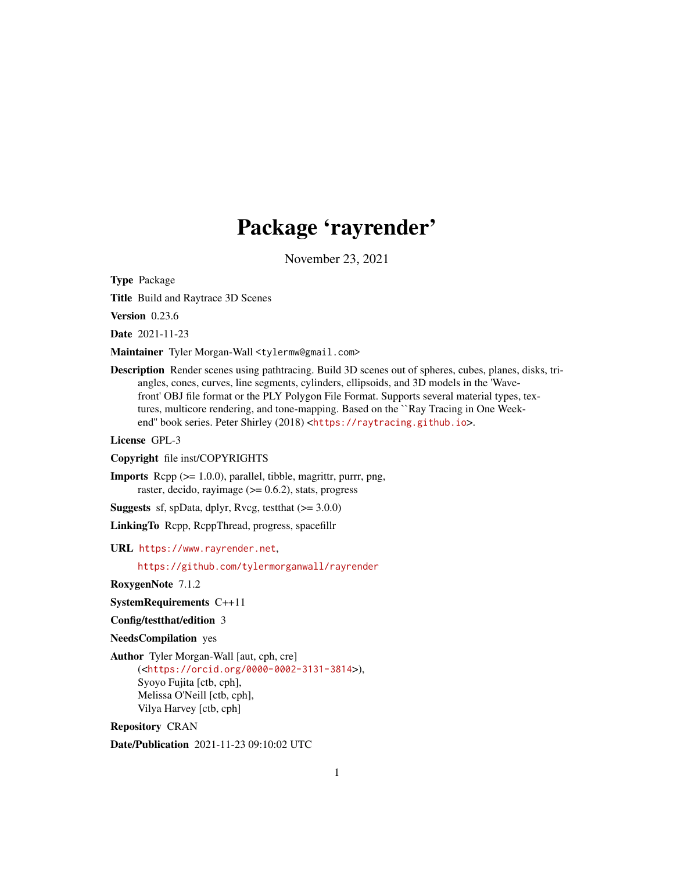# Package 'rayrender'

November 23, 2021

Type Package

Title Build and Raytrace 3D Scenes

Version 0.23.6

Date 2021-11-23

Maintainer Tyler Morgan-Wall <tylermw@gmail.com>

Description Render scenes using pathtracing. Build 3D scenes out of spheres, cubes, planes, disks, triangles, cones, curves, line segments, cylinders, ellipsoids, and 3D models in the 'Wavefront' OBJ file format or the PLY Polygon File Format. Supports several material types, textures, multicore rendering, and tone-mapping. Based on the ``Ray Tracing in One Weekend" book series. Peter Shirley (2018) <<https://raytracing.github.io>>.

License GPL-3

Copyright file inst/COPYRIGHTS

Imports Rcpp (>= 1.0.0), parallel, tibble, magrittr, purrr, png, raster, decido, rayimage  $(>= 0.6.2)$ , stats, progress

**Suggests** sf, spData, dplyr, Rvcg, test that  $(>= 3.0.0)$ 

LinkingTo Rcpp, RcppThread, progress, spacefillr

URL <https://www.rayrender.net>,

<https://github.com/tylermorganwall/rayrender>

RoxygenNote 7.1.2

SystemRequirements C++11

Config/testthat/edition 3

NeedsCompilation yes

Author Tyler Morgan-Wall [aut, cph, cre] (<<https://orcid.org/0000-0002-3131-3814>>), Syoyo Fujita [ctb, cph], Melissa O'Neill [ctb, cph], Vilya Harvey [ctb, cph]

Repository CRAN

Date/Publication 2021-11-23 09:10:02 UTC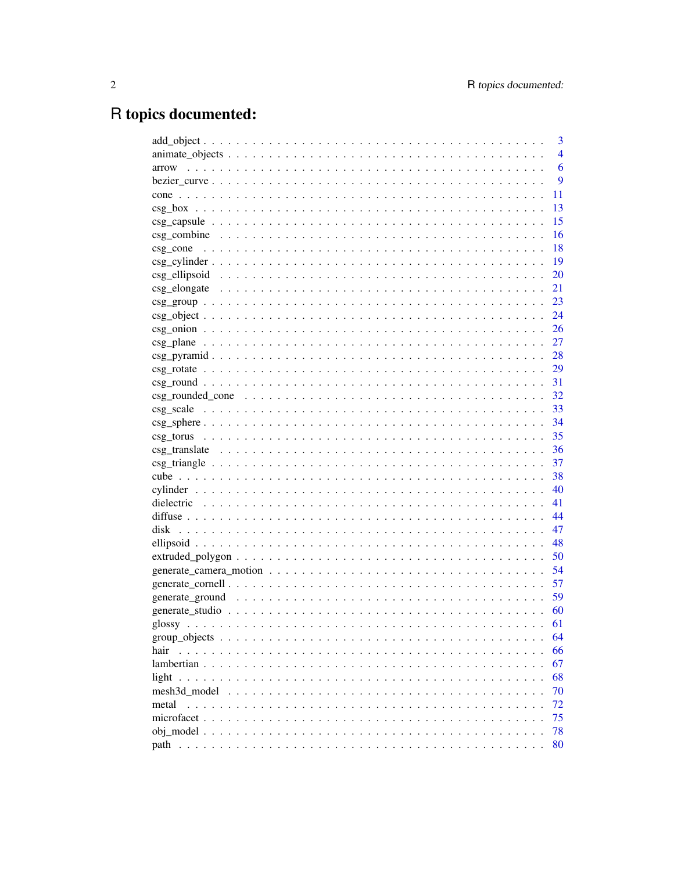# R topics documented:

|              | 3              |
|--------------|----------------|
|              | $\overline{4}$ |
| arrow        | 6              |
|              | 9              |
| cone         | 11             |
|              | 13             |
|              | 15             |
|              | 16             |
|              | 18             |
|              | 19             |
|              | 20             |
|              | 21             |
|              | 23             |
|              | 24             |
|              | 26             |
|              | 27             |
|              | 28             |
|              | 29             |
|              |                |
|              |                |
|              |                |
|              | 34             |
|              | 35             |
|              | 36             |
|              | 37             |
|              | 38             |
|              | 40             |
|              | 41             |
|              | 44             |
|              | 47             |
|              | 48             |
|              | 50             |
|              | 54             |
|              | 57             |
|              | 59             |
|              | 60             |
|              | 61             |
|              | 64             |
| hair         | 66             |
|              | 67             |
| light        | 68             |
| mesh3d model | 70             |
| metal        | 72             |
|              | 75             |
|              | 78             |
|              | 80             |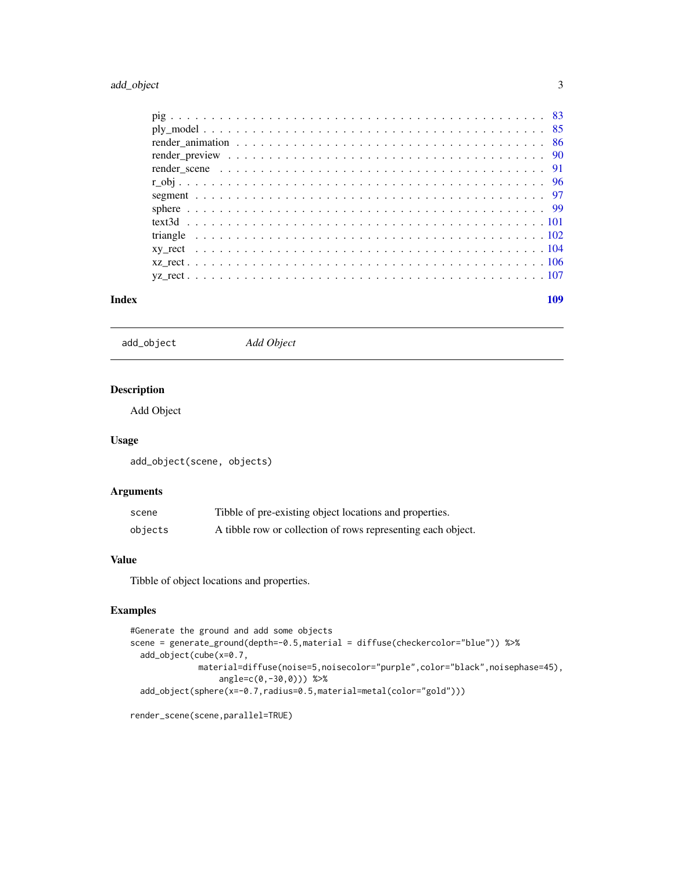# <span id="page-2-0"></span>add\_object 3

| Index | 109 |
|-------|-----|
|       |     |
|       |     |
|       |     |
|       |     |
|       |     |
|       |     |
|       |     |
|       |     |
|       |     |
|       |     |
|       |     |
|       |     |
|       |     |

add\_object *Add Object*

# Description

Add Object

# Usage

add\_object(scene, objects)

# Arguments

| scene   | Tibble of pre-existing object locations and properties.      |
|---------|--------------------------------------------------------------|
| objects | A tibble row or collection of rows representing each object. |

#### Value

Tibble of object locations and properties.

```
#Generate the ground and add some objects
scene = generate_ground(depth=-0.5,material = diffuse(checkercolor="blue")) %>%
  add_object(cube(x=0.7,
             material=diffuse(noise=5,noisecolor="purple",color="black",noisephase=45),
                  angle=c(0,-30,0))) %>%
  add_object(sphere(x=-0.7,radius=0.5,material=metal(color="gold")))
```

```
render_scene(scene,parallel=TRUE)
```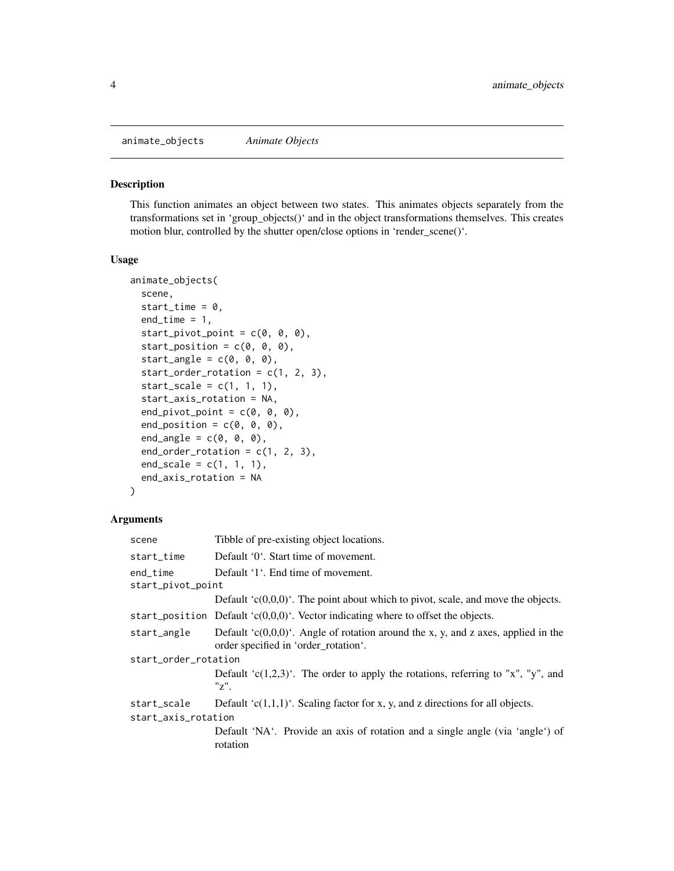<span id="page-3-0"></span>animate\_objects *Animate Objects*

#### Description

This function animates an object between two states. This animates objects separately from the transformations set in 'group\_objects()' and in the object transformations themselves. This creates motion blur, controlled by the shutter open/close options in 'render\_scene()'.

# Usage

```
animate_objects(
  scene,
  start_time = 0,
  end_time = 1,start\_pivot\_point = c(0, 0, 0),
  start_position = c(\theta, \theta, \theta),
  start_angle = c(\emptyset, \emptyset, \emptyset),
  start_order_rotation = c(1, 2, 3),
  start\_scale = c(1, 1, 1),start_axis_rotation = NA,
  end_pivot_point = c(0, 0, 0),
  end_position = c(\emptyset, \emptyset, \emptyset),
  end_angle = c(\emptyset, \emptyset, \emptyset),
  end_c, order_c, rotation = c(1, 2, 3),end\_scale = c(1, 1, 1),end_axis_rotation = NA
)
```
### Arguments

| scene                | Tibble of pre-existing object locations.                                                                                      |  |
|----------------------|-------------------------------------------------------------------------------------------------------------------------------|--|
| start_time           | Default '0'. Start time of movement.                                                                                          |  |
| end_time             | Default '1'. End time of movement.                                                                                            |  |
| start_pivot_point    |                                                                                                                               |  |
|                      | Default ' $c(0,0,0)$ '. The point about which to pivot, scale, and move the objects.                                          |  |
|                      | start_position Default ' $c(0,0,0)$ '. Vector indicating where to offset the objects.                                         |  |
| start_angle          | Default ' $c(0,0,0)$ '. Angle of rotation around the x, y, and z axes, applied in the<br>order specified in 'order_rotation'. |  |
| start_order_rotation |                                                                                                                               |  |
|                      | Default ' $c(1,2,3)$ '. The order to apply the rotations, referring to "x", "y", and<br>"z".                                  |  |
| start_scale          | Default ' $c(1,1,1)$ '. Scaling factor for x, y, and z directions for all objects.                                            |  |
| start_axis_rotation  |                                                                                                                               |  |
|                      | Default 'NA'. Provide an axis of rotation and a single angle (via 'angle') of<br>rotation                                     |  |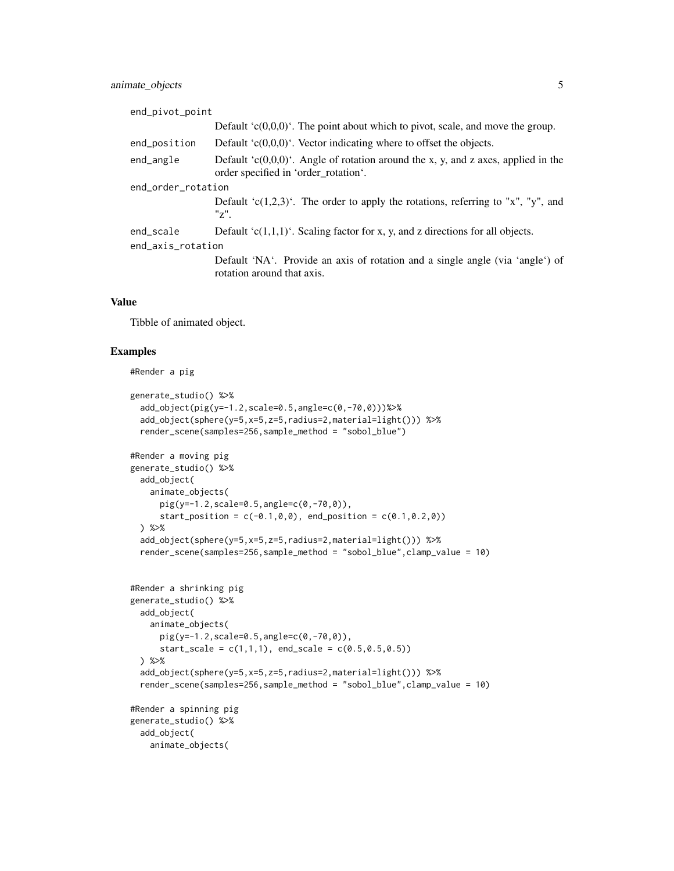| end_pivot_point    |                                                                                                                               |  |
|--------------------|-------------------------------------------------------------------------------------------------------------------------------|--|
|                    | Default ' $c(0,0,0)$ '. The point about which to pivot, scale, and move the group.                                            |  |
| end_position       | Default $(c(0,0,0))$ . Vector indicating where to offset the objects.                                                         |  |
| end_angle          | Default ' $c(0,0,0)$ '. Angle of rotation around the x, y, and z axes, applied in the<br>order specified in 'order_rotation'. |  |
| end_order_rotation |                                                                                                                               |  |
|                    | Default 'c $(1,2,3)$ '. The order to apply the rotations, referring to "x", "y", and<br>$"z"$ .                               |  |
| end_scale          | Default 'c $(1,1,1)$ '. Scaling factor for x, y, and z directions for all objects.                                            |  |
| end_axis_rotation  |                                                                                                                               |  |
|                    | Default 'NA'. Provide an axis of rotation and a single angle (via 'angle') of<br>rotation around that axis.                   |  |

#### Value

Tibble of animated object.

```
#Render a pig
generate_studio() %>%
  add_object(pig(y=-1.2,scale=0.5,angle=c(0,-70,0)))%>%
  add_object(sphere(y=5,x=5,z=5,radius=2,material=light())) %>%
  render_scene(samples=256,sample_method = "sobol_blue")
#Render a moving pig
generate_studio() %>%
  add_object(
    animate_objects(
      pig(y=-1.2,scale=0.5,angle=c(0,-70,0)),
      start_position = c(-0.1, 0, 0), end_position = c(0.1, 0.2, 0))
  ) %>%
  add_object(sphere(y=5,x=5,z=5,radius=2,material=light())) %>%
  render_scene(samples=256,sample_method = "sobol_blue",clamp_value = 10)
#Render a shrinking pig
generate_studio() %>%
  add_object(
    animate_objects(
      pig(y=-1.2,scale=0.5,angle=c(0,-70,0)),
      start_scale = c(1,1,1), end_scale = c(0.5,0.5,0.5))
  ) %>%
  add_object(sphere(y=5,x=5,z=5,radius=2,material=light())) %>%
  render_scene(samples=256,sample_method = "sobol_blue",clamp_value = 10)
#Render a spinning pig
generate_studio() %>%
  add_object(
   animate_objects(
```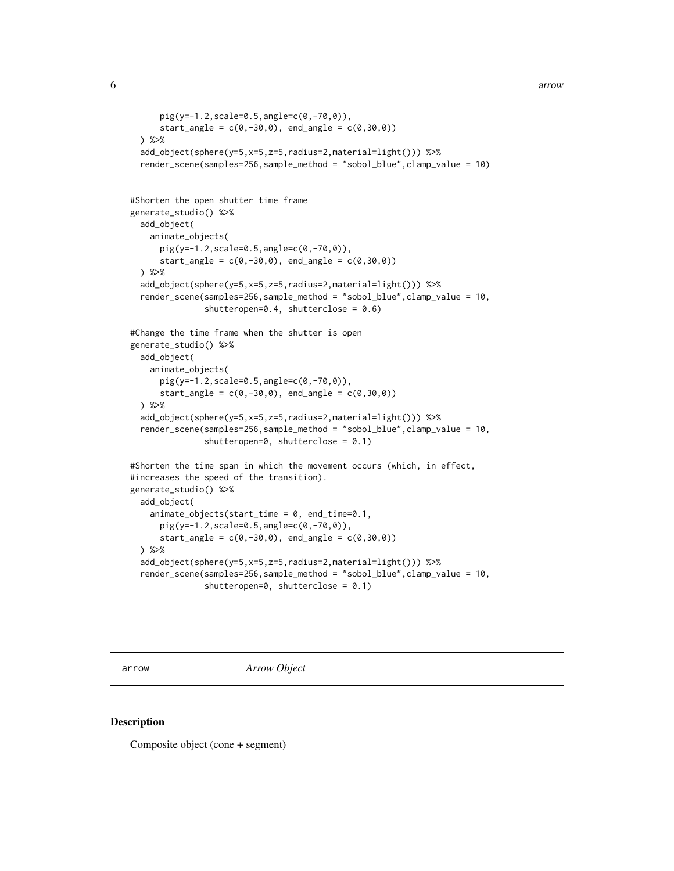```
6 arrow and the contract of the contract of the contract of the contract of the contract of the contract of the contract of the contract of the contract of the contract of the contract of the contract of the contract of th
```

```
pig(y=-1.2,scale=0.5,angle=c(0,-70,0)),
      start_angle = c(0, -30, 0), end_angle = c(0, 30, 0))
 ) %>%
 add_object(sphere(y=5,x=5,z=5,radius=2,material=light())) %>%
 render_scene(samples=256,sample_method = "sobol_blue",clamp_value = 10)
#Shorten the open shutter time frame
generate_studio() %>%
 add_object(
    animate_objects(
      pig(y=-1.2,scale=0.5,angle=c(0,-70,0)),
      start_angle = c(0, -30, 0), end_angle = c(0, 30, 0))
 ) %>%
 add_object(sphere(y=5,x=5,z=5,radius=2,material=light())) %>%
 render_scene(samples=256,sample_method = "sobol_blue",clamp_value = 10,
               shutteropen=0.4, shutterclose = 0.6)
#Change the time frame when the shutter is open
generate_studio() %>%
 add_object(
   animate_objects(
      pig(y=-1.2,scale=0.5,angle=c(0,-70,0)),
      start\_angle = c(0, -30, 0), end_angle = c(0, 30, 0))
 ) %>%
 add_object(sphere(y=5,x=5,z=5,radius=2,material=light())) %>%
 render_scene(samples=256,sample_method = "sobol_blue",clamp_value = 10,
               shutteropen=0, shutterclose = 0.1)
#Shorten the time span in which the movement occurs (which, in effect,
#increases the speed of the transition).
generate_studio() %>%
 add_object(
    animate_objects(start_time = 0, end_time=0.1,
      pig(y=-1.2,scale=0.5,angle=c(0,-70,0)),
      start_angle = c(0, -30, 0), end_angle = c(0, 30, 0))
 ) %>%
 add_object(sphere(y=5,x=5,z=5,radius=2,material=light())) %>%
 render_scene(samples=256,sample_method = "sobol_blue",clamp_value = 10,
               shutteropen=0, shutterclose = 0.1)
```
arrow *Arrow Object*

#### **Description**

Composite object (cone + segment)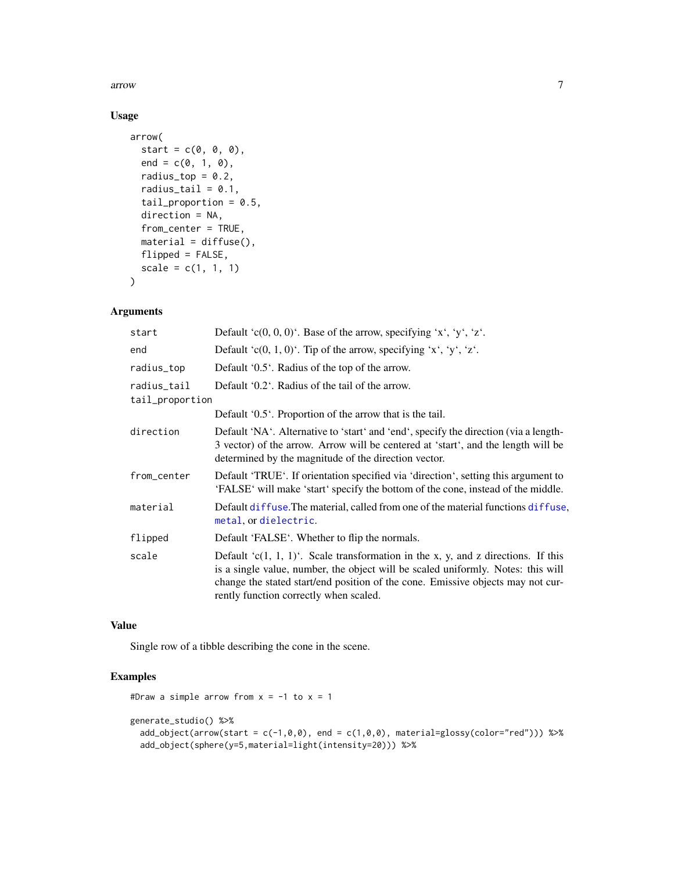arrow 7

# Usage

```
arrow(
  start = c(\emptyset, \emptyset, \emptyset),
  end = c(0, 1, 0),
  radius_top = 0.2,
  radius_tail = 0.1,
  tail_proportion = 0.5,
  direction = NA,
  from_center = TRUE,
  material = diffuse(),
  flipped = FALSE,
  scale = c(1, 1, 1)\mathcal{L}
```
# Arguments

| start                          | Default 'c $(0, 0, 0)$ '. Base of the arrow, specifying 'x', 'y', 'z'.                                                                                                                                                                                                                                |
|--------------------------------|-------------------------------------------------------------------------------------------------------------------------------------------------------------------------------------------------------------------------------------------------------------------------------------------------------|
| end                            | Default 'c(0, 1, 0)'. Tip of the arrow, specifying 'x', 'y', 'z'.                                                                                                                                                                                                                                     |
| radius_top                     | Default '0.5'. Radius of the top of the arrow.                                                                                                                                                                                                                                                        |
| radius_tail<br>tail_proportion | Default '0.2'. Radius of the tail of the arrow.                                                                                                                                                                                                                                                       |
|                                | Default '0.5'. Proportion of the arrow that is the tail.                                                                                                                                                                                                                                              |
| direction                      | Default 'NA'. Alternative to 'start' and 'end', specify the direction (via a length-<br>3 vector) of the arrow. Arrow will be centered at 'start', and the length will be<br>determined by the magnitude of the direction vector.                                                                     |
| from_center                    | Default 'TRUE'. If orientation specified via 'direction', setting this argument to<br>'FALSE' will make 'start' specify the bottom of the cone, instead of the middle.                                                                                                                                |
| material                       | Default diffuse. The material, called from one of the material functions diffuse,<br>metal, or dielectric.                                                                                                                                                                                            |
| flipped                        | Default 'FALSE'. Whether to flip the normals.                                                                                                                                                                                                                                                         |
| scale                          | Default $(c(1, 1, 1))$ . Scale transformation in the x, y, and z directions. If this<br>is a single value, number, the object will be scaled uniformly. Notes: this will<br>change the stated start/end position of the cone. Emissive objects may not cur-<br>rently function correctly when scaled. |

# Value

Single row of a tibble describing the cone in the scene.

```
#Draw a simple arrow from x = -1 to x = 1generate_studio() %>%
  add\_object(arrow(star - c(-1, \emptyset, \emptyset), end = c(1, \emptyset, \emptyset), material = glossy(color="red"))) %>%
  add_object(sphere(y=5,material=light(intensity=20))) %>%
```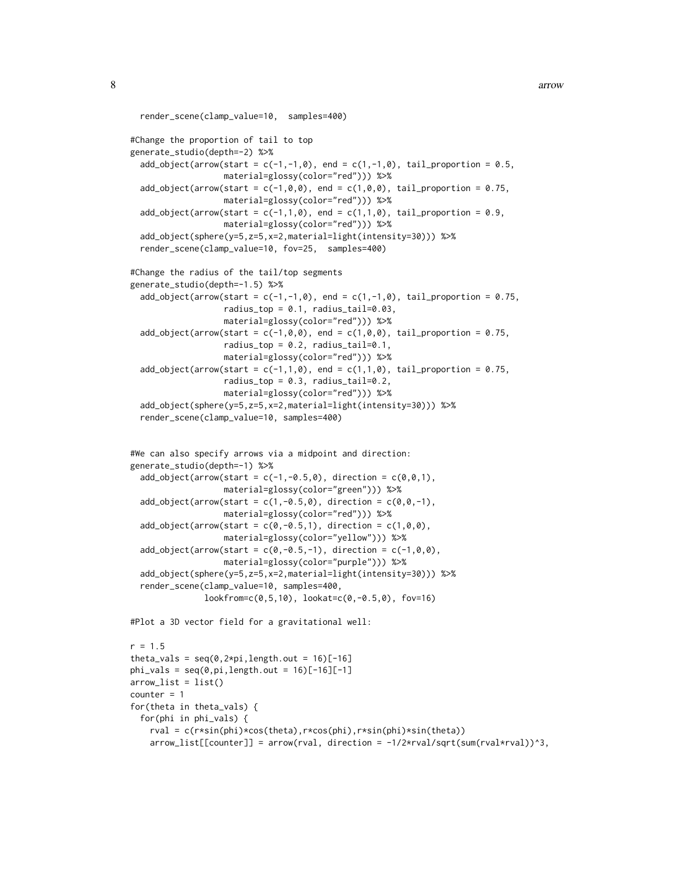```
render_scene(clamp_value=10, samples=400)
#Change the proportion of tail to top
generate_studio(depth=-2) %>%
 add_object(arrow(start = c(-1,-1,0), end = c(1,-1,0), tail_proportion = 0.5,
                  material=glossy(color="red"))) %>%
 add_object(arrow(start = c(-1, 0, 0), end = c(1, 0, 0), tail_proportion = 0.75,
                  material=glossy(color="red"))) %>%
 add_object(arrow(start = c(-1,1,0), end = c(1,1,0), tail_proportion = 0.9,
                   material=glossy(color="red"))) %>%
 add_object(sphere(y=5,z=5,x=2,material=light(intensity=30))) %>%
 render_scene(clamp_value=10, fov=25, samples=400)
#Change the radius of the tail/top segments
generate_studio(depth=-1.5) %>%
 add_object(arrow(start = c(-1,-1,0), end = c(1,-1,0), tail_proportion = 0.75,
                   radius_top = 0.1, radius_tail=0.03,
                   material=glossy(color="red"))) %>%
 add_object(arrow(start = c(-1, 0, 0), end = c(1, 0, 0), tail_proportion = 0.75,
                   radius_top = 0.2, radius_tail=0.1,
                  material=glossy(color="red"))) %>%
 add\_object(arrow(start = c(-1,1,0), end = c(1,1,0), tail\_proportion = 0.75,radius_top = 0.3, radius_tail=0.2,
                   material=glossy(color="red"))) %>%
 add_object(sphere(y=5,z=5,x=2,material=light(intensity=30))) %>%
 render_scene(clamp_value=10, samples=400)
#We can also specify arrows via a midpoint and direction:
generate_studio(depth=-1) %>%
 add\_object(arrow(star - c(-1, -0.5, 0), direction = c(0, 0, 1)),material=glossy(color="green"))) %>%
 add\_object(arrow(star - c(1, -0.5, 0), direction = c(0, 0, -1)),material=glossy(color="red"))) %>%
 add\_object(arrow(start = c(0, -0.5, 1), direction = c(1, 0, 0),material=glossy(color="yellow"))) %>%
 add\_object(arrow(start = c(0, -0.5, -1), direction = c(-1, 0, 0),material=glossy(color="purple"))) %>%
 add_object(sphere(y=5,z=5,x=2,material=light(intensity=30))) %>%
 render_scene(clamp_value=10, samples=400,
               lookfrom=c(0,5,10), lookat=c(0,-0.5,0), fov=16)
#Plot a 3D vector field for a gravitational well:
r = 1.5
```

```
theta_vals = seq(0, 2*pi, length.out = 16)[-16]phi_vals = seq(0, pi, length.out = 16)[-16][-1]arrow\_list = list()counter = 1for(theta in theta_vals) {
 for(phi in phi_vals) {
    rval = c(r*sin(phi)*cos(theta),r*cos(phi),r*sin(phi)*sin(theta))
    arrow\_list[[counter]] = arrow(rval, direction = -1/2*rval/sqrt(sum(rval*rval))^3,
```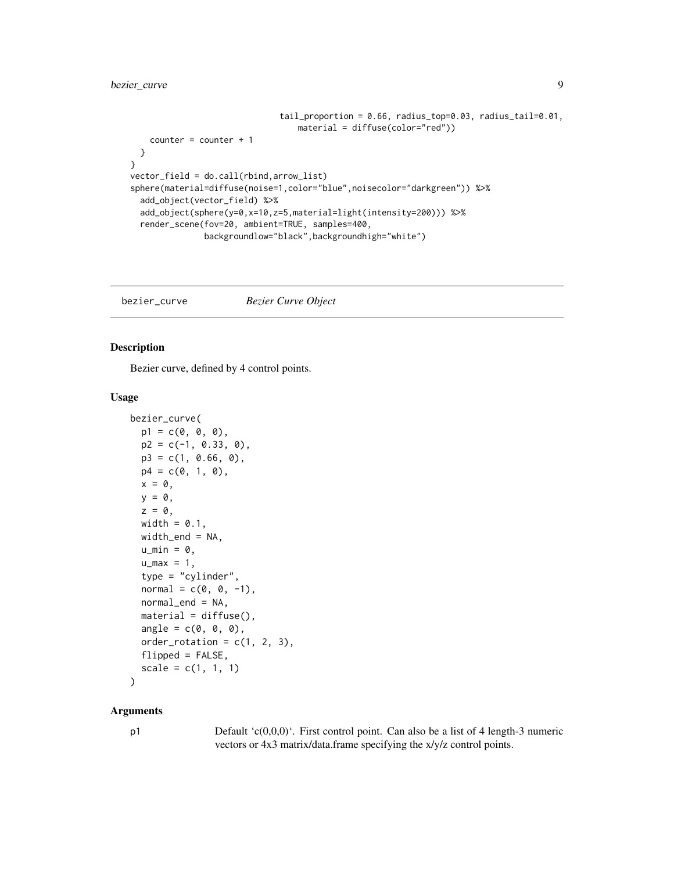# <span id="page-8-0"></span>bezier\_curve 9

```
tail_proportion = 0.66, radius_top=0.03, radius_tail=0.01,
                                  material = diffuse(color="red"))
   counter = counter + 1
 }
}
vector_field = do.call(rbind,arrow_list)
sphere(material=diffuse(noise=1,color="blue",noisecolor="darkgreen")) %>%
 add_object(vector_field) %>%
 add_object(sphere(y=0,x=10,z=5,material=light(intensity=200))) %>%
 render_scene(fov=20, ambient=TRUE, samples=400,
               backgroundlow="black",backgroundhigh="white")
```
bezier\_curve *Bezier Curve Object*

#### Description

Bezier curve, defined by 4 control points.

# Usage

```
bezier_curve(
  p1 = c(0, 0, 0),
 p2 = c(-1, 0.33, 0),
 p3 = c(1, 0.66, 0),
 p4 = c(0, 1, 0),
  x = 0,
 y = 0,
  z = 0,
 width = 0.1,
 width_end = NA,
  u_{min} = 0,
  u_{max} = 1,
  type = "cylinder",
  normal = c(\emptyset, \emptyset, -1),
  normal\_end = NA,
  material = diffuse(),
  angle = c(0, 0, 0),order_rotation = c(1, 2, 3),
  flipped = FALSE,
  scale = c(1, 1, 1))
```
#### Arguments

p1 Default 'c(0,0,0)'. First control point. Can also be a list of 4 length-3 numeric vectors or 4x3 matrix/data.frame specifying the x/y/z control points.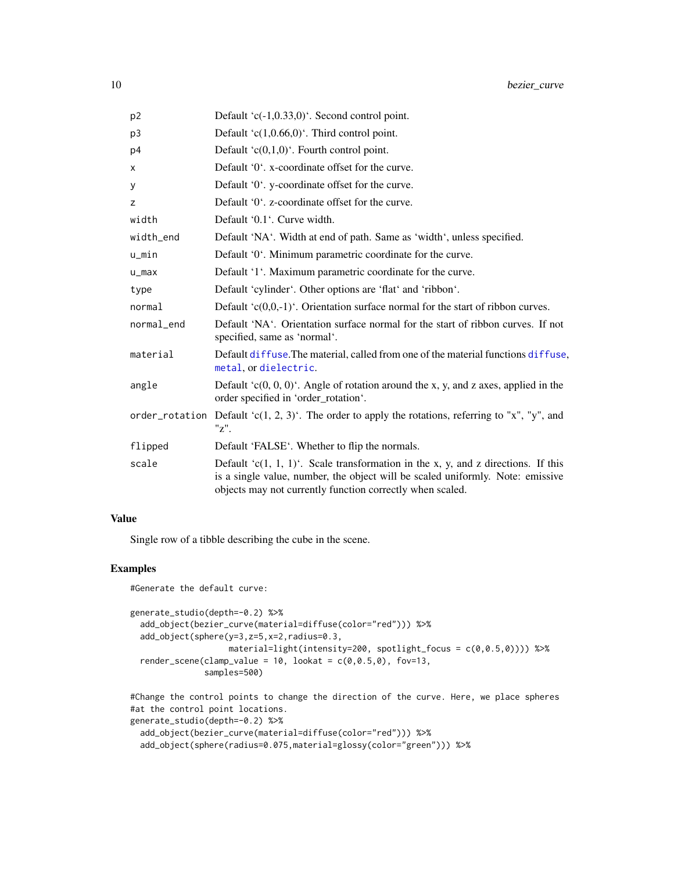| p <sub>2</sub> | Default ' $c(-1,0.33,0)$ '. Second control point.                                                                                                                                                                                    |
|----------------|--------------------------------------------------------------------------------------------------------------------------------------------------------------------------------------------------------------------------------------|
| p <sub>3</sub> | Default 'c $(1,0.66,0)$ '. Third control point.                                                                                                                                                                                      |
| p4             | Default ' $c(0,1,0)$ '. Fourth control point.                                                                                                                                                                                        |
| x              | Default '0'. x-coordinate offset for the curve.                                                                                                                                                                                      |
| У              | Default '0'. y-coordinate offset for the curve.                                                                                                                                                                                      |
| z              | Default '0'. z-coordinate offset for the curve.                                                                                                                                                                                      |
| width          | Default '0.1'. Curve width.                                                                                                                                                                                                          |
| width_end      | Default 'NA'. Width at end of path. Same as 'width', unless specified.                                                                                                                                                               |
| u_min          | Default '0'. Minimum parametric coordinate for the curve.                                                                                                                                                                            |
| $u_{max}$      | Default '1'. Maximum parametric coordinate for the curve.                                                                                                                                                                            |
| type           | Default 'cylinder'. Other options are 'flat' and 'ribbon'.                                                                                                                                                                           |
| normal         | Default ' $c(0,0,-1)$ '. Orientation surface normal for the start of ribbon curves.                                                                                                                                                  |
| normal_end     | Default 'NA'. Orientation surface normal for the start of ribbon curves. If not<br>specified, same as 'normal'.                                                                                                                      |
| material       | Default diffuse. The material, called from one of the material functions diffuse,<br>metal, or dielectric.                                                                                                                           |
| angle          | Default $(c(0, 0, 0)^t$ . Angle of rotation around the x, y, and z axes, applied in the<br>order specified in 'order_rotation'.                                                                                                      |
|                | order_rotation Default 'c(1, 2, 3)'. The order to apply the rotations, referring to "x", "y", and<br>"z".                                                                                                                            |
| flipped        | Default 'FALSE'. Whether to flip the normals.                                                                                                                                                                                        |
| scale          | Default ' $c(1, 1, 1)$ '. Scale transformation in the x, y, and z directions. If this<br>is a single value, number, the object will be scaled uniformly. Note: emissive<br>objects may not currently function correctly when scaled. |

# Value

Single row of a tibble describing the cube in the scene.

```
#Generate the default curve:
generate_studio(depth=-0.2) %>%
  add_object(bezier_curve(material=diffuse(color="red"))) %>%
  add_object(sphere(y=3,z=5,x=2,radius=0.3,
                   material=light(intensity=200, spotlight_focus = c(0,0.5,0)))) %>%
  render_scene(clamp_value = 10, lookat = c(0, 0.5, 0), fov=13,
               samples=500)
#Change the control points to change the direction of the curve. Here, we place spheres
#at the control point locations.
generate_studio(depth=-0.2) %>%
```

```
add_object(bezier_curve(material=diffuse(color="red"))) %>%
add_object(sphere(radius=0.075,material=glossy(color="green"))) %>%
```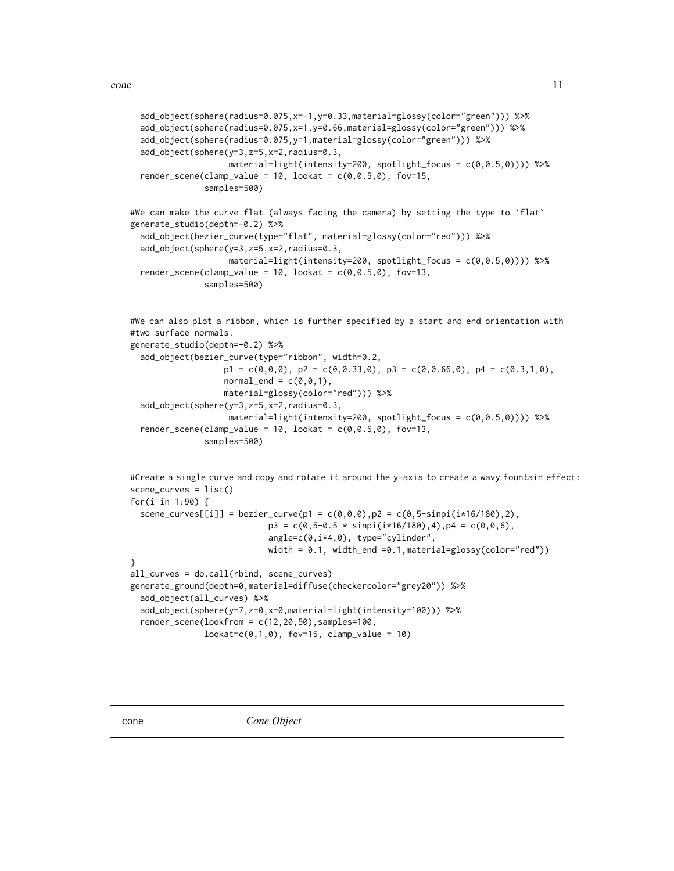```
add_object(sphere(radius=0.075,x=-1,y=0.33,material=glossy(color="green"))) %>%
 add_object(sphere(radius=0.075,x=1,y=0.66,material=glossy(color="green"))) %>%
 add_object(sphere(radius=0.075,y=1,material=glossy(color="green"))) %>%
 add_object(sphere(y=3,z=5,x=2,radius=0.3,
                   material=light(intensity=200, spotlight_focus = c(0,0.5,0)))) %>%
 render_scene(clamp_value = 10, lookat = c(0, 0.5, 0), fov=15,
               samples=500)
#We can make the curve flat (always facing the camera) by setting the type to `flat`
generate_studio(depth=-0.2) %>%
 add_object(bezier_curve(type="flat", material=glossy(color="red"))) %>%
 add_object(sphere(y=3,z=5,x=2,radius=0.3,
                    material=light(intensity=200, spotlight_focus = c(0,0.5,0)))) %>%
 render_scene(clamp_value = 10, lookat = c(0, 0.5, 0), fov=13,
               samples=500)
```

```
#We can also plot a ribbon, which is further specified by a start and end orientation with
#two surface normals.
```

```
generate_studio(depth=-0.2) %>%
 add_object(bezier_curve(type="ribbon", width=0.2,
                   p1 = c(0,0,0), p2 = c(0,0.33,0), p3 = c(0,0.66,0), p4 = c(0.3,1,0),normal\_end = c(0, 0, 1),
                  material=glossy(color="red"))) %>%
 add_object(sphere(y=3,z=5,x=2,radius=0.3,
                   material=light(intensity=200, spotlight_focus = c(0,0.5,0)))) %>%
 render_scene(clamp_value = 10, lookat = c(0, 0.5, 0), fov=13,
               samples=500)
```

```
#Create a single curve and copy and rotate it around the y-axis to create a wavy fountain effect:
scene_curves = list()
for(i in 1:90) {
  scene_curves[[i]] = bezier_curve(p1 = c(\emptyset, \emptyset, \emptyset), p2 = c(\emptyset, 5\text{-simpl}(i \times 16/180), 2),
                               p3 = c(0, 5-0.5 * sinpi(i*16/180), 4), p4 = c(0, 0, 6),
                               angle=c(0,i*4,0), type="cylinder",
                              width = 0.1, width_end =0.1, material=glossy(color="red"))
}
all_curves = do.call(rbind, scene_curves)
generate_ground(depth=0,material=diffuse(checkercolor="grey20")) %>%
  add_object(all_curves) %>%
  add_object(sphere(y=7,z=0,x=0,material=light(intensity=100))) %>%
  render_scene(lookfrom = c(12,20,50),samples=100,
                lookate(c(0,1,0), fov=15, clamp_value = 10)
```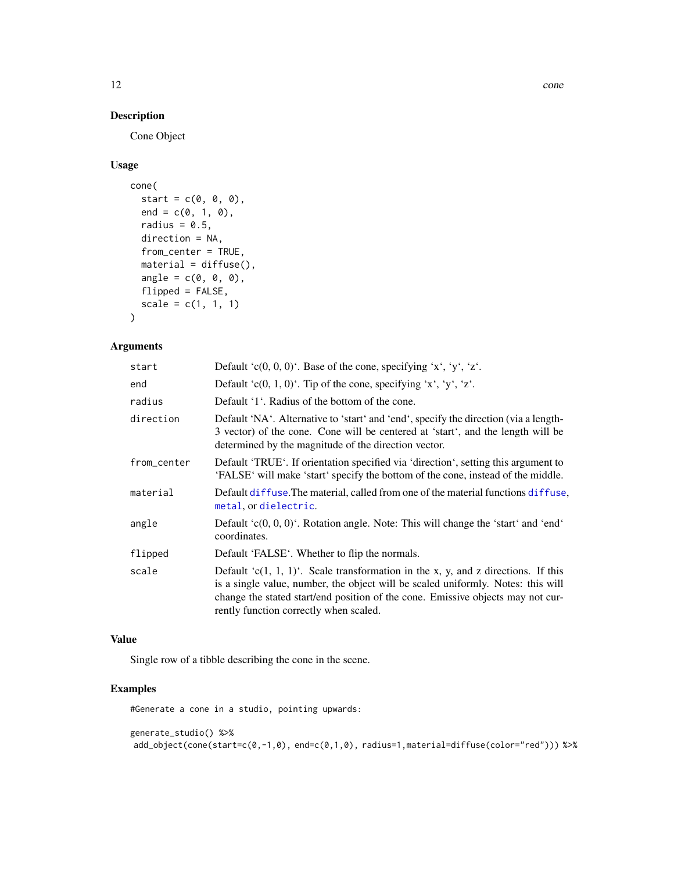# Description

Cone Object

# Usage

```
cone(
  start = c(\emptyset, \emptyset, \emptyset),
  end = c(0, 1, 0),
  radius = 0.5,
  direction = NA,
  from_center = TRUE,
  material = diffuse(),angle = c(\emptyset, \emptyset, \emptyset),
  flipped = FALSE,scale = c(1, 1, 1)\mathcal{L}
```
# Arguments

| start       | Default 'c $(0, 0, 0)$ '. Base of the cone, specifying 'x', 'y', 'z'.                                                                                                                                                                                                                                  |
|-------------|--------------------------------------------------------------------------------------------------------------------------------------------------------------------------------------------------------------------------------------------------------------------------------------------------------|
| end         | Default 'c(0, 1, 0)'. Tip of the cone, specifying 'x', 'y', 'z'.                                                                                                                                                                                                                                       |
| radius      | Default '1'. Radius of the bottom of the cone.                                                                                                                                                                                                                                                         |
| direction   | Default 'NA'. Alternative to 'start' and 'end', specify the direction (via a length-<br>3 vector) of the cone. Cone will be centered at 'start', and the length will be<br>determined by the magnitude of the direction vector.                                                                        |
| from_center | Default 'TRUE'. If orientation specified via 'direction', setting this argument to<br>'FALSE' will make 'start' specify the bottom of the cone, instead of the middle.                                                                                                                                 |
| material    | Default diffuse. The material, called from one of the material functions diffuse,<br>metal, or dielectric.                                                                                                                                                                                             |
| angle       | Default $(c(0, 0, 0)^t$ . Rotation angle. Note: This will change the 'start' and 'end'<br>coordinates.                                                                                                                                                                                                 |
| flipped     | Default 'FALSE'. Whether to flip the normals.                                                                                                                                                                                                                                                          |
| scale       | Default ' $c(1, 1, 1)$ '. Scale transformation in the x, y, and z directions. If this<br>is a single value, number, the object will be scaled uniformly. Notes: this will<br>change the stated start/end position of the cone. Emissive objects may not cur-<br>rently function correctly when scaled. |

# Value

Single row of a tibble describing the cone in the scene.

# Examples

#Generate a cone in a studio, pointing upwards:

```
generate_studio() %>%
add_object(cone(start=c(0,-1,0), end=c(0,1,0), radius=1,material=diffuse(color="red"))) %>%
```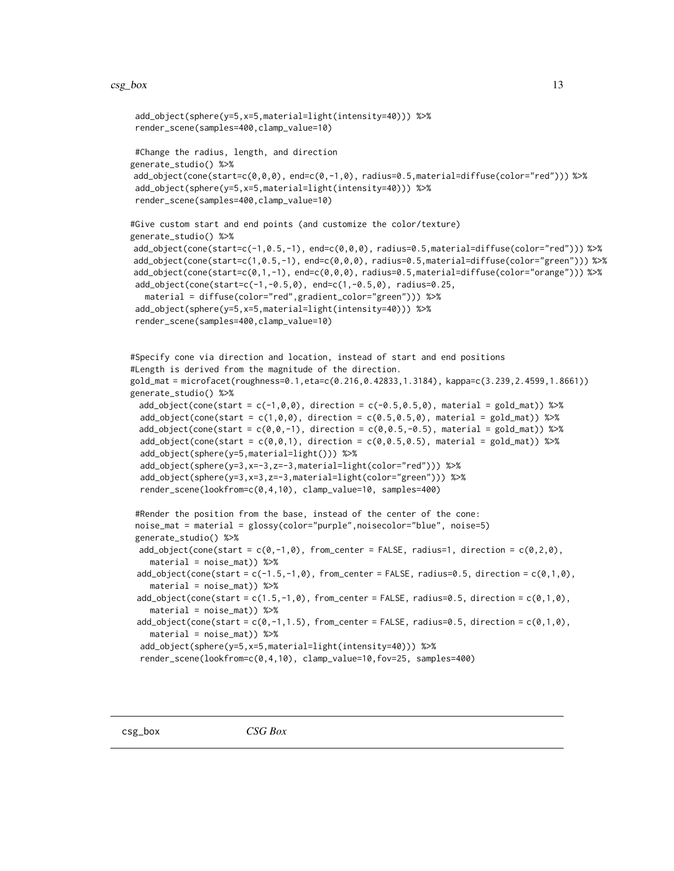```
add_object(sphere(y=5,x=5,material=light(intensity=40))) %>%
render_scene(samples=400,clamp_value=10)
#Change the radius, length, and direction
generate_studio() %>%
add_object(cone(start=c(0,0,0), end=c(0,-1,0), radius=0.5,material=diffuse(color="red"))) %>%
add_object(sphere(y=5,x=5,material=light(intensity=40))) %>%
render_scene(samples=400,clamp_value=10)
#Give custom start and end points (and customize the color/texture)
generate_studio() %>%
add_object(cone(start=c(-1,0.5,-1), end=c(0,0,0), radius=0.5,material=diffuse(color="red"))) %>%
add_object(cone(start=c(1,0.5,-1), end=c(0,0,0), radius=0.5,material=diffuse(color="green"))) %>%
add_object(cone(start=c(0,1,-1), end=c(0,0,0), radius=0.5,material=diffuse(color="orange"))) %>%
add_object(cone(start=c(-1,-0.5,0), end=c(1,-0.5,0), radius=0.25,
   material = diffuse(color="red",gradient_color="green"))) %>%
add_object(sphere(y=5,x=5,material=light(intensity=40))) %>%
render_scene(samples=400,clamp_value=10)
#Specify cone via direction and location, instead of start and end positions
#Length is derived from the magnitude of the direction.
gold_mat = microfacet(roughness=0.1,eta=c(0.216,0.42833,1.3184), kappa=c(3.239,2.4599,1.8661))
generate_studio() %>%
 add_object(cone(start = c(-1,0,0), direction = c(-0.5,0.5,0), material = gold_mat)) %\gg%
 add_object(cone(start = c(1,0,0), direction = c(0.5,0.5,0), material = gold_mat)) %>%
 add_object(cone(start = c(\emptyset, \emptyset, -1), direction = c(\emptyset, \emptyset, 5, -\emptyset, 5), material = gold_mat)) %>%
 add_object(cone(start = c(\emptyset, \emptyset, 1), direction = c(\emptyset, \emptyset.5, \emptyset.5), material = gold\_mat)) %>%
 add_object(sphere(y=5,material=light())) %>%
 add_object(sphere(y=3,x=-3,z=-3,material=light(color="red"))) %>%
 add_object(sphere(y=3,x=3,z=-3,material=light(color="green"))) %>%
 render_scene(lookfrom=c(0,4,10), clamp_value=10, samples=400)
#Render the position from the base, instead of the center of the cone:
noise_mat = material = glossy(color="purple",noisecolor="blue", noise=5)
generate_studio() %>%
 add_object(cone(start = c(\theta, -1, \theta), from_center = FALSE, radius=1, direction = c(\theta, 2, \theta),
    material = noise_mat)) %>%
 add\_object(cone(start = c(-1.5, -1, 0), from_center = FALSE, radius=0.5, direction = c(0, 1, 0),material = noise_mat)) %>%
 add_object(cone(start = c(1.5,-1,0), from_center = FALSE, radius=0.5, direction = c(0,1,0),
    material = noise_mat)) %>%
 add\_object(cone(start = c(0, -1, 1.5), from_center = FALSE, radius=0.5, direction = c(0, 1, 0),material = noise_mat)) %>%
 add_object(sphere(y=5,x=5,material=light(intensity=40))) %>%
 render_scene(lookfrom=c(0,4,10), clamp_value=10,fov=25, samples=400)
```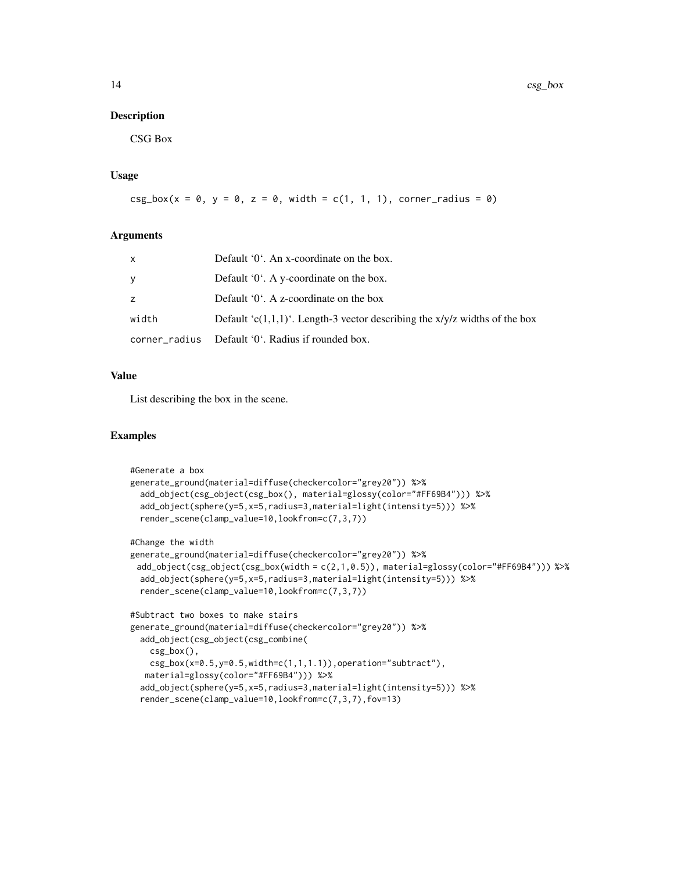#### Description

CSG Box

# Usage

```
csg_box(x = 0, y = 0, z = 0, width = c(1, 1, 1), corner_r radius = 0)
```
#### Arguments

| x     | Default $0'$ . An x-coordinate on the box.                                   |
|-------|------------------------------------------------------------------------------|
| V     | Default $0^{\circ}$ . A y-coordinate on the box.                             |
| Z.    | Default $0^{\circ}$ . A z-coordinate on the box                              |
| width | Default 'c(1,1,1)'. Length-3 vector describing the $x/y/z$ widths of the box |
|       | corner_radius Default '0'. Radius if rounded box.                            |

# Value

List describing the box in the scene.

```
#Generate a box
generate_ground(material=diffuse(checkercolor="grey20")) %>%
 add_object(csg_object(csg_box(), material=glossy(color="#FF69B4"))) %>%
 add_object(sphere(y=5,x=5,radius=3,material=light(intensity=5))) %>%
 render_scene(clamp_value=10,lookfrom=c(7,3,7))
#Change the width
generate_ground(material=diffuse(checkercolor="grey20")) %>%
 add_object(csg_object(csg_box(width = c(2,1,0.5)), material=glossy(color="#FF69B4"))) %>%
 add_object(sphere(y=5,x=5,radius=3,material=light(intensity=5))) %>%
 render_scene(clamp_value=10,lookfrom=c(7,3,7))
#Subtract two boxes to make stairs
generate_ground(material=diffuse(checkercolor="grey20")) %>%
 add_object(csg_object(csg_combine(
   csg_box(),
   csg_box(x=0.5,y=0.5,width=c(1,1,1.1)), operation='subtract"),material=glossy(color="#FF69B4"))) %>%
 add_object(sphere(y=5,x=5,radius=3,material=light(intensity=5))) %>%
 render_scene(clamp_value=10,lookfrom=c(7,3,7),fov=13)
```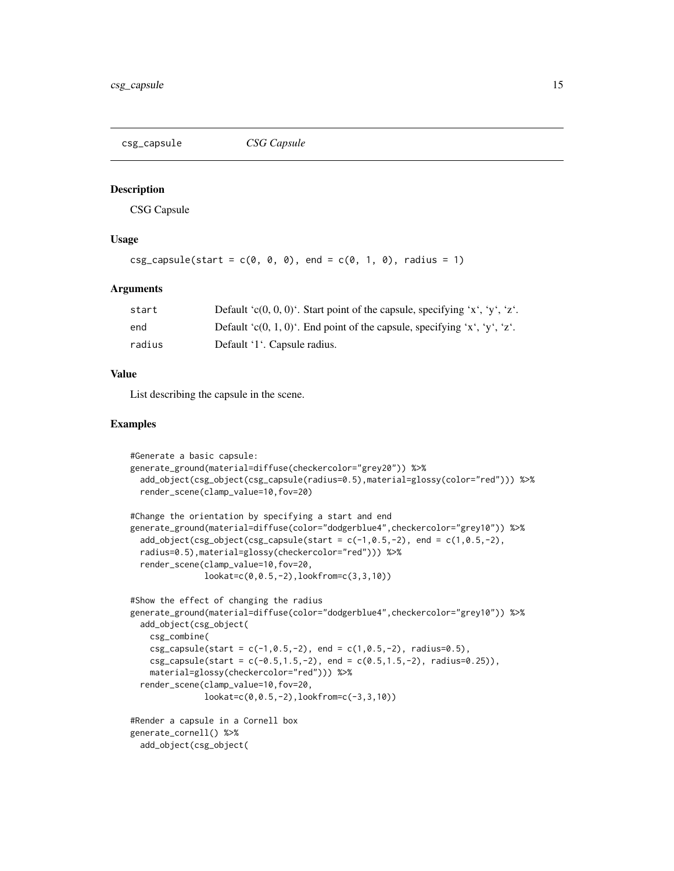<span id="page-14-0"></span>csg\_capsule *CSG Capsule*

# Description

CSG Capsule

# Usage

```
csg\_capsule(start = c(0, 0, 0), end = c(0, 1, 0), radius = 1)
```
#### Arguments

| start  | Default 'c(0, 0, 0)'. Start point of the capsule, specifying 'x', 'y', 'z'. |
|--------|-----------------------------------------------------------------------------|
| end    | Default 'c(0, 1, 0)'. End point of the capsule, specifying 'x', 'y', 'z'.   |
| radius | Default '1'. Capsule radius.                                                |

#### Value

List describing the capsule in the scene.

```
#Generate a basic capsule:
generate_ground(material=diffuse(checkercolor="grey20")) %>%
 add_object(csg_object(csg_capsule(radius=0.5),material=glossy(color="red"))) %>%
 render_scene(clamp_value=10,fov=20)
#Change the orientation by specifying a start and end
generate_ground(material=diffuse(color="dodgerblue4",checkercolor="grey10")) %>%
 add\_object(csg\_object(csg\_capsule(stat = c(-1, 0.5, -2), end = c(1, 0.5, -2),radius=0.5),material=glossy(checkercolor="red"))) %>%
 render_scene(clamp_value=10,fov=20,
               lookat=c(0,0.5,-2),lookfrom=c(3,3,10))
#Show the effect of changing the radius
generate_ground(material=diffuse(color="dodgerblue4",checkercolor="grey10")) %>%
 add_object(csg_object(
   csg_combine(
   csg\_capsule(start = c(-1, 0.5, -2), end = c(1, 0.5, -2), radius=0.5),csg_capsule(start = c(-0.5, 1.5, -2), end = c(0.5, 1.5, -2), radius=0.25)),
   material=glossy(checkercolor="red"))) %>%
 render_scene(clamp_value=10,fov=20,
               lookat=c(0,0.5,-2),lookfrom=c(-3,3,10))
#Render a capsule in a Cornell box
generate_cornell() %>%
 add_object(csg_object(
```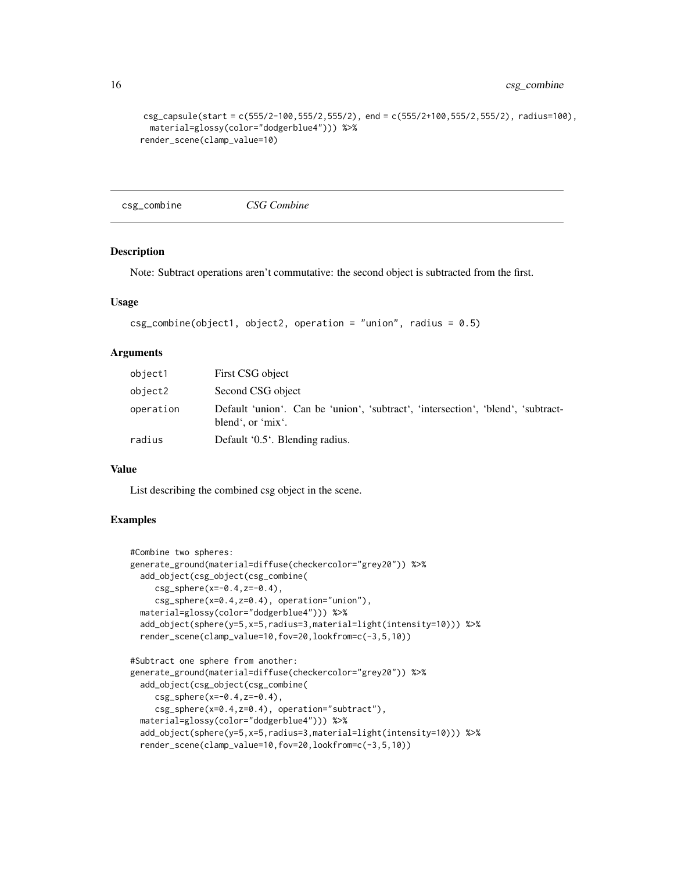```
csg_capsule(start = c(555/2-100,555/2,555/2), end = c(555/2+100,555/2,555/2), radius=100),
  material=glossy(color="dodgerblue4"))) %>%
render_scene(clamp_value=10)
```
csg\_combine *CSG Combine*

#### Description

Note: Subtract operations aren't commutative: the second object is subtracted from the first.

#### Usage

```
csg\_combine(object1, object2, operation = "union", radius = 0.5)
```
#### Arguments

| object1   | First CSG object                                                                                      |
|-----------|-------------------------------------------------------------------------------------------------------|
| object2   | Second CSG object                                                                                     |
| operation | Default 'union'. Can be 'union', 'subtract', 'intersection', 'blend', 'subtract-<br>blend', or 'mix'. |
| radius    | Default '0.5'. Blending radius.                                                                       |

#### Value

List describing the combined csg object in the scene.

```
#Combine two spheres:
generate_ground(material=diffuse(checkercolor="grey20")) %>%
 add_object(csg_object(csg_combine(
    csg_sphere(x=-0.4,z=-0.4),
     csg_sphere(x=0.4,z=0.4), operation="union"),
 material=glossy(color="dodgerblue4"))) %>%
 add_object(sphere(y=5,x=5,radius=3,material=light(intensity=10))) %>%
 render_scene(clamp_value=10,fov=20,lookfrom=c(-3,5,10))
#Subtract one sphere from another:
generate_ground(material=diffuse(checkercolor="grey20")) %>%
 add_object(csg_object(csg_combine(
     csg_sphere(x=-0.4,z=-0.4),
     csg_sphere(x=0.4,z=0.4), operation="subtract"),
 material=glossy(color="dodgerblue4"))) %>%
 add_object(sphere(y=5,x=5,radius=3,material=light(intensity=10))) %>%
 render_scene(clamp_value=10,fov=20,lookfrom=c(-3,5,10))
```
<span id="page-15-0"></span>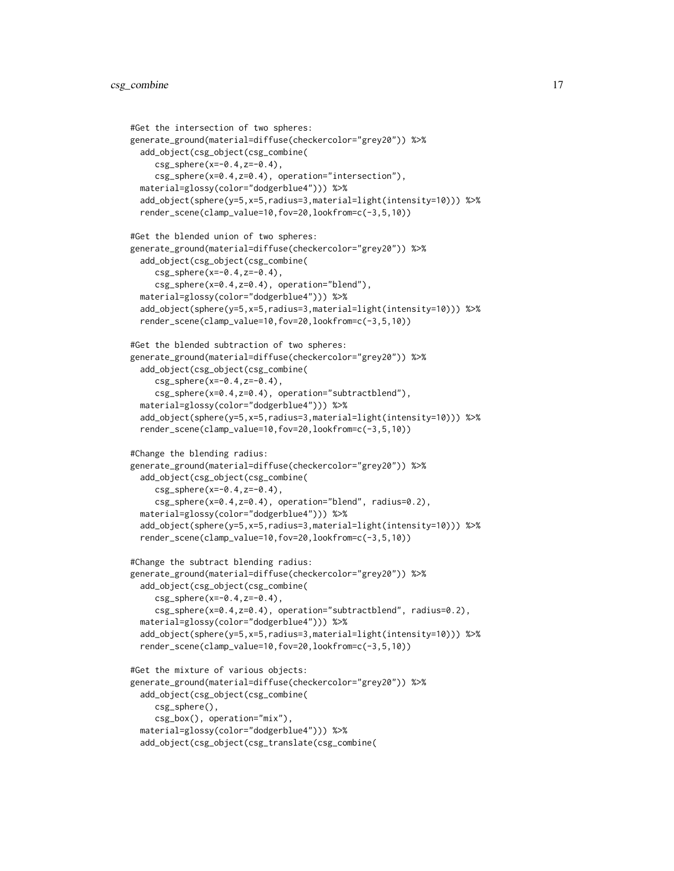```
#Get the intersection of two spheres:
generate_ground(material=diffuse(checkercolor="grey20")) %>%
 add_object(csg_object(csg_combine(
     csg_sphere(x=-0.4,z=-0.4),
     csg_sphere(x=0.4,z=0.4), operation="intersection"),
 material=glossy(color="dodgerblue4"))) %>%
 add_object(sphere(y=5,x=5,radius=3,material=light(intensity=10))) %>%
 render_scene(clamp_value=10,fov=20,lookfrom=c(-3,5,10))
#Get the blended union of two spheres:
generate_ground(material=diffuse(checkercolor="grey20")) %>%
  add_object(csg_object(csg_combine(
     csg_sphere(x=-0.4,z=-0.4),
     csg_sphere(x=0.4,z=0.4), operation="blend"),
 material=glossy(color="dodgerblue4"))) %>%
 add_object(sphere(y=5,x=5,radius=3,material=light(intensity=10))) %>%
 render_scene(clamp_value=10,fov=20,lookfrom=c(-3,5,10))
#Get the blended subtraction of two spheres:
generate_ground(material=diffuse(checkercolor="grey20")) %>%
 add_object(csg_object(csg_combine(
     csg_sphere(x=-0.4,z=-0.4),
     csg_sphere(x=0.4,z=0.4), operation="subtractblend"),
 material=glossy(color="dodgerblue4"))) %>%
  add_object(sphere(y=5,x=5,radius=3,material=light(intensity=10))) %>%
  render_scene(clamp_value=10,fov=20,lookfrom=c(-3,5,10))
#Change the blending radius:
generate_ground(material=diffuse(checkercolor="grey20")) %>%
 add_object(csg_object(csg_combine(
     csg_sphere(x=-0.4,z=-0.4),
     csg_sphere(x=0.4,z=0.4), operation="blend", radius=0.2),
 material=glossy(color="dodgerblue4"))) %>%
 add_object(sphere(y=5,x=5,radius=3,material=light(intensity=10))) %>%
 render_scene(clamp_value=10,fov=20,lookfrom=c(-3,5,10))
#Change the subtract blending radius:
generate_ground(material=diffuse(checkercolor="grey20")) %>%
  add_object(csg_object(csg_combine(
     csg_sphere(x=-0.4, z=-0.4),
     csg_sphere(x=0.4,z=0.4), operation="subtractblend", radius=0.2),
 material=glossy(color="dodgerblue4"))) %>%
 add_object(sphere(y=5,x=5,radius=3,material=light(intensity=10))) %>%
 render_scene(clamp_value=10,fov=20,lookfrom=c(-3,5,10))
#Get the mixture of various objects:
generate_ground(material=diffuse(checkercolor="grey20")) %>%
 add_object(csg_object(csg_combine(
     csg_sphere(),
     csg_box(), operation="mix"),
 material=glossy(color="dodgerblue4"))) %>%
  add_object(csg_object(csg_translate(csg_combine(
```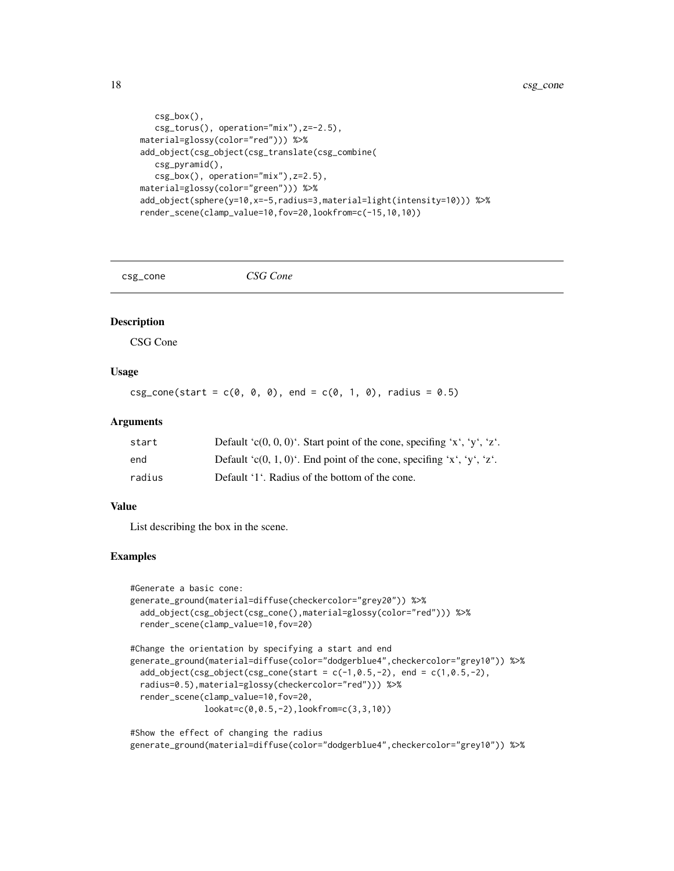```
csg_box(),
   csg_torus(), operation="mix"),z=-2.5),
material=glossy(color="red"))) %>%
add_object(csg_object(csg_translate(csg_combine(
   csg_pyramid(),
   csg_box(), operation="mix"),z=2.5),
material=glossy(color="green"))) %>%
add_object(sphere(y=10,x=-5,radius=3,material=light(intensity=10))) %>%
render_scene(clamp_value=10,fov=20,lookfrom=c(-15,10,10))
```
csg\_cone *CSG Cone*

#### Description

CSG Cone

# Usage

 $csg\_cone(start = c(0, 0, 0), end = c(0, 1, 0), radius = 0.5)$ 

#### Arguments

| start  | Default 'c(0, 0, 0)'. Start point of the cone, specifing 'x', 'y', 'z'. |
|--------|-------------------------------------------------------------------------|
| end    | Default 'c(0, 1, 0)'. End point of the cone, specifing 'x', 'y', 'z'.   |
| radius | Default '1'. Radius of the bottom of the cone.                          |

#### Value

List describing the box in the scene.

```
#Generate a basic cone:
generate_ground(material=diffuse(checkercolor="grey20")) %>%
 add_object(csg_object(csg_cone(),material=glossy(color="red"))) %>%
 render_scene(clamp_value=10,fov=20)
```

```
#Change the orientation by specifying a start and end
generate_ground(material=diffuse(color="dodgerblue4",checkercolor="grey10")) %>%
 add\_object(csg\_object(csg\_cone(stat = c(-1, 0.5, -2), end = c(1, 0.5, -2))radius=0.5),material=glossy(checkercolor="red"))) %>%
 render_scene(clamp_value=10,fov=20,
               lookat=c(0,0.5,-2),lookfrom=c(3,3,10))
```

```
#Show the effect of changing the radius
generate_ground(material=diffuse(color="dodgerblue4",checkercolor="grey10")) %>%
```
<span id="page-17-0"></span>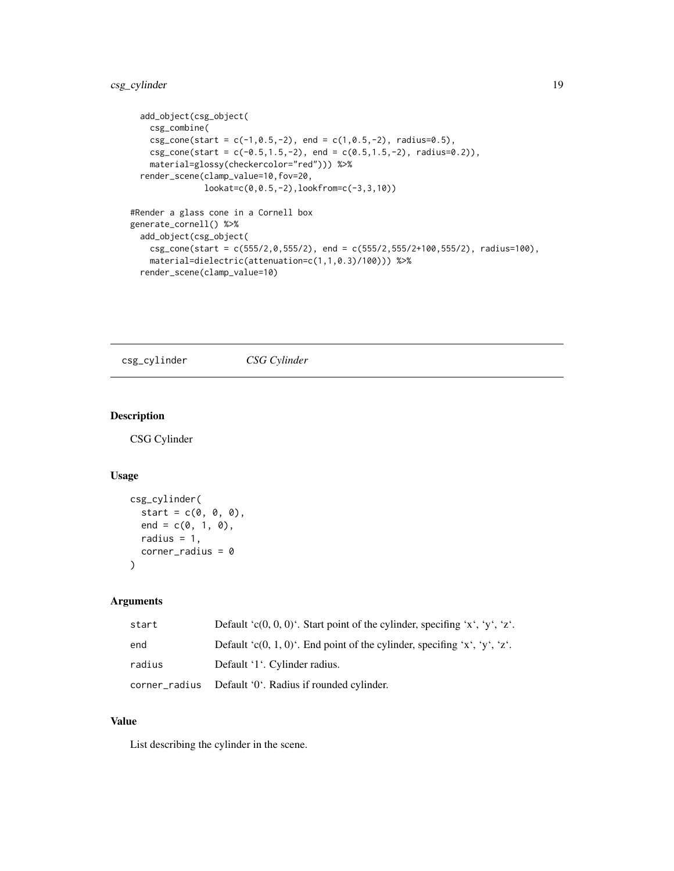```
add_object(csg_object(
   csg_combine(
   csg\_cone(start = c(-1, 0.5, -2), end = c(1, 0.5, -2), radius=0.5),csg\_cone(start = c(-0.5, 1.5, -2), end = c(0.5, 1.5, -2), radius=0.2),
   material=glossy(checkercolor="red"))) %>%
 render_scene(clamp_value=10,fov=20,
               lookat=c(0,0.5,-2),lookfrom=c(-3,3,10))
#Render a glass cone in a Cornell box
generate_cornell() %>%
 add_object(csg_object(
   csg\_{cone}(start = c(555/2,0,555/2), end = c(555/2,555/2+100,555/2), radius=100),
   material=dielectric(attenuation=c(1,1,0.3)/100))) %>%
 render_scene(clamp_value=10)
```
csg\_cylinder *CSG Cylinder*

# Description

CSG Cylinder

#### Usage

```
csg_cylinder(
  start = c(0, 0, 0),
  end = c(0, 1, 0),
  radius = 1,
  corner\_radius = 0)
```
#### Arguments

| start  | Default 'c(0, 0, 0)'. Start point of the cylinder, specifing 'x', 'y', 'z'. |
|--------|-----------------------------------------------------------------------------|
| end    | Default 'c(0, 1, 0)'. End point of the cylinder, specifing 'x', 'y', 'z'.   |
| radius | Default '1'. Cylinder radius.                                               |
|        | corner_radius  Default '0'. Radius if rounded cylinder.                     |

# Value

List describing the cylinder in the scene.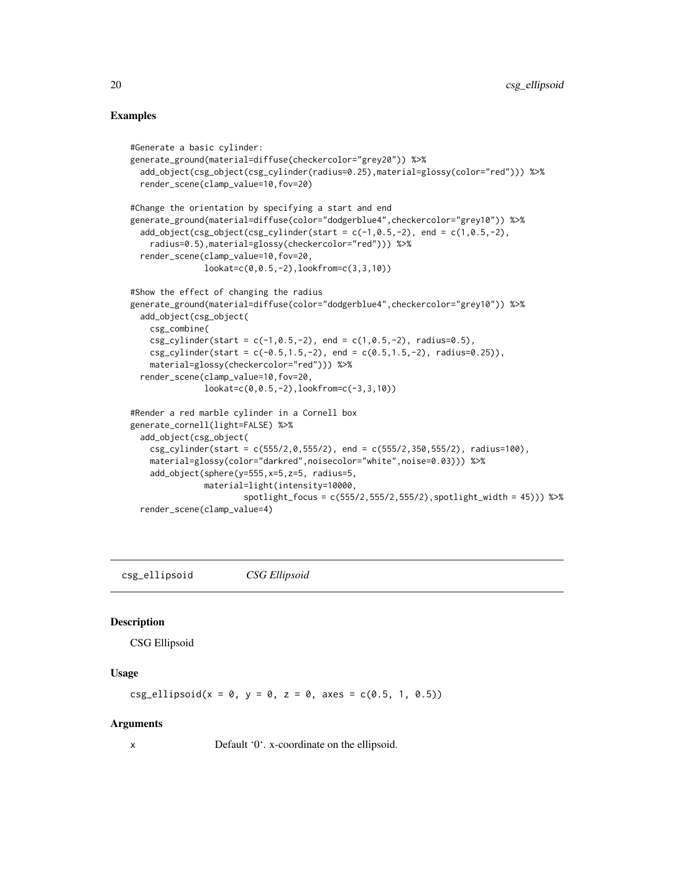# Examples

```
#Generate a basic cylinder:
generate_ground(material=diffuse(checkercolor="grey20")) %>%
 add_object(csg_object(csg_cylinder(radius=0.25),material=glossy(color="red"))) %>%
 render_scene(clamp_value=10,fov=20)
#Change the orientation by specifying a start and end
generate_ground(material=diffuse(color="dodgerblue4",checkercolor="grey10")) %>%
 add\_object(csg\_object(csg\_cylinder(stat = c(-1, 0.5, -2), end = c(1, 0.5, -2)).radius=0.5),material=glossy(checkercolor="red"))) %>%
 render_scene(clamp_value=10,fov=20,
              lookat=c(0,0.5,-2),lookfrom=c(3,3,10))
#Show the effect of changing the radius
generate_ground(material=diffuse(color="dodgerblue4",checkercolor="grey10")) %>%
 add_object(csg_object(
   csg_combine(
   csg_cylinder(stat = c(-1, 0.5, -2), end = c(1, 0.5, -2), radius=0.5),csg_cylinder(stat = c(-0.5, 1.5, -2), end = c(0.5, 1.5, -2), radius=0.25),
    material=glossy(checkercolor="red"))) %>%
 render_scene(clamp_value=10,fov=20,
               lookat=c(0,0.5,-2),lookfrom=c(-3,3,10))
#Render a red marble cylinder in a Cornell box
generate_cornell(light=FALSE) %>%
 add_object(csg_object(
   csg_cylinder(start = c(555/2,0,555/2), end = c(555/2,350,555/2), radius=100),
   material=glossy(color="darkred",noisecolor="white",noise=0.03))) %>%
    add_object(sphere(y=555,x=5,z=5, radius=5,
               material=light(intensity=10000,
                       spotlight_focus = c(555/2,555/2,555/2),spotlight_width = 45))) %>%
 render_scene(clamp_value=4)
```
csg\_ellipsoid *CSG Ellipsoid*

# Description

CSG Ellipsoid

# Usage

 $csg$ \_ellipsoid(x = 0, y = 0, z = 0, axes =  $c(0.5, 1, 0.5)$ )

#### Arguments

x Default '0'. x-coordinate on the ellipsoid.

<span id="page-19-0"></span>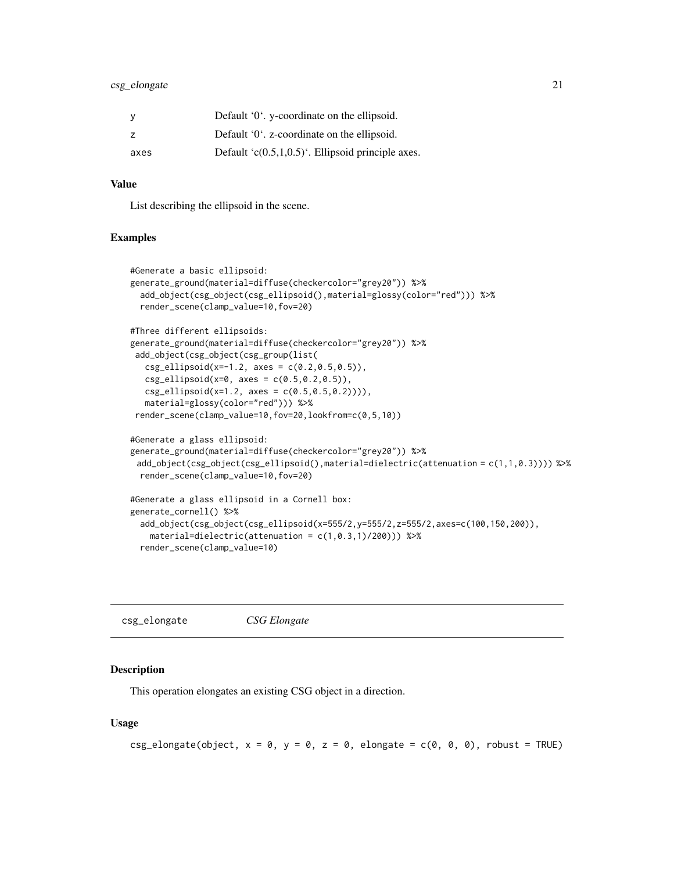# <span id="page-20-0"></span>csg\_elongate 21

| У    | Default '0'. y-coordinate on the ellipsoid.           |
|------|-------------------------------------------------------|
| z    | Default '0'. z-coordinate on the ellipsoid.           |
| axes | Default ' $c(0.5,1,0.5)$ '. Ellipsoid principle axes. |

#### Value

List describing the ellipsoid in the scene.

#### Examples

```
#Generate a basic ellipsoid:
generate_ground(material=diffuse(checkercolor="grey20")) %>%
 add_object(csg_object(csg_ellipsoid(),material=glossy(color="red"))) %>%
 render_scene(clamp_value=10,fov=20)
#Three different ellipsoids:
generate_ground(material=diffuse(checkercolor="grey20")) %>%
add_object(csg_object(csg_group(list(
  csg_ellipsoid(x=-1.2, axes = c(0.2, 0.5, 0.5)),
  csg_ellipsoid(x=0, axes = c(0.5, 0.2, 0.5)),
  csg_ellipsoid(x=1.2, axes = c(0.5, 0.5, 0.2)))),
  material=glossy(color="red"))) %>%
render_scene(clamp_value=10,fov=20,lookfrom=c(0,5,10))
#Generate a glass ellipsoid:
generate_ground(material=diffuse(checkercolor="grey20")) %>%
 add_object(csg_object(csg_ellipsoid(),material=dielectric(attenuation = c(1,1,0.3)))) %>%
 render_scene(clamp_value=10,fov=20)
#Generate a glass ellipsoid in a Cornell box:
generate_cornell() %>%
 add_object(csg_object(csg_ellipsoid(x=555/2,y=555/2,z=555/2,axes=c(100,150,200)),
   material=dielectric(attenuation = c(1,0.3,1)/200))) %>%
 render_scene(clamp_value=10)
```
csg\_elongate *CSG Elongate*

#### Description

This operation elongates an existing CSG object in a direction.

#### Usage

```
csg_elongate(object, x = 0, y = 0, z = 0, elongate = c(0, 0, 0), robust = TRUE)
```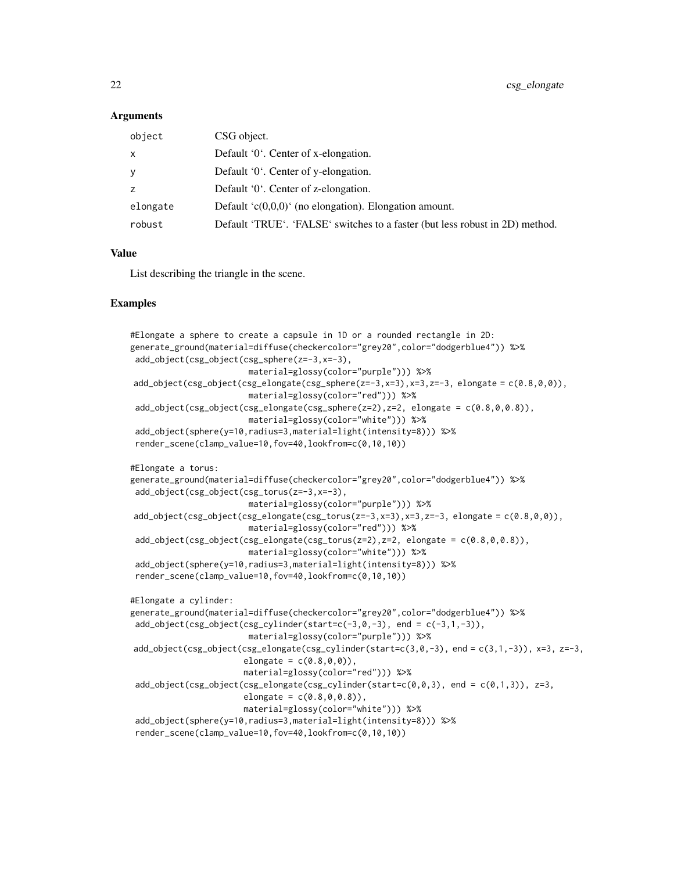#### **Arguments**

| object   | CSG object.                                                                  |
|----------|------------------------------------------------------------------------------|
| х        | Default '0'. Center of x-elongation.                                         |
|          | Default '0'. Center of y-elongation.                                         |
|          | Default '0'. Center of z-elongation.                                         |
| elongate | Default $(c(0,0,0))$ (no elongation). Elongation amount.                     |
| robust   | Default 'TRUE'. 'FALSE' switches to a faster (but less robust in 2D) method. |
|          |                                                                              |

# Value

List describing the triangle in the scene.

```
#Elongate a sphere to create a capsule in 1D or a rounded rectangle in 2D:
generate_ground(material=diffuse(checkercolor="grey20",color="dodgerblue4")) %>%
add_object(csg_object(csg_sphere(z=-3,x=-3),
                        material=glossy(color="purple"))) %>%
add\_object(csg\_object(csg\_elongate(csg\_sphere(z=-3,x=3),x=3,z=-3, elongate = c(0.8,0,0)),material=glossy(color="red"))) %>%
add\_object(csg\_object(csg\_elongate(csg\_sphere(z=2),z=2, elongate = c(0.8, 0, 0.8)),material=glossy(color="white"))) %>%
add_object(sphere(y=10,radius=3,material=light(intensity=8))) %>%
render_scene(clamp_value=10,fov=40,lookfrom=c(0,10,10))
#Elongate a torus:
generate_ground(material=diffuse(checkercolor="grey20",color="dodgerblue4")) %>%
add_object(csg_object(csg_torus(z=-3,x=-3),
                        material=glossy(color="purple"))) %>%
add_object(csg_object(csg_elongate(csg_torus(z=-3,x=3),x=3,z=-3, elongate = c(0.8,0,0)),
                        material=glossy(color="red"))) %>%
add\_object(csg\_object(csg\_elongate(csg\_torus(z=2),z=2, elongate = c(0.8,0,0.8)),material=glossy(color="white"))) %>%
add_object(sphere(y=10,radius=3,material=light(intensity=8))) %>%
render_scene(clamp_value=10,fov=40,lookfrom=c(0,10,10))
#Elongate a cylinder:
generate_ground(material=diffuse(checkercolor="grey20",color="dodgerblue4")) %>%
add\_object(csg\_object(csg\_cylinder(stat=c(-3,0,-3), end = c(-3,1,-3)),material=glossy(color="purple"))) %>%
add\_object(csg\_object(csg\_elongate(csg\_cylinder(stat=c(3,0,-3)), end = c(3,1,-3)), x=3, z=-3,
                       elongate = c(0.8, 0, 0),
                       material=glossy(color="red"))) %>%
add\_object(csg\_object(csg\_elongate(csg\_cylinder(stat=c(0,0,3)), end = c(0,1,3)), z=3,elongate = c(0.8, 0, 0.8),
                       material=glossy(color="white"))) %>%
add_object(sphere(y=10,radius=3,material=light(intensity=8))) %>%
render_scene(clamp_value=10,fov=40,lookfrom=c(0,10,10))
```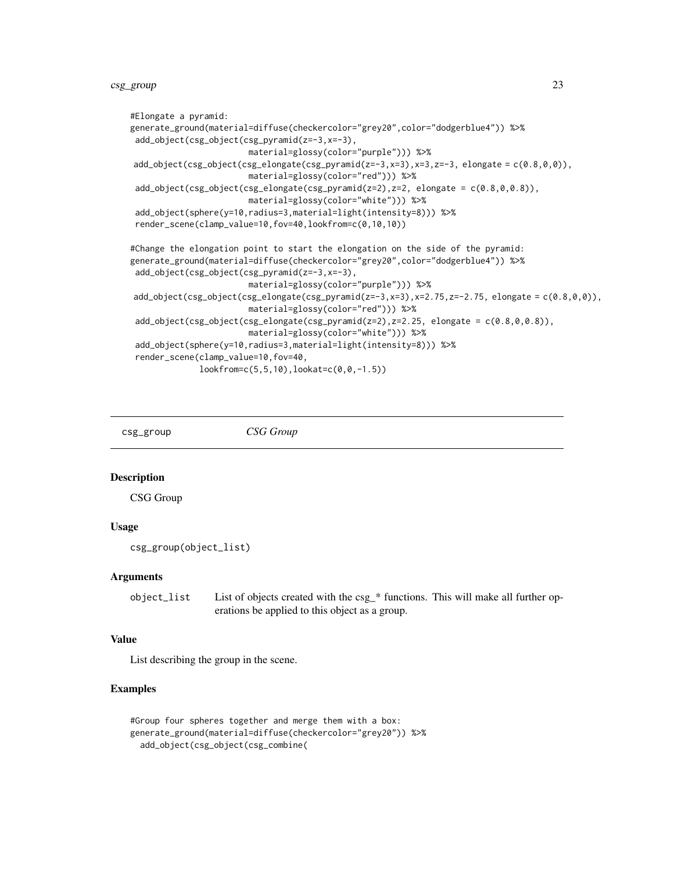```
#Elongate a pyramid:
generate_ground(material=diffuse(checkercolor="grey20",color="dodgerblue4")) %>%
add_object(csg_object(csg_pyramid(z=-3,x=-3),
                       material=glossy(color="purple"))) %>%
add_object(csg_object(csg_elongate(csg_pyramid(z=-3,x=3),x=3,z=-3, elongate = c(0.8,0,0)),
                       material=glossy(color="red"))) %>%
add\_object(csg\_object(csg\_elongate(csg\_pyramid(z=2),z=2, elongate = c(0.8, 0, 0.8)),material=glossy(color="white"))) %>%
add_object(sphere(y=10,radius=3,material=light(intensity=8))) %>%
render_scene(clamp_value=10,fov=40,lookfrom=c(0,10,10))
#Change the elongation point to start the elongation on the side of the pyramid:
generate_ground(material=diffuse(checkercolor="grey20",color="dodgerblue4")) %>%
add_object(csg_object(csg_pyramid(z=-3,x=-3),
                        material=glossy(color="purple"))) %>%
add_object(csg_object(csg_elongate(csg_pyramid(z=-3,x=3),x=2.75,z=-2.75, elongate = c(0.8,0,0)),
                        material=glossy(color="red"))) %>%
add_object(csg_object(csg_elongate(csg_pyramid(z=2),z=2.25, elongate = c(0.8,0,0.8)),
                        material=glossy(color="white"))) %>%
add_object(sphere(y=10,radius=3,material=light(intensity=8))) %>%
render_scene(clamp_value=10,fov=40,
             lookfrom=c(5,5,10),lookat=c(0,0,-1.5))
```
csg\_group *CSG Group*

#### Description

CSG Group

# Usage

```
csg_group(object_list)
```
#### Arguments

object\_list List of objects created with the csg\_\* functions. This will make all further operations be applied to this object as a group.

# Value

List describing the group in the scene.

```
#Group four spheres together and merge them with a box:
generate_ground(material=diffuse(checkercolor="grey20")) %>%
 add_object(csg_object(csg_combine(
```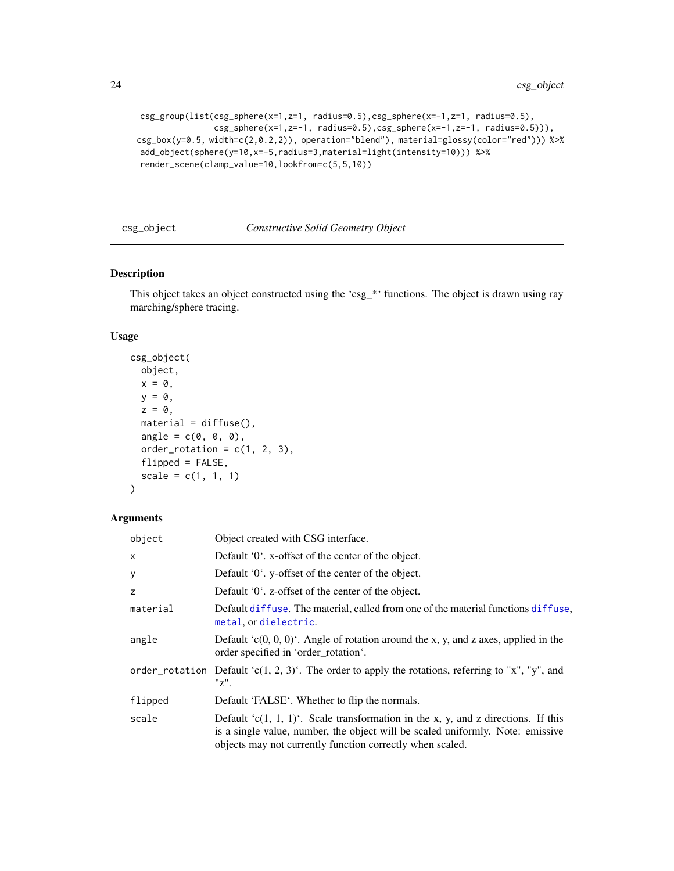```
csg_group(list(csg_sphere(x=1,z=1, radius=0.5),csg_sphere(x=-1,z=1, radius=0.5),
               csg_sphere(x=1,z=-1, radius=0.5),csg_sphere(x=-1,z=-1, radius=0.5))),
csg_box(y=0.5, width=c(2,0.2,2)), operation="blend"), material=glossy(color="red"))) %>%
add_object(sphere(y=10,x=-5,radius=3,material=light(intensity=10))) %>%
render_scene(clamp_value=10,lookfrom=c(5,5,10))
```
#### csg\_object *Constructive Solid Geometry Object*

# Description

This object takes an object constructed using the 'csg\_\*' functions. The object is drawn using ray marching/sphere tracing.

#### Usage

```
csg_object(
  object,
  x = 0,
  y = 0,
  z = 0,
  material = diffuse(),angle = c(0, 0, 0),order_rotation = c(1, 2, 3),
  flipped = FALSE,
  scale = c(1, 1, 1)\mathcal{E}
```
# Arguments

| object   | Object created with CSG interface.                                                                                                                                                                                                   |  |
|----------|--------------------------------------------------------------------------------------------------------------------------------------------------------------------------------------------------------------------------------------|--|
| X        | Default '0'. x-offset of the center of the object.                                                                                                                                                                                   |  |
| у        | Default '0'. y-offset of the center of the object.                                                                                                                                                                                   |  |
| z        | Default '0'. z-offset of the center of the object.                                                                                                                                                                                   |  |
| material | Default diffuse. The material, called from one of the material functions diffuse,<br>metal, or dielectric.                                                                                                                           |  |
| angle    | Default $(c(0, 0, 0)^t$ . Angle of rotation around the x, y, and z axes, applied in the<br>order specified in 'order rotation'.                                                                                                      |  |
|          | order_rotation Default 'c(1, 2, 3)'. The order to apply the rotations, referring to "x", "y", and<br>"z".                                                                                                                            |  |
| flipped  | Default 'FALSE'. Whether to flip the normals.                                                                                                                                                                                        |  |
| scale    | Default ' $c(1, 1, 1)$ '. Scale transformation in the x, y, and z directions. If this<br>is a single value, number, the object will be scaled uniformly. Note: emissive<br>objects may not currently function correctly when scaled. |  |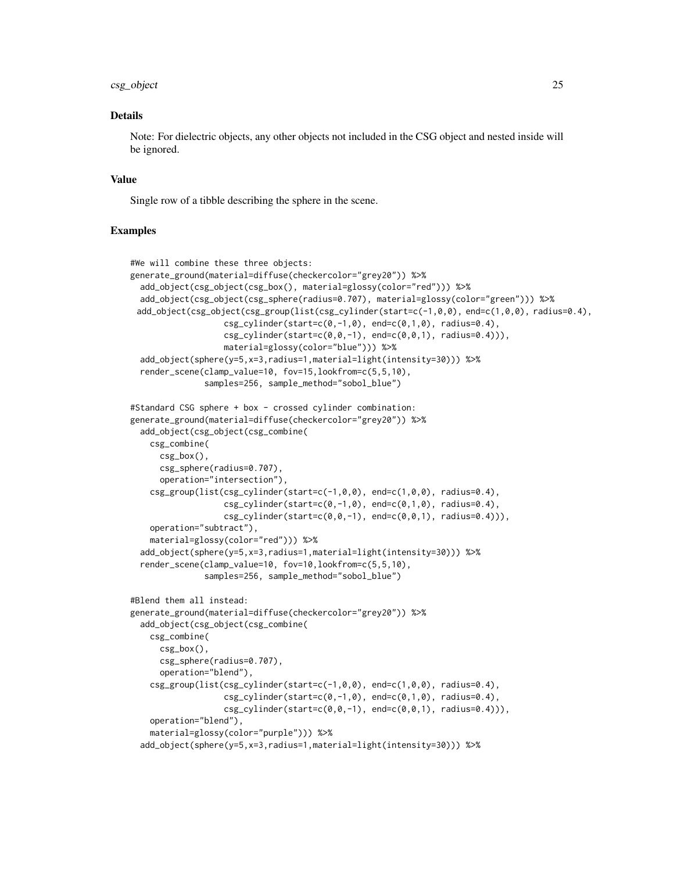#### csg\_object 25

#### Details

Note: For dielectric objects, any other objects not included in the CSG object and nested inside will be ignored.

#### Value

Single row of a tibble describing the sphere in the scene.

```
#We will combine these three objects:
generate_ground(material=diffuse(checkercolor="grey20")) %>%
 add_object(csg_object(csg_box(), material=glossy(color="red"))) %>%
 add_object(csg_object(csg_sphere(radius=0.707), material=glossy(color="green"))) %>%
 add_object(csg_object(csg_group(list(csg_cylinder(start=c(-1,0,0), end=c(1,0,0), radius=0.4),
                   csg_cylinder(stat=c(0,-1,0), end=c(0,1,0), radius=0.4),csg_cylinder(stat=c(0,0,-1), end=c(0,0,1), radius=0.4)),
                  material=glossy(color="blue"))) %>%
 add_object(sphere(y=5,x=3,radius=1,material=light(intensity=30))) %>%
  render_scene(clamp_value=10, fov=15,lookfrom=c(5,5,10),
               samples=256, sample_method="sobol_blue")
#Standard CSG sphere + box - crossed cylinder combination:
generate_ground(material=diffuse(checkercolor="grey20")) %>%
 add_object(csg_object(csg_combine(
   csg_combine(
     csg_box(),
     csg_sphere(radius=0.707),
     operation="intersection"),
    csg\_group(list(csg_cylinder(stat=c(-1,0,0), end=c(1,0,0), radius=0.4),csg_cylinder(stat=c(0,-1,0), end=c(0,1,0), radius=0.4),
                   csg_cylinder(stat=c(0,0,-1), end=c(0,0,1), radius=0.4)),
    operation="subtract"),
    material=glossy(color="red"))) %>%
 add_object(sphere(y=5,x=3,radius=1,material=light(intensity=30))) %>%
 render_scene(clamp_value=10, fov=10,lookfrom=c(5,5,10),
               samples=256, sample_method="sobol_blue")
#Blend them all instead:
generate_ground(material=diffuse(checkercolor="grey20")) %>%
 add_object(csg_object(csg_combine(
   csg_combine(
     csg_box(),
     csg_sphere(radius=0.707),
      operation="blend"),
    csg_group(list(csg_cylinder(start=c(-1,0,0), end=c(1,0,0), radius=0.4),
                   csg_cylinder(stat=c(0,-1,0), end=c(0,1,0), radius=0.4),csg_cylinder(stat=c(0,0,-1), end=c(0,0,1), radius=0.4)),
    operation="blend"),
    material=glossy(color="purple"))) %>%
  add_object(sphere(y=5,x=3,radius=1,material=light(intensity=30))) %>%
```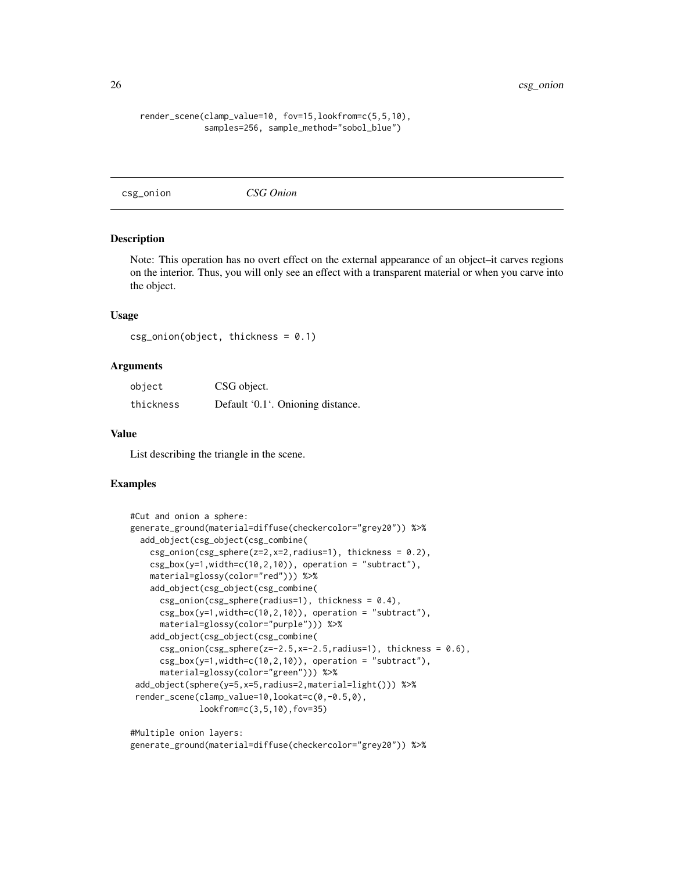#### <span id="page-25-0"></span>render\_scene(clamp\_value=10, fov=15,lookfrom=c(5,5,10), samples=256, sample\_method="sobol\_blue")

csg\_onion *CSG Onion*

#### Description

Note: This operation has no overt effect on the external appearance of an object–it carves regions on the interior. Thus, you will only see an effect with a transparent material or when you carve into the object.

#### Usage

```
csg\_onion(object, thickness = 0.1)
```
#### **Arguments**

| object    | CSG object.                       |
|-----------|-----------------------------------|
| thickness | Default '0.1'. Onioning distance. |

#### Value

List describing the triangle in the scene.

#### Examples

```
#Cut and onion a sphere:
generate_ground(material=diffuse(checkercolor="grey20")) %>%
 add_object(csg_object(csg_combine(
    csg\_onion(csg\_sphere(z=2,x=2,radius=1), thickness = 0.2),
   csg_box(y=1,width=c(10,2,10)), operation = "subtract"),
   material=glossy(color="red"))) %>%
   add_object(csg_object(csg_combine(
     csg\_onion(csg\_sphere(radius=1), thickness = 0.4),csg_box(y=1,width=c(10,2,10)), operation = "subtract"),
     material=glossy(color="purple"))) %>%
    add_object(csg_object(csg_combine(
     csg\_onion(csg\_sphere(z=-2.5,x=-2.5,radius=1), thickness = 0.6),csg_box(y=1,width=c(10,2,10)), operation = "subtract"),
     material=glossy(color="green"))) %>%
 add_object(sphere(y=5,x=5,radius=2,material=light())) %>%
 render_scene(clamp_value=10,lookat=c(0,-0.5,0),
              lookfrom=c(3,5,10),fov=35)
```
#Multiple onion layers:

```
generate_ground(material=diffuse(checkercolor="grey20")) %>%
```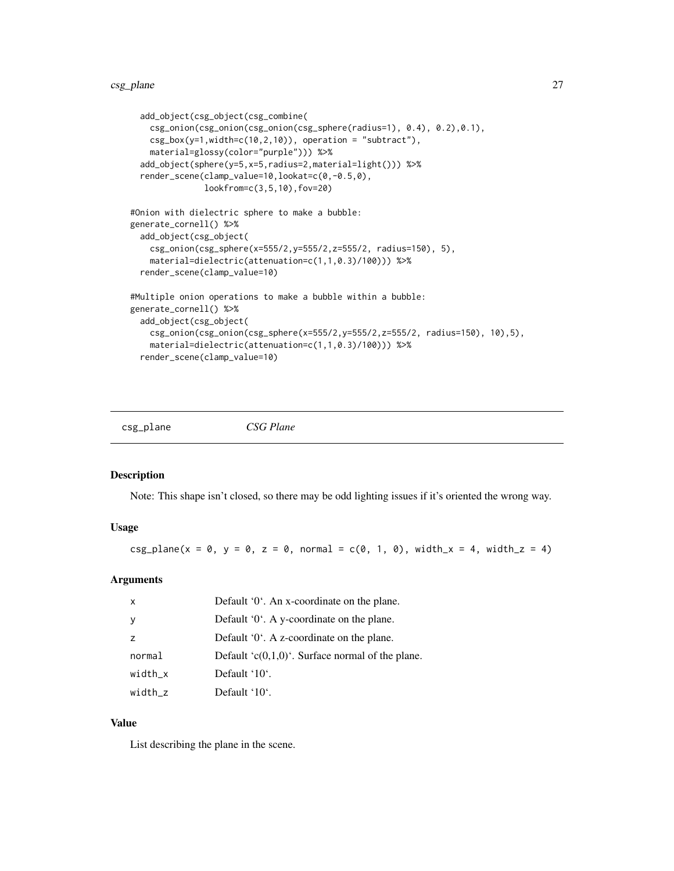```
add_object(csg_object(csg_combine(
   csg_onion(csg_onion(csg_onion(csg_sphere(radius=1), 0.4), 0.2),0.1),
   csg_box(y=1,width=c(10,2,10)), operation = "subtract"),
   material=glossy(color="purple"))) %>%
 add_object(sphere(y=5,x=5,radius=2,material=light())) %>%
 render_scene(clamp_value=10,lookat=c(0,-0.5,0),
              lookfrom=c(3,5,10),fov=20)
#Onion with dielectric sphere to make a bubble:
generate_cornell() %>%
 add_object(csg_object(
   csg_onion(csg_sphere(x=555/2,y=555/2,z=555/2, radius=150), 5),
    material=dielectric(attenuation=c(1,1,0.3)/100))) %>%
 render_scene(clamp_value=10)
#Multiple onion operations to make a bubble within a bubble:
generate_cornell() %>%
 add_object(csg_object(
   csg_onion(csg_onion(csg_sphere(x=555/2,y=555/2,z=555/2, radius=150), 10),5),
   material=dielectric(attenuation=c(1,1,0.3)/100))) %>%
 render_scene(clamp_value=10)
```
csg\_plane *CSG Plane*

#### Description

Note: This shape isn't closed, so there may be odd lighting issues if it's oriented the wrong way.

#### Usage

 $csg\_plane(x = 0, y = 0, z = 0, normal = c(0, 1, 0), width_x = 4, width_z = 4)$ 

#### **Arguments**

| $\mathsf{x}$   | Default '0'. An x-coordinate on the plane.           |  |
|----------------|------------------------------------------------------|--|
| y              | Default '0'. A y-coordinate on the plane.            |  |
| $\overline{z}$ | Default $0^{\circ}$ . A z-coordinate on the plane.   |  |
| normal         | Default ' $c(0,1,0)$ '. Surface normal of the plane. |  |
| $width_x$      | Default '10'.                                        |  |
| width z        | Default '10'.                                        |  |

#### Value

List describing the plane in the scene.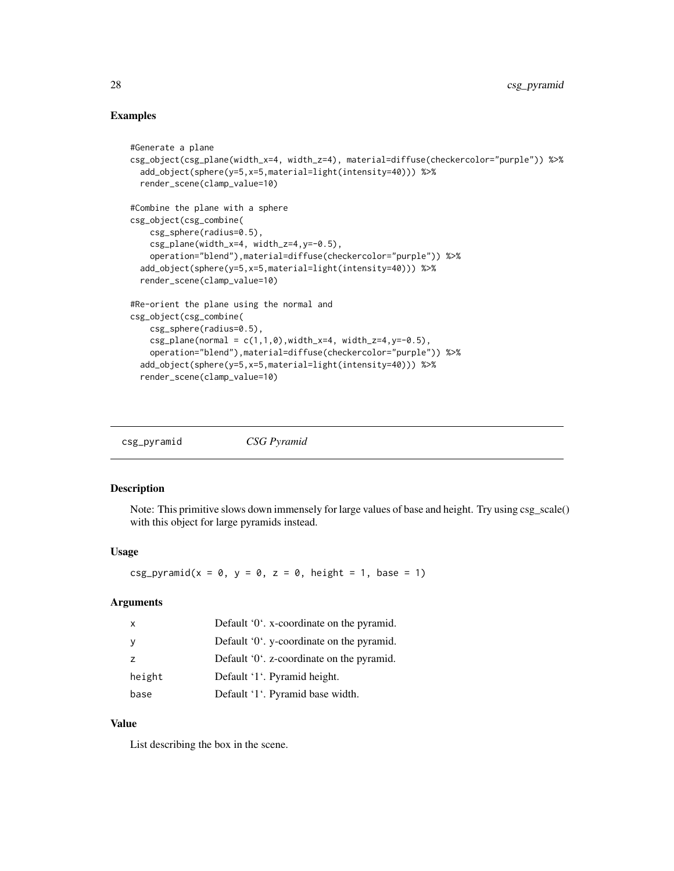# <span id="page-27-0"></span>Examples

```
#Generate a plane
csg_object(csg_plane(width_x=4, width_z=4), material=diffuse(checkercolor="purple")) %>%
 add_object(sphere(y=5,x=5,material=light(intensity=40))) %>%
 render_scene(clamp_value=10)
#Combine the plane with a sphere
csg_object(csg_combine(
   csg_sphere(radius=0.5),
   csg_plane(width_x=4, width_z=4,y=-0.5),
    operation="blend"),material=diffuse(checkercolor="purple")) %>%
 add_object(sphere(y=5,x=5,material=light(intensity=40))) %>%
 render_scene(clamp_value=10)
#Re-orient the plane using the normal and
csg_object(csg_combine(
   csg_sphere(radius=0.5),
   csg_plane(normal = c(1,1,0), width_x=4, width_z=4, y=-0.5),
    operation="blend"),material=diffuse(checkercolor="purple")) %>%
 add_object(sphere(y=5,x=5,material=light(intensity=40))) %>%
 render_scene(clamp_value=10)
```
csg\_pyramid *CSG Pyramid*

# Description

Note: This primitive slows down immensely for large values of base and height. Try using csg\_scale() with this object for large pyramids instead.

#### Usage

 $csg\_pyramid(x = 0, y = 0, z = 0, height = 1, base = 1)$ 

#### Arguments

| $\mathsf{x}$ | Default '0'. x-coordinate on the pyramid.           |
|--------------|-----------------------------------------------------|
| y            | Default '0'. y-coordinate on the pyramid.           |
| z            | Default $0^{\prime}$ . z-coordinate on the pyramid. |
| height       | Default '1'. Pyramid height.                        |
| base         | Default '1'. Pyramid base width.                    |

## Value

List describing the box in the scene.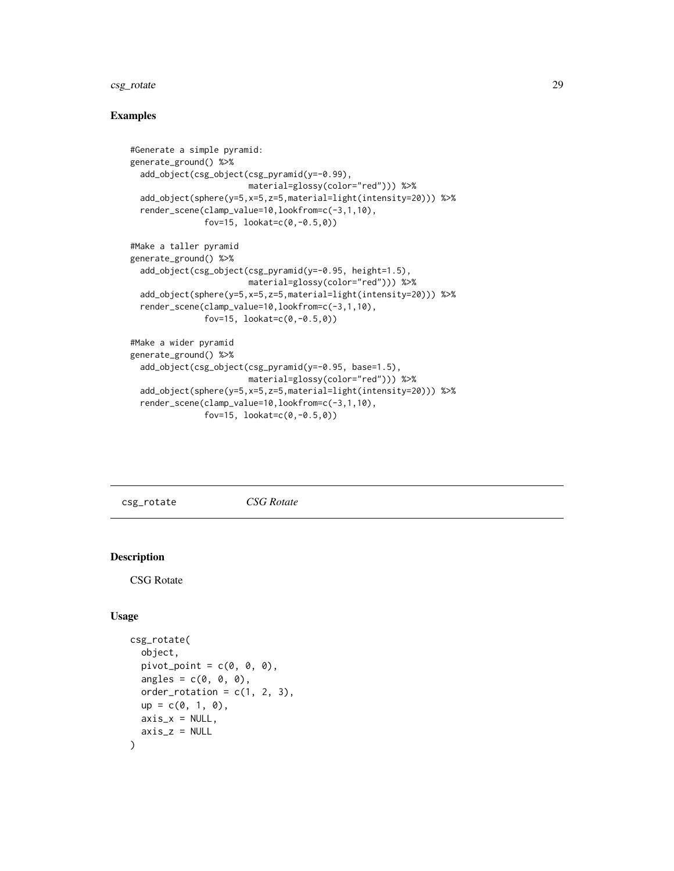# <span id="page-28-0"></span>csg\_rotate 29

## Examples

```
#Generate a simple pyramid:
generate_ground() %>%
 add_object(csg_object(csg_pyramid(y=-0.99),
                        material=glossy(color="red"))) %>%
 add_object(sphere(y=5,x=5,z=5,material=light(intensity=20))) %>%
 render_scene(clamp_value=10,lookfrom=c(-3,1,10),
               fov=15, lookate(c(0,-0.5,0))#Make a taller pyramid
generate_ground() %>%
 add_object(csg_object(csg_pyramid(y=-0.95, height=1.5),
                       material=glossy(color="red"))) %>%
 add_object(sphere(y=5,x=5,z=5,material=light(intensity=20))) %>%
 render_scene(clamp_value=10,lookfrom=c(-3,1,10),
               fov=15, lookat=c(0,-0.5,0))
#Make a wider pyramid
generate_ground() %>%
 add_object(csg_object(csg_pyramid(y=-0.95, base=1.5),
                       material=glossy(color="red"))) %>%
 add_object(sphere(y=5,x=5,z=5,material=light(intensity=20))) %>%
 render_scene(clamp_value=10,lookfrom=c(-3,1,10),
               fov=15, lookatec(0,-0.5,0))
```
csg\_rotate *CSG Rotate*

# Description

CSG Rotate

# Usage

```
csg_rotate(
  object,
  pivot\_point = c(0, 0, 0),
  angles = c(0, 0, 0),
  order_rotation = c(1, 2, 3),
  up = c(0, 1, 0),
  axis_x = NULL,axis_z = NULL)
```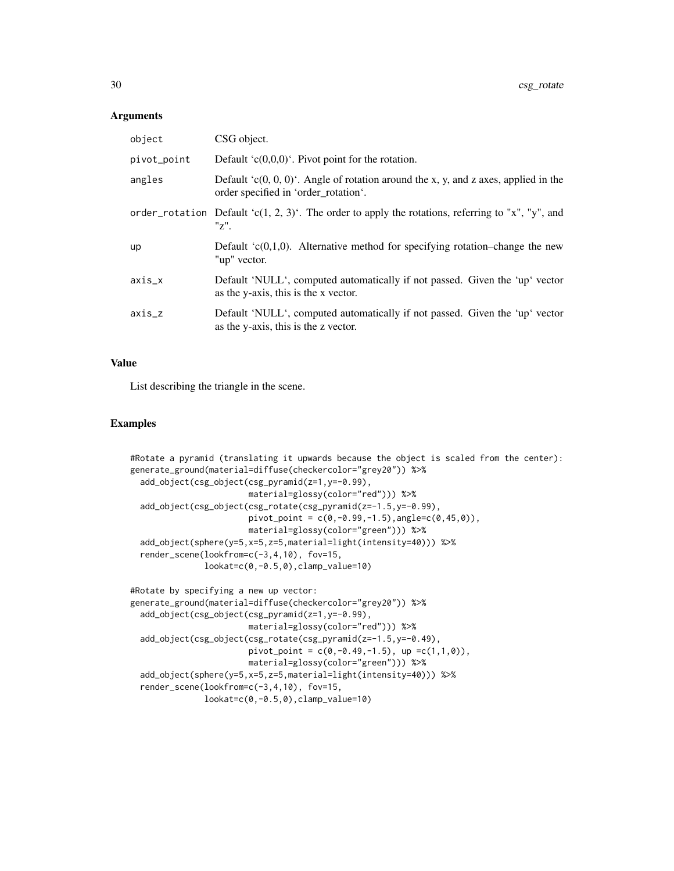#### **Arguments**

| object      | CSG object.                                                                                                                     |
|-------------|---------------------------------------------------------------------------------------------------------------------------------|
| pivot_point | Default ' $c(0,0,0)$ '. Pivot point for the rotation.                                                                           |
| angles      | Default $(c(0, 0, 0)^t$ . Angle of rotation around the x, y, and z axes, applied in the<br>order specified in 'order_rotation'. |
|             | order_rotation Default 'c(1, 2, 3)'. The order to apply the rotations, referring to "x", "y", and<br>$"z"$ .                    |
| <b>up</b>   | Default $(c(0,1,0))$ . Alternative method for specifying rotation-change the new<br>"up" vector.                                |
| $axis_x$    | Default 'NULL', computed automatically if not passed. Given the 'up' vector<br>as the y-axis, this is the x vector.             |
| $axis_z$    | Default 'NULL', computed automatically if not passed. Given the 'up' vector<br>as the y-axis, this is the z vector.             |

#### Value

List describing the triangle in the scene.

```
#Rotate a pyramid (translating it upwards because the object is scaled from the center):
generate_ground(material=diffuse(checkercolor="grey20")) %>%
 add_object(csg_object(csg_pyramid(z=1,y=-0.99),
                        material=glossy(color="red"))) %>%
 add_object(csg_object(csg_rotate(csg_pyramid(z=-1.5,y=-0.99),
                        pivot\_point = c(0, -0.99, -1.5), angle=c(0, 45, 0),
                        material=glossy(color="green"))) %>%
 add_object(sphere(y=5,x=5,z=5,material=light(intensity=40))) %>%
 render_scene(lookfrom=c(-3,4,10), fov=15,
               lookat=c(0,-0.5,0),clamp_value=10)
#Rotate by specifying a new up vector:
generate_ground(material=diffuse(checkercolor="grey20")) %>%
 add_object(csg_object(csg_pyramid(z=1,y=-0.99),
                        material=glossy(color="red"))) %>%
 add_object(csg_object(csg_rotate(csg_pyramid(z=-1.5,y=-0.49),
                        pivot_point = c(\emptyset, -\emptyset.49, -1.5), up =c(1,1,\emptyset)),
                        material=glossy(color="green"))) %>%
 add_object(sphere(y=5,x=5,z=5,material=light(intensity=40))) %>%
 render_scene(lookfrom=c(-3,4,10), fov=15,
```

```
lookat=c(0,-0.5,0),clamp_value=10)
```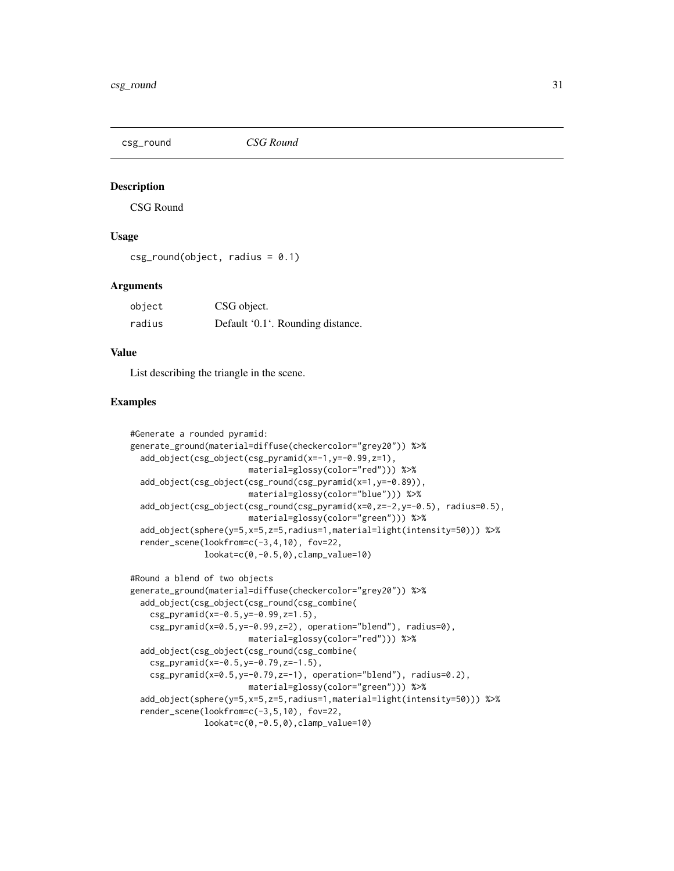<span id="page-30-0"></span>

# Description

CSG Round

# Usage

 $csg_{\text{round}}(\text{object}, \text{radius} = 0.1)$ 

#### Arguments

| object | CSG object.                       |
|--------|-----------------------------------|
| radius | Default '0.1'. Rounding distance. |

# Value

List describing the triangle in the scene.

```
#Generate a rounded pyramid:
generate_ground(material=diffuse(checkercolor="grey20")) %>%
 add_object(csg_object(csg_pyramid(x=-1,y=-0.99,z=1),
                        material=glossy(color="red"))) %>%
 add_object(csg_object(csg_round(csg_pyramid(x=1,y=-0.89)),
                        material=glossy(color="blue"))) %>%
 add_object(csg_object(csg_round(csg_pyramid(x=0,z=-2,y=-0.5), radius=0.5),
                        material=glossy(color="green"))) %>%
 add_object(sphere(y=5,x=5,z=5,radius=1,material=light(intensity=50))) %>%
 render_scene(lookfrom=c(-3,4,10), fov=22,
               lookat=c(0,-0.5,0),clamp_value=10)
#Round a blend of two objects
generate_ground(material=diffuse(checkercolor="grey20")) %>%
 add_object(csg_object(csg_round(csg_combine(
    csg_pyramid(x=-0.5,y=-0.99,z=1.5),
    csg_pyramid(x=0.5,y=-0.99,z=2), operation="blend"), radius=0),
                        material=glossy(color="red"))) %>%
 add_object(csg_object(csg_round(csg_combine(
    csg_pyramid(x=-0.5,y=-0.79,z=-1.5),
    csg_pyramid(x=0.5,y=-0.79,z=-1), operation="blend"), radius=0.2),
                        material=glossy(color="green"))) %>%
 add_object(sphere(y=5,x=5,z=5,radius=1,material=light(intensity=50))) %>%
 render_scene(lookfrom=c(-3,5,10), fov=22,
               lookat=c(0,-0.5,0),clamp_value=10)
```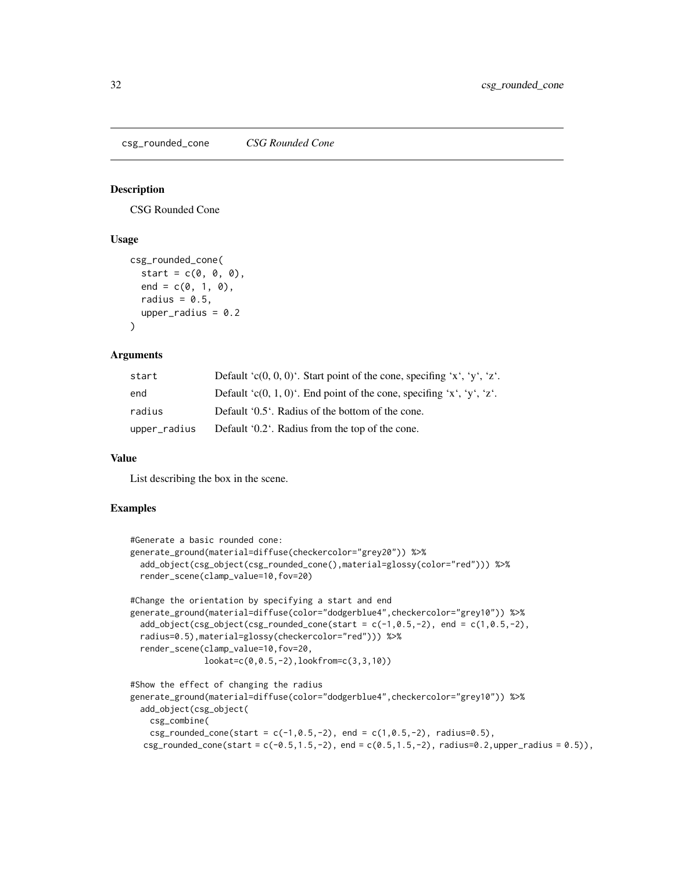<span id="page-31-0"></span>csg\_rounded\_cone *CSG Rounded Cone*

#### Description

CSG Rounded Cone

### Usage

```
csg_rounded_cone(
  start = c(0, 0, 0),
  end = c(0, 1, 0),
  radius = 0.5,
  upper_radius = 0.2)
```
#### Arguments

| start        | Default 'c(0, 0, 0)'. Start point of the cone, specifing 'x', 'y', 'z'. |
|--------------|-------------------------------------------------------------------------|
| end          | Default 'c(0, 1, 0)'. End point of the cone, specifing 'x', 'y', 'z'.   |
| radius       | Default '0.5'. Radius of the bottom of the cone.                        |
| upper_radius | Default '0.2'. Radius from the top of the cone.                         |

#### Value

List describing the box in the scene.

```
#Generate a basic rounded cone:
generate_ground(material=diffuse(checkercolor="grey20")) %>%
 add_object(csg_object(csg_rounded_cone(),material=glossy(color="red"))) %>%
 render_scene(clamp_value=10,fov=20)
#Change the orientation by specifying a start and end
generate_ground(material=diffuse(color="dodgerblue4",checkercolor="grey10")) %>%
 add\_object(csg\_object(csg\_rounded\_conded\_cone(start = c(-1, 0.5, -2), end = c(1, 0.5, -2),radius=0.5),material=glossy(checkercolor="red"))) %>%
 render_scene(clamp_value=10,fov=20,
               lookat=c(0,0.5,-2),lookfrom=c(3,3,10))
#Show the effect of changing the radius
generate_ground(material=diffuse(color="dodgerblue4",checkercolor="grey10")) %>%
 add_object(csg_object(
   csg_combine(
   csg\_rounded\_cone(start = c(-1, 0.5, -2), end = c(1, 0.5, -2), radius=0.5),csg_rounded_cone(start = c(-0.5, 1.5, -2), end = c(0.5, 1.5, -2), radius=0.2,upper_radius = 0.5)),
```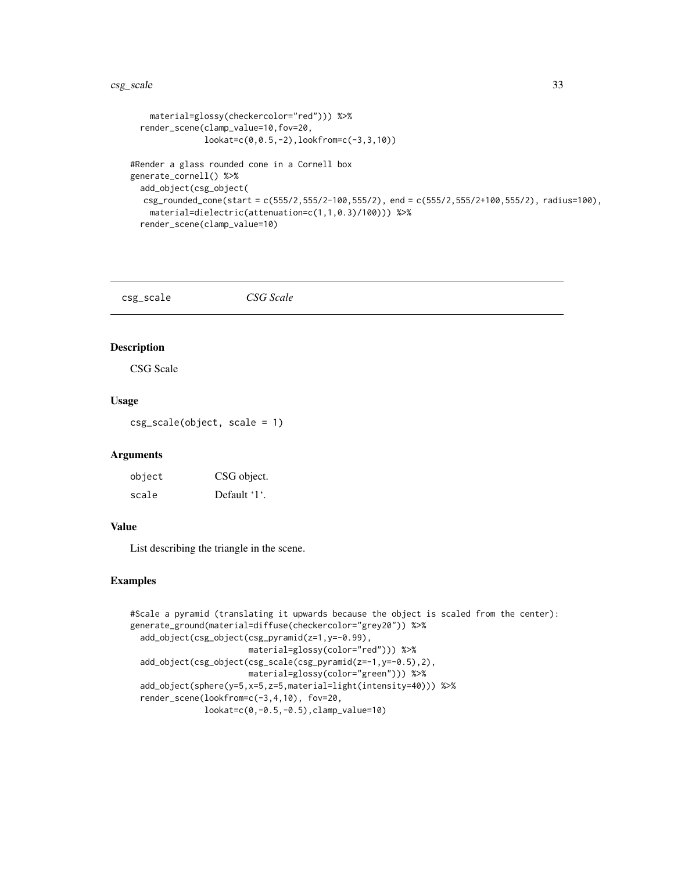```
material=glossy(checkercolor="red"))) %>%
 render_scene(clamp_value=10,fov=20,
              lookat=c(0,0.5,-2),lookfrom=c(-3,3,10))
#Render a glass rounded cone in a Cornell box
generate_cornell() %>%
 add_object(csg_object(
  csg_rounded_cone(start = c(555/2,555/2-100,555/2), end = c(555/2,555/2+100,555/2), radius=100),
   material=dielectric(attenuation=c(1,1,0.3)/100))) %>%
 render_scene(clamp_value=10)
```
csg\_scale *CSG Scale*

#### Description

CSG Scale

#### Usage

csg\_scale(object, scale = 1)

#### Arguments

| object | CSG object.  |
|--------|--------------|
| scale  | Default '1'. |

#### Value

List describing the triangle in the scene.

```
#Scale a pyramid (translating it upwards because the object is scaled from the center):
generate_ground(material=diffuse(checkercolor="grey20")) %>%
 add_object(csg_object(csg_pyramid(z=1,y=-0.99),
                        material=glossy(color="red"))) %>%
 add_object(csg_object(csg_scale(csg_pyramid(z=-1,y=-0.5),2),
                       material=glossy(color="green"))) %>%
 add_object(sphere(y=5,x=5,z=5,material=light(intensity=40))) %>%
 render_scene(lookfrom=c(-3,4,10), fov=20,
              lookat=c(0,-0.5,-0.5),clamp_value=10)
```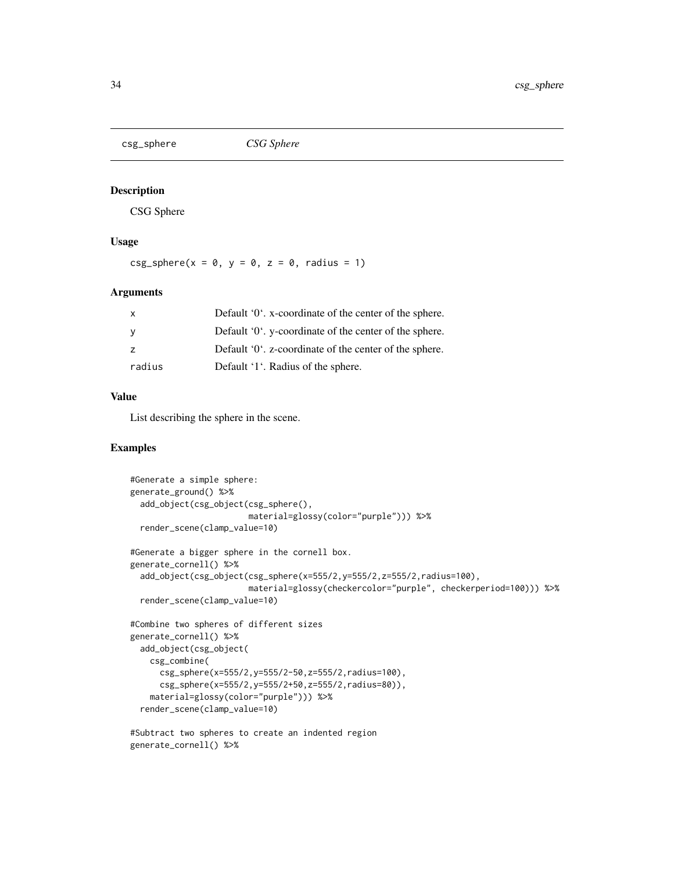<span id="page-33-0"></span>

#### Description

CSG Sphere

# Usage

 $csg_sphere(x = 0, y = 0, z = 0, radius = 1)$ 

#### Arguments

| radius   | Default '1'. Radius of the sphere.                              |
|----------|-----------------------------------------------------------------|
| <b>7</b> | Default $0^{\circ}$ . z-coordinate of the center of the sphere. |
| - V      | Default '0', y-coordinate of the center of the sphere.          |
|          | Default '0'. x-coordinate of the center of the sphere.          |

# Value

List describing the sphere in the scene.

```
#Generate a simple sphere:
generate_ground() %>%
 add_object(csg_object(csg_sphere(),
                        material=glossy(color="purple"))) %>%
 render_scene(clamp_value=10)
#Generate a bigger sphere in the cornell box.
generate_cornell() %>%
 add_object(csg_object(csg_sphere(x=555/2,y=555/2,z=555/2,radius=100),
                        material=glossy(checkercolor="purple", checkerperiod=100))) %>%
 render_scene(clamp_value=10)
#Combine two spheres of different sizes
generate_cornell() %>%
 add_object(csg_object(
   csg_combine(
     csg_sphere(x=555/2,y=555/2-50,z=555/2,radius=100),
     csg_sphere(x=555/2,y=555/2+50,z=555/2,radius=80)),
   material=glossy(color="purple"))) %>%
 render_scene(clamp_value=10)
#Subtract two spheres to create an indented region
```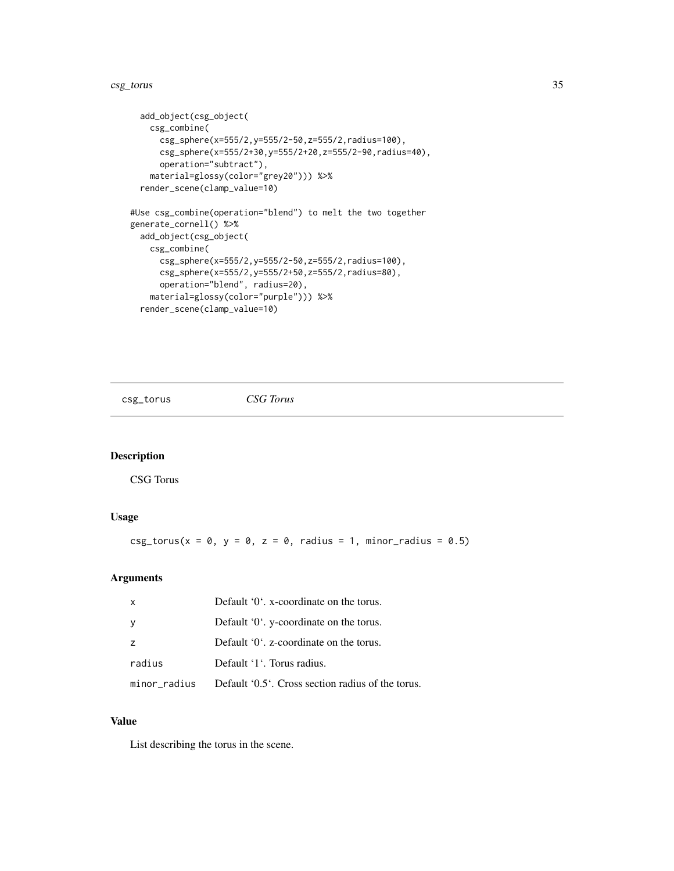#### <span id="page-34-0"></span>csg\_torus 35

```
add_object(csg_object(
   csg_combine(
     csg_sphere(x=555/2,y=555/2-50,z=555/2,radius=100),
     csg_sphere(x=555/2+30,y=555/2+20,z=555/2-90,radius=40),
     operation="subtract"),
   material=glossy(color="grey20"))) %>%
 render_scene(clamp_value=10)
#Use csg_combine(operation="blend") to melt the two together
generate_cornell() %>%
 add_object(csg_object(
   csg_combine(
     csg_sphere(x=555/2,y=555/2-50,z=555/2,radius=100),
     csg_sphere(x=555/2,y=555/2+50,z=555/2,radius=80),
     operation="blend", radius=20),
   material=glossy(color="purple"))) %>%
 render_scene(clamp_value=10)
```
csg\_torus *CSG Torus*

# Description

CSG Torus

#### Usage

 $csg\_torus(x = 0, y = 0, z = 0, radius = 1, minor\_radius = 0.5)$ 

#### Arguments

| $\mathsf{x}$   | Default '0'. x-coordinate on the torus.           |
|----------------|---------------------------------------------------|
| <b>y</b>       | Default '0'. y-coordinate on the torus.           |
| $\overline{z}$ | Default '0'. z-coordinate on the torus.           |
| radius         | Default '1'. Torus radius.                        |
| minor radius   | Default '0.5'. Cross section radius of the torus. |

# Value

List describing the torus in the scene.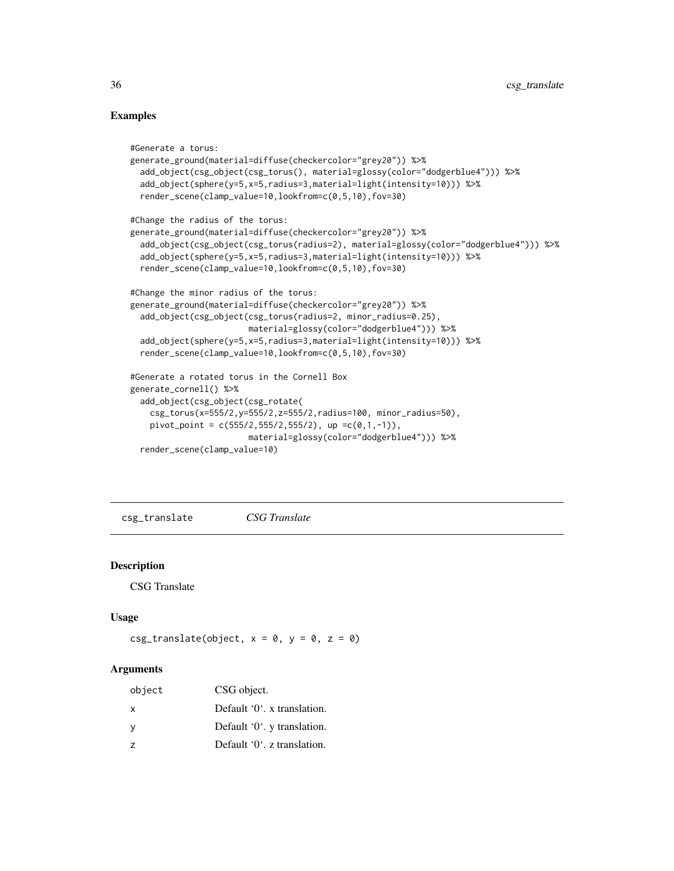# Examples

```
#Generate a torus:
generate_ground(material=diffuse(checkercolor="grey20")) %>%
 add_object(csg_object(csg_torus(), material=glossy(color="dodgerblue4"))) %>%
 add_object(sphere(y=5,x=5,radius=3,material=light(intensity=10))) %>%
 render_scene(clamp_value=10,lookfrom=c(0,5,10),fov=30)
#Change the radius of the torus:
generate_ground(material=diffuse(checkercolor="grey20")) %>%
 add_object(csg_object(csg_torus(radius=2), material=glossy(color="dodgerblue4"))) %>%
 add_object(sphere(y=5,x=5,radius=3,material=light(intensity=10))) %>%
 render_scene(clamp_value=10,lookfrom=c(0,5,10),fov=30)
#Change the minor radius of the torus:
generate_ground(material=diffuse(checkercolor="grey20")) %>%
 add_object(csg_object(csg_torus(radius=2, minor_radius=0.25),
                        material=glossy(color="dodgerblue4"))) %>%
 add_object(sphere(y=5,x=5,radius=3,material=light(intensity=10))) %>%
 render_scene(clamp_value=10,lookfrom=c(0,5,10),fov=30)
#Generate a rotated torus in the Cornell Box
generate_cornell() %>%
 add_object(csg_object(csg_rotate(
    csg_torus(x=555/2,y=555/2,z=555/2,radius=100, minor_radius=50),
   pivot_point = c(555/2, 555/2, 555/2), up =c(0, 1, -1)),
                        material=glossy(color="dodgerblue4"))) %>%
 render_scene(clamp_value=10)
```
csg\_translate *CSG Translate*

#### **Description**

CSG Translate

#### Usage

```
csg_translate(object, x = 0, y = 0, z = 0)
```
#### Arguments

| object         | CSG object.                           |
|----------------|---------------------------------------|
| $\mathsf{x}$   | Default '0'. x translation.           |
| У              | Default '0'. y translation.           |
| $\overline{z}$ | Default $0^{\prime}$ . z translation. |

<span id="page-35-0"></span>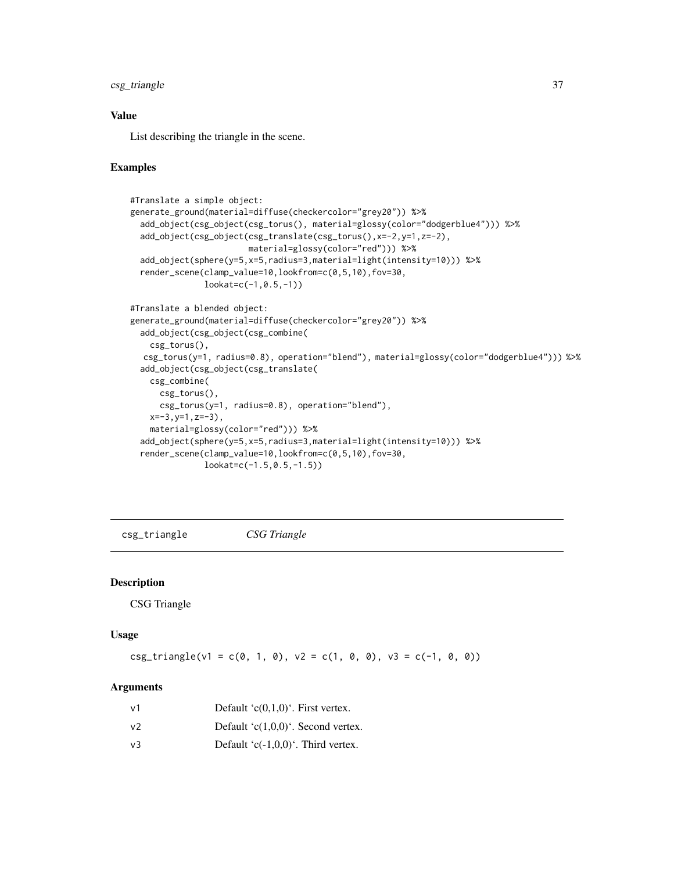# csg\_triangle 37

# Value

List describing the triangle in the scene.

## Examples

```
#Translate a simple object:
generate_ground(material=diffuse(checkercolor="grey20")) %>%
 add_object(csg_object(csg_torus(), material=glossy(color="dodgerblue4"))) %>%
 add_object(csg_object(csg_translate(csg_torus(),x=-2,y=1,z=-2),
                        material=glossy(color="red"))) %>%
 add_object(sphere(y=5,x=5,radius=3,material=light(intensity=10))) %>%
 render_scene(clamp_value=10,lookfrom=c(0,5,10),fov=30,
               lookat=c(-1,0.5,-1))
#Translate a blended object:
generate_ground(material=diffuse(checkercolor="grey20")) %>%
 add_object(csg_object(csg_combine(
    csg_torus(),
  csg_torus(y=1, radius=0.8), operation="blend"), material=glossy(color="dodgerblue4"))) %>%
 add_object(csg_object(csg_translate(
   csg_combine(
     csg_torus(),
     csg_torus(y=1, radius=0.8), operation="blend"),
    x=-3,y=1,z=-3),
    material=glossy(color="red"))) %>%
 add_object(sphere(y=5,x=5,radius=3,material=light(intensity=10))) %>%
 render_scene(clamp_value=10,lookfrom=c(0,5,10),fov=30,
               lookat=c(-1.5,0.5,-1.5))
```
csg\_triangle *CSG Triangle*

#### Description

CSG Triangle

# Usage

 $csg_{}triangle(v1 = c(0, 1, 0), v2 = c(1, 0, 0), v3 = c(-1, 0, 0))$ 

| v1 | Default ' $c(0,1,0)$ '. First vertex.  |
|----|----------------------------------------|
| v2 | Default ' $c(1,0,0)$ '. Second vertex. |
| v3 | Default ' $c(-1,0,0)$ '. Third vertex. |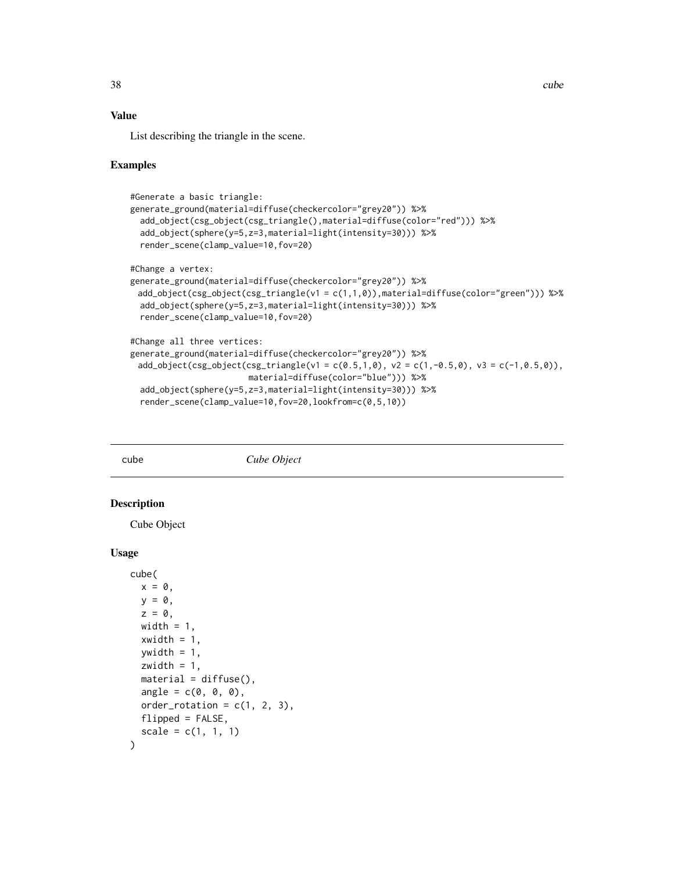## Value

List describing the triangle in the scene.

## Examples

```
#Generate a basic triangle:
generate_ground(material=diffuse(checkercolor="grey20")) %>%
 add_object(csg_object(csg_triangle(),material=diffuse(color="red"))) %>%
 add_object(sphere(y=5,z=3,material=light(intensity=30))) %>%
 render_scene(clamp_value=10,fov=20)
#Change a vertex:
generate_ground(material=diffuse(checkercolor="grey20")) %>%
 add_object(csg_object(csg_triangle(v1 = c(1,1,0)),material=diffuse(color="green"))) %>%
 add_object(sphere(y=5,z=3,material=light(intensity=30))) %>%
 render_scene(clamp_value=10,fov=20)
#Change all three vertices:
generate_ground(material=diffuse(checkercolor="grey20")) %>%
 add_object(csg_object(csg_triangle(v1 = c(0.5,1,0), v2 = c(1,-0.5,0), v3 = c(-1,0.5,0)),
                        material=diffuse(color="blue"))) %>%
 add_object(sphere(y=5,z=3,material=light(intensity=30))) %>%
 render_scene(clamp_value=10,fov=20,lookfrom=c(0,5,10))
```
#### cube *Cube Object*

#### Description

Cube Object

```
cube(
 x = 0,
 y = 0,
 z = 0,
 width = 1,
 xwidth = 1,ywidth = 1,
 zwidth = 1,
 material = diffuse(),
  angle = c(0, 0, 0),
  order_rotation = c(1, 2, 3),
  flipped = FALSE,scale = c(1, 1, 1))
```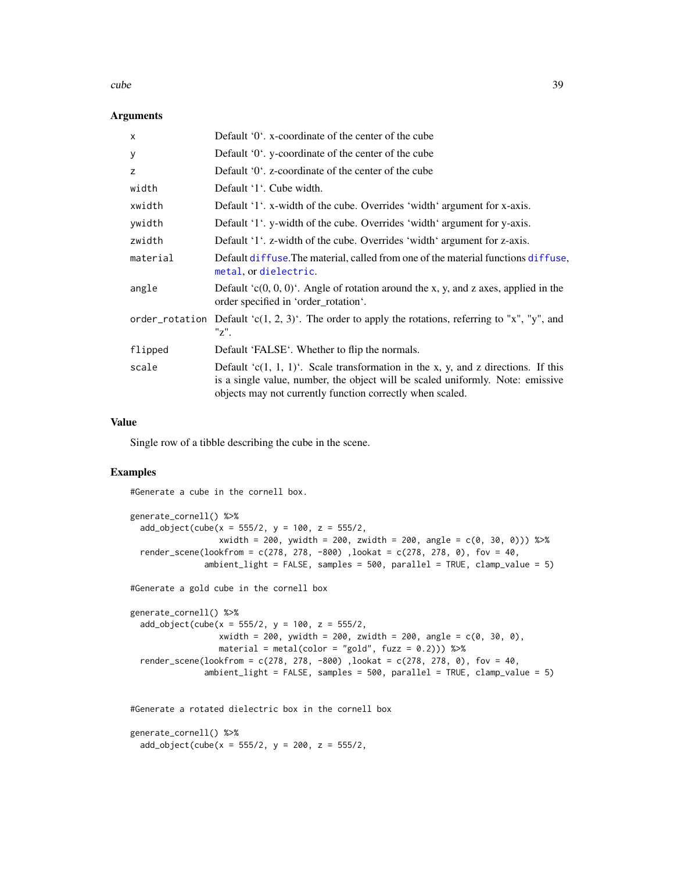#### cube 39

## **Arguments**

| $\times$ | Default $0^{\prime}$ . x-coordinate of the center of the cube                                                                                                                                                                        |
|----------|--------------------------------------------------------------------------------------------------------------------------------------------------------------------------------------------------------------------------------------|
| У        | Default '0'. y-coordinate of the center of the cube                                                                                                                                                                                  |
| z        | Default '0'. z-coordinate of the center of the cube                                                                                                                                                                                  |
| width    | Default '1'. Cube width.                                                                                                                                                                                                             |
| xwidth   | Default '1'. x-width of the cube. Overrides 'width' argument for x-axis.                                                                                                                                                             |
| ywidth   | Default '1'. y-width of the cube. Overrides 'width' argument for y-axis.                                                                                                                                                             |
| zwidth   | Default '1'. z-width of the cube. Overrides 'width' argument for z-axis.                                                                                                                                                             |
| material | Default diffuse. The material, called from one of the material functions diffuse.<br>metal, or dielectric.                                                                                                                           |
| angle    | Default $(c(0, 0, 0)^t$ . Angle of rotation around the x, y, and z axes, applied in the<br>order specified in 'order rotation'.                                                                                                      |
|          | order_rotation Default 'c(1, 2, 3)'. The order to apply the rotations, referring to "x", "y", and<br>"z".                                                                                                                            |
| flipped  | Default 'FALSE'. Whether to flip the normals.                                                                                                                                                                                        |
| scale    | Default ' $c(1, 1, 1)$ '. Scale transformation in the x, y, and z directions. If this<br>is a single value, number, the object will be scaled uniformly. Note: emissive<br>objects may not currently function correctly when scaled. |

### Value

Single row of a tibble describing the cube in the scene.

# Examples

#Generate a cube in the cornell box.

```
generate_cornell() %>%
 add\_object(cube(x = 555/2, y = 100, z = 555/2,xwidth = 200, ywidth = 200, zwidth = 200, angle = c(0, 30, 0))) %>%
 render_scene(lookfrom = c(278, 278, -800), lookat = c(278, 278, 0), fov = 40,
              ambient_light = FALSE, samples = 500, parallel = TRUE, clamp_value = 5)
```
#Generate a gold cube in the cornell box

```
generate_cornell() %>%
 add\_object(cube(x = 555/2, y = 100, z = 555/2,xwidth = 200, ywidth = 200, zwidth = 200, angle = 200, angle = c(0, 30, 0),
                  material = metal(color = "gold", fuzz = (0.2))) %>%
 render_scene(lookfrom = c(278, 278, -800), lookat = c(278, 278, 0), fov = 40,
               ambient_{light} = FALSE, samples = 500, parallel = TRUE, clamp_value = 5)
```
#Generate a rotated dielectric box in the cornell box

```
generate_cornell() %>%
 add\_object(cube(x = 555/2, y = 200, z = 555/2,
```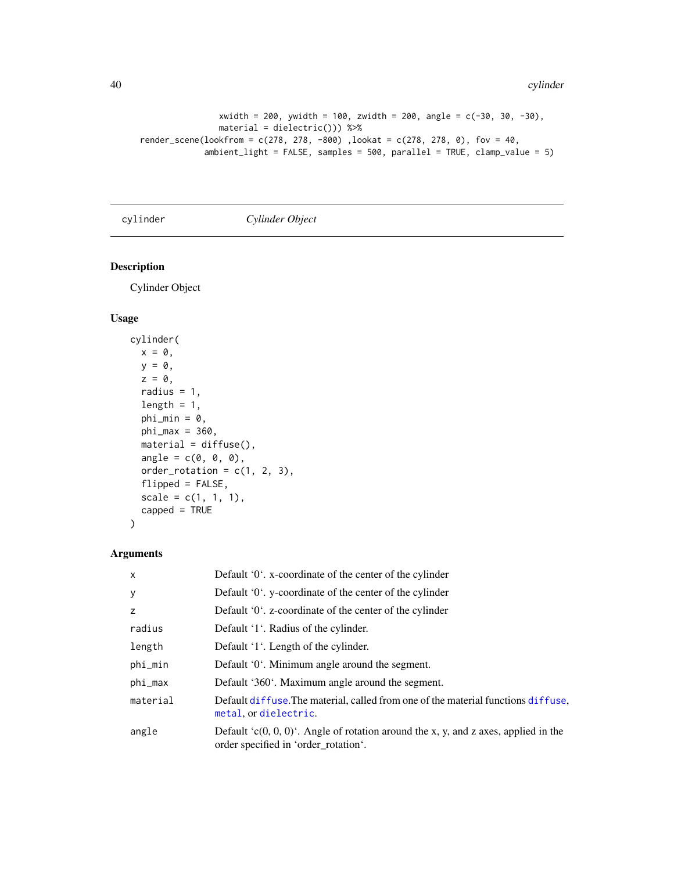```
xwidth = 200, ywidth = 100, zwidth = 200, angle = c(-30, 30, -30),
               material = dielectric())) %>%
render_scene(lookfrom = c(278, 278, -800) ,lookat = c(278, 278, 0), fov = 40,
             ambient_light = FALSE, samples = 500, parallel = TRUE, clamp_value = 5)
```
cylinder *Cylinder Object*

# Description

Cylinder Object

## Usage

```
cylinder(
 x = 0,
 y = 0,
 z = 0,
 radius = 1,
 length = 1,
 phi_min = 0,
 phi_{max} = 360,
 material = diffuse(),angle = c(0, 0, 0),order_rotation = c(1, 2, 3),
 flipped = FALSE,scale = c(1, 1, 1),capped = TRUE
)
```

| $\mathsf{x}$ | Default '0'. x-coordinate of the center of the cylinder                                                                     |
|--------------|-----------------------------------------------------------------------------------------------------------------------------|
| У            | Default $0'$ . y-coordinate of the center of the cylinder                                                                   |
| z            | Default '0'. z-coordinate of the center of the cylinder                                                                     |
| radius       | Default '1'. Radius of the cylinder.                                                                                        |
| length       | Default '1'. Length of the cylinder.                                                                                        |
| phi_min      | Default '0'. Minimum angle around the segment.                                                                              |
| phi_max      | Default '360'. Maximum angle around the segment.                                                                            |
| material     | Default diffuse. The material, called from one of the material functions diffuse,<br>metal, or dielectric.                  |
| angle        | Default 'c(0, 0, 0)'. Angle of rotation around the x, y, and z axes, applied in the<br>order specified in 'order rotation'. |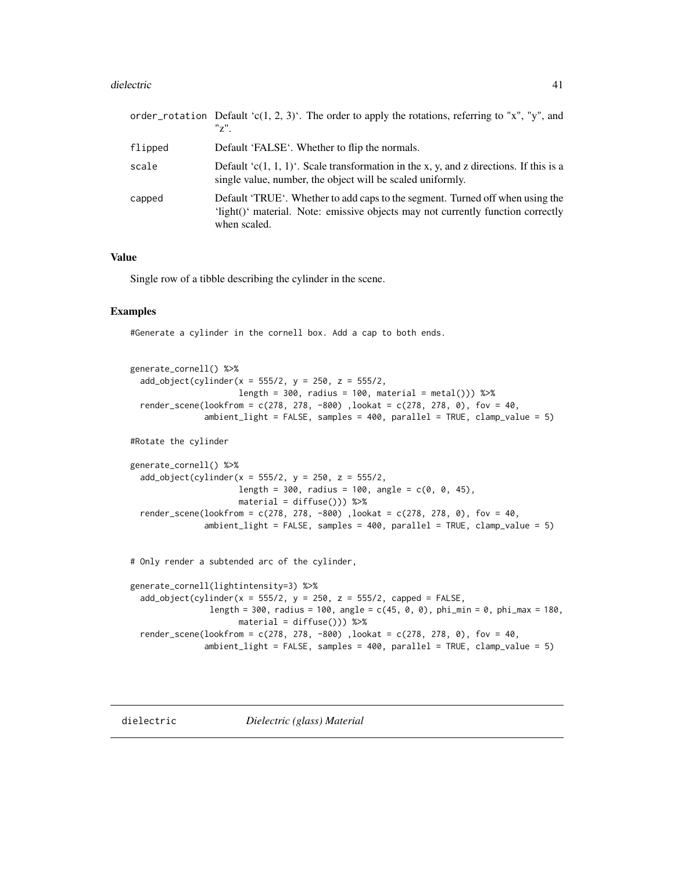#### dielectric 41

|         | order_rotation Default 'c(1, 2, 3)'. The order to apply the rotations, referring to "x", "y", and<br>$"z"$ .                                                                     |
|---------|----------------------------------------------------------------------------------------------------------------------------------------------------------------------------------|
| flipped | Default 'FALSE'. Whether to flip the normals.                                                                                                                                    |
| scale   | Default 'c(1, 1, 1)'. Scale transformation in the x, y, and z directions. If this is a<br>single value, number, the object will be scaled uniformly.                             |
| capped  | Default 'TRUE'. Whether to add caps to the segment. Turned off when using the<br>'light()' material. Note: emissive objects may not currently function correctly<br>when scaled. |

## Value

Single row of a tibble describing the cylinder in the scene.

## Examples

#Generate a cylinder in the cornell box. Add a cap to both ends.

```
generate_cornell() %>%
 add\_object(cylinder(x = 555/2, y = 250, z = 555/2,length = 300, radius = 100, material = metal())) %>%
 render_scene(lookfrom = c(278, 278, -800) ,lookat = c(278, 278, 0), fov = 40,
               ambient_light = FALSE, samples = 400, parallel = TRUE, clamp_value = 5)
```
#Rotate the cylinder

```
generate_cornell() %>%
 add_object(cylinder(x = 555/2, y = 250, z = 555/2,
                     length = 300, radius = 100, angle = c(0, 0, 45),
                     material = diffuse()) %>%
 render_scene(lookfrom = c(278, 278, -800), lookat = c(278, 278, 0), fov = 40,
               ambient_light = FALSE, samples = 400, parallel = TRUE, clamp_value = 5)
```
# Only render a subtended arc of the cylinder,

```
generate_cornell(lightintensity=3) %>%
 add\_object(cylinder(x = 555/2, y = 250, z = 555/2, capped = FALSE,length = 300, radius = 100, angle = c(45, 0, 0), phi_min = 0, phi_max = 180,
                      material = diffuse())) %>%
 render_scene(lookfrom = c(278, 278, -800) ,lookat = c(278, 278, 0), fov = 40,
               ambient_light = FALSE, samples = 400, parallel = TRUE, clamp_value = 5)
```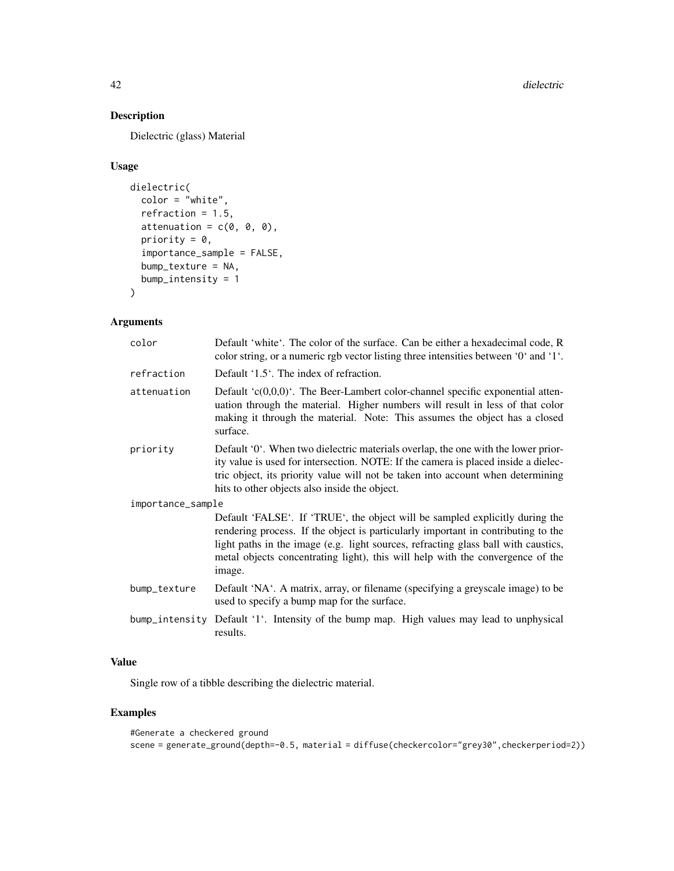# Description

Dielectric (glass) Material

# Usage

```
dielectric(
  color = "white",refraction = 1.5,
  attenuation = c(\emptyset, \emptyset, \emptyset),
  priority = 0,
  importance_sample = FALSE,
  bump_texture = NA,
  bump_intensity = 1
\mathcal{L}
```
# Arguments

| color             | Default 'white'. The color of the surface. Can be either a hexadecimal code, R<br>color string, or a numeric rgb vector listing three intensities between '0' and '1'.                                                                                                                                                                              |
|-------------------|-----------------------------------------------------------------------------------------------------------------------------------------------------------------------------------------------------------------------------------------------------------------------------------------------------------------------------------------------------|
| refraction        | Default $1.5$ . The index of refraction.                                                                                                                                                                                                                                                                                                            |
| attenuation       | Default $(c(0,0,0))$ . The Beer-Lambert color-channel specific exponential atten-<br>uation through the material. Higher numbers will result in less of that color<br>making it through the material. Note: This assumes the object has a closed<br>surface.                                                                                        |
| priority          | Default '0'. When two dielectric materials overlap, the one with the lower prior-<br>ity value is used for intersection. NOTE: If the camera is placed inside a dielec-<br>tric object, its priority value will not be taken into account when determining<br>hits to other objects also inside the object.                                         |
| importance_sample |                                                                                                                                                                                                                                                                                                                                                     |
|                   | Default 'FALSE'. If 'TRUE', the object will be sampled explicitly during the<br>rendering process. If the object is particularly important in contributing to the<br>light paths in the image (e.g. light sources, refracting glass ball with caustics,<br>metal objects concentrating light), this will help with the convergence of the<br>image. |
| bump_texture      | Default 'NA'. A matrix, array, or filename (specifying a greyscale image) to be<br>used to specify a bump map for the surface.                                                                                                                                                                                                                      |
|                   | bump_intensity Default '1'. Intensity of the bump map. High values may lead to unphysical<br>results.                                                                                                                                                                                                                                               |

# Value

Single row of a tibble describing the dielectric material.

```
#Generate a checkered ground
scene = generate_ground(depth=-0.5, material = diffuse(checkercolor="grey30",checkerperiod=2))
```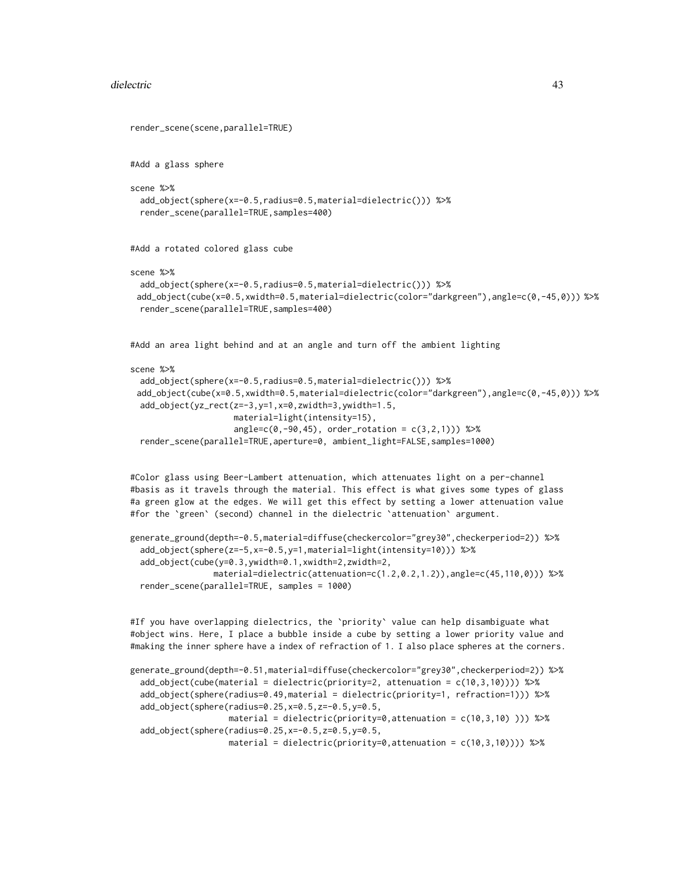#### dielectric 43

```
render_scene(scene,parallel=TRUE)
#Add a glass sphere
scene %>%
 add_object(sphere(x=-0.5,radius=0.5,material=dielectric())) %>%
 render_scene(parallel=TRUE,samples=400)
#Add a rotated colored glass cube
scene %>%
 add_object(sphere(x=-0.5,radius=0.5,material=dielectric())) %>%
 add_object(cube(x=0.5,xwidth=0.5,material=dielectric(color="darkgreen"),angle=c(0,-45,0))) %>%
 render_scene(parallel=TRUE,samples=400)
#Add an area light behind and at an angle and turn off the ambient lighting
scene %>%
 add_object(sphere(x=-0.5,radius=0.5,material=dielectric())) %>%
 add_object(cube(x=0.5,xwidth=0.5,material=dielectric(color="darkgreen"),angle=c(0,-45,0))) %>%
 add_object(yz_rect(z=-3,y=1,x=0,zwidth=3,ywidth=1.5,
                     material=light(intensity=15),
                     angle=c(0,-90,45), order_rotation = c(3,2,1)) %>%
  render_scene(parallel=TRUE,aperture=0, ambient_light=FALSE,samples=1000)
#Color glass using Beer-Lambert attenuation, which attenuates light on a per-channel
#basis as it travels through the material. This effect is what gives some types of glass
#a green glow at the edges. We will get this effect by setting a lower attenuation value
#for the `green` (second) channel in the dielectric `attenuation` argument.
generate_ground(depth=-0.5,material=diffuse(checkercolor="grey30",checkerperiod=2)) %>%
 add_object(sphere(z=-5,x=-0.5,y=1,material=light(intensity=10))) %>%
```

```
add_object(cube(y=0.3,ywidth=0.1,xwidth=2,zwidth=2,
               material=dielectric(attenuation=c(1.2,0.2,1.2)),angle=c(45,110,0))) %>%
render_scene(parallel=TRUE, samples = 1000)
```
#If you have overlapping dielectrics, the `priority` value can help disambiguate what #object wins. Here, I place a bubble inside a cube by setting a lower priority value and #making the inner sphere have a index of refraction of 1. I also place spheres at the corners.

```
generate_ground(depth=-0.51,material=diffuse(checkercolor="grey30",checkerperiod=2)) %>%
 add_object(cube(material = dielectric(priority=2, attenuation = c(10,3,10)))) %>%
 add_object(sphere(radius=0.49,material = dielectric(priority=1, refraction=1))) %>%
 add_object(sphere(radius=0.25,x=0.5,z=-0.5,y=0.5,
                   material = dielectric(priority=0,attenuation = c(10,3,10) ))) %>%
 add_object(sphere(radius=0.25,x=-0.5,z=0.5,y=0.5,
                   material = dielectric(priority=0,attenuation = c(10,3,10)))) %>%
```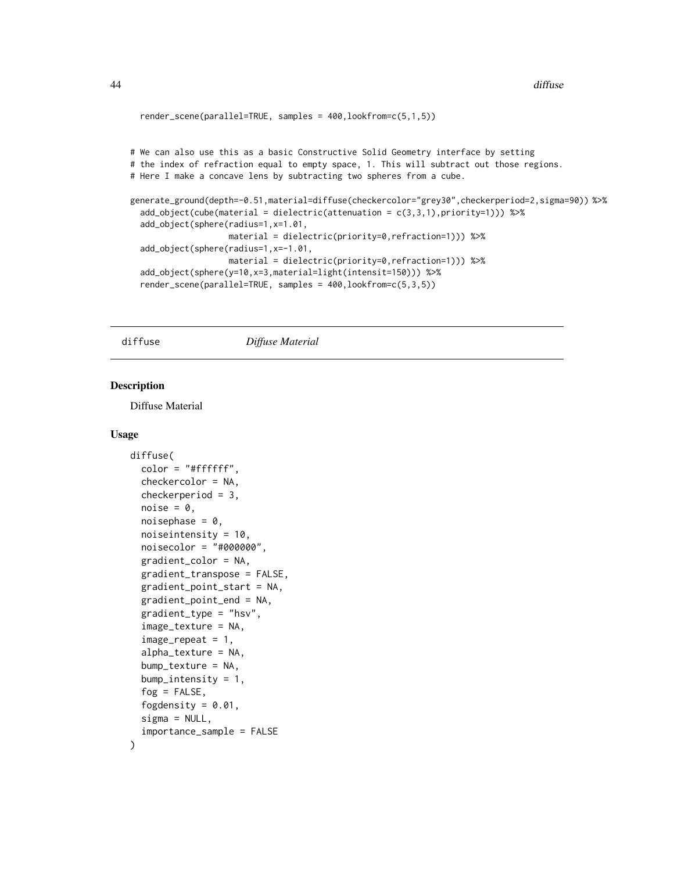```
render_scene(parallel=TRUE, samples = 400,lookfrom=c(5,1,5))
# We can also use this as a basic Constructive Solid Geometry interface by setting
# the index of refraction equal to empty space, 1. This will subtract out those regions.
# Here I make a concave lens by subtracting two spheres from a cube.
generate_ground(depth=-0.51,material=diffuse(checkercolor="grey30",checkerperiod=2,sigma=90)) %>%
 add_object(cube(material = dielectric(attenuation = c(3,3,1),priority=1))) %>%
 add_object(sphere(radius=1,x=1.01,
                    material = dielectric(priority=0,refraction=1))) %>%
 add_object(sphere(radius=1,x=-1.01,
                    material = dielectric(priority=0,refraction=1))) %>%
 add_object(sphere(y=10,x=3,material=light(intensit=150))) %>%
 render_scene(parallel=TRUE, samples = 400,lookfrom=c(5,3,5))
```

```
diffuse Diffuse Material
```
# Description

Diffuse Material

```
diffuse(
  color = "#ffffff",checkercolor = NA,
  checkerperiod = 3,
  noise = 0,
  noisephase = 0,
  noiseintensity = 10,
  noisecolor = "#000000",
  gradient_color = NA,
  gradient_transpose = FALSE,
  gradient_point_start = NA,
  gradient_point_end = NA,
  gradient_type = "hsv",
  image_texture = NA,
  image\_repeat = 1,
  alpha_texture = NA,
  bump_texture = NA,
  bump_intensity = 1,
  fog = FALSE,
  fogdensity = 0.01,
  signa = NULL,importance_sample = FALSE
)
```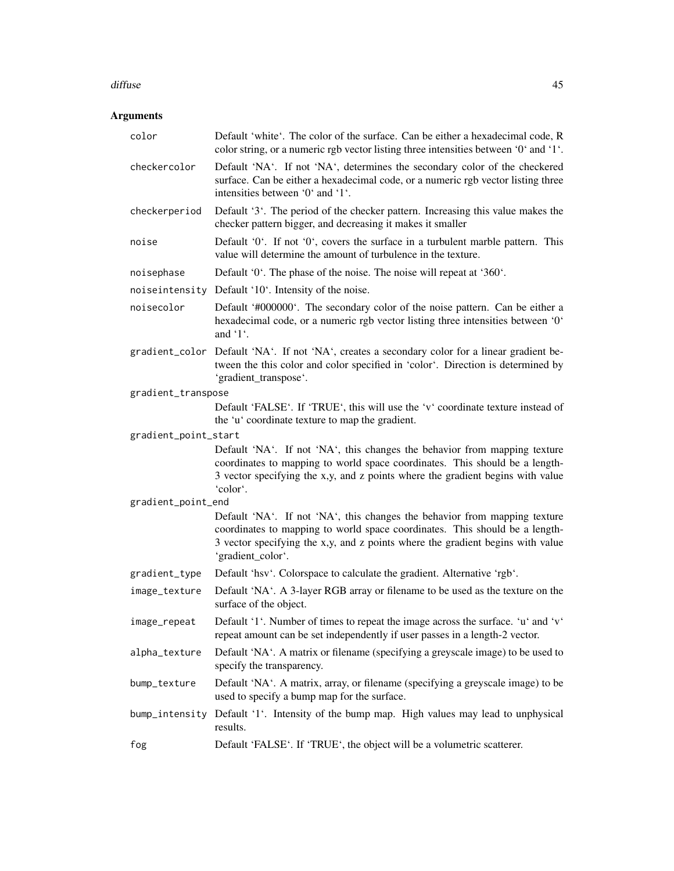#### diffuse **45**

| color                | Default 'white'. The color of the surface. Can be either a hexadecimal code, R<br>color string, or a numeric rgb vector listing three intensities between '0' and '1'.                                                                                          |
|----------------------|-----------------------------------------------------------------------------------------------------------------------------------------------------------------------------------------------------------------------------------------------------------------|
| checkercolor         | Default 'NA'. If not 'NA', determines the secondary color of the checkered<br>surface. Can be either a hexadecimal code, or a numeric rgb vector listing three<br>intensities between '0' and '1'.                                                              |
| checkerperiod        | Default '3'. The period of the checker pattern. Increasing this value makes the<br>checker pattern bigger, and decreasing it makes it smaller                                                                                                                   |
| noise                | Default '0'. If not '0', covers the surface in a turbulent marble pattern. This<br>value will determine the amount of turbulence in the texture.                                                                                                                |
| noisephase           | Default '0'. The phase of the noise. The noise will repeat at '360'.                                                                                                                                                                                            |
|                      | noiseintensity Default '10'. Intensity of the noise.                                                                                                                                                                                                            |
| noisecolor           | Default '#000000'. The secondary color of the noise pattern. Can be either a<br>hexadecimal code, or a numeric rgb vector listing three intensities between '0'<br>and $\lq$ 1.                                                                                 |
|                      | gradient_color Default 'NA'. If not 'NA', creates a secondary color for a linear gradient be-<br>tween the this color and color specified in 'color'. Direction is determined by<br>'gradient_transpose'.                                                       |
| gradient_transpose   |                                                                                                                                                                                                                                                                 |
|                      | Default 'FALSE'. If 'TRUE', this will use the 'v' coordinate texture instead of<br>the 'u' coordinate texture to map the gradient.                                                                                                                              |
| gradient_point_start |                                                                                                                                                                                                                                                                 |
|                      | Default 'NA'. If not 'NA', this changes the behavior from mapping texture<br>coordinates to mapping to world space coordinates. This should be a length-<br>3 vector specifying the x,y, and z points where the gradient begins with value<br>'color'.          |
| gradient_point_end   |                                                                                                                                                                                                                                                                 |
|                      | Default 'NA'. If not 'NA', this changes the behavior from mapping texture<br>coordinates to mapping to world space coordinates. This should be a length-<br>3 vector specifying the x,y, and z points where the gradient begins with value<br>'gradient_color'. |
| gradient_type        | Default 'hsv'. Colorspace to calculate the gradient. Alternative 'rgb'.                                                                                                                                                                                         |
| image_texture        | Default 'NA'. A 3-layer RGB array or filename to be used as the texture on the<br>surface of the object.                                                                                                                                                        |
| image_repeat         | Default '1'. Number of times to repeat the image across the surface. 'u' and 'v'<br>repeat amount can be set independently if user passes in a length-2 vector.                                                                                                 |
| alpha_texture        | Default 'NA'. A matrix or filename (specifying a greyscale image) to be used to<br>specify the transparency.                                                                                                                                                    |
| bump_texture         | Default 'NA'. A matrix, array, or filename (specifying a greyscale image) to be<br>used to specify a bump map for the surface.                                                                                                                                  |
|                      | bump_intensity Default '1'. Intensity of the bump map. High values may lead to unphysical<br>results.                                                                                                                                                           |
| fog                  | Default 'FALSE'. If 'TRUE', the object will be a volumetric scatterer.                                                                                                                                                                                          |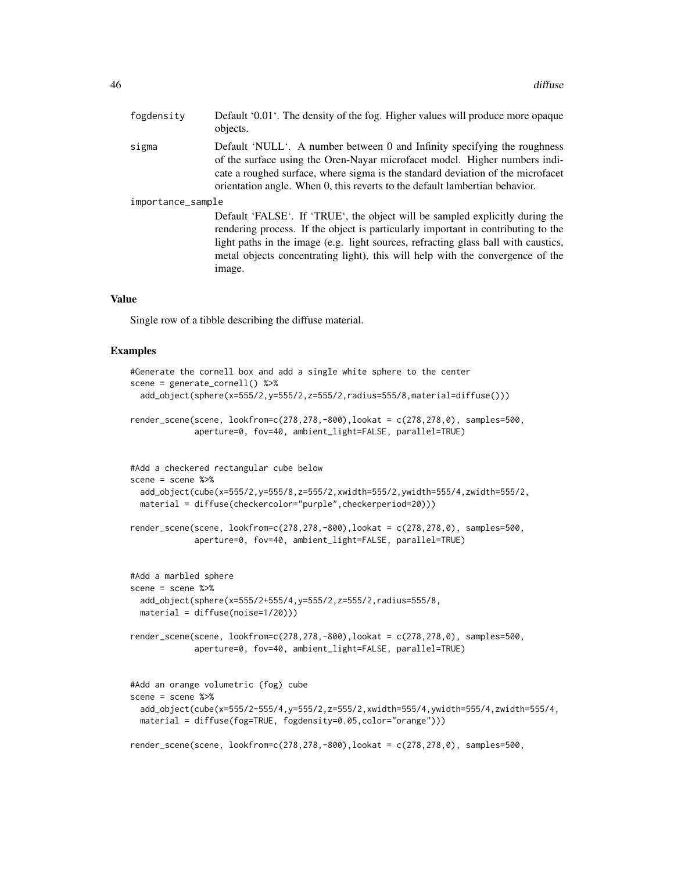| fogdensity        | Default '0.01'. The density of the fog. Higher values will produce more opaque<br>objects.                                                                                                                                                                                                                                                          |  |
|-------------------|-----------------------------------------------------------------------------------------------------------------------------------------------------------------------------------------------------------------------------------------------------------------------------------------------------------------------------------------------------|--|
| sigma             | Default 'NULL'. A number between 0 and Infinity specifying the roughness<br>of the surface using the Oren-Nayar microfacet model. Higher numbers indi-<br>cate a roughed surface, where sigma is the standard deviation of the microfacet<br>orientation angle. When 0, this reverts to the default lambertian behavior.                            |  |
| importance_sample |                                                                                                                                                                                                                                                                                                                                                     |  |
|                   | Default 'FALSE'. If 'TRUE', the object will be sampled explicitly during the<br>rendering process. If the object is particularly important in contributing to the<br>light paths in the image (e.g. light sources, refracting glass ball with caustics,<br>metal objects concentrating light), this will help with the convergence of the<br>image. |  |

#### Value

Single row of a tibble describing the diffuse material.

```
#Generate the cornell box and add a single white sphere to the center
scene = generate_cornell() %>%
 add_object(sphere(x=555/2,y=555/2,z=555/2,radius=555/8,material=diffuse()))
render_scene(scene, lookfrom=c(278,278,-800),lookat = c(278,278,0), samples=500,
             aperture=0, fov=40, ambient_light=FALSE, parallel=TRUE)
#Add a checkered rectangular cube below
scene = scene %>%
 add_object(cube(x=555/2,y=555/8,z=555/2,xwidth=555/2,ywidth=555/4,zwidth=555/2,
 material = diffuse(checkercolor="purple",checkerperiod=20)))
render_scene(scene, lookfrom=c(278,278,-800),lookat = c(278,278,0), samples=500,
             aperture=0, fov=40, ambient_light=FALSE, parallel=TRUE)
#Add a marbled sphere
scene = scene %>%
 add_object(sphere(x=555/2+555/4,y=555/2,z=555/2,radius=555/8,
 material = diffuse(noise=1/20)))
render_scene(scene, lookfrom=c(278,278,-800),lookat = c(278,278,0), samples=500,
             aperture=0, fov=40, ambient_light=FALSE, parallel=TRUE)
#Add an orange volumetric (fog) cube
scene = scene %>%
 add_object(cube(x=555/2-555/4,y=555/2,z=555/2,xwidth=555/4,ywidth=555/4,zwidth=555/4,
 material = diffuse(fog=TRUE, fogdensity=0.05,color="orange")))
```

```
render_scene(scene, lookfrom=c(278,278,-800),lookat = c(278,278,0), samples=500,
```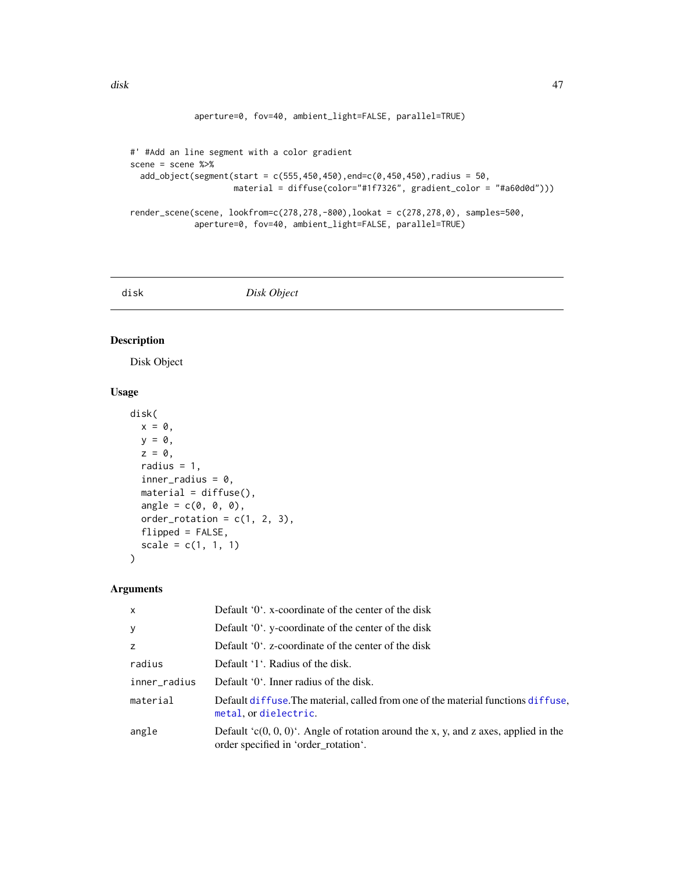```
disk and the contract of the contract of the contract of the contract of the contract of the contract of the contract of the contract of the contract of the contract of the contract of the contract of the contract of the c
```

```
aperture=0, fov=40, ambient_light=FALSE, parallel=TRUE)
```

```
#' #Add an line segment with a color gradient
scene = scene %>%
  add\_object(segment(start = c(555, 450, 450), end=c(0, 450, 450), radius = 50,material = diffuse(color="#1f7326", gradient_color = "#a60d0d")))
render_scene(scene, lookfrom=c(278,278,-800),lookat = c(278,278,0), samples=500,
             aperture=0, fov=40, ambient_light=FALSE, parallel=TRUE)
```
disk *Disk Object*

## Description

Disk Object

# Usage

```
disk(
 x = 0,
 y = 0,
  z = 0,
 radius = 1,
  inner\_radius = 0,
 material = diffuse(),
  angle = c(0, 0, 0),order_rotation = c(1, 2, 3),
 flipped = FALSE,
  scale = c(1, 1, 1))
```

| $\mathsf{x}$ | Default $0^{\prime}$ . x-coordinate of the center of the disk                                                                   |
|--------------|---------------------------------------------------------------------------------------------------------------------------------|
| У            | Default $0'$ . y-coordinate of the center of the disk                                                                           |
| z            | Default $0^{\prime}$ . z-coordinate of the center of the disk                                                                   |
| radius       | Default '1'. Radius of the disk.                                                                                                |
| inner_radius | Default '0'. Inner radius of the disk.                                                                                          |
| material     | Default diffuse. The material, called from one of the material functions diffuse,<br>metal, or dielectric.                      |
| angle        | Default $(c(0, 0, 0)^t$ . Angle of rotation around the x, y, and z axes, applied in the<br>order specified in 'order_rotation'. |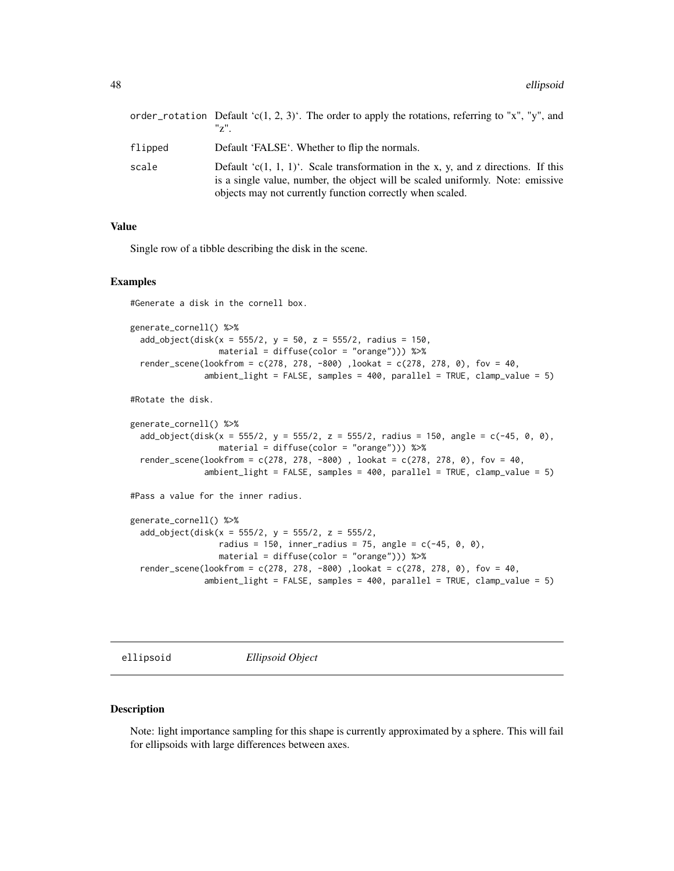|         | order_rotation Default 'c(1, 2, 3)'. The order to apply the rotations, referring to "x", "y", and<br>"z"                                                                                                                         |
|---------|----------------------------------------------------------------------------------------------------------------------------------------------------------------------------------------------------------------------------------|
| flipped | Default 'FALSE'. Whether to flip the normals.                                                                                                                                                                                    |
| scale   | Default 'c(1, 1, 1)'. Scale transformation in the x, y, and z directions. If this<br>is a single value, number, the object will be scaled uniformly. Note: emissive<br>objects may not currently function correctly when scaled. |

### Value

Single row of a tibble describing the disk in the scene.

#### Examples

#Generate a disk in the cornell box.

```
generate_cornell() %>%
 add\_object(disk(x = 555/2, y = 50, z = 555/2, radius = 150,material = diffuse(color = "orange"))) %>%
 render_scene(lookfrom = c(278, 278, -800), lookat = c(278, 278, 0), fov = 40,
               ambient_light = FALSE, samples = 400, parallel = TRUE, clamp_value = 5)
```
#Rotate the disk.

```
generate_cornell() %>%
 add\_object(disk(x = 555/2, y = 555/2, z = 555/2, radius = 150, angle = c(-45, 0, 0),material = diffuse(color = "orange"))) %>%
 render_scene(lookfrom = c(278, 278, -800), lookat = c(278, 278, 0), fov = 40,
               ambient_light = FALSE, samples = 400, parallel = TRUE, clamp_value = 5)
```
#Pass a value for the inner radius.

```
generate_cornell() %>%
 add_object(disk(x = 555/2, y = 555/2, z = 555/2,
                  radius = 150, inner_radius = 75, angle = c(-45, 0, 0),
                 material = diffuse(color = "orange"))) %>%
 render_scene(lookfrom = c(278, 278, -800), lookat = c(278, 278, 0), fov = 40,
               ambient_light = FALSE, samples = 400, parallel = TRUE, clamp_value = 5)
```
ellipsoid *Ellipsoid Object*

#### Description

Note: light importance sampling for this shape is currently approximated by a sphere. This will fail for ellipsoids with large differences between axes.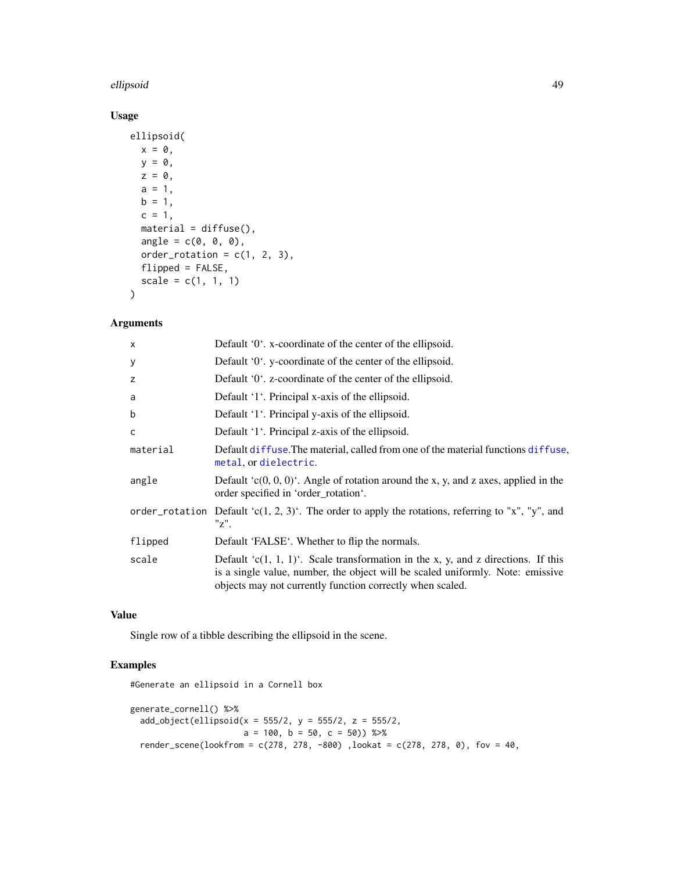## ellipsoid 49

# Usage

```
ellipsoid(
  x = 0,
  y = 0,
  z = 0,
  a = 1,b = 1,c = 1,
  material = diffuse(),
  angle = c(\emptyset, \emptyset, \emptyset),
  order_rotation = c(1, 2, 3),
  flipped = FALSE,
  scale = c(1, 1, 1)\mathcal{L}
```
# Arguments

| $\boldsymbol{\mathsf{x}}$ | Default '0'. x-coordinate of the center of the ellipsoid.                                                                                                                                                                            |
|---------------------------|--------------------------------------------------------------------------------------------------------------------------------------------------------------------------------------------------------------------------------------|
| y                         | Default '0'. y-coordinate of the center of the ellipsoid.                                                                                                                                                                            |
| z                         | Default '0'. z-coordinate of the center of the ellipsoid.                                                                                                                                                                            |
| a                         | Default '1'. Principal x-axis of the ellipsoid.                                                                                                                                                                                      |
| b                         | Default '1'. Principal y-axis of the ellipsoid.                                                                                                                                                                                      |
| C                         | Default '1'. Principal z-axis of the ellipsoid.                                                                                                                                                                                      |
| material                  | Default diffuse. The material, called from one of the material functions diffuse,<br>metal, or dielectric.                                                                                                                           |
| angle                     | Default $(c(0, 0, 0)^t$ . Angle of rotation around the x, y, and z axes, applied in the<br>order specified in 'order_rotation'.                                                                                                      |
|                           | order_rotation Default 'c(1, 2, 3)'. The order to apply the rotations, referring to "x", "y", and<br>"z".                                                                                                                            |
| flipped                   | Default 'FALSE'. Whether to flip the normals.                                                                                                                                                                                        |
| scale                     | Default ' $c(1, 1, 1)$ '. Scale transformation in the x, y, and z directions. If this<br>is a single value, number, the object will be scaled uniformly. Note: emissive<br>objects may not currently function correctly when scaled. |

## Value

Single row of a tibble describing the ellipsoid in the scene.

```
#Generate an ellipsoid in a Cornell box
generate_cornell() %>%
  add\_object(ellipsoid(x = 555/2, y = 555/2, z = 555/2,a = 100, b = 50, c = 50) %>%
  render_scene(lookfrom = c(278, 278, -800), lookat = c(278, 278, 0), fov = 40,
```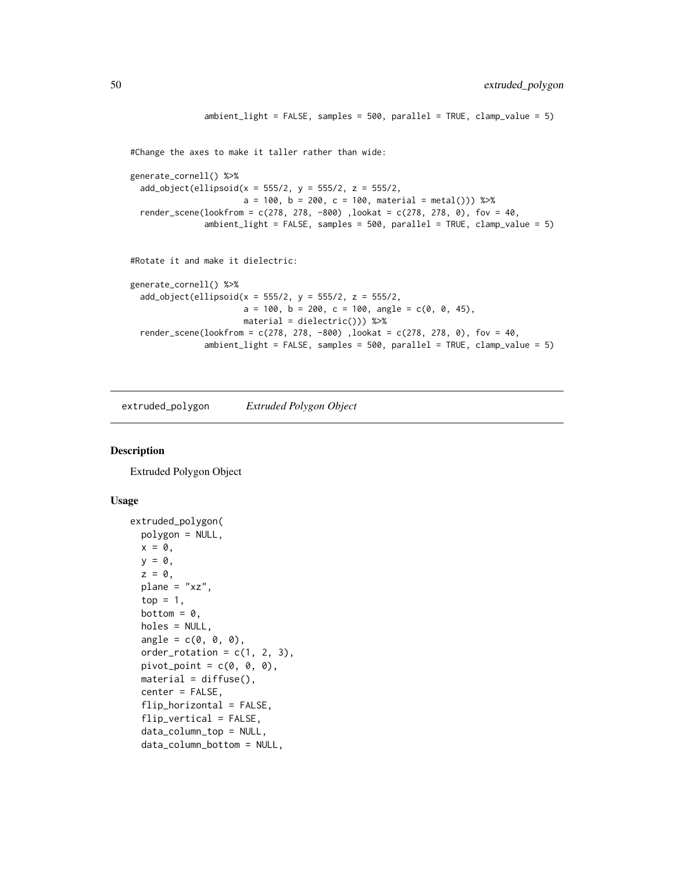```
ambient_light = FALSE, samples = 500, parallel = TRUE, clamp_value = 5)
#Change the axes to make it taller rather than wide:
generate_cornell() %>%
 add\_object(ellipsoid(x = 555/2, y = 555/2, z = 555/2,a = 100, b = 200, c = 100, material = metal())) %>%
 render_scene(lookfrom = c(278, 278, -800), lookat = c(278, 278, 0), fov = 40,
               ambient_light = FALSE, samples = 500, parallel = TRUE, clamp_value = 5)
#Rotate it and make it dielectric:
generate_cornell() %>%
 add\_object(ellipsoid(x = 555/2, y = 555/2, z = 555/2,a = 100, b = 200, c = 100, angle = c(0, 0, 45),
                      material = dielectric())) %>%
 render_scene(lookfrom = c(278, 278, -800), lookat = c(278, 278, 0), fov = 40,
               ambient_light = FALSE, samples = 500, parallel = TRUE, clamp_value = 5)
```
extruded\_polygon *Extruded Polygon Object*

## Description

Extruded Polygon Object

```
extruded_polygon(
  polygon = NULL,
  x = 0,
 y = 0,
  z = 0,
  plane = "xz",top = 1,
  bottom = 0,
  holes = NULL,
  angle = c(\emptyset, \emptyset, \emptyset),
  order_rotation = c(1, 2, 3),
  pivot\_point = c(0, 0, 0),
  material = diffuse(),
  center = FALSE,
  flip_horizontal = FALSE,flip_vertical = FALSE,
  data_column_top = NULL,
  data_column_bottom = NULL,
```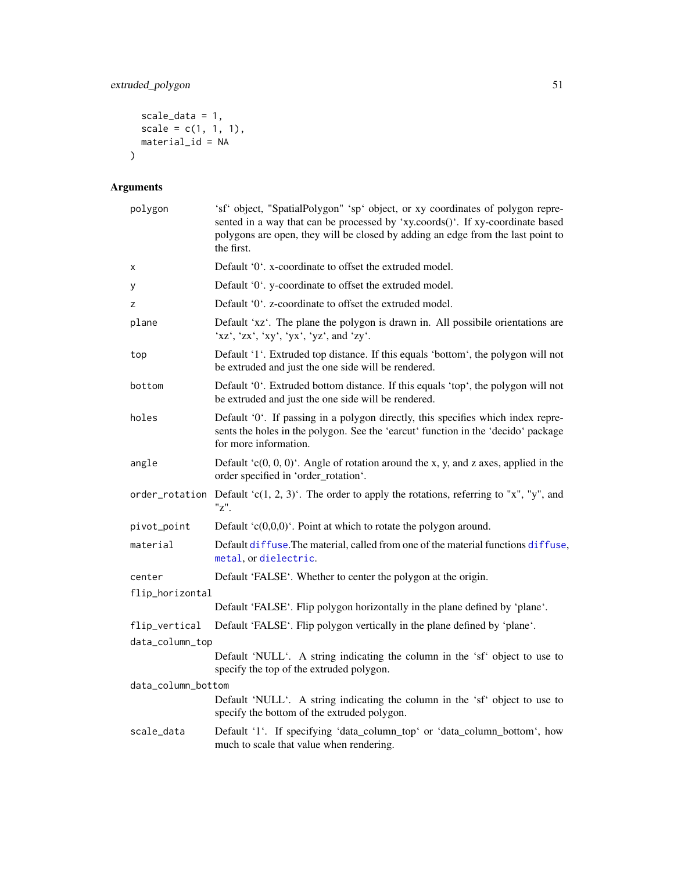# extruded\_polygon 51

```
scale_data = 1,
  scale = c(1, 1, 1),material_id = NA\mathcal{L}
```

| polygon            | 'sf' object, "SpatialPolygon" 'sp' object, or xy coordinates of polygon repre-<br>sented in a way that can be processed by 'xy.coords()'. If xy-coordinate based<br>polygons are open, they will be closed by adding an edge from the last point to<br>the first. |
|--------------------|-------------------------------------------------------------------------------------------------------------------------------------------------------------------------------------------------------------------------------------------------------------------|
| Χ                  | Default '0'. x-coordinate to offset the extruded model.                                                                                                                                                                                                           |
| y                  | Default '0'. y-coordinate to offset the extruded model.                                                                                                                                                                                                           |
| z                  | Default '0'. z-coordinate to offset the extruded model.                                                                                                                                                                                                           |
| plane              | Default 'xz'. The plane the polygon is drawn in. All possibile orientations are<br>'xz', 'zx', 'xy', 'yx', 'yz', and 'zy'.                                                                                                                                        |
| top                | Default '1'. Extruded top distance. If this equals 'bottom', the polygon will not<br>be extruded and just the one side will be rendered.                                                                                                                          |
| bottom             | Default '0'. Extruded bottom distance. If this equals 'top', the polygon will not<br>be extruded and just the one side will be rendered.                                                                                                                          |
| holes              | Default '0'. If passing in a polygon directly, this specifies which index repre-<br>sents the holes in the polygon. See the 'earcut' function in the 'decido' package<br>for more information.                                                                    |
| angle              | Default $(c(0, 0, 0)^t$ . Angle of rotation around the x, y, and z axes, applied in the<br>order specified in 'order_rotation'.                                                                                                                                   |
|                    | order_rotation Default 'c(1, 2, 3)'. The order to apply the rotations, referring to "x", "y", and<br>"z".                                                                                                                                                         |
| pivot_point        | Default ' $c(0,0,0)$ '. Point at which to rotate the polygon around.                                                                                                                                                                                              |
| material           | Default diffuse. The material, called from one of the material functions diffuse,<br>metal, or dielectric.                                                                                                                                                        |
| center             | Default 'FALSE'. Whether to center the polygon at the origin.                                                                                                                                                                                                     |
| flip_horizontal    |                                                                                                                                                                                                                                                                   |
|                    | Default 'FALSE'. Flip polygon horizontally in the plane defined by 'plane'.                                                                                                                                                                                       |
| flip_vertical      | Default 'FALSE'. Flip polygon vertically in the plane defined by 'plane'.                                                                                                                                                                                         |
| data_column_top    |                                                                                                                                                                                                                                                                   |
|                    | Default 'NULL'. A string indicating the column in the 'sf' object to use to<br>specify the top of the extruded polygon.                                                                                                                                           |
| data_column_bottom |                                                                                                                                                                                                                                                                   |
|                    | Default 'NULL'. A string indicating the column in the 'sf' object to use to<br>specify the bottom of the extruded polygon.                                                                                                                                        |
| scale_data         | Default '1'. If specifying 'data_column_top' or 'data_column_bottom', how<br>much to scale that value when rendering.                                                                                                                                             |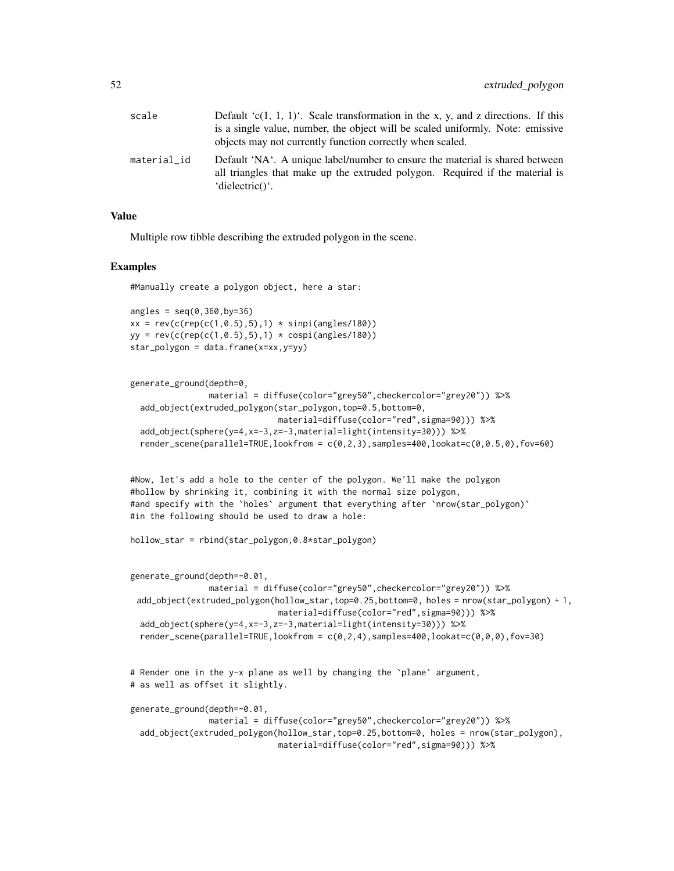| scale       | Default 'c(1, 1, 1)'. Scale transformation in the x, y, and z directions. If this                                                                                                                  |
|-------------|----------------------------------------------------------------------------------------------------------------------------------------------------------------------------------------------------|
|             | is a single value, number, the object will be scaled uniformly. Note: emissive<br>objects may not currently function correctly when scaled.                                                        |
| material_id | Default 'NA'. A unique label/number to ensure the material is shared between<br>all triangles that make up the extruded polygon. Required if the material is<br>$'$ dielectric $()$ <sup>'</sup> . |

### Value

Multiple row tibble describing the extruded polygon in the scene.

#### Examples

```
#Manually create a polygon object, here a star:
```

```
angles = seq(0, 360, by=36)xx = rev(c(rep(c(1, 0.5), 5), 1) * sinpi(angles/180))yy = rev(c(rep(c(1, 0.5), 5), 1) * cospi(angles/180))star_polygon = data.frame(x=xx,y=yy)
```

```
generate_ground(depth=0,
                material = diffuse(color="grey50",checkercolor="grey20")) %>%
 add_object(extruded_polygon(star_polygon,top=0.5,bottom=0,
                             material=diffuse(color="red",sigma=90))) %>%
 add_object(sphere(y=4,x=-3,z=-3,material=light(intensity=30))) %>%
 render_scene(parallel=TRUE,lookfrom = c(0,2,3),samples=400,lookat=c(0,0.5,0),fov=60)
```
#Now, let's add a hole to the center of the polygon. We'll make the polygon #hollow by shrinking it, combining it with the normal size polygon, #and specify with the `holes` argument that everything after `nrow(star\_polygon)` #in the following should be used to draw a hole:

```
hollow_star = rbind(star_polygon,0.8*star_polygon)
```

```
generate_ground(depth=-0.01,
               material = diffuse(color="grey50",checkercolor="grey20")) %>%
 add_object(extruded_polygon(hollow_star,top=0.25,bottom=0, holes = nrow(star_polygon) + 1,
                             material=diffuse(color="red",sigma=90))) %>%
 add_object(sphere(y=4,x=-3,z=-3,material=light(intensity=30))) %>%
 render_scene(parallel=TRUE,lookfrom = c(0,2,4),samples=400,lookat=c(0,0,0),fov=30)
# Render one in the y-x plane as well by changing the `plane` argument,
# as well as offset it slightly.
```

```
generate_ground(depth=-0.01,
               material = diffuse(color="grey50",checkercolor="grey20")) %>%
 add_object(extruded_polygon(hollow_star,top=0.25,bottom=0, holes = nrow(star_polygon),
                             material=diffuse(color="red",sigma=90))) %>%
```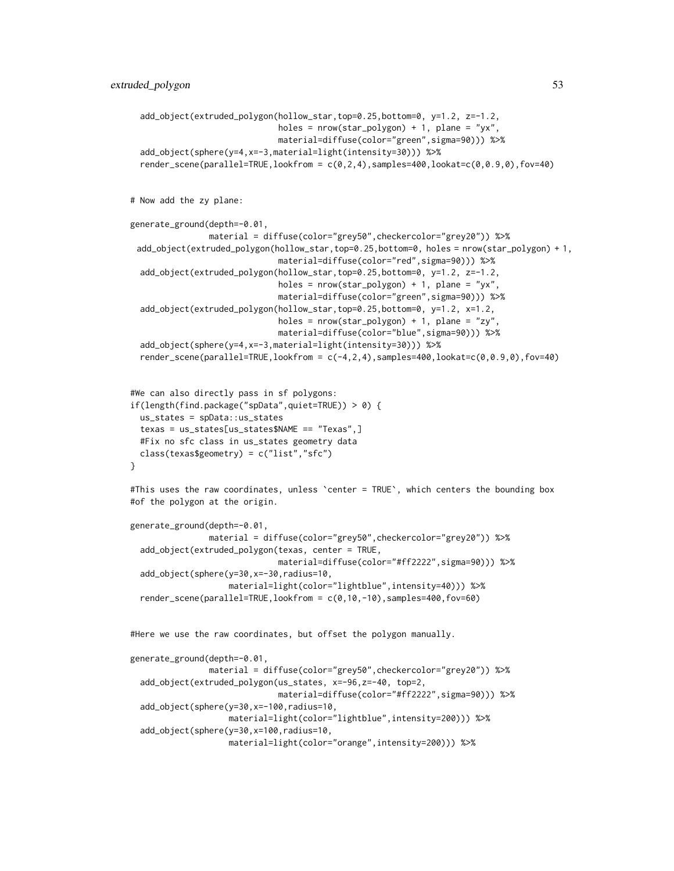```
add_object(extruded_polygon(hollow_star,top=0.25,bottom=0, y=1.2, z=-1.2,
                              holes = nrow(start_polygon) + 1, plane = "yx",
                              material=diffuse(color="green",sigma=90))) %>%
 add_object(sphere(y=4,x=-3,material=light(intensity=30))) %>%
 render_scene(parallel=TRUE,lookfrom = c(0,2,4),samples=400,lookat=c(0,0.9,0),fov=40)
# Now add the zy plane:
generate_ground(depth=-0.01,
                material = diffuse(color="grey50",checkercolor="grey20")) %>%
 add_object(extruded_polygon(hollow_star,top=0.25,bottom=0, holes = nrow(star_polygon) + 1,
                              material=diffuse(color="red",sigma=90))) %>%
  add_object(extruded_polygon(hollow_star,top=0.25,bottom=0, y=1.2, z=-1.2,
                              holes = nrow(start\_polygon) + 1, plane = "yx",
                              material=diffuse(color="green",sigma=90))) %>%
 add_object(extruded_polygon(hollow_star,top=0.25,bottom=0, y=1.2, x=1.2,
                              holes = nrow(start\_polygon) + 1, plane = "zy",
                              material=diffuse(color="blue",sigma=90))) %>%
  add_object(sphere(y=4,x=-3,material=light(intensity=30))) %>%
 render_scene(parallel=TRUE,lookfrom = c(-4,2,4), samples=400,lookat=c(0,0.9,0),fov=40)
#We can also directly pass in sf polygons:
if(length(find.package("spData",quiet=TRUE)) > 0) {
 us_states = spData::us_states
  texas = us_states[us_states$NAME == "Texas",]
 #Fix no sfc class in us_states geometry data
 class(texas$geometry) = c("list","sfc")
}
#This uses the raw coordinates, unless `center = TRUE`, which centers the bounding box
#of the polygon at the origin.
generate_ground(depth=-0.01,
                material = diffuse(color="grey50",checkercolor="grey20")) %>%
 add_object(extruded_polygon(texas, center = TRUE,
                              material=diffuse(color="#ff2222",sigma=90))) %>%
  add_object(sphere(y=30,x=-30,radius=10,
                    material=light(color="lightblue",intensity=40))) %>%
  render_scene(parallel=TRUE,lookfrom = c(0,10,-10),samples=400,fov=60)
#Here we use the raw coordinates, but offset the polygon manually.
generate_ground(depth=-0.01,
                material = diffuse(color="grey50",checkercolor="grey20")) %>%
 add_object(extruded_polygon(us_states, x=-96,z=-40, top=2,
                              material=diffuse(color="#ff2222",sigma=90))) %>%
 add_object(sphere(y=30,x=-100,radius=10,
                    material=light(color="lightblue",intensity=200))) %>%
  add_object(sphere(y=30,x=100,radius=10,
                    material=light(color="orange",intensity=200))) %>%
```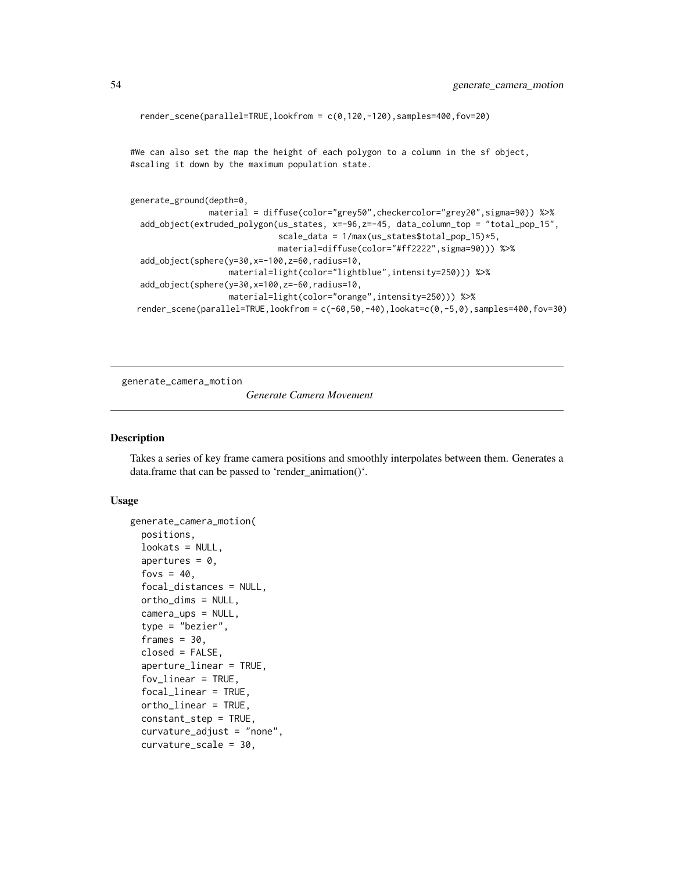```
render_scene(parallel=TRUE,lookfrom = c(0,120,-120),samples=400,fov=20)
```
#We can also set the map the height of each polygon to a column in the sf object, #scaling it down by the maximum population state.

```
generate_ground(depth=0,
                material = diffuse(color="grey50",checkercolor="grey20",sigma=90)) %>%
 add_object(extruded_polygon(us_states, x=-96,z=-45, data_column_top = "total_pop_15",
                              scale_data = 1/max(us_states$total_pop_15)*5,
                              material=diffuse(color="#ff2222",sigma=90))) %>%
 add_object(sphere(y=30,x=-100,z=60,radius=10,
                    material=light(color="lightblue",intensity=250))) %>%
 add_object(sphere(y=30,x=100,z=-60,radius=10,
                    material=light(color="orange",intensity=250))) %>%
 render_scene(parallel=TRUE,lookfrom = c(-60,50,-40),lookat=c(0,-5,0),samples=400,fov=30)
```
generate\_camera\_motion

*Generate Camera Movement*

#### **Description**

Takes a series of key frame camera positions and smoothly interpolates between them. Generates a data.frame that can be passed to 'render\_animation()'.

```
generate_camera_motion(
  positions,
  lookats = NULL,apertures = 0,
  fovs = 40,
  focal_distances = NULL,
  ortho\_dims = NULL,camera_ups = NULL,
  type = "bezier",
  frames = 30,
  closed = FALSE,
  aperture_linear = TRUE,
  fov_linear = TRUE,
  focal_linear = TRUE,
  ortho_linear = TRUE,
  constant_step = TRUE,
  curvature_adjust = "none",
  curvature_scale = 30,
```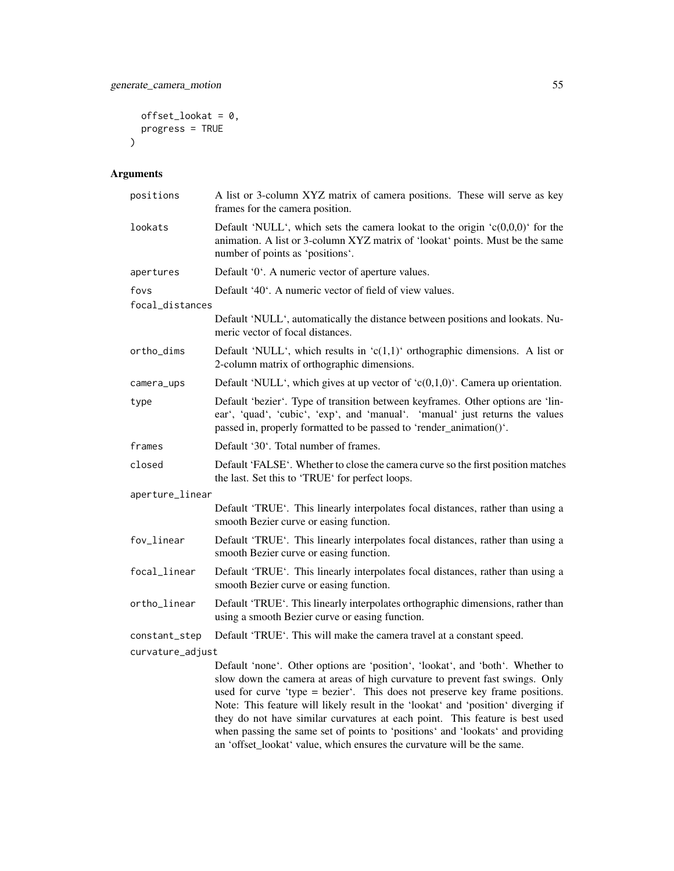```
offset\_lookat = 0,progress = TRUE
\mathcal{L}
```

| positions               | A list or 3-column XYZ matrix of camera positions. These will serve as key<br>frames for the camera position.                                                                                                                                                                                                                                                                                                                                                                                                                                                                   |
|-------------------------|---------------------------------------------------------------------------------------------------------------------------------------------------------------------------------------------------------------------------------------------------------------------------------------------------------------------------------------------------------------------------------------------------------------------------------------------------------------------------------------------------------------------------------------------------------------------------------|
| lookats                 | Default 'NULL', which sets the camera lookat to the origin ' $c(0,0,0)$ ' for the<br>animation. A list or 3-column XYZ matrix of 'lookat' points. Must be the same<br>number of points as 'positions'.                                                                                                                                                                                                                                                                                                                                                                          |
| apertures               | Default '0'. A numeric vector of aperture values.                                                                                                                                                                                                                                                                                                                                                                                                                                                                                                                               |
| fovs<br>focal_distances | Default '40'. A numeric vector of field of view values.                                                                                                                                                                                                                                                                                                                                                                                                                                                                                                                         |
|                         | Default 'NULL', automatically the distance between positions and lookats. Nu-<br>meric vector of focal distances.                                                                                                                                                                                                                                                                                                                                                                                                                                                               |
| ortho_dims              | Default 'NULL', which results in ' $c(1,1)$ ' orthographic dimensions. A list or<br>2-column matrix of orthographic dimensions.                                                                                                                                                                                                                                                                                                                                                                                                                                                 |
| camera_ups              | Default 'NULL', which gives at up vector of ' $c(0,1,0)$ '. Camera up orientation.                                                                                                                                                                                                                                                                                                                                                                                                                                                                                              |
| type                    | Default 'bezier'. Type of transition between keyframes. Other options are 'lin-<br>ear', 'quad', 'cubic', 'exp', and 'manual'. 'manual' just returns the values<br>passed in, properly formatted to be passed to 'render_animation()'.                                                                                                                                                                                                                                                                                                                                          |
| frames                  | Default '30'. Total number of frames.                                                                                                                                                                                                                                                                                                                                                                                                                                                                                                                                           |
| closed                  | Default 'FALSE'. Whether to close the camera curve so the first position matches<br>the last. Set this to 'TRUE' for perfect loops.                                                                                                                                                                                                                                                                                                                                                                                                                                             |
| aperture_linear         |                                                                                                                                                                                                                                                                                                                                                                                                                                                                                                                                                                                 |
|                         | Default 'TRUE'. This linearly interpolates focal distances, rather than using a<br>smooth Bezier curve or easing function.                                                                                                                                                                                                                                                                                                                                                                                                                                                      |
| fov_linear              | Default 'TRUE'. This linearly interpolates focal distances, rather than using a<br>smooth Bezier curve or easing function.                                                                                                                                                                                                                                                                                                                                                                                                                                                      |
| focal_linear            | Default 'TRUE'. This linearly interpolates focal distances, rather than using a<br>smooth Bezier curve or easing function.                                                                                                                                                                                                                                                                                                                                                                                                                                                      |
| ortho_linear            | Default 'TRUE'. This linearly interpolates orthographic dimensions, rather than<br>using a smooth Bezier curve or easing function.                                                                                                                                                                                                                                                                                                                                                                                                                                              |
| constant_step           | Default 'TRUE'. This will make the camera travel at a constant speed.                                                                                                                                                                                                                                                                                                                                                                                                                                                                                                           |
| curvature_adjust        |                                                                                                                                                                                                                                                                                                                                                                                                                                                                                                                                                                                 |
|                         | Default 'none'. Other options are 'position', 'lookat', and 'both'. Whether to<br>slow down the camera at areas of high curvature to prevent fast swings. Only<br>used for curve 'type = bezier'. This does not preserve key frame positions.<br>Note: This feature will likely result in the 'lookat' and 'position' diverging if<br>they do not have similar curvatures at each point. This feature is best used<br>when passing the same set of points to 'positions' and 'lookats' and providing<br>an 'offset_lookat' value, which ensures the curvature will be the same. |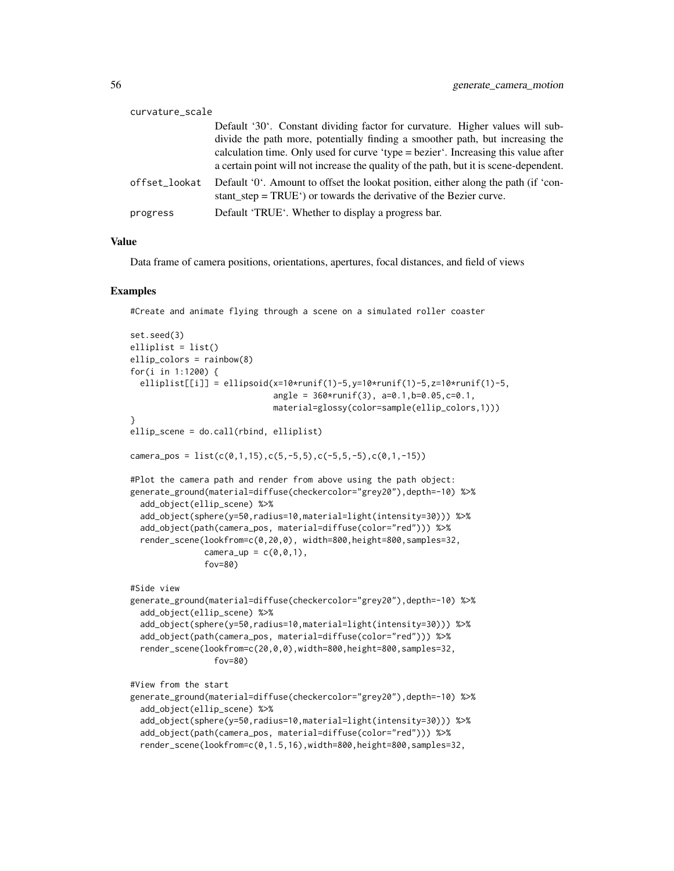| curvature_scale |                                                                                                                                                                                                                                                                                                                                               |
|-----------------|-----------------------------------------------------------------------------------------------------------------------------------------------------------------------------------------------------------------------------------------------------------------------------------------------------------------------------------------------|
|                 | Default '30'. Constant dividing factor for curvature. Higher values will sub-<br>divide the path more, potentially finding a smoother path, but increasing the<br>calculation time. Only used for curve 'type = bezier'. Increasing this value after<br>a certain point will not increase the quality of the path, but it is scene-dependent. |
| offset_lookat   | Default '0'. Amount to offset the lookat position, either along the path (if 'con-<br>stant $step = TRUE'$ or towards the derivative of the Bezier curve.                                                                                                                                                                                     |
| progress        | Default 'TRUE'. Whether to display a progress bar.                                                                                                                                                                                                                                                                                            |

## Value

Data frame of camera positions, orientations, apertures, focal distances, and field of views

#### Examples

#Create and animate flying through a scene on a simulated roller coaster

```
set.seed(3)
elliplist = list()
ellip_colors = rainbow(8)
for(i in 1:1200) {
 elliplist[[i]] = ellipsoid(x=10*runif(1)-5,y=10*runif(1)-5,z=10*runif(1)-5,
                             angle = 360*runif(3), a=0.1,b=0.05,c=0.1,
                             material=glossy(color=sample(ellip_colors,1)))
}
ellip_scene = do.call(rbind, elliplist)
camera_pos = list(c(\emptyset, 1, 15), c(5, -5, 5), c(-5, 5, -5), c(\emptyset, 1, -15))#Plot the camera path and render from above using the path object:
generate_ground(material=diffuse(checkercolor="grey20"),depth=-10) %>%
 add_object(ellip_scene) %>%
 add_object(sphere(y=50,radius=10,material=light(intensity=30))) %>%
 add_object(path(camera_pos, material=diffuse(color="red"))) %>%
 render_scene(lookfrom=c(0,20,0), width=800,height=800,samples=32,
               camera_up = c(0, 0, 1),
               fov=80)
#Side view
generate_ground(material=diffuse(checkercolor="grey20"),depth=-10) %>%
 add_object(ellip_scene) %>%
 add_object(sphere(y=50,radius=10,material=light(intensity=30))) %>%
 add_object(path(camera_pos, material=diffuse(color="red"))) %>%
 render_scene(lookfrom=c(20,0,0),width=800,height=800,samples=32,
                 fov=80)
#View from the start
generate_ground(material=diffuse(checkercolor="grey20"),depth=-10) %>%
 add_object(ellip_scene) %>%
 add_object(sphere(y=50,radius=10,material=light(intensity=30))) %>%
 add_object(path(camera_pos, material=diffuse(color="red"))) %>%
 render_scene(lookfrom=c(0,1.5,16),width=800,height=800,samples=32,
```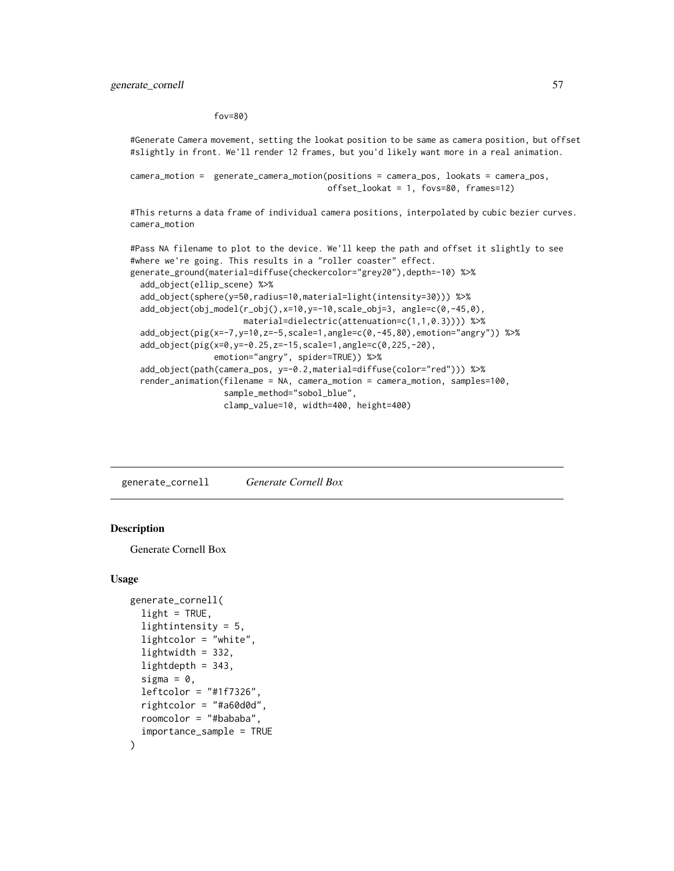fov=80)

#Generate Camera movement, setting the lookat position to be same as camera position, but offset #slightly in front. We'll render 12 frames, but you'd likely want more in a real animation.

```
camera_motion = generate_camera_motion(positions = camera_pos, lookats = camera_pos,
                                       offset_lookat = 1, fovs=80, frames=12)
```
#This returns a data frame of individual camera positions, interpolated by cubic bezier curves. camera\_motion

#Pass NA filename to plot to the device. We'll keep the path and offset it slightly to see #where we're going. This results in a "roller coaster" effect. generate\_ground(material=diffuse(checkercolor="grey20"),depth=-10) %>% add\_object(ellip\_scene) %>% add\_object(sphere(y=50,radius=10,material=light(intensity=30))) %>% add\_object(obj\_model(r\_obj(),x=10,y=-10,scale\_obj=3, angle=c(0,-45,0), material=dielectric(attenuation=c(1,1,0.3)))) %>% add\_object(pig(x=-7,y=10,z=-5,scale=1,angle=c(0,-45,80),emotion="angry")) %>% add\_object(pig(x=0,y=-0.25,z=-15,scale=1,angle=c(0,225,-20), emotion="angry", spider=TRUE)) %>% add\_object(path(camera\_pos, y=-0.2,material=diffuse(color="red"))) %>% render\_animation(filename = NA, camera\_motion = camera\_motion, samples=100, sample\_method="sobol\_blue", clamp\_value=10, width=400, height=400)

generate\_cornell *Generate Cornell Box*

#### **Description**

Generate Cornell Box

```
generate_cornell(
  light = TRUE,lightintensity = 5,
  lightcolor = "white",
  lightwidth = 332,
  lightdepth = 343,sigma = 0,
  leftcolor = "#1f7326",
  rightcolor = "#a60d0d",
  roomcolor = "#bababa",
  importance_sample = TRUE
)
```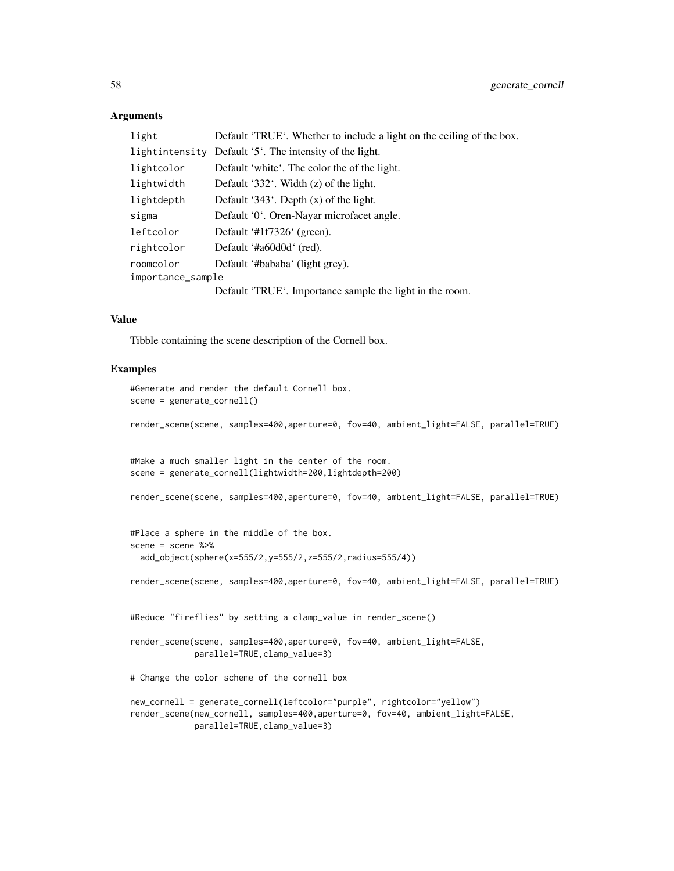### Arguments

| light             | Default 'TRUE'. Whether to include a light on the ceiling of the box. |
|-------------------|-----------------------------------------------------------------------|
| lightintensity    | Default '5'. The intensity of the light.                              |
| lightcolor        | Default 'white'. The color the of the light.                          |
| lightwidth        | Default '332'. Width $(z)$ of the light.                              |
| lightdepth        | Default '343'. Depth $(x)$ of the light.                              |
| sigma             | Default '0'. Oren-Nayar microfacet angle.                             |
| leftcolor         | Default '#1f7326' (green).                                            |
| rightcolor        | Default '#a60d0d' (red).                                              |
| roomcolor         | Default '#bababa' (light grey).                                       |
| importance_sample |                                                                       |
|                   | Default 'TRUE'. Importance sample the light in the room.              |

## Value

Tibble containing the scene description of the Cornell box.

```
#Generate and render the default Cornell box.
scene = generate_cornell()
render_scene(scene, samples=400,aperture=0, fov=40, ambient_light=FALSE, parallel=TRUE)
#Make a much smaller light in the center of the room.
scene = generate_cornell(lightwidth=200,lightdepth=200)
render_scene(scene, samples=400,aperture=0, fov=40, ambient_light=FALSE, parallel=TRUE)
#Place a sphere in the middle of the box.
scene = scene %>%
 add_object(sphere(x=555/2,y=555/2,z=555/2,radius=555/4))
render_scene(scene, samples=400,aperture=0, fov=40, ambient_light=FALSE, parallel=TRUE)
#Reduce "fireflies" by setting a clamp_value in render_scene()
render_scene(scene, samples=400,aperture=0, fov=40, ambient_light=FALSE,
             parallel=TRUE,clamp_value=3)
# Change the color scheme of the cornell box
new_cornell = generate_cornell(leftcolor="purple", rightcolor="yellow")
render_scene(new_cornell, samples=400,aperture=0, fov=40, ambient_light=FALSE,
             parallel=TRUE,clamp_value=3)
```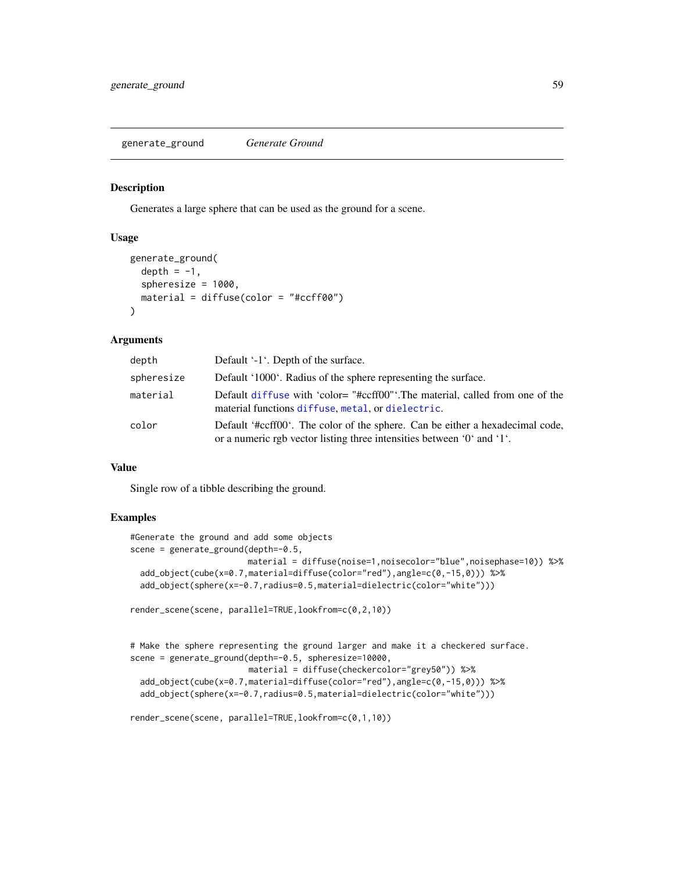generate\_ground *Generate Ground*

#### Description

Generates a large sphere that can be used as the ground for a scene.

## Usage

```
generate_ground(
  depth = -1,
  spheresize = 1000,
 material = diffuse(color = "#ccff00")
\lambda
```
## Arguments

| depth      | Default '-1'. Depth of the surface.                                                                                                                     |
|------------|---------------------------------------------------------------------------------------------------------------------------------------------------------|
| spheresize | Default '1000'. Radius of the sphere representing the surface.                                                                                          |
| material   | Default diffuse with 'color="#ccff00". The material, called from one of the<br>material functions diffuse, metal, or dielectric.                        |
| color      | Default '#ccff00'. The color of the sphere. Can be either a hexadecimal code,<br>or a numeric rgb vector listing three intensities between '0' and '1'. |

#### Value

Single row of a tibble describing the ground.

```
#Generate the ground and add some objects
scene = generate_ground(depth=-0.5,
                       material = diffuse(noise=1,noisecolor="blue",noisephase=10)) %>%
 add_object(cube(x=0.7,material=diffuse(color="red"),angle=c(0,-15,0))) %>%
 add_object(sphere(x=-0.7,radius=0.5,material=dielectric(color="white")))
render_scene(scene, parallel=TRUE,lookfrom=c(0,2,10))
```

```
# Make the sphere representing the ground larger and make it a checkered surface.
scene = generate_ground(depth=-0.5, spheresize=10000,
                       material = diffuse(checkercolor="grey50")) %>%
 add_object(cube(x=0.7,material=diffuse(color="red"),angle=c(0,-15,0))) %>%
 add_object(sphere(x=-0.7,radius=0.5,material=dielectric(color="white")))
```

```
render_scene(scene, parallel=TRUE,lookfrom=c(0,1,10))
```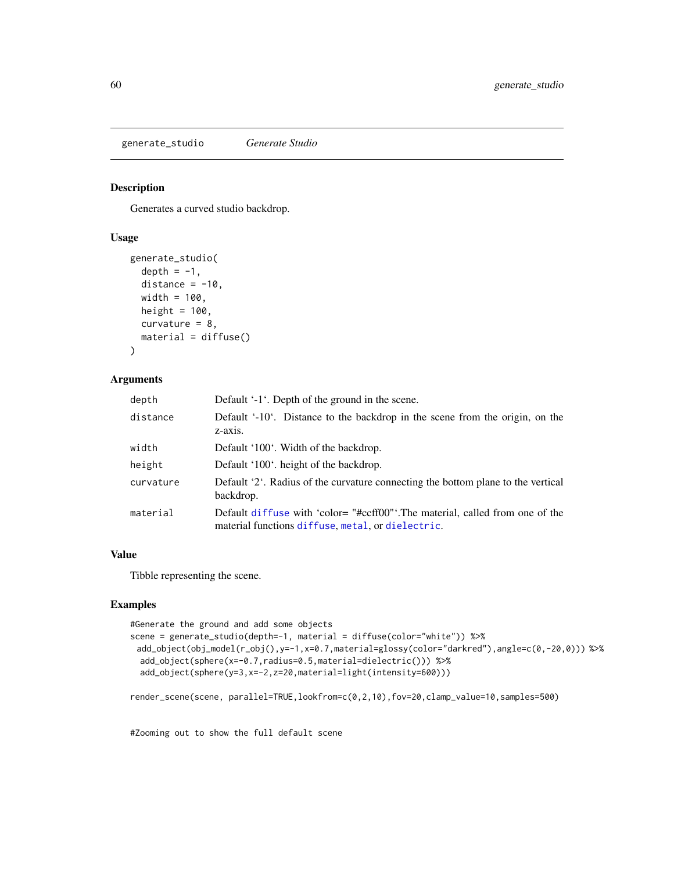generate\_studio *Generate Studio*

## Description

Generates a curved studio backdrop.

## Usage

```
generate_studio(
  depth = -1,
  distance = -10,
 width = 100,
 height = 100,
  curvature = 8,
 material = diffuse()
)
```
## Arguments

| depth     | Default '-1'. Depth of the ground in the scene.                                                                                  |
|-----------|----------------------------------------------------------------------------------------------------------------------------------|
| distance  | Default '-10'. Distance to the backdrop in the scene from the origin, on the<br>$z$ -axis.                                       |
| width     | Default '100'. Width of the backdrop.                                                                                            |
| height    | Default '100', height of the backdrop.                                                                                           |
| curvature | Default '2'. Radius of the curvature connecting the bottom plane to the vertical<br>backdrop.                                    |
| material  | Default diffuse with 'color="#ccff00"'.The material, called from one of the<br>material functions diffuse, metal, or dielectric. |

## Value

Tibble representing the scene.

# Examples

```
#Generate the ground and add some objects
```

```
scene = generate_studio(depth=-1, material = diffuse(color="white")) %>%
 add_object(obj_model(r_obj(),y=-1,x=0.7,material=glossy(color="darkred"),angle=c(0,-20,0))) %>%
 add_object(sphere(x=-0.7,radius=0.5,material=dielectric())) %>%
 add_object(sphere(y=3,x=-2,z=20,material=light(intensity=600)))
```
render\_scene(scene, parallel=TRUE,lookfrom=c(0,2,10),fov=20,clamp\_value=10,samples=500)

#Zooming out to show the full default scene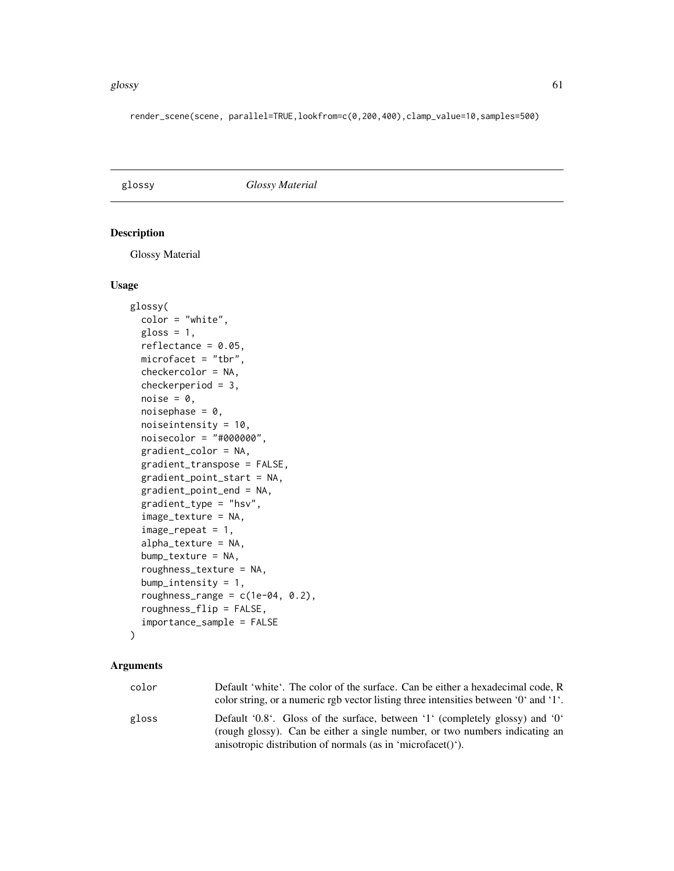#### glossy 61

render\_scene(scene, parallel=TRUE,lookfrom=c(0,200,400),clamp\_value=10,samples=500)

glossy *Glossy Material*

## Description

Glossy Material

## Usage

```
glossy(
  color = "white",
  gloss = 1,
  reflectance = 0.05,
 microfacet = "tbr",
  checkercolor = NA,
  checkerperiod = 3,
  noise = 0,
  noisephase = 0,
  noiseintensity = 10,
  noisecolor = "#000000",
  gradient_color = NA,
  gradient_transpose = FALSE,
  gradient_point_start = NA,
  gradient_point_end = NA,
  gradient_type = "hsv",
  image_texture = NA,
  image\_repeat = 1,
  alpha_texture = NA,
  bump_texture = NA,
  roughness_texture = NA,
  bump_intensity = 1,
  roughness_range = c(1e-04, 0.2),
  roughness_flip = FALSE,
  importance_sample = FALSE
)
```

| color | Default 'white'. The color of the surface. Can be either a hexadecimal code, R                                                                              |
|-------|-------------------------------------------------------------------------------------------------------------------------------------------------------------|
|       | color string, or a numeric rgb vector listing three intensities between '0' and '1'.                                                                        |
| gloss | Default '0.8'. Gloss of the surface, between '1' (completely glossy) and '0'<br>(rough glossy). Can be either a single number, or two numbers indicating an |
|       | anisotropic distribution of normals (as in 'microfacet()').                                                                                                 |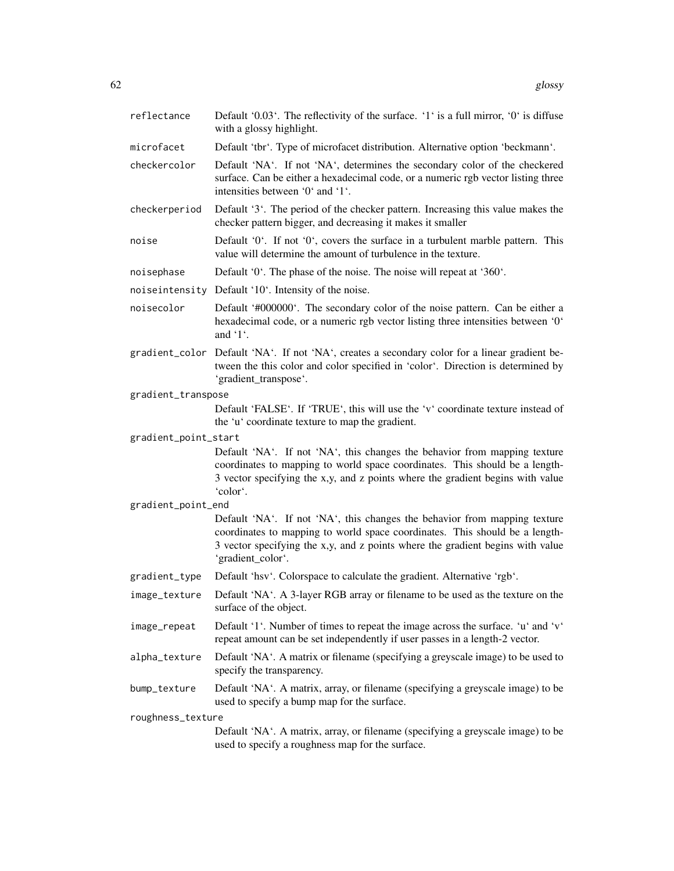| reflectance          | Default '0.03'. The reflectivity of the surface. '1' is a full mirror, '0' is diffuse<br>with a glossy highlight.                                                                                                                                               |
|----------------------|-----------------------------------------------------------------------------------------------------------------------------------------------------------------------------------------------------------------------------------------------------------------|
| microfacet           | Default 'tbr'. Type of microfacet distribution. Alternative option 'beckmann'.                                                                                                                                                                                  |
| checkercolor         | Default 'NA'. If not 'NA', determines the secondary color of the checkered<br>surface. Can be either a hexadecimal code, or a numeric rgb vector listing three<br>intensities between '0' and '1'.                                                              |
| checkerperiod        | Default '3'. The period of the checker pattern. Increasing this value makes the<br>checker pattern bigger, and decreasing it makes it smaller                                                                                                                   |
| noise                | Default '0'. If not '0', covers the surface in a turbulent marble pattern. This<br>value will determine the amount of turbulence in the texture.                                                                                                                |
| noisephase           | Default '0'. The phase of the noise. The noise will repeat at '360'.                                                                                                                                                                                            |
|                      | noiseintensity Default '10'. Intensity of the noise.                                                                                                                                                                                                            |
| noisecolor           | Default '#000000'. The secondary color of the noise pattern. Can be either a<br>hexadecimal code, or a numeric rgb vector listing three intensities between '0'<br>and '1'.                                                                                     |
|                      | gradient_color Default 'NA'. If not 'NA', creates a secondary color for a linear gradient be-<br>tween the this color and color specified in 'color'. Direction is determined by<br>'gradient_transpose'.                                                       |
| gradient_transpose   |                                                                                                                                                                                                                                                                 |
|                      | Default 'FALSE'. If 'TRUE', this will use the 'v' coordinate texture instead of<br>the 'u' coordinate texture to map the gradient.                                                                                                                              |
| gradient_point_start |                                                                                                                                                                                                                                                                 |
|                      | Default 'NA'. If not 'NA', this changes the behavior from mapping texture<br>coordinates to mapping to world space coordinates. This should be a length-<br>3 vector specifying the x,y, and z points where the gradient begins with value<br>'color'.          |
| gradient_point_end   |                                                                                                                                                                                                                                                                 |
|                      | Default 'NA'. If not 'NA', this changes the behavior from mapping texture<br>coordinates to mapping to world space coordinates. This should be a length-<br>3 vector specifying the x,y, and z points where the gradient begins with value<br>'gradient_color'. |
| gradient_type        | Default 'hsv'. Colorspace to calculate the gradient. Alternative 'rgb'.                                                                                                                                                                                         |
| image_texture        | Default 'NA'. A 3-layer RGB array or filename to be used as the texture on the<br>surface of the object.                                                                                                                                                        |
| image_repeat         | Default '1'. Number of times to repeat the image across the surface. 'u' and 'v'<br>repeat amount can be set independently if user passes in a length-2 vector.                                                                                                 |
| alpha_texture        | Default 'NA'. A matrix or filename (specifying a greyscale image) to be used to<br>specify the transparency.                                                                                                                                                    |
| bump_texture         | Default 'NA'. A matrix, array, or filename (specifying a greyscale image) to be                                                                                                                                                                                 |
| roughness_texture    |                                                                                                                                                                                                                                                                 |
|                      | used to specify a bump map for the surface.<br>Default 'NA'. A matrix, array, or filename (specifying a greyscale image) to be                                                                                                                                  |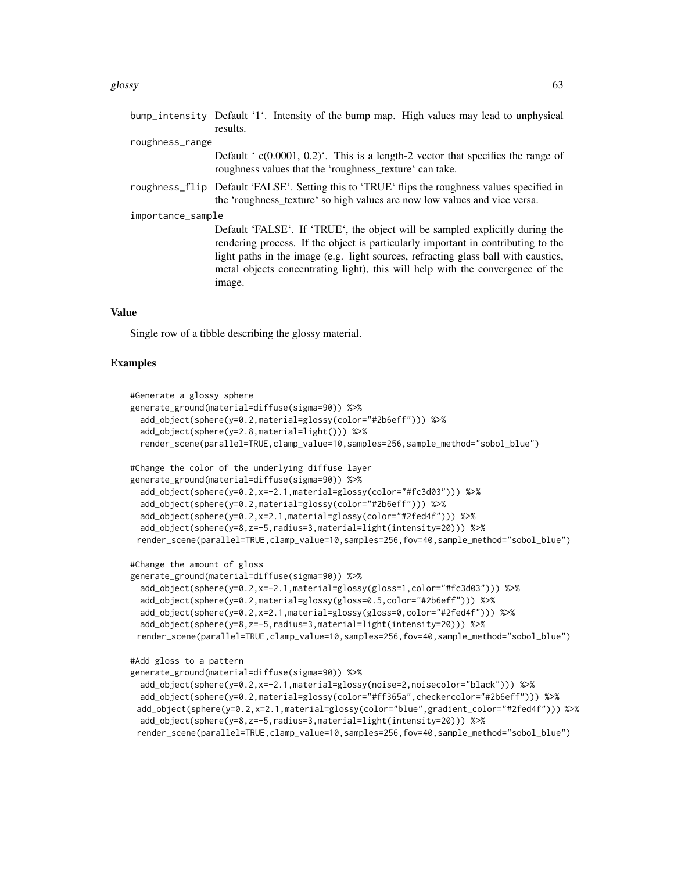|                   | results.                                                                                                                                                                                                                                                                                                                                            |  |
|-------------------|-----------------------------------------------------------------------------------------------------------------------------------------------------------------------------------------------------------------------------------------------------------------------------------------------------------------------------------------------------|--|
| roughness_range   |                                                                                                                                                                                                                                                                                                                                                     |  |
|                   | Default ' $c(0.0001, 0.2)$ '. This is a length-2 vector that specifies the range of<br>roughness values that the 'roughness_texture' can take.                                                                                                                                                                                                      |  |
|                   | roughness_flip Default 'FALSE'. Setting this to 'TRUE' flips the roughness values specified in<br>the 'roughness_texture' so high values are now low values and vice versa.                                                                                                                                                                         |  |
| importance_sample |                                                                                                                                                                                                                                                                                                                                                     |  |
|                   | Default 'FALSE'. If 'TRUE', the object will be sampled explicitly during the<br>rendering process. If the object is particularly important in contributing to the<br>light paths in the image (e.g. light sources, refracting glass ball with caustics,<br>metal objects concentrating light), this will help with the convergence of the<br>image. |  |

bump\_intensity Default '1'. Intensity of the bump map. High values may lead to unphysical

#### Value

Single row of a tibble describing the glossy material.

```
#Generate a glossy sphere
generate_ground(material=diffuse(sigma=90)) %>%
 add_object(sphere(y=0.2,material=glossy(color="#2b6eff"))) %>%
 add_object(sphere(y=2.8,material=light())) %>%
 render_scene(parallel=TRUE,clamp_value=10,samples=256,sample_method="sobol_blue")
#Change the color of the underlying diffuse layer
generate_ground(material=diffuse(sigma=90)) %>%
 add_object(sphere(y=0.2,x=-2.1,material=glossy(color="#fc3d03"))) %>%
 add_object(sphere(y=0.2,material=glossy(color="#2b6eff"))) %>%
 add_object(sphere(y=0.2,x=2.1,material=glossy(color="#2fed4f"))) %>%
  add_object(sphere(y=8,z=-5,radius=3,material=light(intensity=20))) %>%
 render_scene(parallel=TRUE,clamp_value=10,samples=256,fov=40,sample_method="sobol_blue")
#Change the amount of gloss
generate_ground(material=diffuse(sigma=90)) %>%
 add_object(sphere(y=0.2,x=-2.1,material=glossy(gloss=1,color="#fc3d03"))) %>%
 add_object(sphere(y=0.2,material=glossy(gloss=0.5,color="#2b6eff"))) %>%
 add_object(sphere(y=0.2,x=2.1,material=glossy(gloss=0,color="#2fed4f"))) %>%
 add_object(sphere(y=8,z=-5,radius=3,material=light(intensity=20))) %>%
 render_scene(parallel=TRUE,clamp_value=10,samples=256,fov=40,sample_method="sobol_blue")
#Add gloss to a pattern
generate_ground(material=diffuse(sigma=90)) %>%
 add_object(sphere(y=0.2,x=-2.1,material=glossy(noise=2,noisecolor="black"))) %>%
 add_object(sphere(y=0.2,material=glossy(color="#ff365a",checkercolor="#2b6eff"))) %>%
 add_object(sphere(y=0.2,x=2.1,material=glossy(color="blue",gradient_color="#2fed4f"))) %>%
 add_object(sphere(y=8,z=-5,radius=3,material=light(intensity=20))) %>%
 render_scene(parallel=TRUE,clamp_value=10,samples=256,fov=40,sample_method="sobol_blue")
```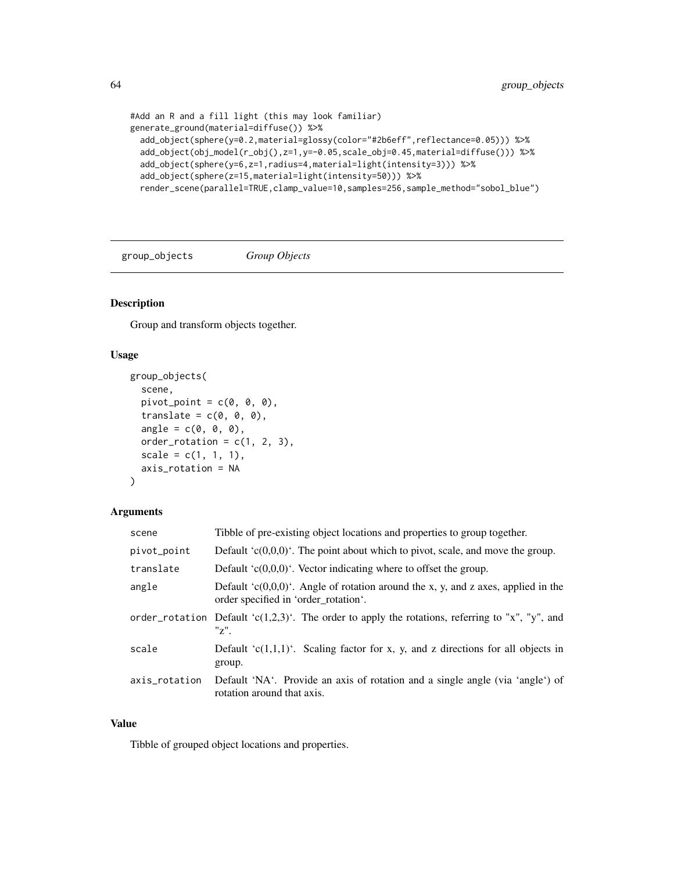```
#Add an R and a fill light (this may look familiar)
generate_ground(material=diffuse()) %>%
  add_object(sphere(y=0.2,material=glossy(color="#2b6eff",reflectance=0.05))) %>%
  add_object(obj_model(r_obj(),z=1,y=-0.05,scale_obj=0.45,material=diffuse())) %>%
  add_object(sphere(y=6,z=1,radius=4,material=light(intensity=3))) %>%
  add_object(sphere(z=15,material=light(intensity=50))) %>%
  render_scene(parallel=TRUE,clamp_value=10,samples=256,sample_method="sobol_blue")
```
group\_objects *Group Objects*

# Description

Group and transform objects together.

## Usage

```
group_objects(
  scene,
  pivot\_point = c(0, 0, 0),
  translate = c(\emptyset, \emptyset, \emptyset),
  angle = c(0, 0, 0),
  order_rotation = c(1, 2, 3),
  scale = c(1, 1, 1),axis_rotation = NA
)
```
## Arguments

| scene         | Tibble of pre-existing object locations and properties to group together.                                                     |
|---------------|-------------------------------------------------------------------------------------------------------------------------------|
| pivot_point   | Default ' $c(0,0,0)$ '. The point about which to pivot, scale, and move the group.                                            |
| translate     | Default $(c(0,0,0))$ . Vector indicating where to offset the group.                                                           |
| angle         | Default ' $c(0,0,0)$ '. Angle of rotation around the x, y, and z axes, applied in the<br>order specified in 'order_rotation'. |
|               | order_rotation Default ' $c(1,2,3)$ '. The order to apply the rotations, referring to "x", "y", and<br>$"z"$ .                |
| scale         | Default ' $c(1,1,1)$ '. Scaling factor for x, y, and z directions for all objects in<br>group.                                |
| axis_rotation | Default 'NA'. Provide an axis of rotation and a single angle (via 'angle') of<br>rotation around that axis.                   |

# Value

Tibble of grouped object locations and properties.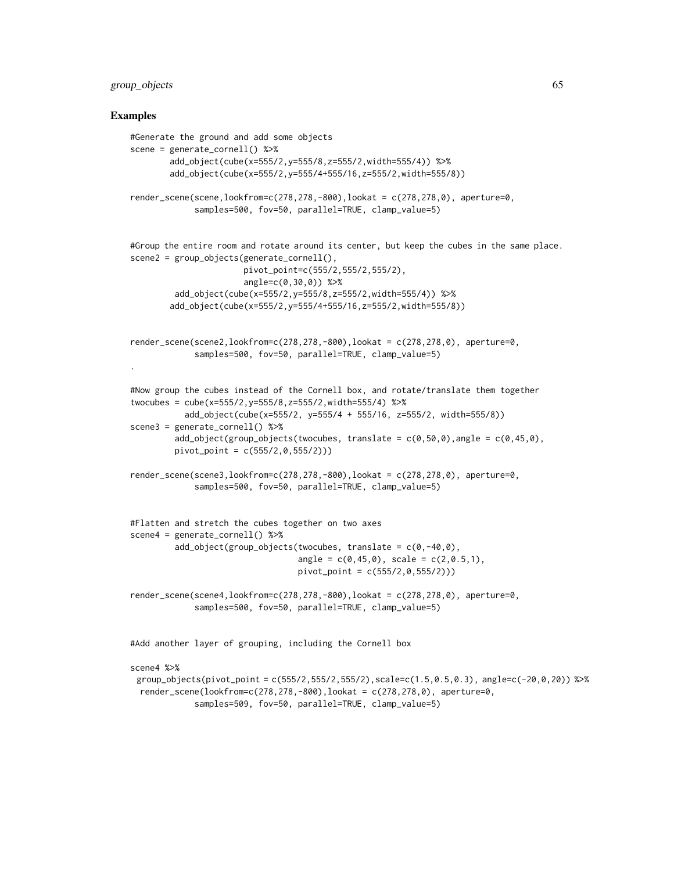# group\_objects 65

### Examples

```
#Generate the ground and add some objects
scene = generate_cornell() %>%
        add_object(cube(x=555/2,y=555/8,z=555/2,width=555/4)) %>%
        add_object(cube(x=555/2,y=555/4+555/16,z=555/2,width=555/8))
render_scene(scene,lookfrom=c(278,278,-800),lookat = c(278,278,0), aperture=0,
             samples=500, fov=50, parallel=TRUE, clamp_value=5)
#Group the entire room and rotate around its center, but keep the cubes in the same place.
scene2 = group_objects(generate_cornell(),
                       pivot_point=c(555/2,555/2,555/2),
                       angle=c(0,30,0)) %>%
         add_object(cube(x=555/2,y=555/8,z=555/2,width=555/4)) %>%
        add_object(cube(x=555/2,y=555/4+555/16,z=555/2,width=555/8))
render_scene(scene2,lookfrom=c(278,278,-800),lookat = c(278,278,0), aperture=0,
             samples=500, fov=50, parallel=TRUE, clamp_value=5)
.
#Now group the cubes instead of the Cornell box, and rotate/translate them together
twocubes = cube(x=555/2,y=555/8,z=555/2,width=555/4) %>%
           add_object(cube(x=555/2, y=555/4 + 555/16, z=555/2, width=555/8))
scene3 = generate_cornell() %>%
         add_object(group_objects(twocubes, translate = c(\emptyset, 5\emptyset, \emptyset), angle = c(\emptyset, 45, \emptyset),
         pivot_point = c(555/2,0,555/2)))
render_scene(scene3,lookfrom=c(278,278,-800),lookat = c(278,278,0), aperture=0,
             samples=500, fov=50, parallel=TRUE, clamp_value=5)
#Flatten and stretch the cubes together on two axes
scene4 = generate_cornell() %>%
         add\_object(group\_objects(twocubes, translate = c(0, -40, 0)),angle = c(0, 45, 0), scale = c(2, 0.5, 1),
                                   pivot\_point = c(555/2, 0, 555/2))render_scene(scene4,lookfrom=c(278,278,-800),lookat = c(278,278,0), aperture=0,
             samples=500, fov=50, parallel=TRUE, clamp_value=5)
```
#Add another layer of grouping, including the Cornell box

scene4 %>%

```
group_objects(pivot_point = c(555/2,555/2,555/2),scale=c(1.5,0.5,0.3), angle=c(-20,0,20)) %>%
render_scene(lookfrom=c(278,278,-800),lookat = c(278,278,0), aperture=0,
           samples=509, fov=50, parallel=TRUE, clamp_value=5)
```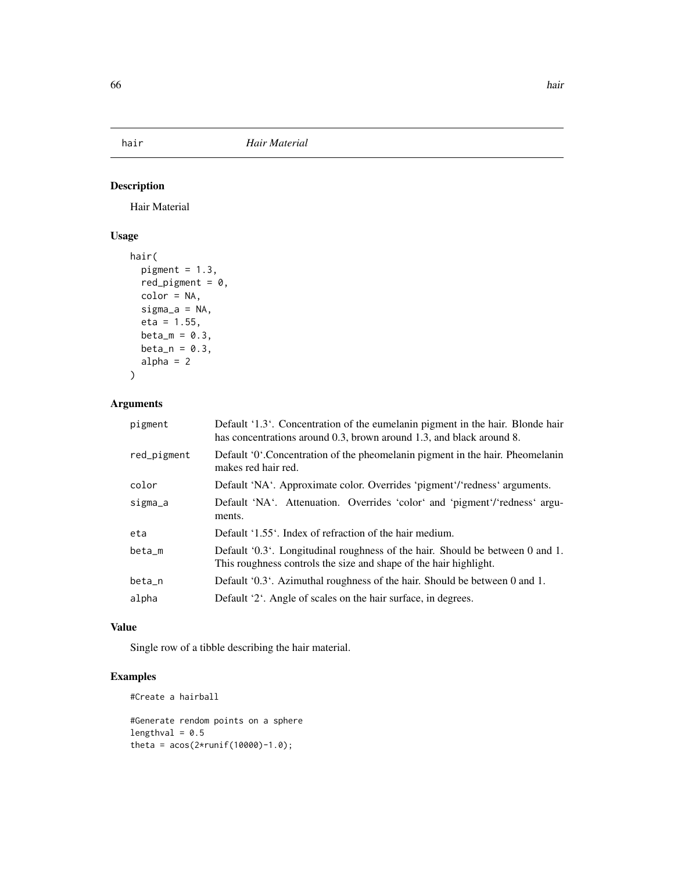# Description

Hair Material

# Usage

```
hair(
  pigment = 1.3,
  red_pigment = 0,
  color = NA,
  sigma_a = NA,
  eta = 1.55,
  beta_m = 0.3,
  beta_n = 0.3,
  alpha = 2
)
```
# Arguments

| pigment     | Default '1.3'. Concentration of the eumelanin pigment in the hair. Blonde hair<br>has concentrations around 0.3, brown around 1.3, and black around 8. |
|-------------|--------------------------------------------------------------------------------------------------------------------------------------------------------|
| red_pigment | Default '0'. Concentration of the pheomelanin pigment in the hair. Pheomelanin<br>makes red hair red.                                                  |
| color       | Default 'NA'. Approximate color. Overrides 'pigment'/'redness' arguments.                                                                              |
| sigma_a     | Default 'NA'. Attenuation. Overrides 'color' and 'pigment'/'redness' argu-<br>ments.                                                                   |
| eta         | Default '1.55'. Index of refraction of the hair medium.                                                                                                |
| beta_m      | Default '0.3'. Longitudinal roughness of the hair. Should be between 0 and 1.<br>This roughness controls the size and shape of the hair highlight.     |
| beta_n      | Default '0.3'. Azimuthal roughness of the hair. Should be between 0 and 1.                                                                             |
| alpha       | Default '2'. Angle of scales on the hair surface, in degrees.                                                                                          |

## Value

Single row of a tibble describing the hair material.

# Examples

#Create a hairball

```
#Generate rendom points on a sphere
lengthval = 0.5theta = acos(2*runif(10000)-1.0);
```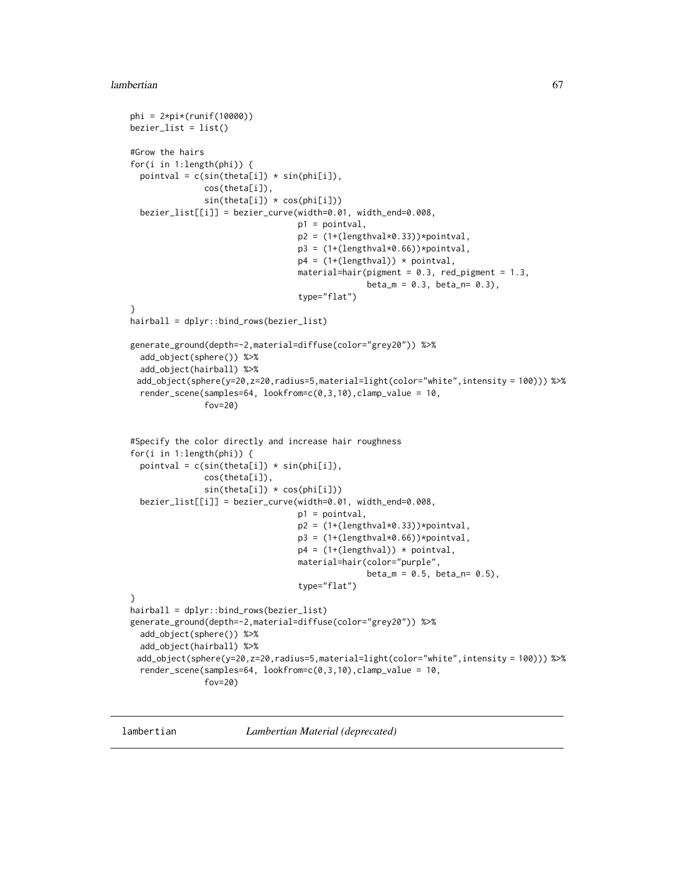#### lambertian 67

```
phi = 2*pi*(runif(10000))
bezier\_list = list()#Grow the hairs
for(i in 1:length(phi)) {
  pointval = c(sin(theta[i]) * sin(phi[i]),cos(theta[i]),
               sin(theta[i]) * cos(phi[i]))
  bezier_list[[i]] = bezier_curve(width=0.01, width_end=0.008,
                                  p1 = pointval,
                                  p2 = (1+(lengthval*0.33))*pointval,p3 = (1+(lengthval*\theta.66)) * pointval,p4 = (1+(lengthval)) * pointval,material=hair(pigment = 0.3, red_pigment = 1.3,
                                                 beta_m = 0.3, beta_n = 0.3,
                                  type="flat")
}
hairball = dplyr::bind_rows(bezier_list)
generate_ground(depth=-2,material=diffuse(color="grey20")) %>%
  add_object(sphere()) %>%
  add_object(hairball) %>%
 add_object(sphere(y=20,z=20,radius=5,material=light(color="white",intensity = 100))) %>%
  render_scene(samples=64, lookfrom=c(0,3,10),clamp_value = 10,
               fov=20)
#Specify the color directly and increase hair roughness
for(i in 1:length(phi)) {
  pointval = c(sin(theta[i]) * sin(phi[i]),cos(theta[i]),
               sin(theta[i]) * cos(phi[i]))
  bezier_list[[i]] = bezier_curve(width=0.01, width_end=0.008,
                                  p1 = pointval,
                                  p2 = (1+(lengthval * 0.33))*pointval,p3 = (1+(lengthval * 0.66)) * point val,p4 = (1+(lengthval)) * pointval,material=hair(color="purple",
                                                 beta_m = 0.5, beta_n = 0.5,
                                  type="flat")
}
hairball = dplyr::bind_rows(bezier_list)
generate_ground(depth=-2,material=diffuse(color="grey20")) %>%
  add_object(sphere()) %>%
  add_object(hairball) %>%
 add_object(sphere(y=20,z=20,radius=5,material=light(color="white",intensity = 100))) %>%
  render_scene(samples=64, lookfrom=c(0,3,10),clamp_value = 10,
               fov=20)
```
lambertian *Lambertian Material (deprecated)*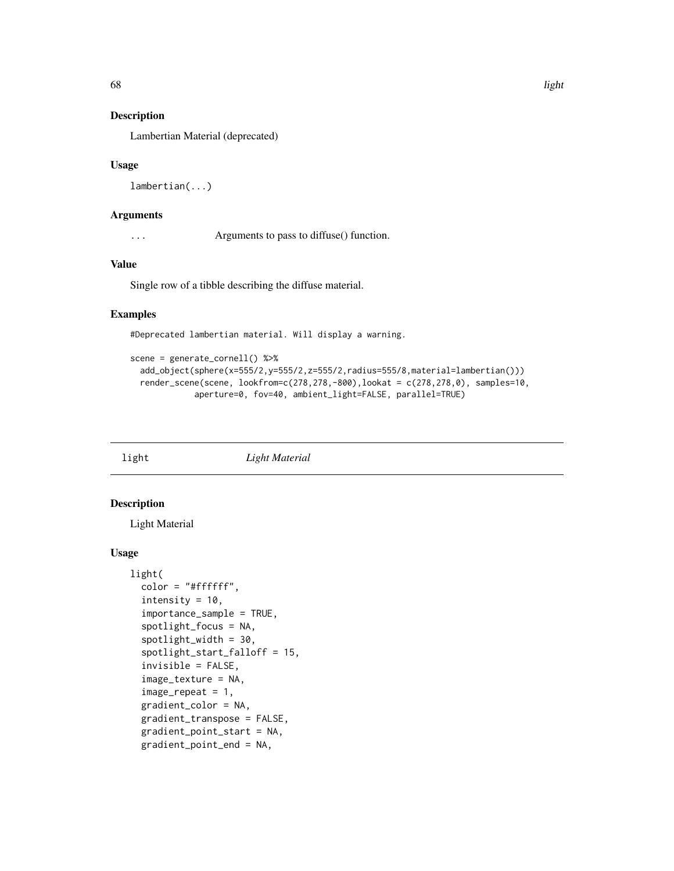# Description

Lambertian Material (deprecated)

### Usage

```
lambertian(...)
```
## Arguments

... Arguments to pass to diffuse() function.

## Value

Single row of a tibble describing the diffuse material.

# Examples

#Deprecated lambertian material. Will display a warning.

```
scene = generate_cornell() %>%
 add_object(sphere(x=555/2,y=555/2,z=555/2,radius=555/8,material=lambertian()))
 render_scene(scene, lookfrom=c(278,278,-800),lookat = c(278,278,0), samples=10,
            aperture=0, fov=40, ambient_light=FALSE, parallel=TRUE)
```
light *Light Material*

## Description

Light Material

```
light(
  color = "#ffffff",
  intensity = 10,
  importance_sample = TRUE,
  spotlight_focus = NA,
  spotlight_width = 30,
  spotlight_start_falloff = 15,
  invisible = FALSE,
  image_texture = NA,
  image\_repeat = 1,
  gradient_color = NA,
  gradient_transpose = FALSE,
  gradient_point_start = NA,
  gradient_point_end = NA,
```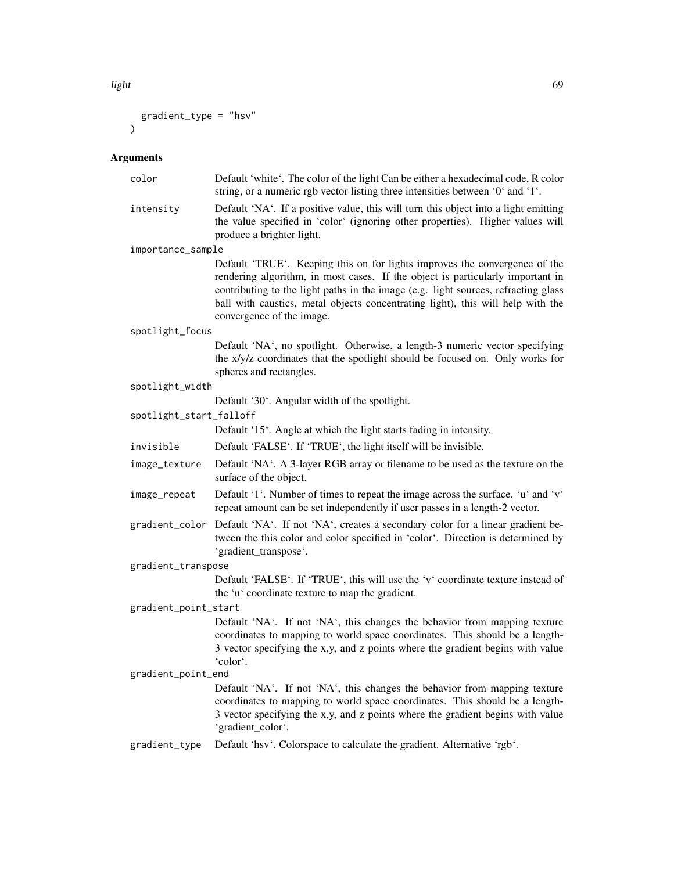light 69 and 200 and 200 and 200 and 200 and 200 and 200 and 200 and 200 and 200 and 200 and 200 and 200 and 20

```
gradient_type = "hsv"
\mathcal{L}
```

| color                   | Default 'white'. The color of the light Can be either a hexadecimal code, R color<br>string, or a numeric rgb vector listing three intensities between '0' and '1'.                                                                                                                                                                                                |  |
|-------------------------|--------------------------------------------------------------------------------------------------------------------------------------------------------------------------------------------------------------------------------------------------------------------------------------------------------------------------------------------------------------------|--|
| intensity               | Default 'NA'. If a positive value, this will turn this object into a light emitting<br>the value specified in 'color' (ignoring other properties). Higher values will<br>produce a brighter light.                                                                                                                                                                 |  |
| importance_sample       |                                                                                                                                                                                                                                                                                                                                                                    |  |
|                         | Default 'TRUE'. Keeping this on for lights improves the convergence of the<br>rendering algorithm, in most cases. If the object is particularly important in<br>contributing to the light paths in the image (e.g. light sources, refracting glass<br>ball with caustics, metal objects concentrating light), this will help with the<br>convergence of the image. |  |
| spotlight_focus         |                                                                                                                                                                                                                                                                                                                                                                    |  |
|                         | Default 'NA', no spotlight. Otherwise, a length-3 numeric vector specifying<br>the x/y/z coordinates that the spotlight should be focused on. Only works for<br>spheres and rectangles.                                                                                                                                                                            |  |
| spotlight_width         |                                                                                                                                                                                                                                                                                                                                                                    |  |
|                         | Default '30'. Angular width of the spotlight.                                                                                                                                                                                                                                                                                                                      |  |
| spotlight_start_falloff |                                                                                                                                                                                                                                                                                                                                                                    |  |
|                         | Default '15'. Angle at which the light starts fading in intensity.                                                                                                                                                                                                                                                                                                 |  |
| invisible               | Default 'FALSE'. If 'TRUE', the light itself will be invisible.                                                                                                                                                                                                                                                                                                    |  |
| image_texture           | Default 'NA'. A 3-layer RGB array or filename to be used as the texture on the<br>surface of the object.                                                                                                                                                                                                                                                           |  |
| image_repeat            | Default '1'. Number of times to repeat the image across the surface. 'u' and 'v'<br>repeat amount can be set independently if user passes in a length-2 vector.                                                                                                                                                                                                    |  |
|                         | gradient_color Default 'NA'. If not 'NA', creates a secondary color for a linear gradient be-<br>tween the this color and color specified in 'color'. Direction is determined by<br>'gradient_transpose'.                                                                                                                                                          |  |
| gradient_transpose      |                                                                                                                                                                                                                                                                                                                                                                    |  |
|                         | Default 'FALSE'. If 'TRUE', this will use the 'v' coordinate texture instead of<br>the 'u' coordinate texture to map the gradient.                                                                                                                                                                                                                                 |  |
| gradient_point_start    |                                                                                                                                                                                                                                                                                                                                                                    |  |
|                         | Default 'NA'. If not 'NA', this changes the behavior from mapping texture<br>coordinates to mapping to world space coordinates. This should be a length-<br>3 vector specifying the x,y, and z points where the gradient begins with value<br>'color'.                                                                                                             |  |
| gradient_point_end      |                                                                                                                                                                                                                                                                                                                                                                    |  |
|                         | Default 'NA'. If not 'NA', this changes the behavior from mapping texture<br>coordinates to mapping to world space coordinates. This should be a length-<br>3 vector specifying the x,y, and z points where the gradient begins with value<br>'gradient_color'.                                                                                                    |  |
| gradient_type           | Default 'hsv'. Colorspace to calculate the gradient. Alternative 'rgb'.                                                                                                                                                                                                                                                                                            |  |
|                         |                                                                                                                                                                                                                                                                                                                                                                    |  |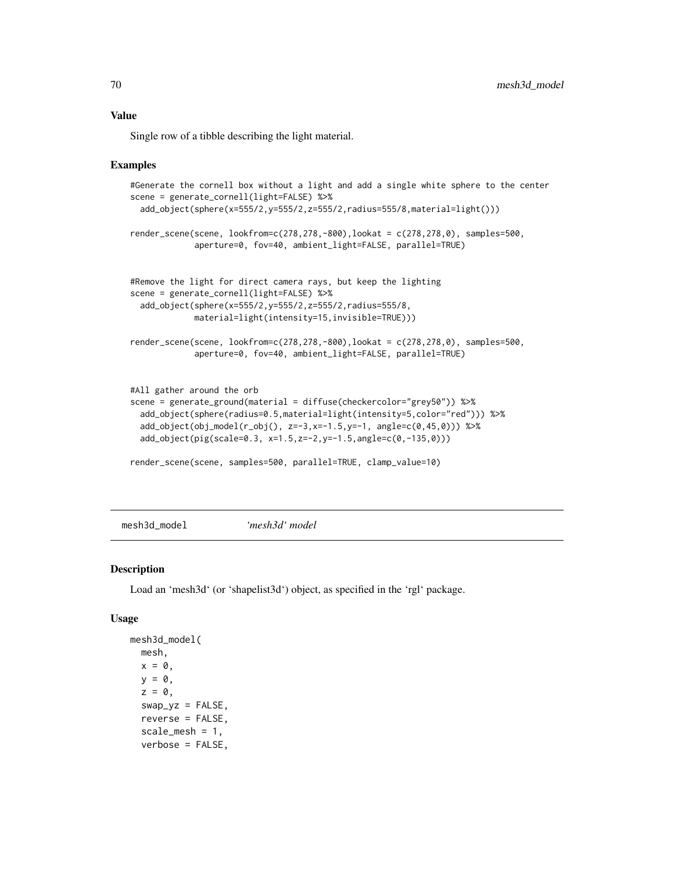Single row of a tibble describing the light material.

#### Examples

```
#Generate the cornell box without a light and add a single white sphere to the center
scene = generate_cornell(light=FALSE) %>%
 add_object(sphere(x=555/2,y=555/2,z=555/2,radius=555/8,material=light()))
render_scene(scene, lookfrom=c(278,278,-800),lookat = c(278,278,0), samples=500,
             aperture=0, fov=40, ambient_light=FALSE, parallel=TRUE)
#Remove the light for direct camera rays, but keep the lighting
scene = generate_cornell(light=FALSE) %>%
 add_object(sphere(x=555/2,y=555/2,z=555/2,radius=555/8,
             material=light(intensity=15,invisible=TRUE)))
render_scene(scene, lookfrom=c(278,278,-800),lookat = c(278,278,0), samples=500,
             aperture=0, fov=40, ambient_light=FALSE, parallel=TRUE)
#All gather around the orb
scene = generate_ground(material = diffuse(checkercolor="grey50")) %>%
 add_object(sphere(radius=0.5,material=light(intensity=5,color="red"))) %>%
 add\_object(obj\_model(r\_obj(), z=-3, x=-1.5, y=-1, angle=c(0, 45, 0))) %>%
 add_object(pig(scale=0.3, x=1.5,z=-2,y=-1.5,angle=c(0,-135,0)))
render_scene(scene, samples=500, parallel=TRUE, clamp_value=10)
```
mesh3d\_model *'mesh3d' model*

### Description

Load an 'mesh3d' (or 'shapelist3d') object, as specified in the 'rgl' package.

```
mesh3d_model(
  mesh,
 x = 0,
  y = 0,
  z = 0,
  swap_yz = FALSE,
  reverse = FALSE,
  scale_mesh = 1,
  verbose = FALSE,
```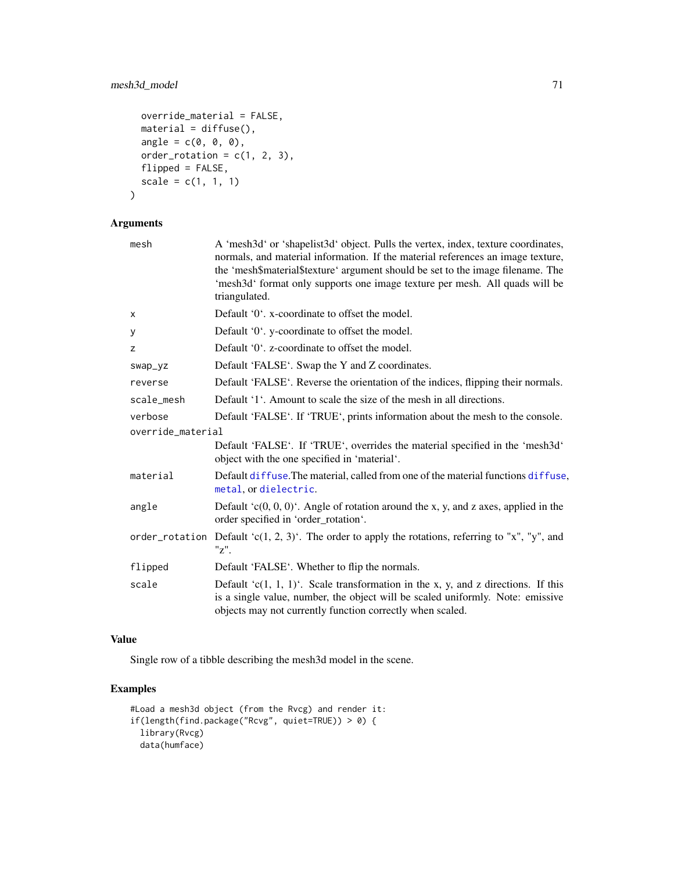# mesh3d\_model 71

```
override_material = FALSE,
 material = diffuse(),
 angle = c(\emptyset, \emptyset, \emptyset),
 order_rotation = c(1, 2, 3),
 flipped = FALSE,
  scale = c(1, 1, 1))
```

```
Arguments
```

| mesh              | A 'mesh3d' or 'shapelist3d' object. Pulls the vertex, index, texture coordinates,<br>normals, and material information. If the material references an image texture,<br>the 'mesh\$material\$texture' argument should be set to the image filename. The<br>'mesh3d' format only supports one image texture per mesh. All quads will be<br>triangulated. |
|-------------------|---------------------------------------------------------------------------------------------------------------------------------------------------------------------------------------------------------------------------------------------------------------------------------------------------------------------------------------------------------|
| x                 | Default '0'. x-coordinate to offset the model.                                                                                                                                                                                                                                                                                                          |
| у                 | Default '0'. y-coordinate to offset the model.                                                                                                                                                                                                                                                                                                          |
| z                 | Default '0', z-coordinate to offset the model.                                                                                                                                                                                                                                                                                                          |
| swap_yz           | Default 'FALSE'. Swap the Y and Z coordinates.                                                                                                                                                                                                                                                                                                          |
| reverse           | Default 'FALSE'. Reverse the orientation of the indices, flipping their normals.                                                                                                                                                                                                                                                                        |
| scale_mesh        | Default '1'. Amount to scale the size of the mesh in all directions.                                                                                                                                                                                                                                                                                    |
| verbose           | Default 'FALSE'. If 'TRUE', prints information about the mesh to the console.                                                                                                                                                                                                                                                                           |
| override_material |                                                                                                                                                                                                                                                                                                                                                         |
|                   | Default 'FALSE'. If 'TRUE', overrides the material specified in the 'mesh3d'<br>object with the one specified in 'material'.                                                                                                                                                                                                                            |
| material          | Default diffuse. The material, called from one of the material functions diffuse,<br>metal, or dielectric.                                                                                                                                                                                                                                              |
| angle             | Default ' $c(0, 0, 0)$ '. Angle of rotation around the x, y, and z axes, applied in the<br>order specified in 'order_rotation'.                                                                                                                                                                                                                         |
|                   | order_rotation Default 'c(1, 2, 3)'. The order to apply the rotations, referring to "x", "y", and<br>"z".                                                                                                                                                                                                                                               |
| flipped           | Default 'FALSE'. Whether to flip the normals.                                                                                                                                                                                                                                                                                                           |
| scale             | Default 'c(1, 1, 1)'. Scale transformation in the x, y, and z directions. If this<br>is a single value, number, the object will be scaled uniformly. Note: emissive<br>objects may not currently function correctly when scaled.                                                                                                                        |

## Value

Single row of a tibble describing the mesh3d model in the scene.

```
#Load a mesh3d object (from the Rvcg) and render it:
if(length(find.package("Rcvg", quiet=TRUE)) > 0) {
  library(Rvcg)
  data(humface)
```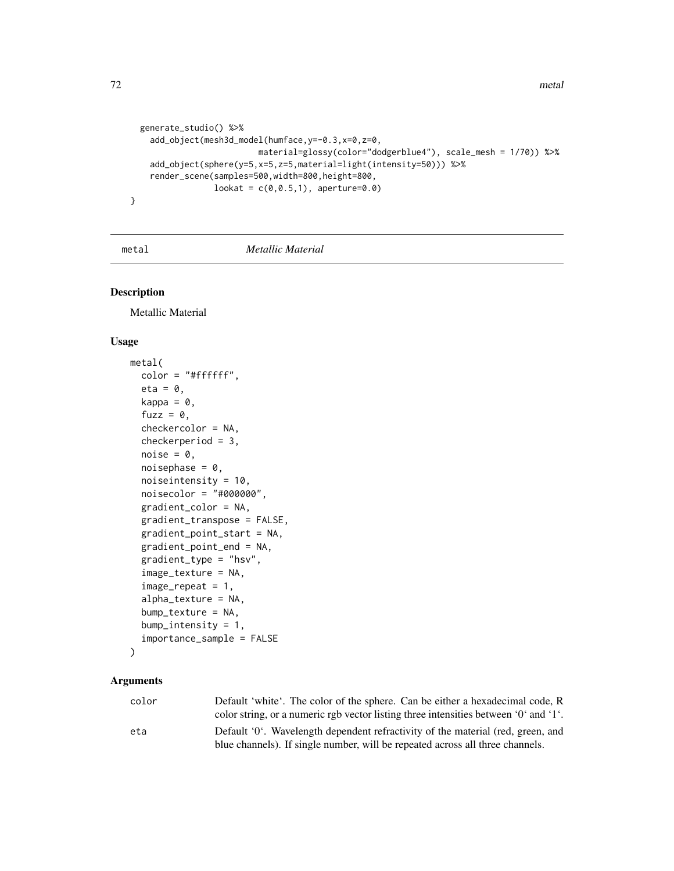```
generate_studio() %>%
    add_object(mesh3d_model(humface,y=-0.3,x=0,z=0,
                          material=glossy(color="dodgerblue4"), scale_mesh = 1/70)) %>%
    add_object(sphere(y=5,x=5,z=5,material=light(intensity=50))) %>%
    render_scene(samples=500,width=800,height=800,
                 lookat = c(0, 0.5, 1), aperture=0.0)}
```
#### <span id="page-71-0"></span>metal *Metallic Material*

## Description

Metallic Material

### Usage

```
metal(
  color = "#ffffff",
  eta = 0,
 kappa = \theta,
  fuzz = 0,
  checkercolor = NA,
  checkerperiod = 3,
  noise = \theta,
  noisephase = 0,
  noiseintensity = 10,
  noisecolor = "#000000",
  gradient_color = NA,
  gradient_transpose = FALSE,
  gradient_point_start = NA,
  gradient_point_end = NA,
  gradient_type = "hsv",
  image_texture = NA,
  image\_repeat = 1,
  alpha_texture = NA,
  bump_texture = NA,
  bump_intensity = 1,
  importance_sample = FALSE
```

```
)
```

| color | Default 'white'. The color of the sphere. Can be either a hexadecimal code, R        |
|-------|--------------------------------------------------------------------------------------|
|       | color string, or a numeric rgb vector listing three intensities between '0' and '1'. |
| eta   | Default '0'. Wavelength dependent refractivity of the material (red, green, and      |
|       | blue channels). If single number, will be repeated across all three channels.        |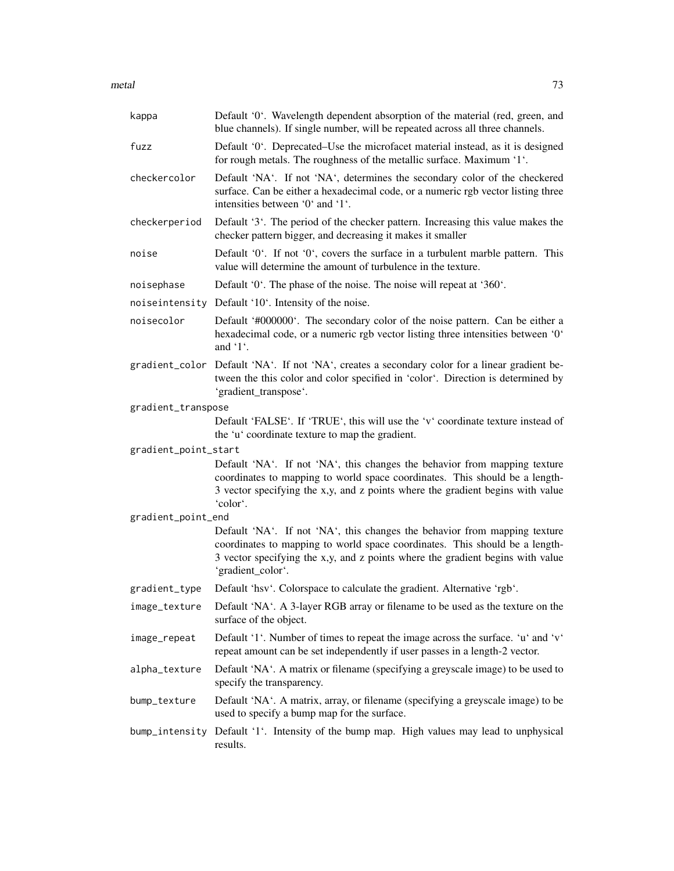metal 73

| kappa                | Default '0'. Wavelength dependent absorption of the material (red, green, and<br>blue channels). If single number, will be repeated across all three channels.                                                                                                  |
|----------------------|-----------------------------------------------------------------------------------------------------------------------------------------------------------------------------------------------------------------------------------------------------------------|
| fuzz                 | Default '0'. Deprecated–Use the microfacet material instead, as it is designed<br>for rough metals. The roughness of the metallic surface. Maximum '1'.                                                                                                         |
| checkercolor         | Default 'NA'. If not 'NA', determines the secondary color of the checkered<br>surface. Can be either a hexadecimal code, or a numeric rgb vector listing three<br>intensities between '0' and '1'.                                                              |
| checkerperiod        | Default '3'. The period of the checker pattern. Increasing this value makes the<br>checker pattern bigger, and decreasing it makes it smaller                                                                                                                   |
| noise                | Default '0'. If not '0', covers the surface in a turbulent marble pattern. This<br>value will determine the amount of turbulence in the texture.                                                                                                                |
| noisephase           | Default '0'. The phase of the noise. The noise will repeat at '360'.                                                                                                                                                                                            |
|                      | noiseintensity Default '10'. Intensity of the noise.                                                                                                                                                                                                            |
| noisecolor           | Default '#000000'. The secondary color of the noise pattern. Can be either a<br>hexadecimal code, or a numeric rgb vector listing three intensities between '0'<br>and $'1'$ .                                                                                  |
|                      | gradient_color Default 'NA'. If not 'NA', creates a secondary color for a linear gradient be-<br>tween the this color and color specified in 'color'. Direction is determined by<br>'gradient_transpose'.                                                       |
| gradient_transpose   |                                                                                                                                                                                                                                                                 |
|                      | Default 'FALSE'. If 'TRUE', this will use the 'v' coordinate texture instead of<br>the 'u' coordinate texture to map the gradient.                                                                                                                              |
| gradient_point_start |                                                                                                                                                                                                                                                                 |
|                      | Default 'NA'. If not 'NA', this changes the behavior from mapping texture<br>coordinates to mapping to world space coordinates. This should be a length-<br>3 vector specifying the x,y, and z points where the gradient begins with value<br>'color'.          |
| gradient_point_end   |                                                                                                                                                                                                                                                                 |
|                      | Default 'NA'. If not 'NA', this changes the behavior from mapping texture<br>coordinates to mapping to world space coordinates. This should be a length-<br>3 vector specifying the x,y, and z points where the gradient begins with value<br>'gradient_color'. |
| gradient_type        | Default 'hsv'. Colorspace to calculate the gradient. Alternative 'rgb'.                                                                                                                                                                                         |
| image_texture        | Default 'NA'. A 3-layer RGB array or filename to be used as the texture on the<br>surface of the object.                                                                                                                                                        |
| image_repeat         | Default '1'. Number of times to repeat the image across the surface. 'u' and 'v'<br>repeat amount can be set independently if user passes in a length-2 vector.                                                                                                 |
| alpha_texture        | Default 'NA'. A matrix or filename (specifying a greyscale image) to be used to<br>specify the transparency.                                                                                                                                                    |
| bump_texture         | Default 'NA'. A matrix, array, or filename (specifying a greyscale image) to be<br>used to specify a bump map for the surface.                                                                                                                                  |
| bump_intensity       | Default '1'. Intensity of the bump map. High values may lead to unphysical<br>results.                                                                                                                                                                          |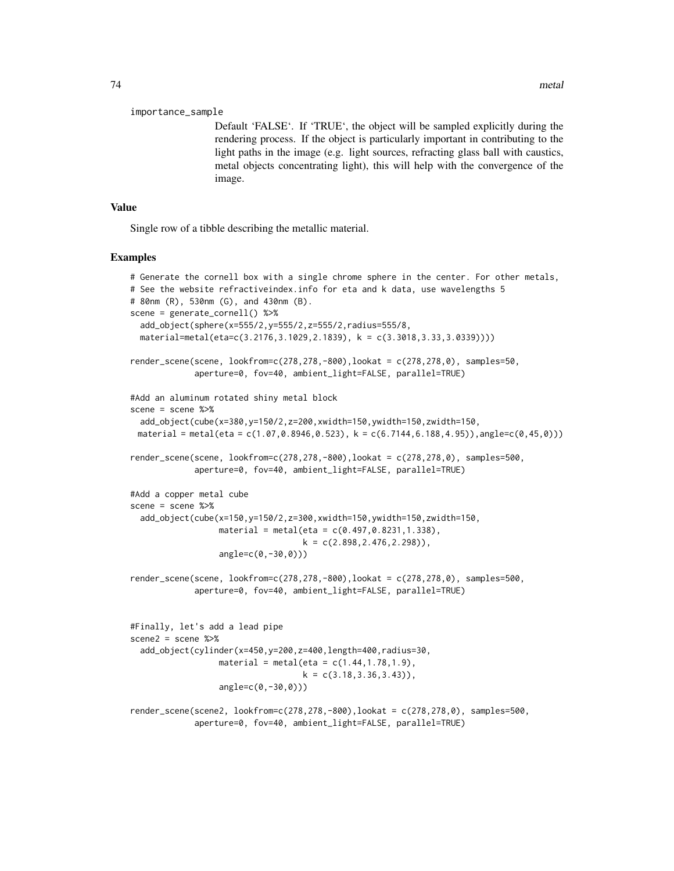#### importance\_sample

Default 'FALSE'. If 'TRUE', the object will be sampled explicitly during the rendering process. If the object is particularly important in contributing to the light paths in the image (e.g. light sources, refracting glass ball with caustics, metal objects concentrating light), this will help with the convergence of the image.

#### Value

Single row of a tibble describing the metallic material.

#### Examples

```
# Generate the cornell box with a single chrome sphere in the center. For other metals,
# See the website refractiveindex.info for eta and k data, use wavelengths 5
# 80nm (R), 530nm (G), and 430nm (B).
scene = generate_cornell() %>%
 add_object(sphere(x=555/2,y=555/2,z=555/2,radius=555/8,
 material=metal(eta=c(3.2176,3.1029,2.1839), k = c(3.3018,3.33,3.0339))))
render_scene(scene, lookfrom=c(278,278,-800),lookat = c(278,278,0), samples=50,
             aperture=0, fov=40, ambient_light=FALSE, parallel=TRUE)
#Add an aluminum rotated shiny metal block
scene = scene %>%
 add_object(cube(x=380,y=150/2,z=200,xwidth=150,ywidth=150,zwidth=150,
 material = metal(eta = c(1.07, 0.8946, 0.523), k = c(6.7144, 6.188, 4.95)), angle=c(0.45, 0)))
render_scene(scene, lookfrom=c(278,278,-800),lookat = c(278,278,0), samples=500,
             aperture=0, fov=40, ambient_light=FALSE, parallel=TRUE)
#Add a copper metal cube
scene = scene %>%
 add_object(cube(x=150,y=150/2,z=300,xwidth=150,ywidth=150,zwidth=150,
                  material = metal (eta = c(0.497, 0.8231, 1.338),
                                   k = c(2.898, 2.476, 2.298),
                  angle=c(0,-30,0)))
render_scene(scene, lookfrom=c(278,278,-800),lookat = c(278,278,0), samples=500,
             aperture=0, fov=40, ambient_light=FALSE, parallel=TRUE)
#Finally, let's add a lead pipe
scene2 = scene %>%
 add_object(cylinder(x=450,y=200,z=400,length=400,radius=30,
                  material = metal (eta = c(1.44, 1.78, 1.9),k = c(3.18, 3.36, 3.43),
                  angle=c(0,-30,0)))
render_scene(scene2, lookfrom=c(278,278,-800),lookat = c(278,278,0), samples=500,
             aperture=0, fov=40, ambient_light=FALSE, parallel=TRUE)
```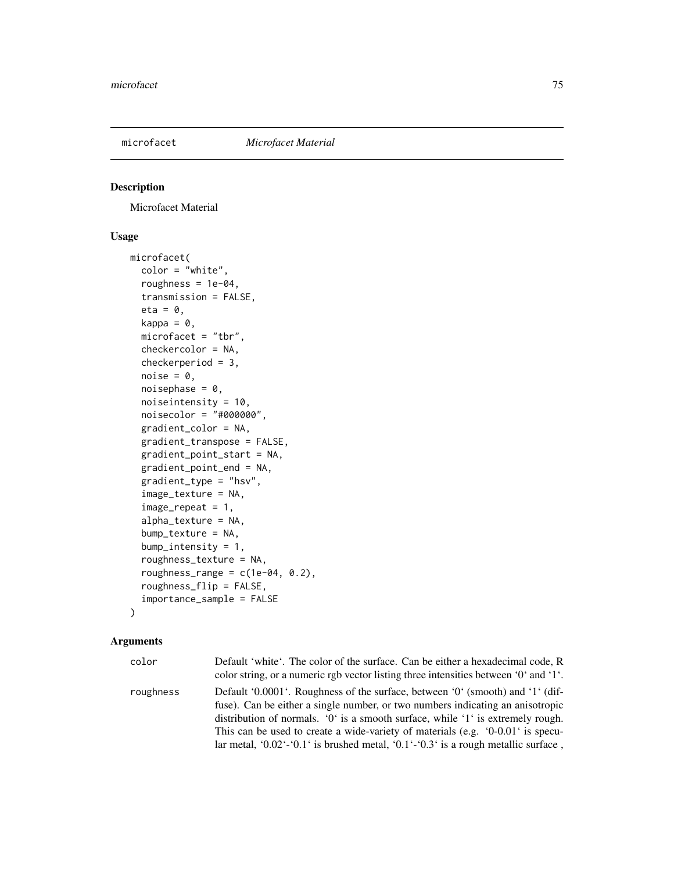# Description

Microfacet Material

# Usage

```
microfacet(
  color = "white",roughness = 1e-04,
  transmission = FALSE,
  eta = 0,
  kappa = \theta,
  microfacet = "tbr",
  checkercolor = NA,
  checkerperiod = 3,
  noise = \theta,
  noisephase = 0,
  noiseintensity = 10,
  noisecolor = "#000000",
  gradient_color = NA,
  gradient_transpose = FALSE,
  gradient_point_start = NA,
  gradient_point_end = NA,
  gradient_type = "hsv",
  image_texture = NA,
  image\_repeat = 1,
  alpha_texture = NA,
  bump_texture = NA,
  bump_intensity = 1,
  roughness_texture = NA,
  roughness_range = c(1e-04, 0.2),
  roughness_flip = FALSE,
  importance_sample = FALSE
\mathcal{L}
```

| color     | Default 'white'. The color of the surface. Can be either a hexadecimal code, R<br>color string, or a numeric rgb vector listing three intensities between $0^{\circ}$ and $1^{\circ}$ .                                                                                                                                                                                                                                        |
|-----------|--------------------------------------------------------------------------------------------------------------------------------------------------------------------------------------------------------------------------------------------------------------------------------------------------------------------------------------------------------------------------------------------------------------------------------|
| roughness | Default '0.0001'. Roughness of the surface, between '0' (smooth) and '1' (dif-<br>fuse). Can be either a single number, or two numbers indicating an anisotropic<br>distribution of normals. '0' is a smooth surface, while '1' is extremely rough.<br>This can be used to create a wide-variety of materials (e.g. $(0-0.01)$ is specu-<br>lar metal, '0.02'-'0.1' is brushed metal, '0.1'-'0.3' is a rough metallic surface, |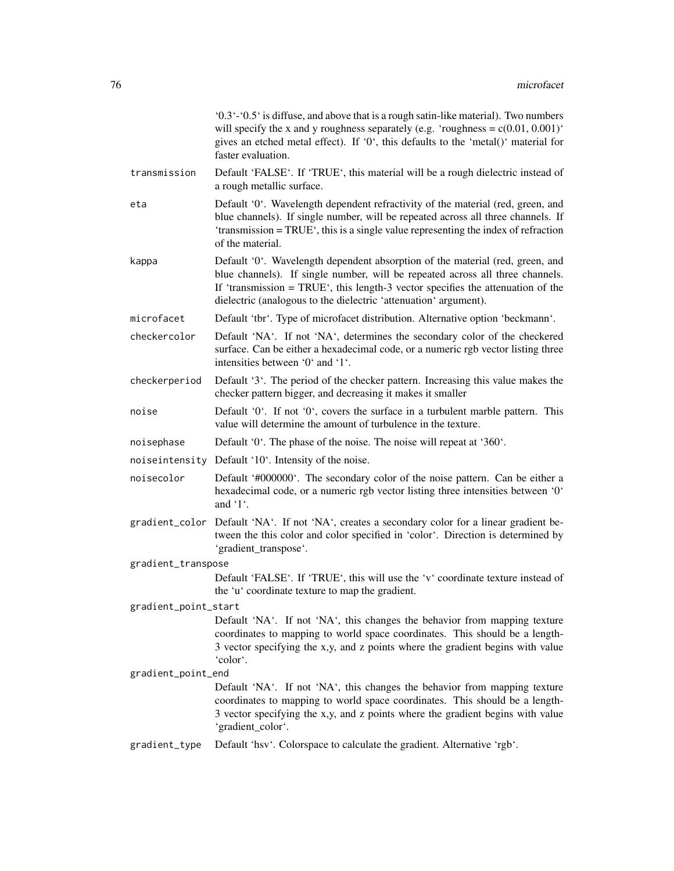|                      | $0.3 - 0.5$ is diffuse, and above that is a rough satin-like material). Two numbers<br>will specify the x and y roughness separately (e.g. 'roughness = $c(0.01, 0.001)$ '<br>gives an etched metal effect). If '0', this defaults to the 'metal()' material for<br>faster evaluation.                                   |
|----------------------|--------------------------------------------------------------------------------------------------------------------------------------------------------------------------------------------------------------------------------------------------------------------------------------------------------------------------|
| transmission         | Default 'FALSE'. If 'TRUE', this material will be a rough dielectric instead of<br>a rough metallic surface.                                                                                                                                                                                                             |
| eta                  | Default '0'. Wavelength dependent refractivity of the material (red, green, and<br>blue channels). If single number, will be repeated across all three channels. If<br>'transmission = TRUE', this is a single value representing the index of refraction<br>of the material.                                            |
| kappa                | Default '0'. Wavelength dependent absorption of the material (red, green, and<br>blue channels). If single number, will be repeated across all three channels.<br>If 'transmission = $TRUE$ ', this length-3 vector specifies the attenuation of the<br>dielectric (analogous to the dielectric 'attenuation' argument). |
| microfacet           | Default 'tbr'. Type of microfacet distribution. Alternative option 'beckmann'.                                                                                                                                                                                                                                           |
| checkercolor         | Default 'NA'. If not 'NA', determines the secondary color of the checkered<br>surface. Can be either a hexadecimal code, or a numeric rgb vector listing three<br>intensities between '0' and '1'.                                                                                                                       |
| checkerperiod        | Default '3'. The period of the checker pattern. Increasing this value makes the<br>checker pattern bigger, and decreasing it makes it smaller                                                                                                                                                                            |
| noise                | Default '0'. If not '0', covers the surface in a turbulent marble pattern. This<br>value will determine the amount of turbulence in the texture.                                                                                                                                                                         |
| noisephase           | Default '0'. The phase of the noise. The noise will repeat at '360'.                                                                                                                                                                                                                                                     |
|                      | noiseintensity Default '10'. Intensity of the noise.                                                                                                                                                                                                                                                                     |
| noisecolor           | Default '#000000'. The secondary color of the noise pattern. Can be either a<br>hexadecimal code, or a numeric rgb vector listing three intensities between '0'<br>and $\lq$ 1.                                                                                                                                          |
|                      | gradient_color Default 'NA'. If not 'NA', creates a secondary color for a linear gradient be-<br>tween the this color and color specified in 'color'. Direction is determined by<br>'gradient_transpose'.                                                                                                                |
| gradient_transpose   |                                                                                                                                                                                                                                                                                                                          |
|                      | Default 'FALSE'. If 'TRUE', this will use the 'v' coordinate texture instead of<br>the 'u' coordinate texture to map the gradient.                                                                                                                                                                                       |
| gradient_point_start |                                                                                                                                                                                                                                                                                                                          |
|                      | Default 'NA'. If not 'NA', this changes the behavior from mapping texture<br>coordinates to mapping to world space coordinates. This should be a length-<br>3 vector specifying the x,y, and z points where the gradient begins with value<br>'color'.                                                                   |
| gradient_point_end   |                                                                                                                                                                                                                                                                                                                          |
|                      | Default 'NA'. If not 'NA', this changes the behavior from mapping texture<br>coordinates to mapping to world space coordinates. This should be a length-<br>3 vector specifying the x,y, and z points where the gradient begins with value<br>'gradient_color'.                                                          |
| gradient_type        | Default 'hsv'. Colorspace to calculate the gradient. Alternative 'rgb'.                                                                                                                                                                                                                                                  |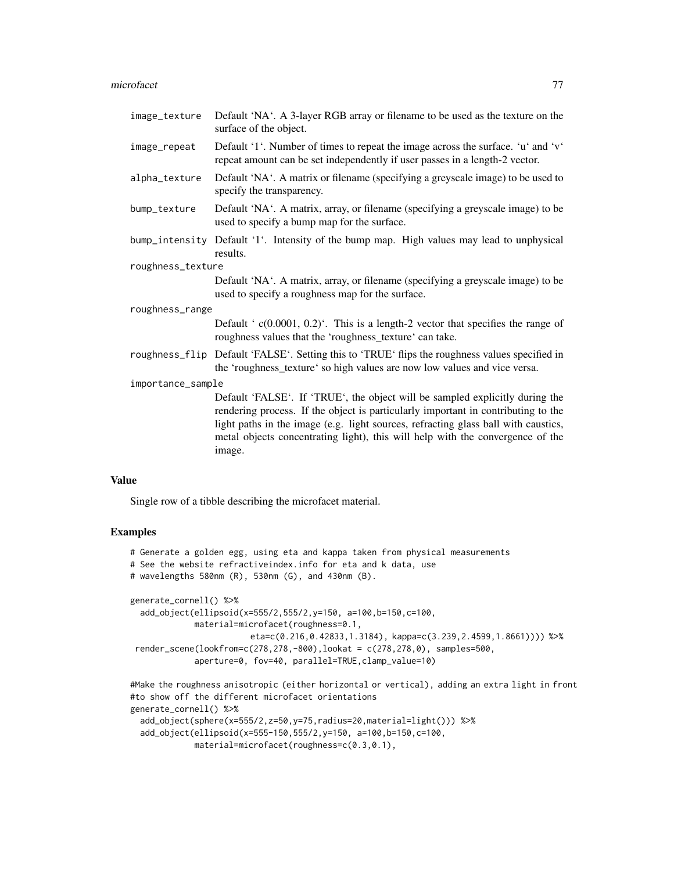#### microfacet 77

| image_texture     | Default 'NA'. A 3-layer RGB array or filename to be used as the texture on the<br>surface of the object.                                                                                                                                                                                                                                            |  |
|-------------------|-----------------------------------------------------------------------------------------------------------------------------------------------------------------------------------------------------------------------------------------------------------------------------------------------------------------------------------------------------|--|
| image_repeat      | Default '1'. Number of times to repeat the image across the surface. 'u' and 'v'<br>repeat amount can be set independently if user passes in a length-2 vector.                                                                                                                                                                                     |  |
| alpha_texture     | Default 'NA'. A matrix or filename (specifying a greyscale image) to be used to<br>specify the transparency.                                                                                                                                                                                                                                        |  |
| bump_texture      | Default 'NA'. A matrix, array, or filename (specifying a greyscale image) to be<br>used to specify a bump map for the surface.                                                                                                                                                                                                                      |  |
| bump_intensity    | Default '1'. Intensity of the bump map. High values may lead to unphysical<br>results.                                                                                                                                                                                                                                                              |  |
| roughness_texture |                                                                                                                                                                                                                                                                                                                                                     |  |
|                   | Default 'NA'. A matrix, array, or filename (specifying a greyscale image) to be<br>used to specify a roughness map for the surface.                                                                                                                                                                                                                 |  |
| roughness_range   |                                                                                                                                                                                                                                                                                                                                                     |  |
|                   | Default ' $c(0.0001, 0.2)$ '. This is a length-2 vector that specifies the range of<br>roughness values that the 'roughness_texture' can take.                                                                                                                                                                                                      |  |
|                   | roughness_flip Default 'FALSE'. Setting this to 'TRUE' flips the roughness values specified in<br>the 'roughness_texture' so high values are now low values and vice versa.                                                                                                                                                                         |  |
| importance_sample |                                                                                                                                                                                                                                                                                                                                                     |  |
|                   | Default 'FALSE'. If 'TRUE', the object will be sampled explicitly during the<br>rendering process. If the object is particularly important in contributing to the<br>light paths in the image (e.g. light sources, refracting glass ball with caustics,<br>metal objects concentrating light), this will help with the convergence of the<br>image. |  |

#### Value

Single row of a tibble describing the microfacet material.

# Examples

```
# Generate a golden egg, using eta and kappa taken from physical measurements
# See the website refractiveindex.info for eta and k data, use
# wavelengths 580nm (R), 530nm (G), and 430nm (B).
generate_cornell() %>%
 add_object(ellipsoid(x=555/2,555/2,y=150, a=100,b=150,c=100,
            material=microfacet(roughness=0.1,
                        eta=c(0.216,0.42833,1.3184), kappa=c(3.239,2.4599,1.8661)))) %>%
render_scene(lookfrom=c(278,278,-800),lookat = c(278,278,0), samples=500,
             aperture=0, fov=40, parallel=TRUE,clamp_value=10)
#Make the roughness anisotropic (either horizontal or vertical), adding an extra light in front
#to show off the different microfacet orientations
```

```
generate_cornell() %>%
 add_object(sphere(x=555/2,z=50,y=75,radius=20,material=light())) %>%
 add_object(ellipsoid(x=555-150,555/2,y=150, a=100,b=150,c=100,
            material=microfacet(roughness=c(0.3,0.1),
```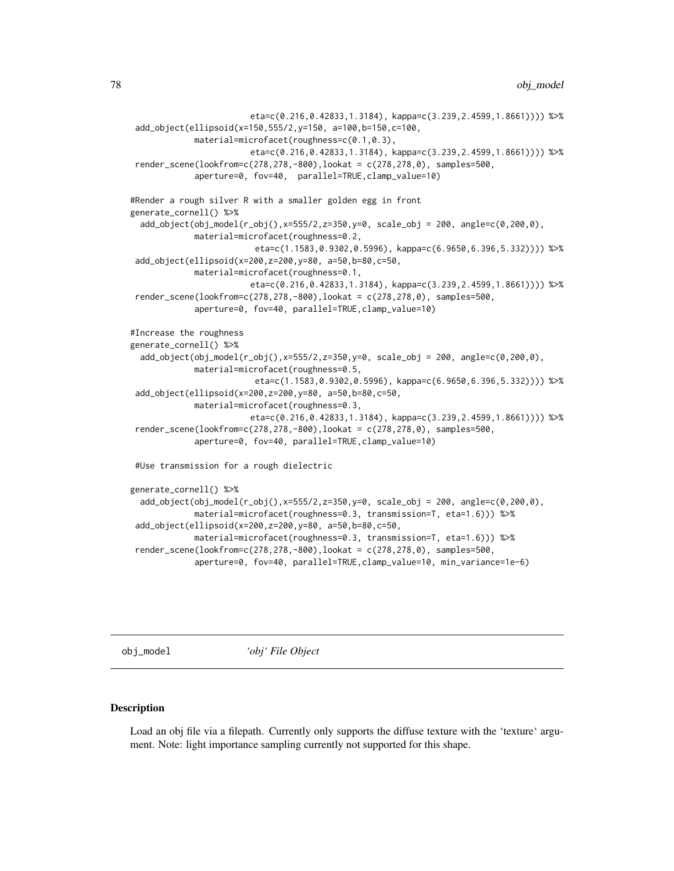```
eta=c(0.216,0.42833,1.3184), kappa=c(3.239,2.4599,1.8661)))) %>%
add_object(ellipsoid(x=150,555/2,y=150, a=100,b=150,c=100,
            material=microfacet(roughness=c(0.1,0.3),
                        eta=c(0.216,0.42833,1.3184), kappa=c(3.239,2.4599,1.8661)))) %>%
render_scene(lookfrom=c(278,278,-800),lookat = c(278,278,0), samples=500,
            aperture=0, fov=40, parallel=TRUE,clamp_value=10)
#Render a rough silver R with a smaller golden egg in front
generate_cornell() %>%
 add_object(obj_model(r_obj(),x=555/2,z=350,y=0, scale_obj = 200, angle=c(0,200,0),
            material=microfacet(roughness=0.2,
                         eta=c(1.1583,0.9302,0.5996), kappa=c(6.9650,6.396,5.332)))) %>%
add_object(ellipsoid(x=200,z=200,y=80, a=50,b=80,c=50,
            material=microfacet(roughness=0.1,
                        eta=c(0.216,0.42833,1.3184), kappa=c(3.239,2.4599,1.8661)))) %>%
render_scene(lookfrom=c(278,278,-800),lookat = c(278,278,0), samples=500,
            aperture=0, fov=40, parallel=TRUE,clamp_value=10)
#Increase the roughness
generate_cornell() %>%
 add_object(obj_model(r_obj(),x=555/2,z=350,y=0, scale_obj = 200, angle=c(0,200,0),
            material=microfacet(roughness=0.5,
                         eta=c(1.1583,0.9302,0.5996), kappa=c(6.9650,6.396,5.332)))) %>%
add_object(ellipsoid(x=200,z=200,y=80, a=50,b=80,c=50,
            material=microfacet(roughness=0.3,
                        eta=c(0.216,0.42833,1.3184), kappa=c(3.239,2.4599,1.8661)))) %>%
render_scene(lookfrom=c(278,278,-800),lookat = c(278,278,0), samples=500,
            aperture=0, fov=40, parallel=TRUE,clamp_value=10)
#Use transmission for a rough dielectric
generate_cornell() %>%
 add_object(obj_model(r_obj(),x=555/2,z=350,y=0, scale_obj = 200, angle=c(0,200,0),
            material=microfacet(roughness=0.3, transmission=T, eta=1.6))) %>%
add_object(ellipsoid(x=200,z=200,y=80, a=50,b=80,c=50,
            material=microfacet(roughness=0.3, transmission=T, eta=1.6))) %>%
render_scene(lookfrom=c(278,278,-800),lookat = c(278,278,0), samples=500,
```

```
aperture=0, fov=40, parallel=TRUE,clamp_value=10, min_variance=1e-6)
```
obj\_model *'obj' File Object*

#### Description

Load an obj file via a filepath. Currently only supports the diffuse texture with the 'texture' argument. Note: light importance sampling currently not supported for this shape.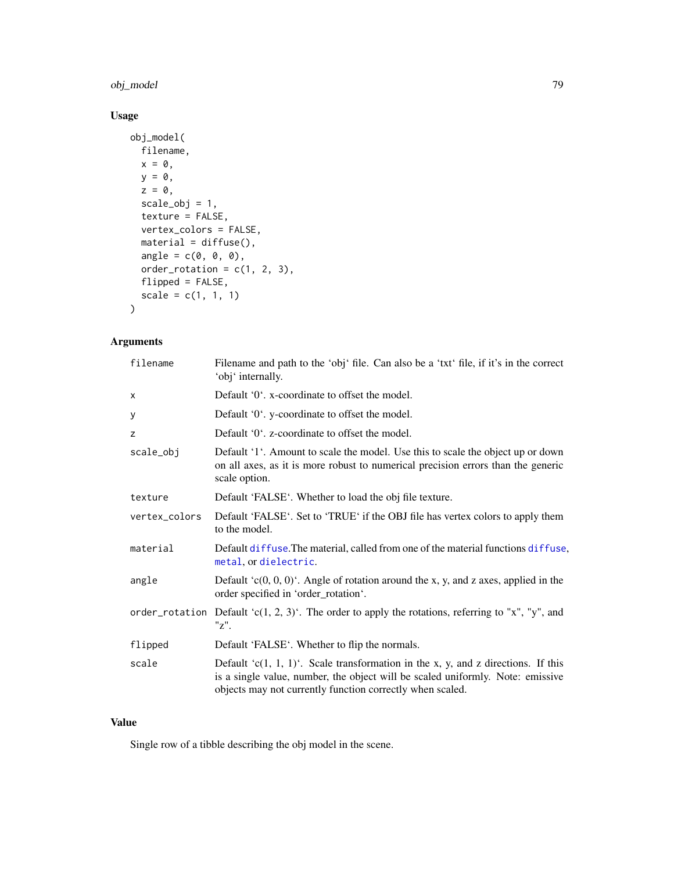# obj\_model 79

# Usage

```
obj_model(
  filename,
  x = 0,
  y = 0,
  z = 0,
  scale_obj = 1,
  texture = FALSE,
  vertex_colors = FALSE,
  material = diffuse(),angle = c(\emptyset, \emptyset, \emptyset),
  order_rotation = c(1, 2, 3),
  flipped = FALSE,
  scale = c(1, 1, 1))
```
# Arguments

| filename      | Filename and path to the 'obj' file. Can also be a 'txt' file, if it's in the correct<br>'obj' internally.                                                                                                                           |
|---------------|--------------------------------------------------------------------------------------------------------------------------------------------------------------------------------------------------------------------------------------|
| X             | Default '0'. x-coordinate to offset the model.                                                                                                                                                                                       |
| у             | Default '0'. y-coordinate to offset the model.                                                                                                                                                                                       |
| z             | Default '0'. z-coordinate to offset the model.                                                                                                                                                                                       |
| scale_obj     | Default '1'. Amount to scale the model. Use this to scale the object up or down<br>on all axes, as it is more robust to numerical precision errors than the generic<br>scale option.                                                 |
| texture       | Default 'FALSE'. Whether to load the obj file texture.                                                                                                                                                                               |
| vertex_colors | Default 'FALSE'. Set to 'TRUE' if the OBJ file has vertex colors to apply them<br>to the model.                                                                                                                                      |
| material      | Default diffuse. The material, called from one of the material functions diffuse,<br>metal, or dielectric.                                                                                                                           |
| angle         | Default $(c(0, 0, 0)^t$ . Angle of rotation around the x, y, and z axes, applied in the<br>order specified in 'order_rotation'.                                                                                                      |
|               | order_rotation Default 'c(1, 2, 3)'. The order to apply the rotations, referring to "x", "y", and<br>"Z".                                                                                                                            |
| flipped       | Default 'FALSE'. Whether to flip the normals.                                                                                                                                                                                        |
| scale         | Default ' $c(1, 1, 1)$ '. Scale transformation in the x, y, and z directions. If this<br>is a single value, number, the object will be scaled uniformly. Note: emissive<br>objects may not currently function correctly when scaled. |

# Value

Single row of a tibble describing the obj model in the scene.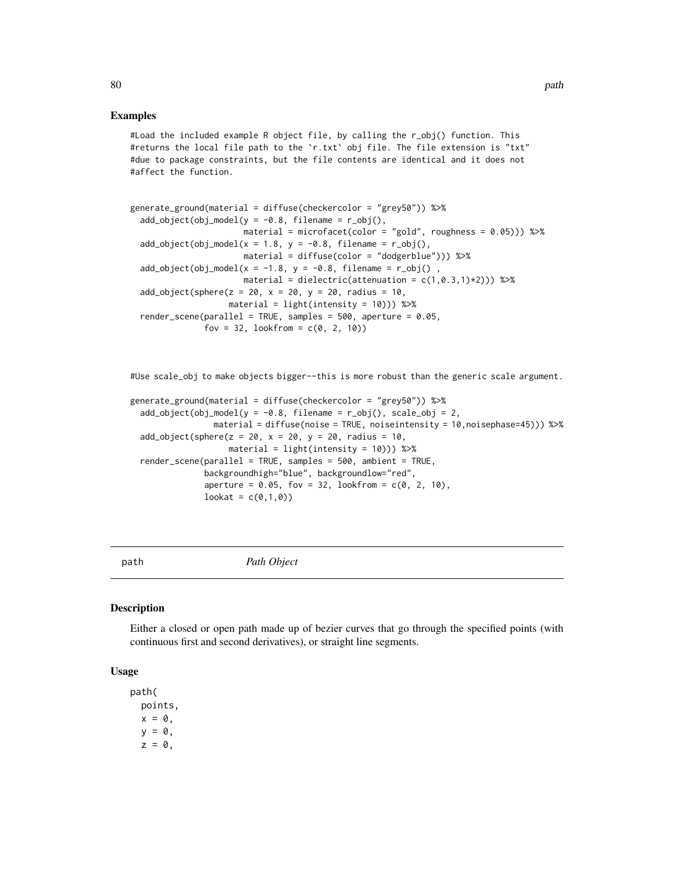#### Examples

#Load the included example R object file, by calling the r\_obj() function. This #returns the local file path to the `r.txt` obj file. The file extension is "txt" #due to package constraints, but the file contents are identical and it does not #affect the function.

```
generate_ground(material = diffuse(checkercolor = "grey50")) %>%
 add\_object(obj\_model(y = -0.8, filename = r\_obj(),material = microfacet(color = "gold", roughness = 0.05)) %>%
 add\_object(obj\_model(x = 1.8, y = -0.8, filename = r\_obj(),material = diffuse(color = "dodgerblue"))) %>%
 add\_object(obj\_model(x = -1.8, y = -0.8, filename = r\_obj(),
                      material = dielectric(attenuation = c(1, 0.3, 1)*2)) %>%
 add\_object(sphere(z = 20, x = 20, y = 20, radius = 10,material = light(intensity = 10)) %>%
 render_scene(parallel = TRUE, samples = 500, aperture = 0.05,
              fov = 32, lookfrom = c(0, 2, 10)
```
#Use scale\_obj to make objects bigger--this is more robust than the generic scale argument.

```
generate_ground(material = diffuse(checkercolor = "grey50")) %>%
 add\_object(obj\_model(y = -0.8, filename = r\_obj(), scale\_obj = 2,material = diffuse(noise = TRUE, noiseintensity = 10,noisephase=45))) %>%
 add_object(sphere(z = 20, x = 20, y = 20, radius = 10,
                   material = light(intensity = 10)) %>%
 render_scene(parallel = TRUE, samples = 500, ambient = TRUE,
              backgroundhigh="blue", backgroundlow="red",
               aperture = 0.05, fov = 32, lookfrom = c(0, 2, 10),
              lookat = c(0,1,0)
```
path *Path Object*

#### Description

Either a closed or open path made up of bezier curves that go through the specified points (with continuous first and second derivatives), or straight line segments.

#### Usage

path( points,  $x = 0$ ,  $y = 0$ ,  $z = 0$ ,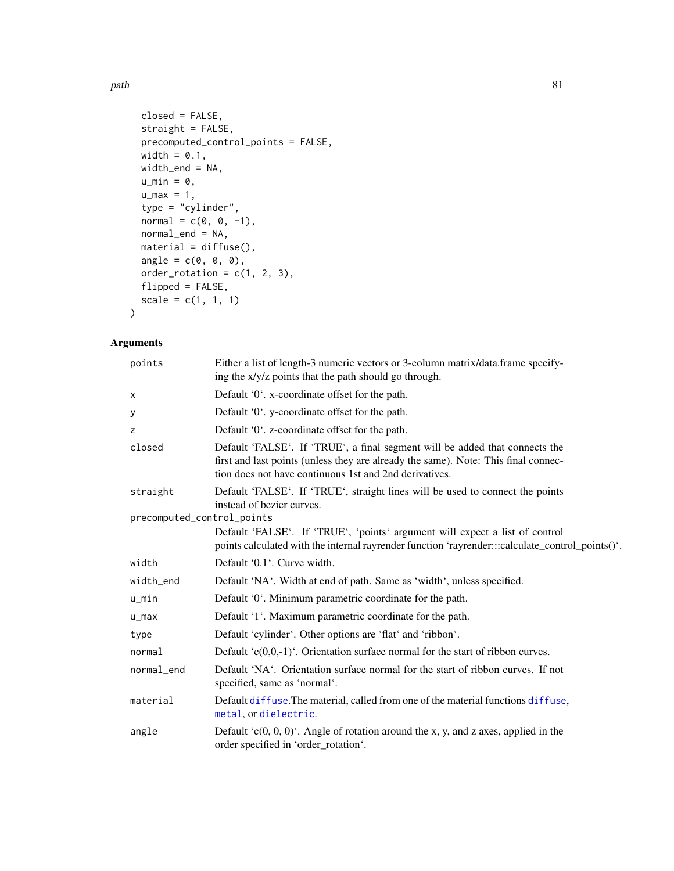path 81

```
closed = FALSE,
 straight = FALSE,
 precomputed_control_points = FALSE,
 width = 0.1,
 width_end = NA,
 u_{min} = 0,
 u_{max} = 1,
  type = "cylinder",
 normal = c(0, 0, -1),normal_end = NA,
 material = diffuse(),
 angle = c(\emptyset, \emptyset, \emptyset),
 order\_rotation = c(1, 2, 3),flipped = FALSE,
 scale = c(1, 1, 1))
```

| points                     | Either a list of length-3 numeric vectors or 3-column matrix/data.frame specify-<br>ing the x/y/z points that the path should go through.                                                                                   |
|----------------------------|-----------------------------------------------------------------------------------------------------------------------------------------------------------------------------------------------------------------------------|
| X                          | Default '0'. x-coordinate offset for the path.                                                                                                                                                                              |
| у                          | Default '0'. y-coordinate offset for the path.                                                                                                                                                                              |
| Z                          | Default '0'. z-coordinate offset for the path.                                                                                                                                                                              |
| closed                     | Default 'FALSE'. If 'TRUE', a final segment will be added that connects the<br>first and last points (unless they are already the same). Note: This final connec-<br>tion does not have continuous 1st and 2nd derivatives. |
| straight                   | Default 'FALSE'. If 'TRUE', straight lines will be used to connect the points<br>instead of bezier curves.                                                                                                                  |
| precomputed_control_points |                                                                                                                                                                                                                             |
|                            | Default 'FALSE'. If 'TRUE', 'points' argument will expect a list of control<br>points calculated with the internal rayrender function 'rayrender:::calculate_control_points()'.                                             |
| width                      | Default '0.1'. Curve width.                                                                                                                                                                                                 |
| width_end                  | Default 'NA'. Width at end of path. Same as 'width', unless specified.                                                                                                                                                      |
| $u$ _min                   | Default '0'. Minimum parametric coordinate for the path.                                                                                                                                                                    |
| $u_{max}$                  | Default '1'. Maximum parametric coordinate for the path.                                                                                                                                                                    |
| type                       | Default 'cylinder'. Other options are 'flat' and 'ribbon'.                                                                                                                                                                  |
| normal                     | Default ' $c(0,0,-1)$ '. Orientation surface normal for the start of ribbon curves.                                                                                                                                         |
| normal end                 | Default 'NA'. Orientation surface normal for the start of ribbon curves. If not<br>specified, same as 'normal'.                                                                                                             |
| material                   | Default diffuse. The material, called from one of the material functions diffuse,<br>metal, or dielectric.                                                                                                                  |
| angle                      | Default $(c(0, 0, 0)^t$ . Angle of rotation around the x, y, and z axes, applied in the<br>order specified in 'order_rotation'.                                                                                             |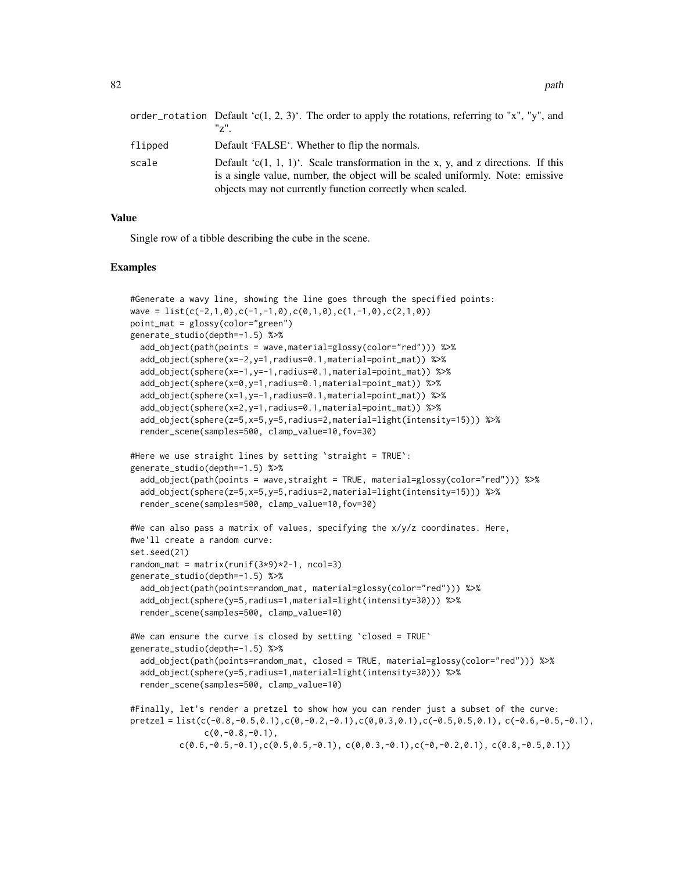|         | order_rotation Default 'c(1, 2, 3)'. The order to apply the rotations, referring to "x", "y", and<br>$"z"$ .                                                                                                                     |
|---------|----------------------------------------------------------------------------------------------------------------------------------------------------------------------------------------------------------------------------------|
| flipped | Default 'FALSE'. Whether to flip the normals.                                                                                                                                                                                    |
| scale   | Default 'c(1, 1, 1)'. Scale transformation in the x, y, and z directions. If this<br>is a single value, number, the object will be scaled uniformly. Note: emissive<br>objects may not currently function correctly when scaled. |

### Value

Single row of a tibble describing the cube in the scene.

#### Examples

```
#Generate a wavy line, showing the line goes through the specified points:
wave = list(c(-2,1,0),c(-1,-1,0),c(0,1,0),c(1,-1,0),c(2,1,0))point_mat = glossy(color="green")
generate_studio(depth=-1.5) %>%
 add_object(path(points = wave,material=glossy(color="red"))) %>%
 add_object(sphere(x=-2,y=1,radius=0.1,material=point_mat)) %>%
 add_object(sphere(x=-1,y=-1,radius=0.1,material=point_mat)) %>%
 add_object(sphere(x=0,y=1,radius=0.1,material=point_mat)) %>%
 add_object(sphere(x=1,y=-1,radius=0.1,material=point_mat)) %>%
 add_object(sphere(x=2,y=1,radius=0.1,material=point_mat)) %>%
 add_object(sphere(z=5,x=5,y=5,radius=2,material=light(intensity=15))) %>%
 render_scene(samples=500, clamp_value=10,fov=30)
#Here we use straight lines by setting `straight = TRUE`:
generate_studio(depth=-1.5) %>%
 add_object(path(points = wave,straight = TRUE, material=glossy(color="red"))) %>%
 add_object(sphere(z=5,x=5,y=5,radius=2,material=light(intensity=15))) %>%
 render_scene(samples=500, clamp_value=10,fov=30)
#We can also pass a matrix of values, specifying the x/y/z coordinates. Here,
#we'll create a random curve:
set.seed(21)
random_mat = matrix(runif(3*9)*2-1, ncol=3)
generate_studio(depth=-1.5) %>%
 add_object(path(points=random_mat, material=glossy(color="red"))) %>%
 add_object(sphere(y=5,radius=1,material=light(intensity=30))) %>%
 render_scene(samples=500, clamp_value=10)
#We can ensure the curve is closed by setting `closed = TRUE`
generate_studio(depth=-1.5) %>%
 add_object(path(points=random_mat, closed = TRUE, material=glossy(color="red"))) %>%
 add_object(sphere(y=5,radius=1,material=light(intensity=30))) %>%
  render_scene(samples=500, clamp_value=10)
#Finally, let's render a pretzel to show how you can render just a subset of the curve:
pretzel = list(c(-0.8,-0.5,0.1),c(0,-0.2,-0.1),c(0,0.3,0.1),c(-0.5,0.5,0.1),c(-0.6,-0.5,-0.1),
               c(0,-0.8,-0.1),
          c(0.6,-0.5,-0.1), c(0.5,0.5,-0.1), c(0,0.3,-0.1), c(-0,-0.2,0.1), c(0.8,-0.5,0.1))
```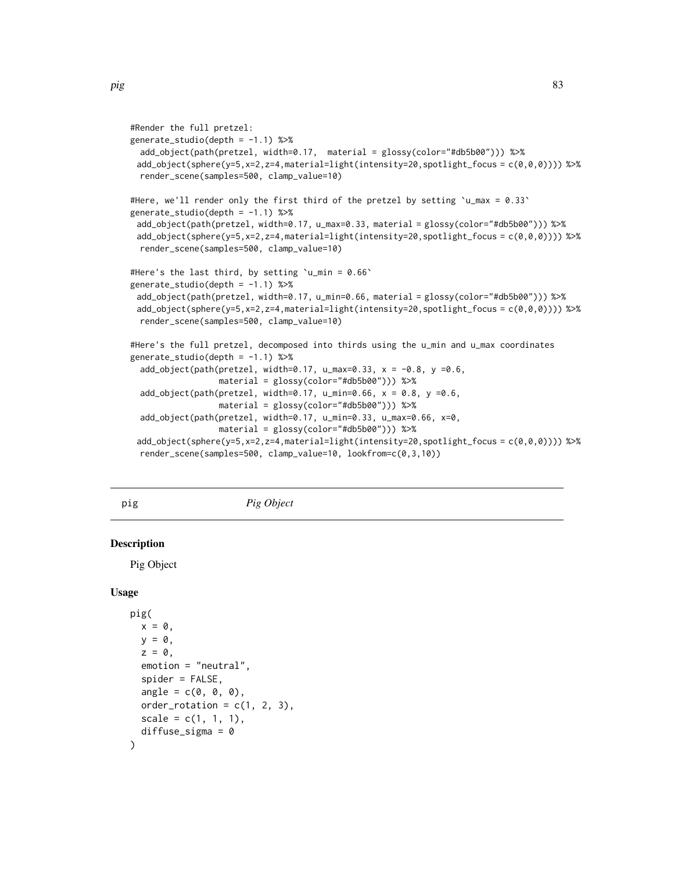```
#Render the full pretzel:
generate_studio(depth = -1.1) %>%
 add_object(path(pretzel, width=0.17, material = glossy(color="#db5b00"))) %>%
 add\_object(sphere(y=5,x=2,z=4,material=light(intensity=20,spotlight_focus = c(0,0,0)))) %>%
 render_scene(samples=500, clamp_value=10)
#Here, we'll render only the first third of the pretzel by setting \mu_{max} = 0.33generate_studio(depth = -1.1) %>%
 add_object(path(pretzel, width=0.17, u_max=0.33, material = glossy(color="#db5b00"))) %>%
 add_object(sphere(y=5,x=2,z=4,material=light(intensity=20,spotlight_focus = c(\theta, \theta, \theta)))) %>%
 render_scene(samples=500, clamp_value=10)
#Here's the last third, by setting 'u_min = 0.66'
generate_studio(depth = -1.1) %>%
 add_object(path(pretzel, width=0.17, u_min=0.66, material = glossy(color="#db5b00"))) %>%
 add_object(sphere(y=5,x=2,z=4,material=light(intensity=20,spotlight_focus = c(0,0,0)))) %>%
 render_scene(samples=500, clamp_value=10)
#Here's the full pretzel, decomposed into thirds using the u_min and u_max coordinates
generate_studio(depth = -1.1) %>%
 add\_object(path(pretzel, width=0.17, u_max=0.33, x = -0.8, y = 0.6,material = glossy(color="#db5b00"))) %>%
 add\_object(path(pretzel, width=0.17, u\_min=0.66, x = 0.8, y = 0.6,material = glossy(color="#db5b00"))) %>%
 add_object(path(pretzel, width=0.17, u_min=0.33, u_max=0.66, x=0,
                  material = glossy(color="#db5b00"))) %>%
 add_object(sphere(y=5,x=2,z=4,material=light(intensity=20,spotlight_focus = c(0,0,0)))) %>%
 render_scene(samples=500, clamp_value=10, lookfrom=c(0,3,10))
```
# pig *Pig Object*

## Description

Pig Object

#### Usage

```
pig(
  x = 0,
  y = 0,
  z = 0,
  emotion = "neutral",
  spider = FALSE,
  angle = c(0, 0, 0),
  order_rotation = c(1, 2, 3),
  scale = c(1, 1, 1),diffuse_sigma = 0)
```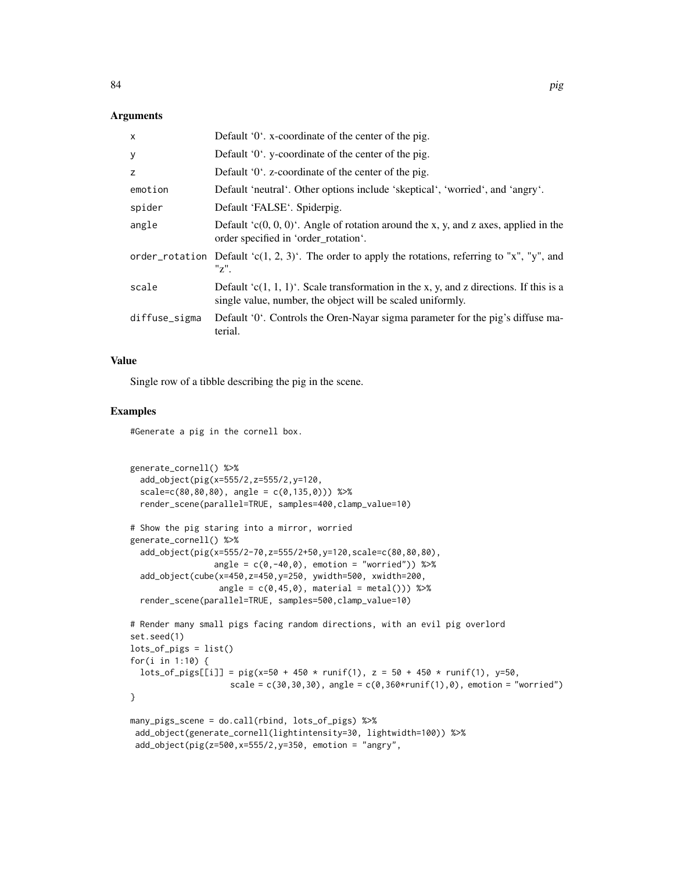## **Arguments**

| X             | Default '0'. x-coordinate of the center of the pig.                                                                                                  |
|---------------|------------------------------------------------------------------------------------------------------------------------------------------------------|
| У             | Default '0'. y-coordinate of the center of the pig.                                                                                                  |
| z             | Default '0'. z-coordinate of the center of the pig.                                                                                                  |
| emotion       | Default 'neutral'. Other options include 'skeptical', 'worried', and 'angry'.                                                                        |
| spider        | Default 'FALSE'. Spiderpig.                                                                                                                          |
| angle         | Default $(c(0, 0, 0)^t$ . Angle of rotation around the x, y, and z axes, applied in the<br>order specified in 'order rotation'.                      |
|               | order_rotation Default 'c(1, 2, 3)'. The order to apply the rotations, referring to "x", "y", and<br>"z".                                            |
| scale         | Default 'c(1, 1, 1)'. Scale transformation in the x, y, and z directions. If this is a<br>single value, number, the object will be scaled uniformly. |
| diffuse_sigma | Default '0'. Controls the Oren-Nayar sigma parameter for the pig's diffuse ma-<br>terial.                                                            |

# Value

Single row of a tibble describing the pig in the scene.

#### Examples

#Generate a pig in the cornell box.

```
generate_cornell() %>%
  add_object(pig(x=555/2,z=555/2,y=120,
  scale=c(80,80,80), angle = c(0,135,0))) %>%
  render_scene(parallel=TRUE, samples=400,clamp_value=10)
# Show the pig staring into a mirror, worried
generate_cornell() %>%
  add_object(pig(x=555/2-70,z=555/2+50,y=120,scale=c(80,80,80),
                 angle = c(0, -40, 0), emotion = "worried")) %>%
  add_object(cube(x=450,z=450,y=250, ywidth=500, xwidth=200,
                  angle = c(0, 45, 0), material = metal())) %>%
  render_scene(parallel=TRUE, samples=500,clamp_value=10)
# Render many small pigs facing random directions, with an evil pig overlord
set.seed(1)
lots_of_pigs = list()
for(i in 1:10) {
  \text{lots\_of\_pigs[[i]] = pig(x=50 + 450 * runif(1), z = 50 + 450 * runif(1), y=50,scale = c(30, 30, 30), angle = c(0, 360*runif(1), 0), emotion = "worried")
}
many_pigs_scene = do.call(rbind, lots_of_pigs) %>%
 add_object(generate_cornell(lightintensity=30, lightwidth=100)) %>%
```

```
add_object(pig(z=500,x=555/2,y=350, emotion = "angry",
```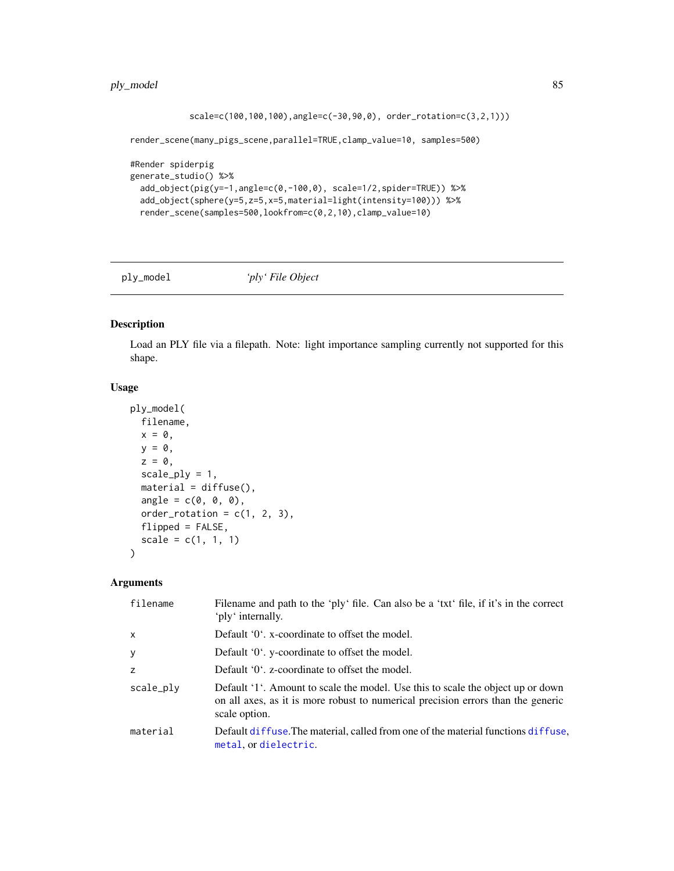```
scale=c(100,100,100),angle=c(-30,90,0), order_rotation=c(3,2,1)))
render_scene(many_pigs_scene,parallel=TRUE,clamp_value=10, samples=500)
#Render spiderpig
generate_studio() %>%
 add_object(pig(y=-1,angle=c(0,-100,0), scale=1/2,spider=TRUE)) %>%
 add_object(sphere(y=5,z=5,x=5,material=light(intensity=100))) %>%
 render_scene(samples=500,lookfrom=c(0,2,10),clamp_value=10)
```
ply\_model *'ply' File Object*

#### Description

Load an PLY file via a filepath. Note: light importance sampling currently not supported for this shape.

# Usage

```
ply_model(
 filename,
 x = 0,
 y = 0,
 z = 0,
 scale_ply = 1,
 material = diffuse(),angle = c(0, 0, 0),order_rotation = c(1, 2, 3),
 flipped = FALSE,
 scale = c(1, 1, 1))
```

| filename     | Filename and path to the 'ply' file. Can also be a 'txt' file, if it's in the correct<br>'ply' internally.                                                                           |
|--------------|--------------------------------------------------------------------------------------------------------------------------------------------------------------------------------------|
| $\mathsf{x}$ | Default '0'. x-coordinate to offset the model.                                                                                                                                       |
| y            | Default '0'. y-coordinate to offset the model.                                                                                                                                       |
| z            | Default '0'. z-coordinate to offset the model.                                                                                                                                       |
| scale_ply    | Default '1'. Amount to scale the model. Use this to scale the object up or down<br>on all axes, as it is more robust to numerical precision errors than the generic<br>scale option. |
| material     | Default diffuse. The material, called from one of the material functions diffuse.<br>metal, or dielectric.                                                                           |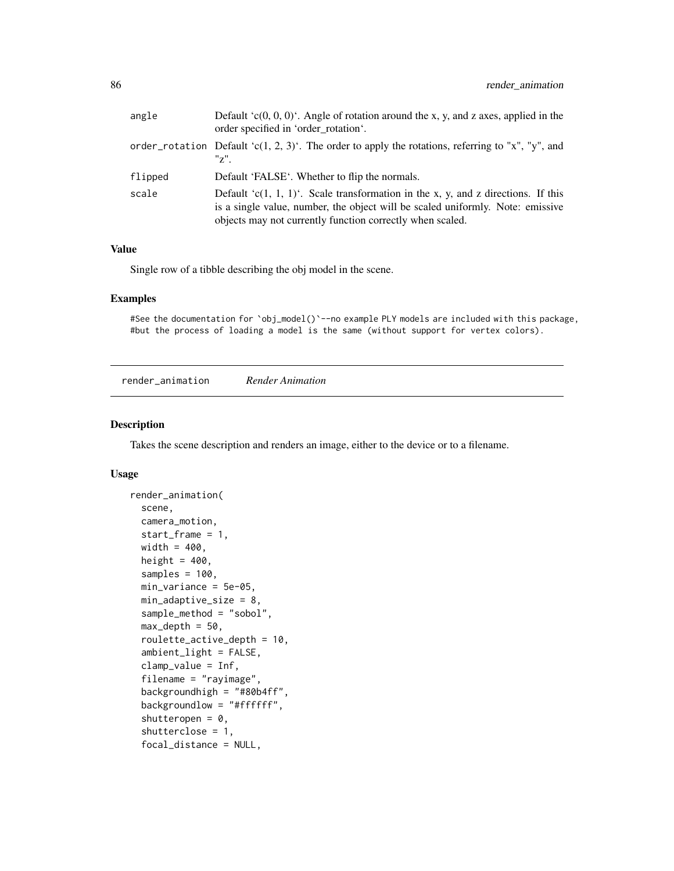| angle   | Default $(c(0, 0, 0)^t$ . Angle of rotation around the x, y, and z axes, applied in the<br>order specified in 'order rotation'.                                                                                                  |
|---------|----------------------------------------------------------------------------------------------------------------------------------------------------------------------------------------------------------------------------------|
|         | order_rotation Default 'c(1, 2, 3)'. The order to apply the rotations, referring to "x", "y", and<br>$"z"$ .                                                                                                                     |
| flipped | Default 'FALSE'. Whether to flip the normals.                                                                                                                                                                                    |
| scale   | Default 'c(1, 1, 1)'. Scale transformation in the x, y, and z directions. If this<br>is a single value, number, the object will be scaled uniformly. Note: emissive<br>objects may not currently function correctly when scaled. |

# Value

Single row of a tibble describing the obj model in the scene.

#### Examples

#See the documentation for `obj\_model()`--no example PLY models are included with this package, #but the process of loading a model is the same (without support for vertex colors).

render\_animation *Render Animation*

## Description

Takes the scene description and renders an image, either to the device or to a filename.

# Usage

```
render_animation(
  scene,
  camera_motion,
  start_frame = 1,
 width = 400,
  height = 400,
  samples = 100,
 min_variance = 5e-05,
 min_adaptive_size = 8,
  sample_method = "sobol",
  max\_depth = 50,
  roulette_active_depth = 10,
  ambient_light = FALSE,
  clamp_value = Inf,
  filename = "rayimage",
  backgroundhigh = "#8@b4ff",
  backgroundlow = "#ffffff",
  shutteropen = 0,
  shutterclose = 1,
  focal_distance = NULL,
```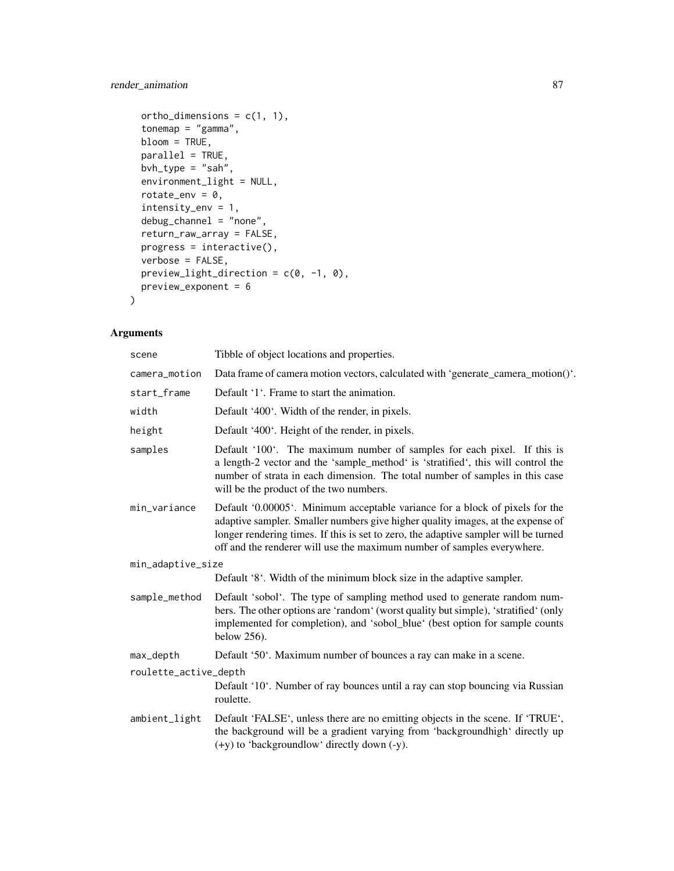# render\_animation 87

```
ortho_dimensions = c(1, 1),
  tonemap = "gamma",
 bloom = TRUE,
 parallel = TRUE,
 bvh_type = "sah",environment_light = NULL,
  rotate_env = 0,
  intensity_env = 1,
 debug_channel = "none",
 return_raw_array = FALSE,
 progress = interactive(),
 verbose = FALSE,
 preview_light_direction = c(0, -1, 0),
 preview_exponent = 6
\mathcal{L}
```

| scene                 | Tibble of object locations and properties.                                                                                                                                                                                                                                                                                        |  |
|-----------------------|-----------------------------------------------------------------------------------------------------------------------------------------------------------------------------------------------------------------------------------------------------------------------------------------------------------------------------------|--|
| camera_motion         | Data frame of camera motion vectors, calculated with 'generate_camera_motion()'.                                                                                                                                                                                                                                                  |  |
| start_frame           | Default '1'. Frame to start the animation.                                                                                                                                                                                                                                                                                        |  |
| width                 | Default '400'. Width of the render, in pixels.                                                                                                                                                                                                                                                                                    |  |
| height                | Default '400'. Height of the render, in pixels.                                                                                                                                                                                                                                                                                   |  |
| samples               | Default '100'. The maximum number of samples for each pixel. If this is<br>a length-2 vector and the 'sample_method' is 'stratified', this will control the<br>number of strata in each dimension. The total number of samples in this case<br>will be the product of the two numbers.                                            |  |
| min variance          | Default '0.00005'. Minimum acceptable variance for a block of pixels for the<br>adaptive sampler. Smaller numbers give higher quality images, at the expense of<br>longer rendering times. If this is set to zero, the adaptive sampler will be turned<br>off and the renderer will use the maximum number of samples everywhere. |  |
| min_adaptive_size     |                                                                                                                                                                                                                                                                                                                                   |  |
|                       | Default '8'. Width of the minimum block size in the adaptive sampler.                                                                                                                                                                                                                                                             |  |
| sample_method         | Default 'sobol'. The type of sampling method used to generate random num-<br>bers. The other options are 'random' (worst quality but simple), 'stratified' (only<br>implemented for completion), and 'sobol_blue' (best option for sample counts<br>below 256).                                                                   |  |
| max_depth             | Default '50'. Maximum number of bounces a ray can make in a scene.                                                                                                                                                                                                                                                                |  |
| roulette_active_depth |                                                                                                                                                                                                                                                                                                                                   |  |
|                       | Default '10'. Number of ray bounces until a ray can stop bouncing via Russian<br>roulette.                                                                                                                                                                                                                                        |  |
| ambient_light         | Default 'FALSE', unless there are no emitting objects in the scene. If 'TRUE',<br>the background will be a gradient varying from 'backgroundhigh' directly up<br>$(+y)$ to 'backgroundlow' directly down $(-y)$ .                                                                                                                 |  |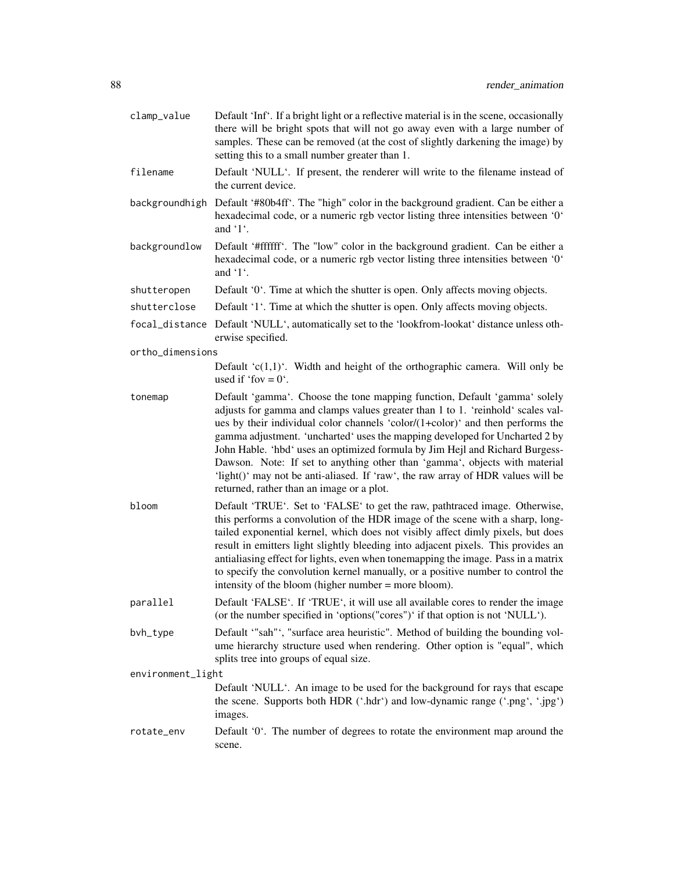| clamp_value       | Default 'Inf'. If a bright light or a reflective material is in the scene, occasionally<br>there will be bright spots that will not go away even with a large number of<br>samples. These can be removed (at the cost of slightly darkening the image) by<br>setting this to a small number greater than 1.                                                                                                                                                                                                                                                                                                                  |
|-------------------|------------------------------------------------------------------------------------------------------------------------------------------------------------------------------------------------------------------------------------------------------------------------------------------------------------------------------------------------------------------------------------------------------------------------------------------------------------------------------------------------------------------------------------------------------------------------------------------------------------------------------|
| filename          | Default 'NULL'. If present, the renderer will write to the filename instead of<br>the current device.                                                                                                                                                                                                                                                                                                                                                                                                                                                                                                                        |
|                   | backgroundhigh Default '#80b4ff'. The "high" color in the background gradient. Can be either a<br>hexadecimal code, or a numeric rgb vector listing three intensities between '0'<br>and '1'.                                                                                                                                                                                                                                                                                                                                                                                                                                |
| backgroundlow     | Default '#ffffff'. The "low" color in the background gradient. Can be either a<br>hexadecimal code, or a numeric rgb vector listing three intensities between '0'<br>and $'1'$ .                                                                                                                                                                                                                                                                                                                                                                                                                                             |
| shutteropen       | Default '0'. Time at which the shutter is open. Only affects moving objects.                                                                                                                                                                                                                                                                                                                                                                                                                                                                                                                                                 |
| shutterclose      | Default '1'. Time at which the shutter is open. Only affects moving objects.                                                                                                                                                                                                                                                                                                                                                                                                                                                                                                                                                 |
|                   | focal_distance Default 'NULL', automatically set to the 'lookfrom-lookat' distance unless oth-<br>erwise specified.                                                                                                                                                                                                                                                                                                                                                                                                                                                                                                          |
| ortho_dimensions  |                                                                                                                                                                                                                                                                                                                                                                                                                                                                                                                                                                                                                              |
|                   | Default ' $c(1,1)$ '. Width and height of the orthographic camera. Will only be<br>used if 'fov = $0'$ .                                                                                                                                                                                                                                                                                                                                                                                                                                                                                                                     |
| tonemap           | Default 'gamma'. Choose the tone mapping function, Default 'gamma' solely<br>adjusts for gamma and clamps values greater than 1 to 1. 'reinhold' scales val-<br>ues by their individual color channels 'color/(1+color)' and then performs the<br>gamma adjustment. 'uncharted' uses the mapping developed for Uncharted 2 by<br>John Hable. 'hbd' uses an optimized formula by Jim Hejl and Richard Burgess-<br>Dawson. Note: If set to anything other than 'gamma', objects with material<br>'light()' may not be anti-aliased. If 'raw', the raw array of HDR values will be<br>returned, rather than an image or a plot. |
| bloom             | Default 'TRUE'. Set to 'FALSE' to get the raw, pathtraced image. Otherwise,<br>this performs a convolution of the HDR image of the scene with a sharp, long-<br>tailed exponential kernel, which does not visibly affect dimly pixels, but does<br>result in emitters light slightly bleeding into adjacent pixels. This provides an<br>antialiasing effect for lights, even when tonemapping the image. Pass in a matrix<br>to specify the convolution kernel manually, or a positive number to control the<br>intensity of the bloom (higher number = more bloom).                                                         |
| parallel          | Default 'FALSE'. If 'TRUE', it will use all available cores to render the image<br>(or the number specified in 'options("cores")' if that option is not 'NULL').                                                                                                                                                                                                                                                                                                                                                                                                                                                             |
| bvh_type          | Default "sah"', "surface area heuristic". Method of building the bounding vol-<br>ume hierarchy structure used when rendering. Other option is "equal", which<br>splits tree into groups of equal size.                                                                                                                                                                                                                                                                                                                                                                                                                      |
| environment_light |                                                                                                                                                                                                                                                                                                                                                                                                                                                                                                                                                                                                                              |
|                   | Default 'NULL'. An image to be used for the background for rays that escape<br>the scene. Supports both HDR ('.hdr') and low-dynamic range ('.png', '.jpg')<br>images.                                                                                                                                                                                                                                                                                                                                                                                                                                                       |
| rotate_env        | Default '0'. The number of degrees to rotate the environment map around the<br>scene.                                                                                                                                                                                                                                                                                                                                                                                                                                                                                                                                        |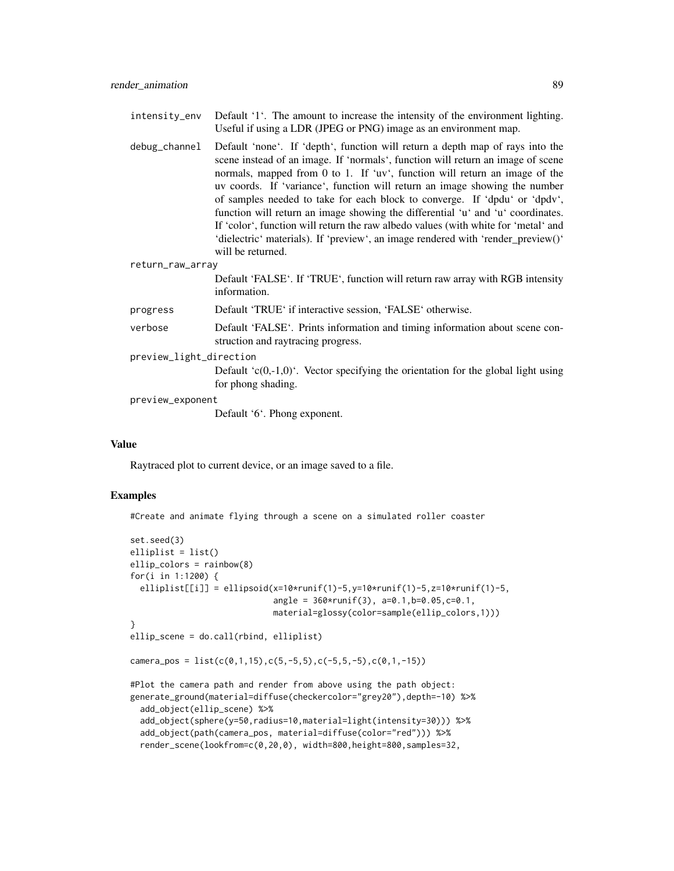intensity\_env Default '1'. The amount to increase the intensity of the environment lighting. Useful if using a LDR (JPEG or PNG) image as an environment map.

debug\_channel Default 'none'. If 'depth', function will return a depth map of rays into the scene instead of an image. If 'normals', function will return an image of scene normals, mapped from 0 to 1. If 'uv', function will return an image of the uv coords. If 'variance', function will return an image showing the number of samples needed to take for each block to converge. If 'dpdu' or 'dpdv', function will return an image showing the differential 'u' and 'u' coordinates. If 'color', function will return the raw albedo values (with white for 'metal' and 'dielectric' materials). If 'preview', an image rendered with 'render\_preview()' will be returned.

return\_raw\_array

Default 'FALSE'. If 'TRUE', function will return raw array with RGB intensity information.

- progress Default 'TRUE' if interactive session, 'FALSE' otherwise.
- verbose Default 'FALSE'. Prints information and timing information about scene construction and raytracing progress.
- preview\_light\_direction

Default  $(c(0,-1,0))$ . Vector specifying the orientation for the global light using for phong shading.

preview\_exponent

Default '6'. Phong exponent.

#### Value

Raytraced plot to current device, or an image saved to a file.

# Examples

#Create and animate flying through a scene on a simulated roller coaster

```
set.seed(3)
elliplist = list()
ellip_colors = rainbow(8)
for(i in 1:1200) {
 elliplist[[i]] =ellipsoid(x=10*runif(1)-5,y=10*runif(1)-5,z=10*runif(1)-5,
                             angle = 360*runif(3), a=0.1,b=0.05,c=0.1,
                             material=glossy(color=sample(ellip_colors,1)))
}
ellip_scene = do.call(rbind, elliplist)
camera_pos = list(c(0,1,15),c(5,-5,5),c(-5,5,-5),c(0,1,-15))#Plot the camera path and render from above using the path object:
generate_ground(material=diffuse(checkercolor="grey20"),depth=-10) %>%
 add_object(ellip_scene) %>%
 add_object(sphere(y=50,radius=10,material=light(intensity=30))) %>%
 add_object(path(camera_pos, material=diffuse(color="red"))) %>%
 render_scene(lookfrom=c(0,20,0), width=800,height=800,samples=32,
```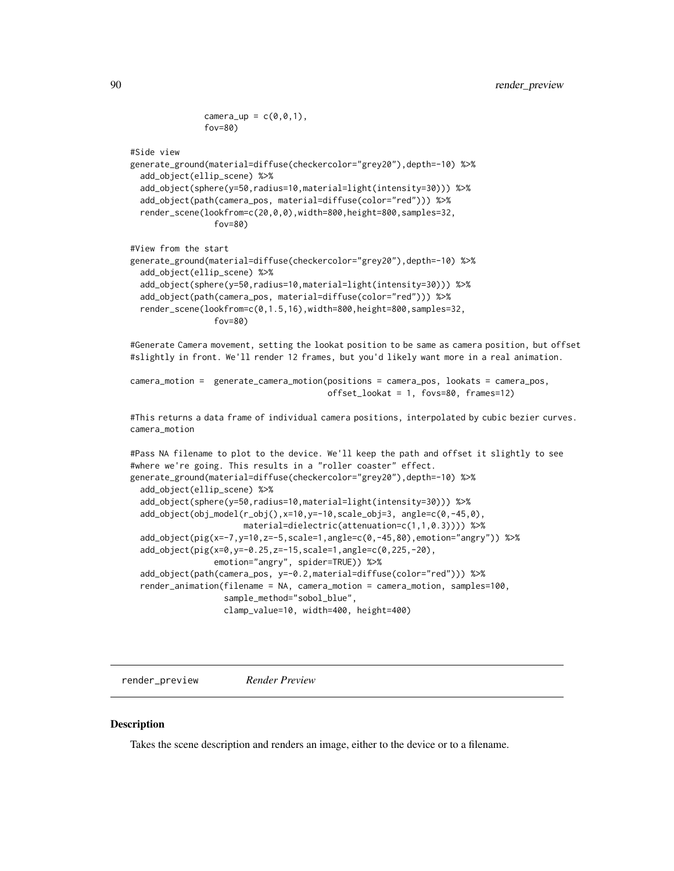```
camera_up = c(\emptyset, \emptyset, 1),
fov=80)
```
#Side view

```
generate_ground(material=diffuse(checkercolor="grey20"),depth=-10) %>%
 add_object(ellip_scene) %>%
 add_object(sphere(y=50,radius=10,material=light(intensity=30))) %>%
 add_object(path(camera_pos, material=diffuse(color="red"))) %>%
 render_scene(lookfrom=c(20,0,0),width=800,height=800,samples=32,
                fov=80)
```
#View from the start

```
generate_ground(material=diffuse(checkercolor="grey20"),depth=-10) %>%
 add_object(ellip_scene) %>%
 add_object(sphere(y=50,radius=10,material=light(intensity=30))) %>%
 add_object(path(camera_pos, material=diffuse(color="red"))) %>%
 render_scene(lookfrom=c(0,1.5,16),width=800,height=800,samples=32,
                fov=80)
```
#Generate Camera movement, setting the lookat position to be same as camera position, but offset #slightly in front. We'll render 12 frames, but you'd likely want more in a real animation.

```
camera_motion = generate_camera_motion(positions = camera_pos, lookats = camera_pos,
                                       offset_lookat = 1, fovs=80, frames=12)
```
#This returns a data frame of individual camera positions, interpolated by cubic bezier curves. camera\_motion

```
#Pass NA filename to plot to the device. We'll keep the path and offset it slightly to see
#where we're going. This results in a "roller coaster" effect.
generate_ground(material=diffuse(checkercolor="grey20"),depth=-10) %>%
 add_object(ellip_scene) %>%
 add_object(sphere(y=50,radius=10,material=light(intensity=30))) %>%
 add_object(obj_model(r_obj(),x=10,y=-10,scale_obj=3, angle=c(0,-45,0),
                      material=dielectric(attenuation=c(1,1,0.3)))) %>%
 add_object(pig(x=-7,y=10,z=-5,scale=1,angle=c(0,-45,80),emotion="angry")) %>%
 add_object(pig(x=0,y=-0.25,z=-15,scale=1,angle=c(0,225,-20),
                 emotion="angry", spider=TRUE)) %>%
 add_object(path(camera_pos, y=-0.2,material=diffuse(color="red"))) %>%
 render_animation(filename = NA, camera_motion = camera_motion, samples=100,
                  sample_method="sobol_blue",
                  clamp_value=10, width=400, height=400)
```
render\_preview *Render Preview*

#### Description

Takes the scene description and renders an image, either to the device or to a filename.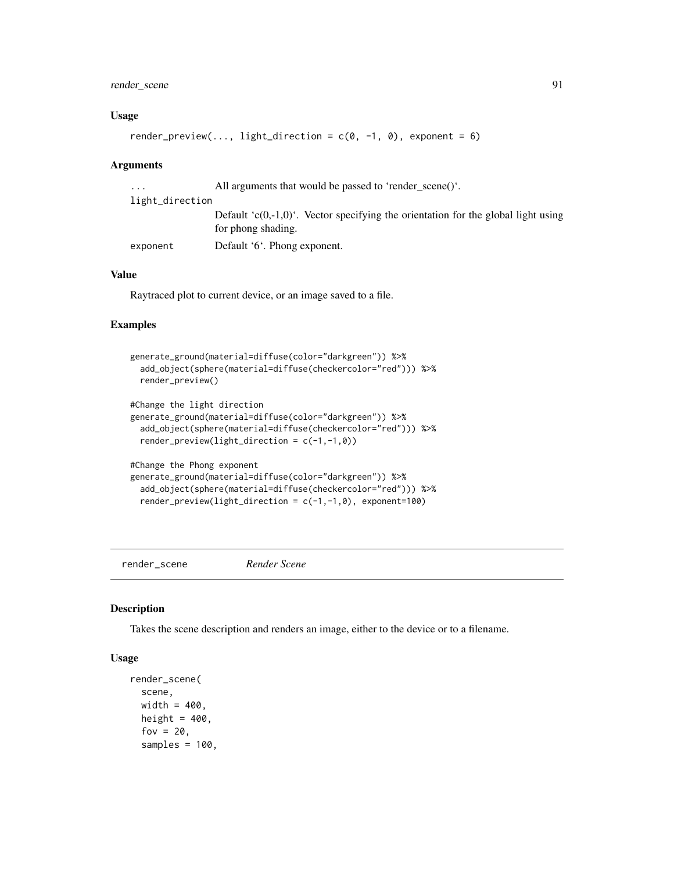# render\_scene 91

#### Usage

```
render_preview(..., light_direction = c(0, -1, 0), exponent = 6)
```
#### Arguments

| .               | All arguments that would be passed to 'render scene()'.                                                     |
|-----------------|-------------------------------------------------------------------------------------------------------------|
| light_direction |                                                                                                             |
|                 | Default ' $c(0,-1,0)$ '. Vector specifying the orientation for the global light using<br>for phong shading. |
| exponent        | Default '6'. Phong exponent.                                                                                |

#### Value

Raytraced plot to current device, or an image saved to a file.

## Examples

```
generate_ground(material=diffuse(color="darkgreen")) %>%
 add_object(sphere(material=diffuse(checkercolor="red"))) %>%
 render_preview()
#Change the light direction
generate_ground(material=diffuse(color="darkgreen")) %>%
 add_object(sphere(material=diffuse(checkercolor="red"))) %>%
 render_preview(light_direction = c(-1,-1,0))
#Change the Phong exponent
generate_ground(material=diffuse(color="darkgreen")) %>%
 add_object(sphere(material=diffuse(checkercolor="red"))) %>%
 render_preview(light_direction = c(-1,-1,0), exponent=100)
```
render\_scene *Render Scene*

## Description

Takes the scene description and renders an image, either to the device or to a filename.

#### Usage

```
render_scene(
  scene,
 width = 400.
 height = 400,
  fov = 20,
  samples = 100,
```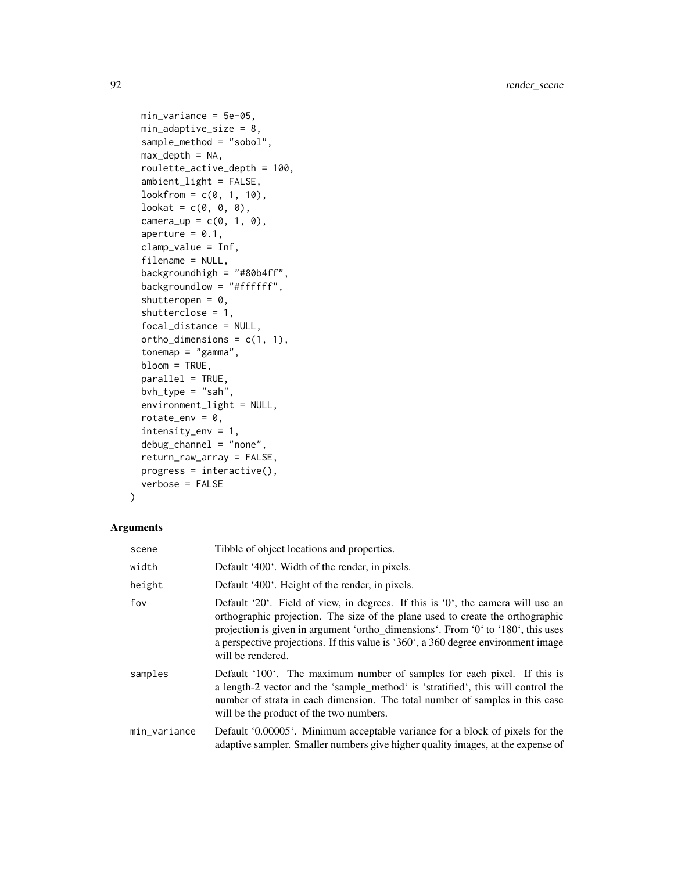```
min_variance = 5e-05,
min_adaptive_size = 8,
sample_method = "sobol",
max\_depth = NA,
roulette_active_depth = 100,
ambient_light = FALSE,
lookfrom = c(0, 1, 10),
lookat = c(\emptyset, \emptyset, \emptyset),
camera_up = c(0, 1, 0),
aperture = 0.1,
clamp_value = Inf,
filename = NULL,
backgroundhigh = "#80b4ff",
backgroundlow = "#ffffff",
shutteropen = 0,
shutterclose = 1,
focal_distance = NULL,
ortho_dimensions = c(1, 1),
tonemap = "gamma",
bloom = TRUE,
parallel = TRUE,
bvh_type = "sah",environment_light = NULL,
rotate_env = 0,
intensity_env = 1,
debug_channel = "none",
return_raw_array = FALSE,
progress = interactive(),
verbose = FALSE
```

```
)
```

| scene        | Tibble of object locations and properties.                                                                                                                                                                                                                                                                                                                      |
|--------------|-----------------------------------------------------------------------------------------------------------------------------------------------------------------------------------------------------------------------------------------------------------------------------------------------------------------------------------------------------------------|
| width        | Default '400'. Width of the render, in pixels.                                                                                                                                                                                                                                                                                                                  |
| height       | Default '400'. Height of the render, in pixels.                                                                                                                                                                                                                                                                                                                 |
| fov          | Default '20'. Field of view, in degrees. If this is '0', the camera will use an<br>orthographic projection. The size of the plane used to create the orthographic<br>projection is given in argument 'ortho_dimensions'. From '0' to '180', this uses<br>a perspective projections. If this value is '360', a 360 degree environment image<br>will be rendered. |
| samples      | Default '100'. The maximum number of samples for each pixel. If this is<br>a length-2 vector and the 'sample_method' is 'stratified', this will control the<br>number of strata in each dimension. The total number of samples in this case<br>will be the product of the two numbers.                                                                          |
| min_variance | Default '0.00005'. Minimum acceptable variance for a block of pixels for the<br>adaptive sampler. Smaller numbers give higher quality images, at the expense of                                                                                                                                                                                                 |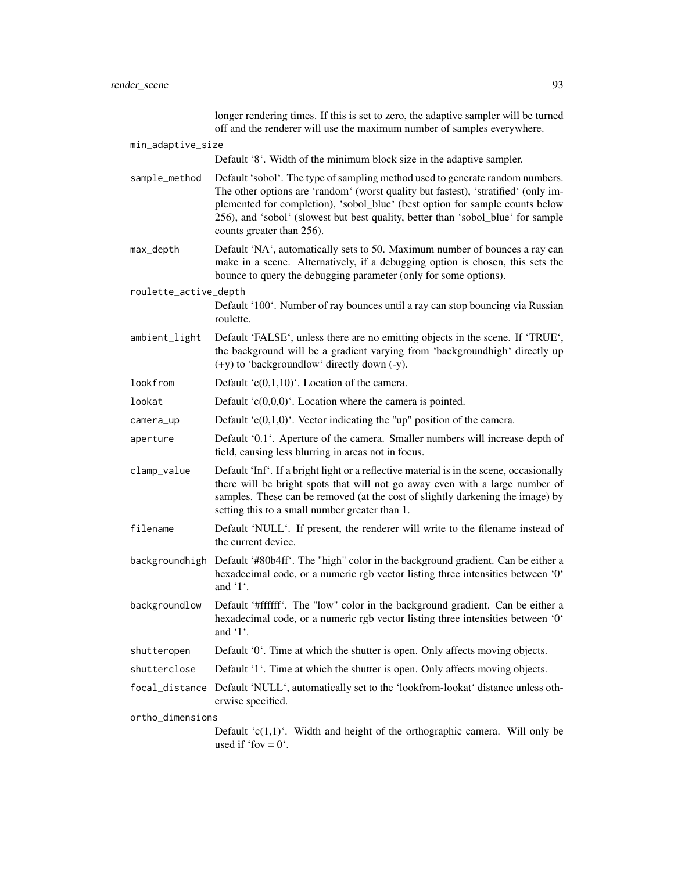|                       | longer rendering times. If this is set to zero, the adaptive sampler will be turned<br>off and the renderer will use the maximum number of samples everywhere.                                                                                                                                                                                                       |
|-----------------------|----------------------------------------------------------------------------------------------------------------------------------------------------------------------------------------------------------------------------------------------------------------------------------------------------------------------------------------------------------------------|
| min_adaptive_size     |                                                                                                                                                                                                                                                                                                                                                                      |
|                       | Default '8'. Width of the minimum block size in the adaptive sampler.                                                                                                                                                                                                                                                                                                |
| sample_method         | Default 'sobol'. The type of sampling method used to generate random numbers.<br>The other options are 'random' (worst quality but fastest), 'stratified' (only im-<br>plemented for completion), 'sobol_blue' (best option for sample counts below<br>256), and 'sobol' (slowest but best quality, better than 'sobol_blue' for sample<br>counts greater than 256). |
| max_depth             | Default 'NA', automatically sets to 50. Maximum number of bounces a ray can<br>make in a scene. Alternatively, if a debugging option is chosen, this sets the<br>bounce to query the debugging parameter (only for some options).                                                                                                                                    |
| roulette_active_depth |                                                                                                                                                                                                                                                                                                                                                                      |
|                       | Default '100'. Number of ray bounces until a ray can stop bouncing via Russian<br>roulette.                                                                                                                                                                                                                                                                          |
| ambient_light         | Default 'FALSE', unless there are no emitting objects in the scene. If 'TRUE',<br>the background will be a gradient varying from 'backgroundhigh' directly up<br>$(+y)$ to 'backgroundlow' directly down $(-y)$ .                                                                                                                                                    |
| lookfrom              | Default ' $c(0,1,10)$ '. Location of the camera.                                                                                                                                                                                                                                                                                                                     |
| lookat                | Default ' $c(0,0,0)$ '. Location where the camera is pointed.                                                                                                                                                                                                                                                                                                        |
| camera_up             | Default ' $c(0,1,0)$ '. Vector indicating the "up" position of the camera.                                                                                                                                                                                                                                                                                           |
| aperture              | Default '0.1'. Aperture of the camera. Smaller numbers will increase depth of<br>field, causing less blurring in areas not in focus.                                                                                                                                                                                                                                 |
| clamp_value           | Default 'Inf'. If a bright light or a reflective material is in the scene, occasionally<br>there will be bright spots that will not go away even with a large number of<br>samples. These can be removed (at the cost of slightly darkening the image) by<br>setting this to a small number greater than 1.                                                          |
| filename              | Default 'NULL'. If present, the renderer will write to the filename instead of<br>the current device.                                                                                                                                                                                                                                                                |
|                       | backgroundhigh Default '#80b4ff'. The "high" color in the background gradient. Can be either a<br>hexadecimal code, or a numeric rgb vector listing three intensities between '0'<br>and $'1'$ .                                                                                                                                                                     |
| backgroundlow         | Default '#ffffff'. The "low" color in the background gradient. Can be either a<br>hexadecimal code, or a numeric rgb vector listing three intensities between '0'<br>and $\lq$ 1.                                                                                                                                                                                    |
| shutteropen           | Default '0'. Time at which the shutter is open. Only affects moving objects.                                                                                                                                                                                                                                                                                         |
| shutterclose          | Default '1'. Time at which the shutter is open. Only affects moving objects.                                                                                                                                                                                                                                                                                         |
|                       | focal_distance Default 'NULL', automatically set to the 'lookfrom-lookat' distance unless oth-<br>erwise specified.                                                                                                                                                                                                                                                  |
| ortho_dimensions      |                                                                                                                                                                                                                                                                                                                                                                      |
|                       | Default $(c(1,1))$ . Width and height of the orthographic camera. Will only be<br>used if 'fov = $0'$ '.                                                                                                                                                                                                                                                             |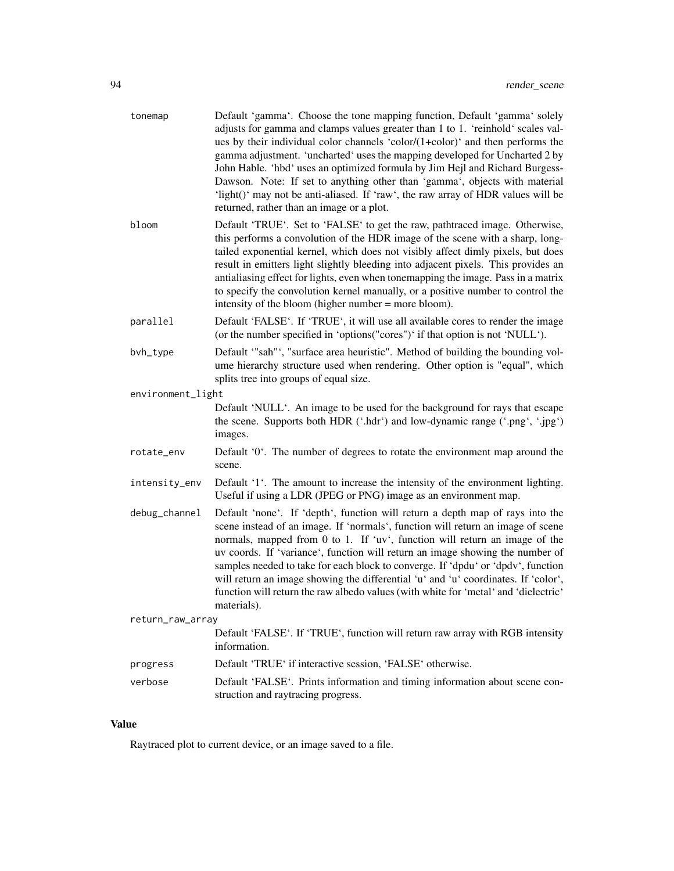| tonemap           | Default 'gamma'. Choose the tone mapping function, Default 'gamma' solely<br>adjusts for gamma and clamps values greater than 1 to 1. 'reinhold' scales val-<br>ues by their individual color channels 'color/(1+color)' and then performs the<br>gamma adjustment. 'uncharted' uses the mapping developed for Uncharted 2 by<br>John Hable. 'hbd' uses an optimized formula by Jim Hejl and Richard Burgess-<br>Dawson. Note: If set to anything other than 'gamma', objects with material<br>'light()' may not be anti-aliased. If 'raw', the raw array of HDR values will be<br>returned, rather than an image or a plot. |
|-------------------|------------------------------------------------------------------------------------------------------------------------------------------------------------------------------------------------------------------------------------------------------------------------------------------------------------------------------------------------------------------------------------------------------------------------------------------------------------------------------------------------------------------------------------------------------------------------------------------------------------------------------|
| bloom             | Default 'TRUE'. Set to 'FALSE' to get the raw, pathtraced image. Otherwise,<br>this performs a convolution of the HDR image of the scene with a sharp, long-<br>tailed exponential kernel, which does not visibly affect dimly pixels, but does<br>result in emitters light slightly bleeding into adjacent pixels. This provides an<br>antialiasing effect for lights, even when tonemapping the image. Pass in a matrix<br>to specify the convolution kernel manually, or a positive number to control the<br>intensity of the bloom (higher number = more bloom).                                                         |
| parallel          | Default 'FALSE'. If 'TRUE', it will use all available cores to render the image<br>(or the number specified in 'options("cores")' if that option is not 'NULL').                                                                                                                                                                                                                                                                                                                                                                                                                                                             |
| bvh_type          | Default "sah"', "surface area heuristic". Method of building the bounding vol-<br>ume hierarchy structure used when rendering. Other option is "equal", which<br>splits tree into groups of equal size.                                                                                                                                                                                                                                                                                                                                                                                                                      |
| environment_light |                                                                                                                                                                                                                                                                                                                                                                                                                                                                                                                                                                                                                              |
|                   | Default 'NULL'. An image to be used for the background for rays that escape<br>the scene. Supports both HDR ('.hdr') and low-dynamic range ('.png', '.jpg')<br>images.                                                                                                                                                                                                                                                                                                                                                                                                                                                       |
| rotate_env        | Default '0'. The number of degrees to rotate the environment map around the<br>scene.                                                                                                                                                                                                                                                                                                                                                                                                                                                                                                                                        |
| intensity_env     | Default '1'. The amount to increase the intensity of the environment lighting.<br>Useful if using a LDR (JPEG or PNG) image as an environment map.                                                                                                                                                                                                                                                                                                                                                                                                                                                                           |
| debug_channel     | Default 'none'. If 'depth', function will return a depth map of rays into the<br>scene instead of an image. If 'normals', function will return an image of scene<br>normals, mapped from 0 to 1. If 'uv', function will return an image of the<br>uv coords. If 'variance', function will return an image showing the number of<br>samples needed to take for each block to converge. If 'dpdu' or 'dpdv', function<br>will return an image showing the differential 'u' and 'u' coordinates. If 'color',<br>function will return the raw albedo values (with white for 'metal' and 'dielectric'<br>materials).              |
| return_raw_array  |                                                                                                                                                                                                                                                                                                                                                                                                                                                                                                                                                                                                                              |
|                   | Default 'FALSE'. If 'TRUE', function will return raw array with RGB intensity<br>information.                                                                                                                                                                                                                                                                                                                                                                                                                                                                                                                                |
| progress          | Default 'TRUE' if interactive session, 'FALSE' otherwise.                                                                                                                                                                                                                                                                                                                                                                                                                                                                                                                                                                    |
| verbose           | Default 'FALSE'. Prints information and timing information about scene con-<br>struction and raytracing progress.                                                                                                                                                                                                                                                                                                                                                                                                                                                                                                            |

# Value

Raytraced plot to current device, or an image saved to a file.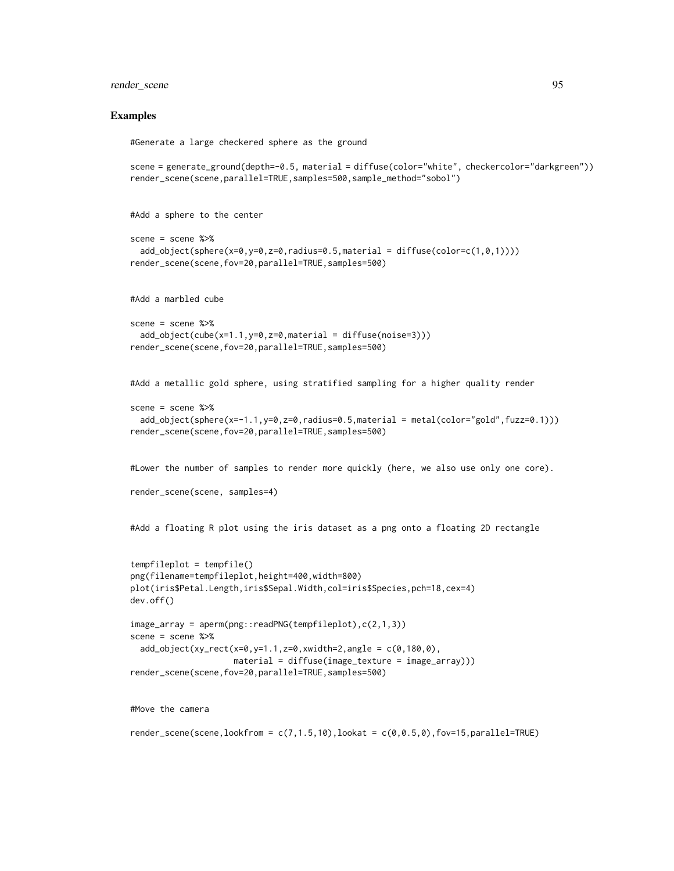# render\_scene 95

#### Examples

#Generate a large checkered sphere as the ground

```
scene = generate_ground(depth=-0.5, material = diffuse(color="white", checkercolor="darkgreen"))
render_scene(scene,parallel=TRUE,samples=500,sample_method="sobol")
```
#Add a sphere to the center

```
scene = scene \gg%
 add_object(sphere(x=0,y=0,z=0,radius=0.5,material = diffuse(color=c(1,0,1))))
render_scene(scene,fov=20,parallel=TRUE,samples=500)
```
#Add a marbled cube

```
scene = scene %>%
 add_object(cube(x=1.1,y=0,z=0,material = diffuse(noise=3)))
render_scene(scene,fov=20,parallel=TRUE,samples=500)
```
#Add a metallic gold sphere, using stratified sampling for a higher quality render

```
scene = scene %>%
 add_object(sphere(x=-1.1,y=0,z=0,radius=0.5,material = metal(color="gold",fuzz=0.1)))
render_scene(scene,fov=20,parallel=TRUE,samples=500)
```
#Lower the number of samples to render more quickly (here, we also use only one core).

```
render_scene(scene, samples=4)
```
#Add a floating R plot using the iris dataset as a png onto a floating 2D rectangle

```
tempfileplot = tempfile()
png(filename=tempfileplot,height=400,width=800)
plot(iris$Petal.Length,iris$Sepal.Width,col=iris$Species,pch=18,cex=4)
dev.off()
image_array = aperm(png::readPNG(tempfileplot),c(2,1,3))
scene = scene %>%
```

```
add\_object(xy\_rect(x=0,y=1.1,z=0,xwidth=2,angle = c(0,180,0),material = diffuse(image_{textture} = image_{array)))render_scene(scene,fov=20,parallel=TRUE,samples=500)
```
#Move the camera

render\_scene(scene,lookfrom =  $c(7,1.5,10)$ ,lookat =  $c(0,0.5,0)$ ,fov=15,parallel=TRUE)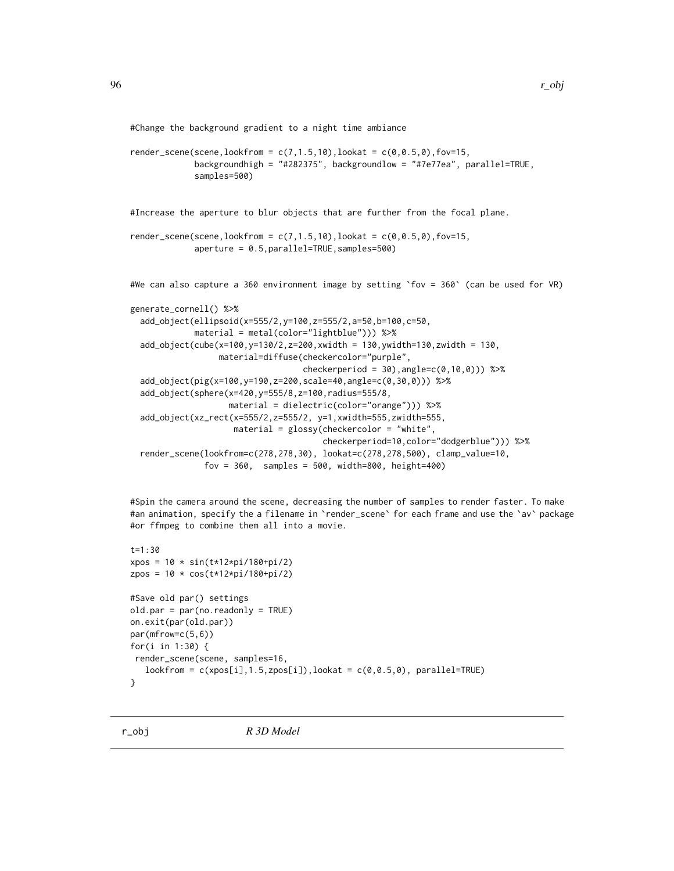#Change the background gradient to a night time ambiance

```
render_scene(scene,lookfrom = c(7, 1.5, 10),lookat = c(0, 0.5, 0), fov=15,
             backgroundhigh = "#282375", backgroundlow = "#7e77ea", parallel=TRUE,
             samples=500)
```
#Increase the aperture to blur objects that are further from the focal plane.

```
render_scene(scene,lookfrom = c(7, 1.5, 10),lookat = c(0, 0.5, 0), fov=15,
             aperture = 0.5,parallel=TRUE,samples=500)
```

```
#We can also capture a 360 environment image by setting `fov = 360` (can be used for VR)
```

```
generate_cornell() %>%
 add_object(ellipsoid(x=555/2,y=100,z=555/2,a=50,b=100,c=50,
             material = metal(color="lightblue"))) %>%
  add_object(cube(x=100,y=130/2,z=200,xwidth = 130,ywidth=130,zwidth = 130,
                 material=diffuse(checkercolor="purple",
                                   checkerperiod = 30, angle = c(0, 10, 0)) %>%
 add_object(pig(x=100,y=190,z=200,scale=40,angle=c(0,30,0))) %>%
 add_object(sphere(x=420,y=555/8,z=100,radius=555/8,
                    material = dielectric(color="orange"))) %>%
  add_object(xz_rect(x=555/2,z=555/2, y=1,xwidth=555,zwidth=555,
                     material = glossy(checkercolor = "white",
                                       checkerperiod=10,color="dodgerblue"))) %>%
 render_scene(lookfrom=c(278,278,30), lookat=c(278,278,500), clamp_value=10,
               fov = 360, samples = 500, width=800, height=400)
```
#Spin the camera around the scene, decreasing the number of samples to render faster. To make #an animation, specify the a filename in `render\_scene` for each frame and use the `av` package #or ffmpeg to combine them all into a movie.

```
t = 1.30xpos = 10 * sin(t*12*pi/180+pi/2)
zpos = 10 * cos(t*12*pi/180+pi/2)
#Save old par() settings
old.par = par(no.readonly = TRUE)
on.exit(par(old.par))
par(mfrow=c(5,6))
for(i in 1:30) {
render_scene(scene, samples=16,
   \text{lookfrom} = \text{c(xpos[i], 1.5, zpos[i]),} \text{lookat} = \text{c(0, 0.5, 0)}, \text{parallel=TRUE)}}
```
r\_obj *R 3D Model*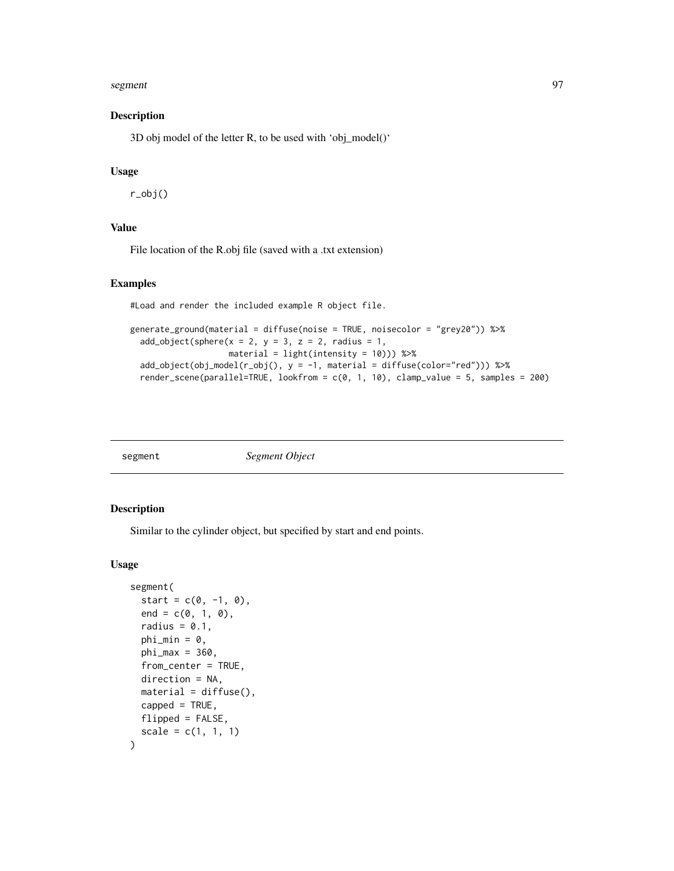#### segment 97

### Description

3D obj model of the letter R, to be used with 'obj\_model()'

#### Usage

r\_obj()

## Value

File location of the R.obj file (saved with a .txt extension)

# Examples

#Load and render the included example R object file.

```
generate_ground(material = diffuse(noise = TRUE, noisecolor = "grey20")) %>%
 add\_object(sphere(x = 2, y = 3, z = 2, radius = 1,material = light(intensity = 10))) %>%
 add_object(obj_model(r_obj(), y = -1, material = diffuse(color="red"))) %>%
 render_scene(parallel=TRUE, lookfrom = c(0, 1, 10), clamp_value = 5, samples = 200)
```
segment *Segment Object*

# Description

Similar to the cylinder object, but specified by start and end points.

### Usage

```
segment(
  start = c(0, -1, 0),
  end = c(0, 1, 0),
  radius = 0.1,
  phi_min = 0,
  phi_{max} = 360,
  from_center = TRUE,
  direction = NA,
 material = diffuse(),
  capped = TRUE,
  flipped = FALSE,scale = c(1, 1, 1))
```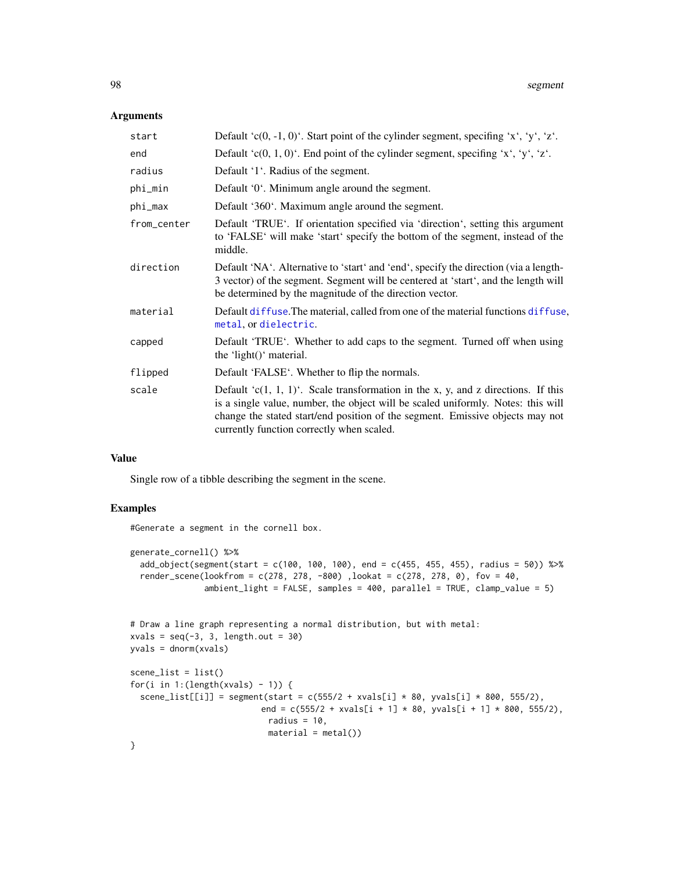## Arguments

| start       | Default 'c(0, -1, 0)'. Start point of the cylinder segment, specifing 'x', 'y', 'z'.                                                                                                                                                                                                                    |
|-------------|---------------------------------------------------------------------------------------------------------------------------------------------------------------------------------------------------------------------------------------------------------------------------------------------------------|
| end         | Default 'c(0, 1, 0)'. End point of the cylinder segment, specifing 'x', 'y', 'z'.                                                                                                                                                                                                                       |
| radius      | Default '1'. Radius of the segment.                                                                                                                                                                                                                                                                     |
| phi_min     | Default '0'. Minimum angle around the segment.                                                                                                                                                                                                                                                          |
| phi_max     | Default '360'. Maximum angle around the segment.                                                                                                                                                                                                                                                        |
| from_center | Default 'TRUE'. If orientation specified via 'direction', setting this argument<br>to 'FALSE' will make 'start' specify the bottom of the segment, instead of the<br>middle.                                                                                                                            |
| direction   | Default 'NA'. Alternative to 'start' and 'end', specify the direction (via a length-<br>3 vector) of the segment. Segment will be centered at 'start', and the length will<br>be determined by the magnitude of the direction vector.                                                                   |
| material    | Default diffuse. The material, called from one of the material functions diffuse,<br>metal, or dielectric.                                                                                                                                                                                              |
| capped      | Default 'TRUE'. Whether to add caps to the segment. Turned off when using<br>the 'light()' material.                                                                                                                                                                                                    |
| flipped     | Default 'FALSE'. Whether to flip the normals.                                                                                                                                                                                                                                                           |
| scale       | Default ' $c(1, 1, 1)$ '. Scale transformation in the x, y, and z directions. If this<br>is a single value, number, the object will be scaled uniformly. Notes: this will<br>change the stated start/end position of the segment. Emissive objects may not<br>currently function correctly when scaled. |
|             |                                                                                                                                                                                                                                                                                                         |

## Value

Single row of a tibble describing the segment in the scene.

# Examples

#Generate a segment in the cornell box.

```
generate_cornell() %>%
  add_object(segment(start = c(100, 100, 100), end = c(455, 455, 455), radius = 50)) %>%
  render_scene(lookfrom = c(278, 278, -800), lookat = c(278, 278, 0), fov = 40,
               ambient_light = FALSE, samples = 400, parallel = TRUE, clamp_value = 5)
```

```
# Draw a line graph representing a normal distribution, but with metal:
xvals = seq(-3, 3, length.out = 30)yvals = dnorm(xvals)
scence_list = list()for(i in 1:(length(xvals) - 1)) {
  scene_list[[i]] = segment(start = c(555/2 + xvals[i] * 80, yvals[i] * 800, 555/2),
                          end = c(555/2 + xvals[i + 1] * 80, yvals[i + 1] * 800, 555/2),radius = 10,
                           material = metal()
```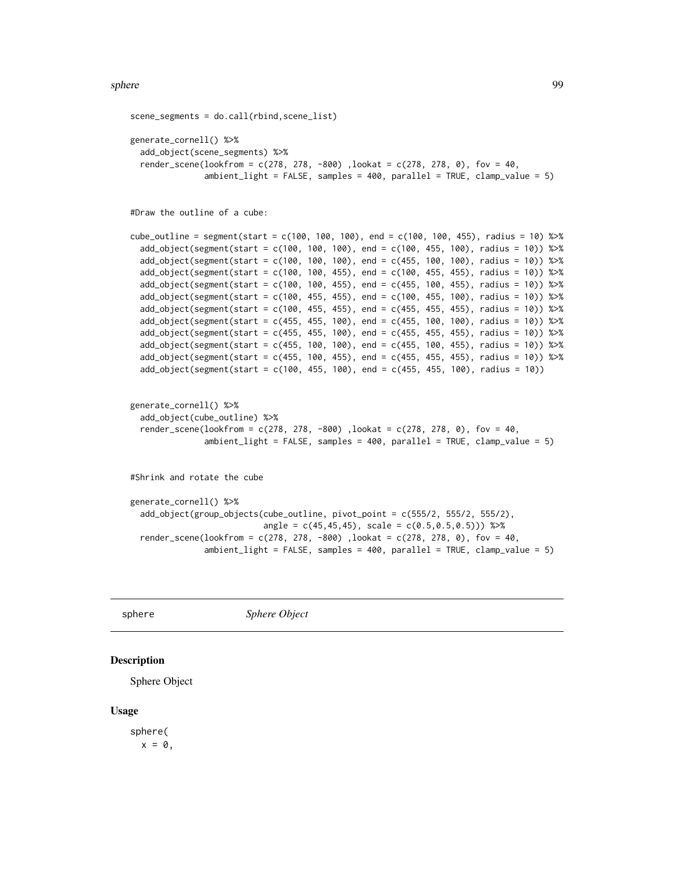```
scene_segments = do.call(rbind,scene_list)
generate_cornell() %>%
 add_object(scene_segments) %>%
 render_scene(lookfrom = c(278, 278, -800), lookat = c(278, 278, 0), fov = 40,
               ambient_light = FALSE, samples = 400, parallel = TRUE, clamp_value = 5)
#Draw the outline of a cube:
cube_outline = segment(start = c(100, 100, 100), end = c(100, 100, 455), radius = 10) %>%
 add_object(segment(start = c(100, 100, 100), end = c(100, 455, 100), radius = 10)) %>%
 add_object(segment(start = c(100, 100, 100), end = c(455, 100, 100), radius = 10)) %>%
 add_object(segment(start = c(100, 100, 455), end = c(100, 455, 455), radius = 10)) %>%
 add_object(segment(start = c(100, 100, 455), end = c(455, 100, 455), radius = 10)) %>%
 add_object(segment(start = c(100, 455, 455), end = c(100, 455, 100), radius = 10)) %>%
 add\_object(segment(start = c(100, 455, 455), end = c(455, 455, 455), radius = 10)) %add_object(segment(start = c(455, 455, 100), end = c(455, 100, 100), radius = 10)) %>%
 add_object(segment(start = c(455, 455, 100), end = c(455, 455, 455), radius = 10)) %>%
 add_object(segment(start = c(455, 100, 100), end = c(455, 100, 455), radius = 10)) %>%
 add_object(segment(start = c(455, 100, 455), end = c(455, 455, 455), radius = 10)) %>%
 add\_object(segment(sstart = c(100, 455, 100), end = c(455, 455, 100), radius = 10))generate_cornell() %>%
 add_object(cube_outline) %>%
  render_scene(lookfrom = c(278, 278, -800), lookat = c(278, 278, 0), fov = 40,
               ambient_{light} = FALSE, samples = 400, parallel = TRUE, clamp_value = 5)
#Shrink and rotate the cube
generate_cornell() %>%
 add_object(group_objects(cube_outline, pivot_point = c(555/2, 555/2, 555/2),
                           angle = c(45, 45, 45), scale = c(0.5, 0.5, 0.5)) %>%
 render_scene(lookfrom = c(278, 278, -800), lookat = c(278, 278, 0), fov = 40,
```

```
ambient_light = FALSE, samples = 400, parallel = TRUE, clamp_value = 5)
```
sphere *Sphere Object*

#### **Description**

Sphere Object

#### Usage

sphere(  $x = 0$ ,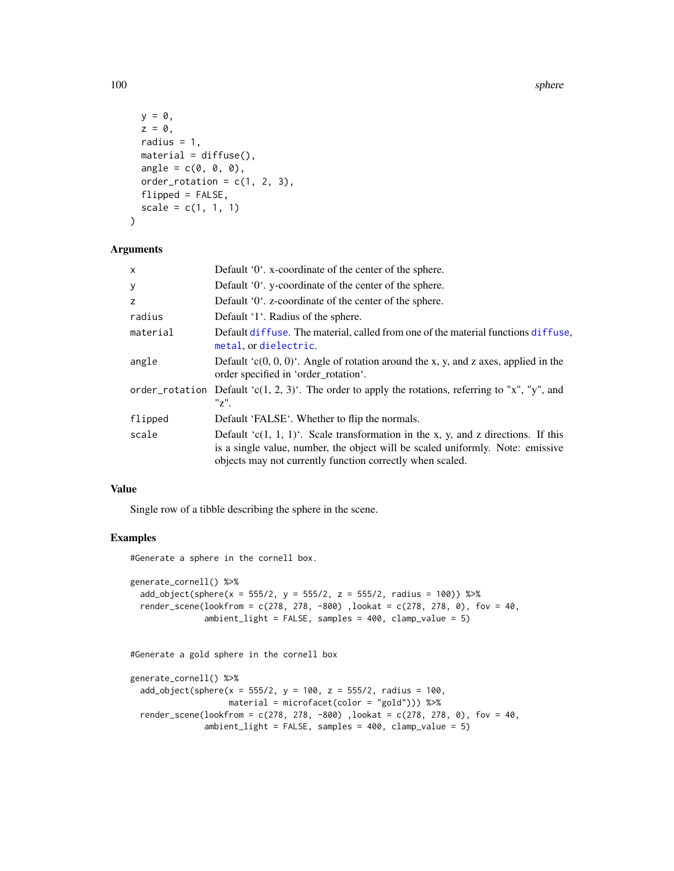100 sphere sphere sphere sphere sphere sphere sphere sphere sphere sphere sphere

```
y = 0,
 z = 0,
 radius = 1,
 material = diffuse(),angle = c(0, 0, 0),order_rotation = c(1, 2, 3),
 flipped = FALSE,scale = c(1, 1, 1))
```
#### Arguments

| X        | Default '0'. x-coordinate of the center of the sphere.                                                                                                                                                                               |
|----------|--------------------------------------------------------------------------------------------------------------------------------------------------------------------------------------------------------------------------------------|
| У        | Default '0'. y-coordinate of the center of the sphere.                                                                                                                                                                               |
| z        | Default '0'. z-coordinate of the center of the sphere.                                                                                                                                                                               |
| radius   | Default '1'. Radius of the sphere.                                                                                                                                                                                                   |
| material | Default diffuse. The material, called from one of the material functions diffuse,<br>metal, or dielectric.                                                                                                                           |
| angle    | Default $(c(0, 0, 0)^t$ . Angle of rotation around the x, y, and z axes, applied in the<br>order specified in 'order rotation'.                                                                                                      |
|          | order_rotation Default 'c(1, 2, 3)'. The order to apply the rotations, referring to "x", "y", and<br>"z".                                                                                                                            |
| flipped  | Default 'FALSE'. Whether to flip the normals.                                                                                                                                                                                        |
| scale    | Default ' $c(1, 1, 1)$ '. Scale transformation in the x, y, and z directions. If this<br>is a single value, number, the object will be scaled uniformly. Note: emissive<br>objects may not currently function correctly when scaled. |

# Value

Single row of a tibble describing the sphere in the scene.

# Examples

#Generate a sphere in the cornell box.

```
generate_cornell() %>%
  add\_object(sphere(x = 555/2, y = 555/2, z = 555/2, radius = 100)) %>%
  render_scene(lookfrom = c(278, 278, -800), lookat = c(278, 278, 0), fov = 40,
               ambient_light = FALSE, samples = 400, clamp_value = 5)
```
#Generate a gold sphere in the cornell box

```
generate_cornell() %>%
 add\_object(sphere(x = 555/2, y = 100, z = 555/2, radius = 100,material = microfacet(color = "gold"))) %>%
 render_scene(lookfrom = c(278, 278, -800) ,lookat = c(278, 278, 0), fov = 40,
              ambient_light = FALSE, samples = 400, clamp_value = 5)
```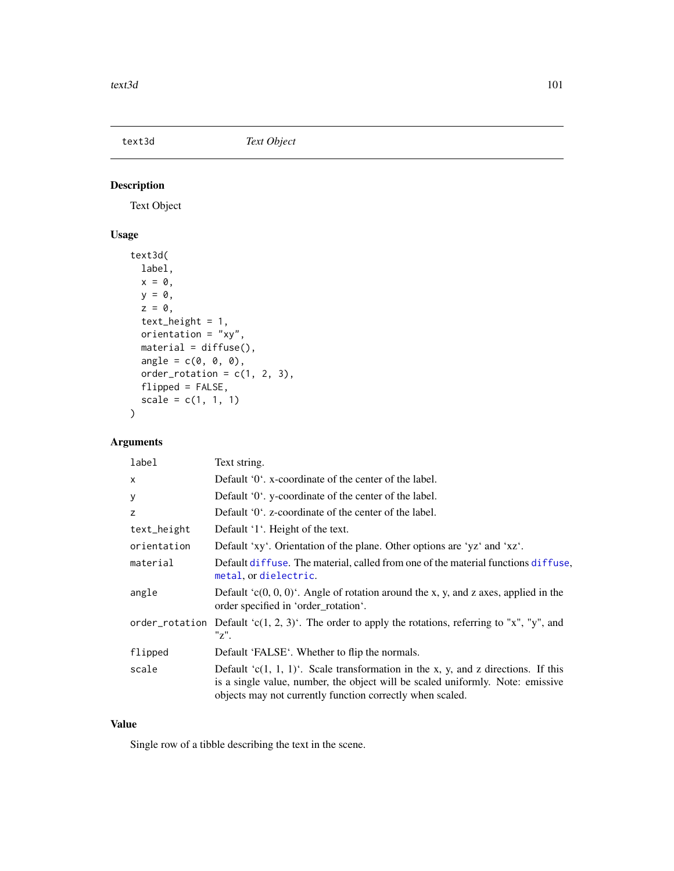# text3d *Text Object*

# Description

Text Object

# Usage

```
text3d(
  label,
  x = 0,
 y = 0,
  z = 0,
  text_height = 1,
  orientation = "xy",
  material = diffuse(),angle = c(\emptyset, \emptyset, \emptyset),
  order\_rotation = c(1, 2, 3),flipped = FALSE,
  scale = c(1, 1, 1))
```
# Arguments

| label        | Text string.                                                                                                                                                                                                                         |
|--------------|--------------------------------------------------------------------------------------------------------------------------------------------------------------------------------------------------------------------------------------|
| $\mathsf{x}$ | Default '0', x-coordinate of the center of the label.                                                                                                                                                                                |
| У            | Default '0'. y-coordinate of the center of the label.                                                                                                                                                                                |
| z            | Default '0'. z-coordinate of the center of the label.                                                                                                                                                                                |
| text_height  | Default '1'. Height of the text.                                                                                                                                                                                                     |
| orientation  | Default 'xy'. Orientation of the plane. Other options are 'yz' and 'xz'.                                                                                                                                                             |
| material     | Default diffuse. The material, called from one of the material functions diffuse,<br>metal, or dielectric.                                                                                                                           |
| angle        | Default $(c(0, 0, 0)^t$ . Angle of rotation around the x, y, and z axes, applied in the<br>order specified in 'order_rotation'.                                                                                                      |
|              | order_rotation Default 'c(1, 2, 3)'. The order to apply the rotations, referring to "x", "y", and<br>"z".                                                                                                                            |
| flipped      | Default 'FALSE'. Whether to flip the normals.                                                                                                                                                                                        |
| scale        | Default ' $c(1, 1, 1)$ '. Scale transformation in the x, y, and z directions. If this<br>is a single value, number, the object will be scaled uniformly. Note: emissive<br>objects may not currently function correctly when scaled. |

# Value

Single row of a tibble describing the text in the scene.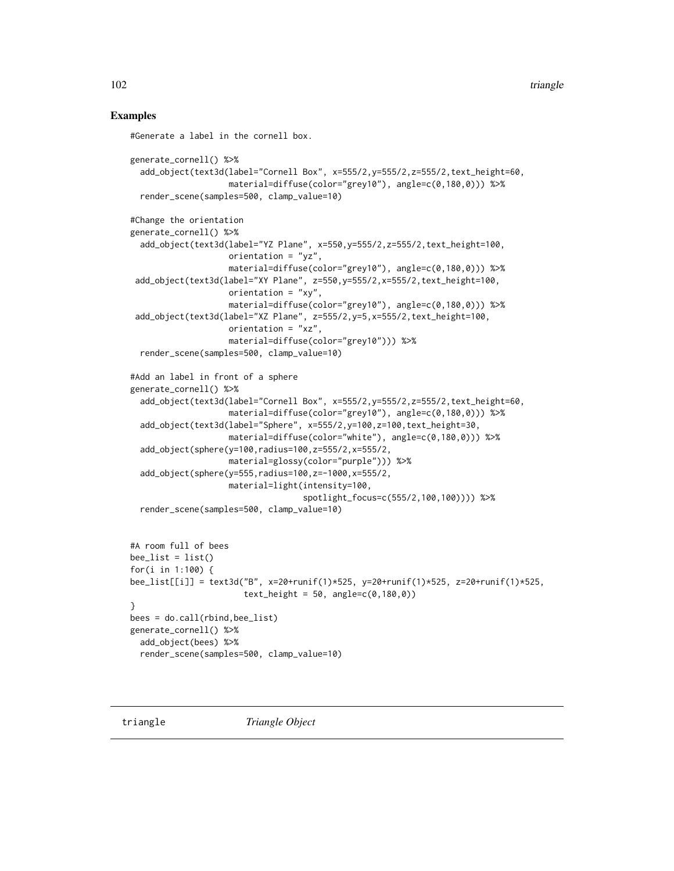102 triangle

## Examples

```
#Generate a label in the cornell box.
generate_cornell() %>%
  add_object(text3d(label="Cornell Box", x=555/2,y=555/2,z=555/2,text_height=60,
                    material=diffuse(color="grey10"), angle=c(0,180,0))) %>%
  render_scene(samples=500, clamp_value=10)
#Change the orientation
generate_cornell() %>%
  add_object(text3d(label="YZ Plane", x=550,y=555/2,z=555/2,text_height=100,
                    orientation = "yz",material=diffuse(color="grey10"), angle=c(0,180,0))) %>%
 add_object(text3d(label="XY Plane", z=550,y=555/2,x=555/2,text_height=100,
                    orientation = "xy",
                    material=diffuse(color="grey10"), angle=c(0,180,0))) %>%
 add_object(text3d(label="XZ Plane", z=555/2,y=5,x=555/2,text_height=100,
                    orientation = "xz",
                    material=diffuse(color="grey10"))) %>%
  render_scene(samples=500, clamp_value=10)
#Add an label in front of a sphere
generate_cornell() %>%
  add_object(text3d(label="Cornell Box", x=555/2,y=555/2,z=555/2,text_height=60,
                    material=diffuse(color="grey10"), angle=c(0,180,0))) %>%
  add_object(text3d(label="Sphere", x=555/2,y=100,z=100,text_height=30,
                    material=diffuse(color="white"), angle=c(0,180,0))) %>%
  add_object(sphere(y=100,radius=100,z=555/2,x=555/2,
                    material=glossy(color="purple"))) %>%
  add_object(sphere(y=555,radius=100,z=-1000,x=555/2,
                    material=light(intensity=100,
                                   spotlight_focus=c(555/2,100,100)))) %>%
  render_scene(samples=500, clamp_value=10)
#A room full of bees
bee_list = list()
for(i in 1:100) {
bee_list[[i]] = text3d("B", x=20+runif(1)*525, y=20+runif(1)*525, z=20+runif(1)*525,
                       text_{\text{height}} = 50, angle=c(0, 180, 0)}
bees = do.call(rbind,bee_list)
generate_cornell() %>%
  add_object(bees) %>%
  render_scene(samples=500, clamp_value=10)
```
triangle *Triangle Object*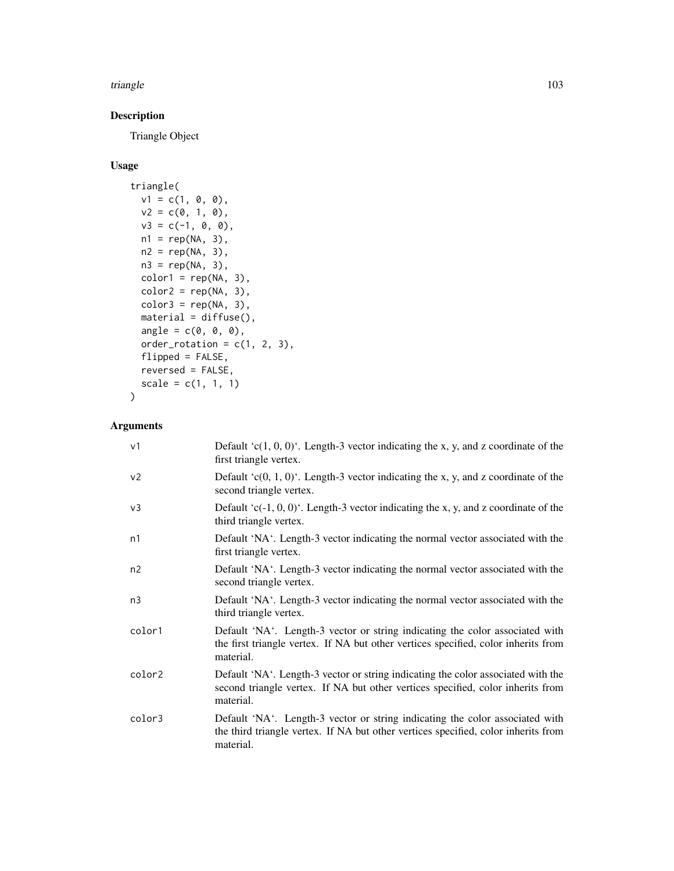#### triangle the contract of the contract of the contract of the contract of the contract of the contract of the contract of the contract of the contract of the contract of the contract of the contract of the contract of the c

# Description

Triangle Object

# Usage

```
triangle(
 v1 = c(1, 0, 0),v2 = c(0, 1, 0),v3 = c(-1, 0, 0),
 n1 = rep(NA, 3),
 n2 = rep(NA, 3),
 n3 = rep(NA, 3),
 color1 = rep(NA, 3),color2 = rep(NA, 3),color3 = rep(NA, 3),material = diffuse(),
 angle = c(\emptyset, \emptyset, \emptyset),
 order_rotation = c(1, 2, 3),
 flipped = FALSE,reversed = FALSE,
  scale = c(1, 1, 1))
```

| v <sub>1</sub> | Default 'c $(1, 0, 0)$ '. Length-3 vector indicating the x, y, and z coordinate of the<br>first triangle vertex.                                                                 |
|----------------|----------------------------------------------------------------------------------------------------------------------------------------------------------------------------------|
| v <sub>2</sub> | Default $(c(0, 1, 0))$ . Length-3 vector indicating the x, y, and z coordinate of the<br>second triangle vertex.                                                                 |
| v <sub>3</sub> | Default 'c(-1, 0, 0)'. Length-3 vector indicating the x, y, and z coordinate of the<br>third triangle vertex.                                                                    |
| n1             | Default 'NA'. Length-3 vector indicating the normal vector associated with the<br>first triangle vertex.                                                                         |
| n2             | Default 'NA'. Length-3 vector indicating the normal vector associated with the<br>second triangle vertex.                                                                        |
| n <sub>3</sub> | Default 'NA'. Length-3 vector indicating the normal vector associated with the<br>third triangle vertex.                                                                         |
| color1         | Default 'NA'. Length-3 vector or string indicating the color associated with<br>the first triangle vertex. If NA but other vertices specified, color inherits from<br>material.  |
| color2         | Default 'NA'. Length-3 vector or string indicating the color associated with the<br>second triangle vertex. If NA but other vertices specified, color inherits from<br>material. |
| color3         | Default 'NA'. Length-3 vector or string indicating the color associated with<br>the third triangle vertex. If NA but other vertices specified, color inherits from<br>material.  |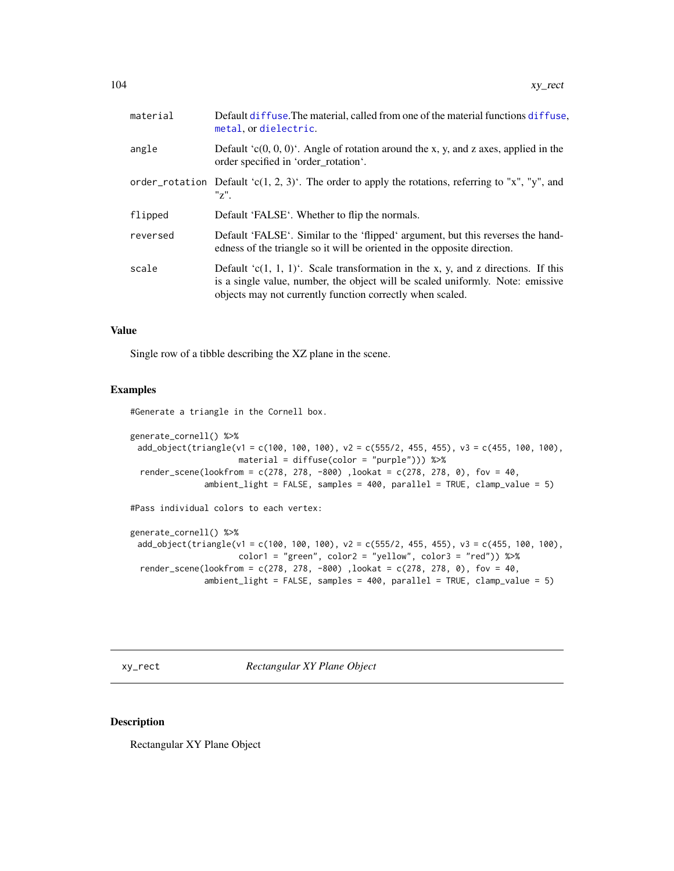| Default diffuse. The material, called from one of the material functions diffuse,<br>metal, or dielectric.                                                                                                                          |
|-------------------------------------------------------------------------------------------------------------------------------------------------------------------------------------------------------------------------------------|
| Default $(c(0, 0, 0)^t$ . Angle of rotation around the x, y, and z axes, applied in the<br>order specified in 'order rotation'.                                                                                                     |
| order_rotation Default 'c(1, 2, 3)'. The order to apply the rotations, referring to "x", "y", and<br>$"z"$ .                                                                                                                        |
| Default 'FALSE'. Whether to flip the normals.                                                                                                                                                                                       |
| Default 'FALSE'. Similar to the 'flipped' argument, but this reverses the hand-<br>edness of the triangle so it will be oriented in the opposite direction.                                                                         |
| Default $(c(1, 1, 1))$ . Scale transformation in the x, y, and z directions. If this<br>is a single value, number, the object will be scaled uniformly. Note: emissive<br>objects may not currently function correctly when scaled. |
|                                                                                                                                                                                                                                     |

## Value

Single row of a tibble describing the XZ plane in the scene.

#### Examples

#Generate a triangle in the Cornell box.

```
generate_cornell() %>%
 add\_object(triangle(v1 = c(100, 100, 100), v2 = c(555/2, 455, 455), v3 = c(455, 100, 100),material = diffuse(color = "purple"))) %>%
 render_scene(lookfrom = c(278, 278, -800) ,lookat = c(278, 278, 0), fov = 40,
               ambient_light = FALSE, samples = 400, parallel = TRUE, clamp_value = 5)
```
#Pass individual colors to each vertex:

generate\_cornell() %>% add\_object(triangle(v1 = c(100, 100, 100), v2 = c(555/2, 455, 455), v3 = c(455, 100, 100),  $color1 = "green", color2 = "yellow", color3 = "red")$  %>% render\_scene(lookfrom =  $c(278, 278, -800)$ , lookat =  $c(278, 278, 0)$ , fov = 40, ambient\_light = FALSE, samples = 400, parallel = TRUE, clamp\_value = 5)

xy\_rect *Rectangular XY Plane Object*

# Description

Rectangular XY Plane Object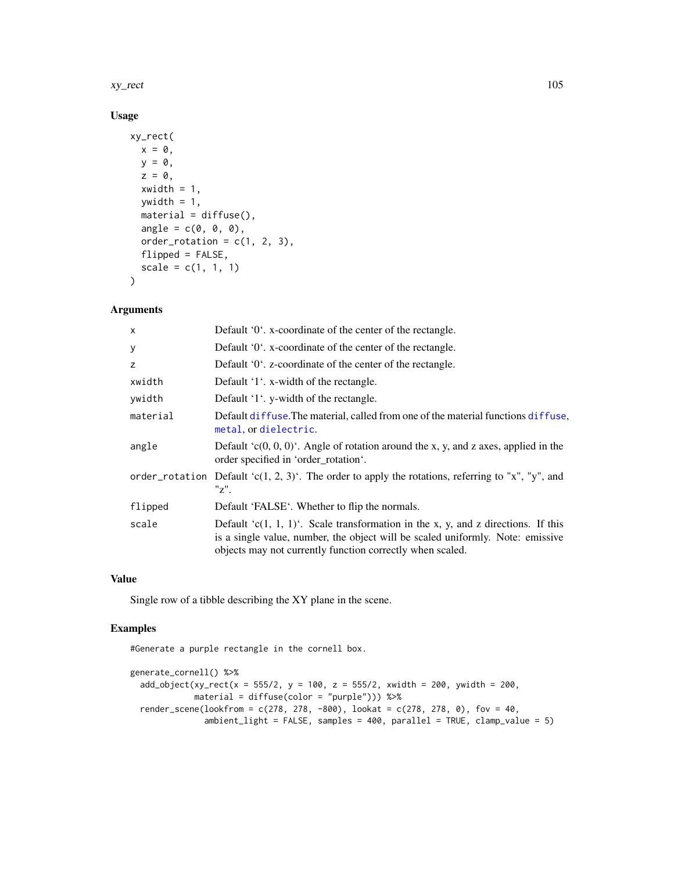#### xy\_rect 105

# Usage

```
xy_rect(
  x = 0,
  y = 0,
  z = 0,
  xwidth = 1,ywidth = 1,
  material = diffuse(),angle = c(\emptyset, \emptyset, \emptyset),
  order_rotation = c(1, 2, 3),
  flipped = FALSE,
  scale = c(1, 1, 1)\mathcal{L}
```
# Arguments

| $\mathsf{x}$ | Default '0'. x-coordinate of the center of the rectangle.                                                                                                                                                                            |
|--------------|--------------------------------------------------------------------------------------------------------------------------------------------------------------------------------------------------------------------------------------|
| У            | Default '0'. x-coordinate of the center of the rectangle.                                                                                                                                                                            |
| z            | Default '0'. z-coordinate of the center of the rectangle.                                                                                                                                                                            |
| xwidth       | Default '1'. x-width of the rectangle.                                                                                                                                                                                               |
| ywidth       | Default '1'. y-width of the rectangle.                                                                                                                                                                                               |
| material     | Default diffuse. The material, called from one of the material functions diffuse,<br>metal, or dielectric.                                                                                                                           |
| angle        | Default $(c(0, 0, 0)^t$ . Angle of rotation around the x, y, and z axes, applied in the<br>order specified in 'order_rotation'.                                                                                                      |
|              | order_rotation Default 'c(1, 2, 3)'. The order to apply the rotations, referring to "x", "y", and<br>"z".                                                                                                                            |
| flipped      | Default 'FALSE'. Whether to flip the normals.                                                                                                                                                                                        |
| scale        | Default ' $c(1, 1, 1)$ '. Scale transformation in the x, y, and z directions. If this<br>is a single value, number, the object will be scaled uniformly. Note: emissive<br>objects may not currently function correctly when scaled. |

## Value

Single row of a tibble describing the XY plane in the scene.

# Examples

#Generate a purple rectangle in the cornell box.

```
generate_cornell() %>%
 add\_object(xy\_rect(x = 555/2, y = 100, z = 555/2, xwidth = 200, ywidth = 200,material = diffuse(color = "purple"))) %>%
 render_scene(lookfrom = c(278, 278, -800), lookat = c(278, 278, 0), fov = 40,
              ambient_light = FALSE, samples = 400, parallel = TRUE, clamp_value = 5)
```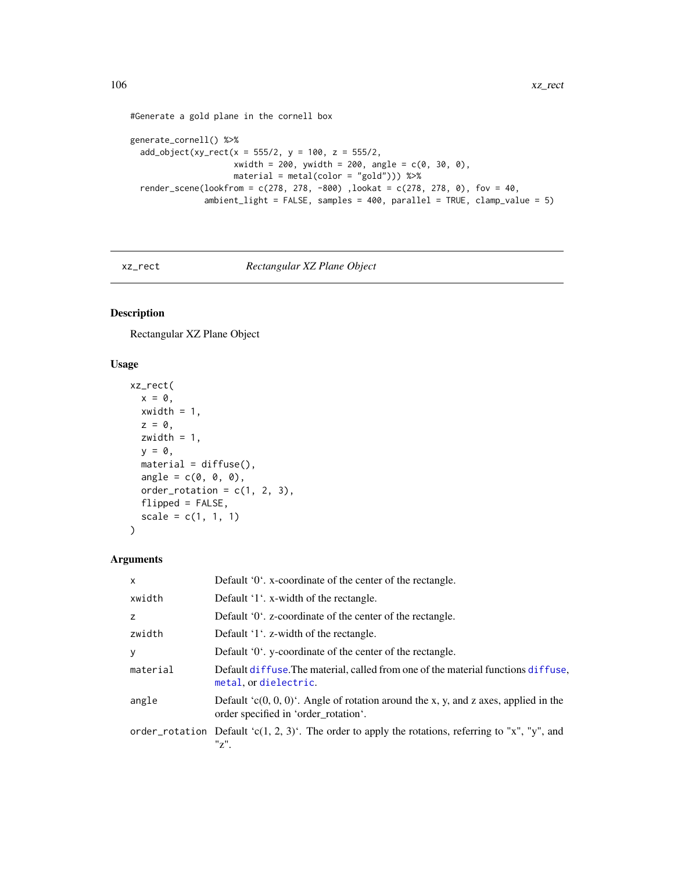```
#Generate a gold plane in the cornell box
```

```
generate_cornell() %>%
  add\_object(xy\_rect(x = 555/2, y = 100, z = 555/2,xwidth = 200, ywidth = 200, angle = c(0, 30, 0),
                     material = metal(color = "gold"))) %>%
  render_scene(lookfrom = c(278, 278, -800), lookat = c(278, 278, 0), fov = 40,
               ambient_light = FALSE, samples = 400, parallel = TRUE, clamp_value = 5)
```
# xz\_rect *Rectangular XZ Plane Object*

## Description

Rectangular XZ Plane Object

# Usage

```
xz_rect(
  x = 0,
  xwidth = 1,z = 0,
  zwidth = 1,
  y = 0,
  material = diffuse(),angle = c(\emptyset, \emptyset, \emptyset),
  order_rotation = c(1, 2, 3),
  flipped = FALSE,
  scale = c(1, 1, 1))
```

| X        | Default '0'. x-coordinate of the center of the rectangle.                                                                       |
|----------|---------------------------------------------------------------------------------------------------------------------------------|
| xwidth   | Default '1'. x-width of the rectangle.                                                                                          |
| z        | Default '0'. z-coordinate of the center of the rectangle.                                                                       |
| zwidth   | Default '1'. z-width of the rectangle.                                                                                          |
| y        | Default '0'. y-coordinate of the center of the rectangle.                                                                       |
| material | Default diffuse. The material, called from one of the material functions diffuse,<br>metal, or dielectric.                      |
| angle    | Default $(c(0, 0, 0)^t$ . Angle of rotation around the x, y, and z axes, applied in the<br>order specified in 'order_rotation'. |
|          | order_rotation Default 'c(1, 2, 3)'. The order to apply the rotations, referring to "x", "y", and<br>"z".                       |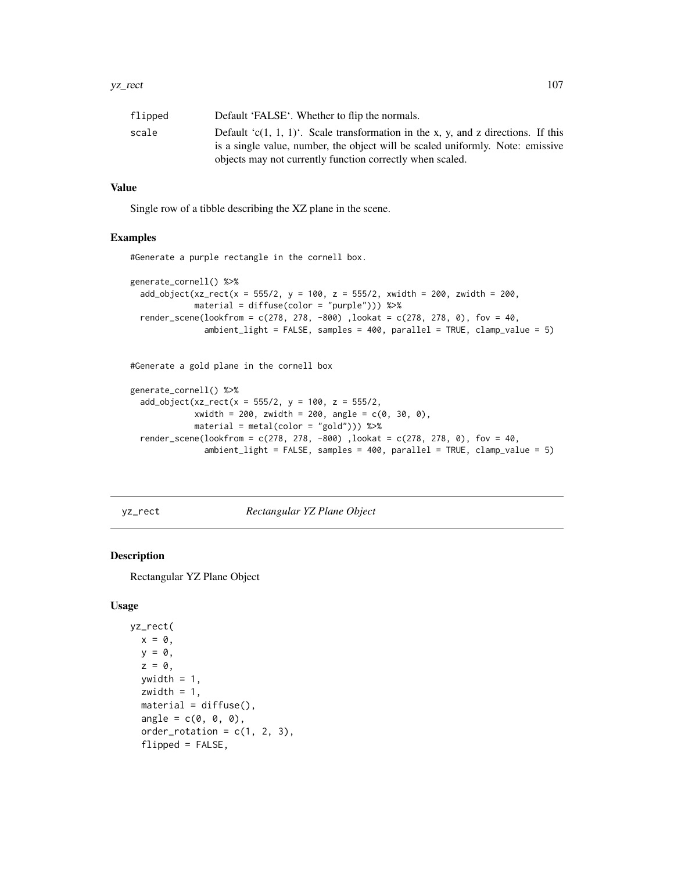| flipped | Default 'FALSE'. Whether to flip the normals.                                                                                                                                                                                       |
|---------|-------------------------------------------------------------------------------------------------------------------------------------------------------------------------------------------------------------------------------------|
| scale   | Default $(c(1, 1, 1))$ . Scale transformation in the x, y, and z directions. If this<br>is a single value, number, the object will be scaled uniformly. Note: emissive<br>objects may not currently function correctly when scaled. |
|         |                                                                                                                                                                                                                                     |

## Value

Single row of a tibble describing the XZ plane in the scene.

## Examples

#Generate a purple rectangle in the cornell box.

```
generate_cornell() %>%
 add\_object(xz\_rect(x = 555/2, y = 100, z = 555/2, xwidth = 200, zwidth = 200,material = diffuse(color = "purple"))) %>%
 render_scene(lookfrom = c(278, 278, -800), lookat = c(278, 278, 0), fov = 40,
               ambient_light = FALSE, samples = 400, parallel = TRUE, clamp_value = 5)
```
#Generate a gold plane in the cornell box

```
generate_cornell() %>%
 add\_object(xz\_rect(x = 555/2, y = 100, z = 555/2,xwidth = 200, zwidth = 200, angle = c(0, 30, 0),
            material = metal(color = "gold")) %>%
 render_scene(lookfrom = c(278, 278, -800) ,lookat = c(278, 278, 0), fov = 40,
               ambient_light = FALSE, samples = 400, parallel = TRUE, clamp_value = 5)
```
yz\_rect *Rectangular YZ Plane Object*

#### Description

Rectangular YZ Plane Object

### Usage

```
yz_rect(
 x = 0,
 y = 0,
 z = 0,
  ywidth = 1,
  zwidth = 1,
  material = diffuse(),
  angle = c(0, 0, 0),order_rotation = c(1, 2, 3),
  flipped = FALSE,
```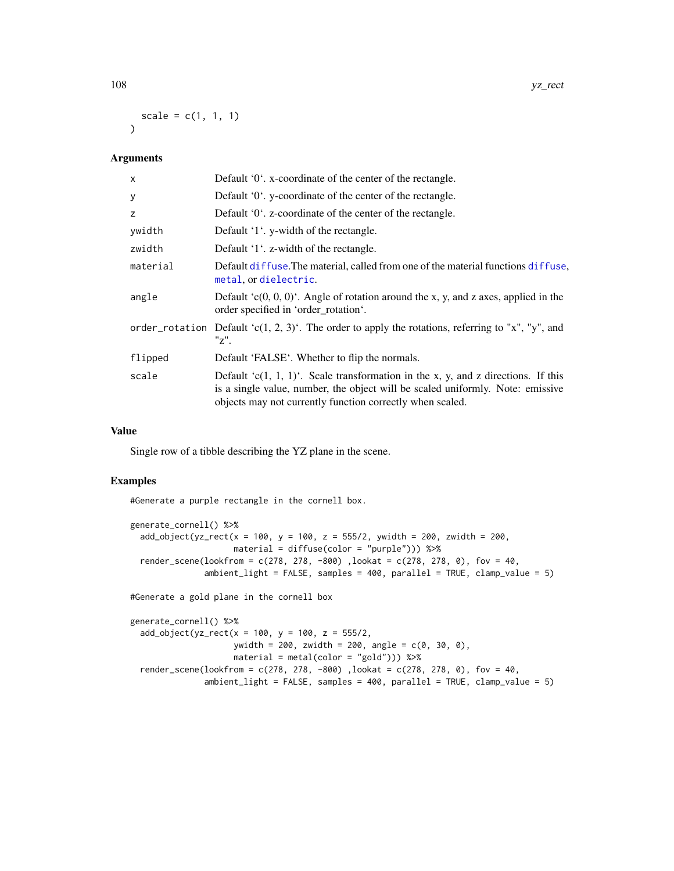$scale = c(1, 1, 1)$  $\lambda$ 

# Arguments

| Default '0'. x-coordinate of the center of the rectangle.                                                                                                                                                                            |
|--------------------------------------------------------------------------------------------------------------------------------------------------------------------------------------------------------------------------------------|
| Default '0'. y-coordinate of the center of the rectangle.                                                                                                                                                                            |
| Default '0'. z-coordinate of the center of the rectangle.                                                                                                                                                                            |
| Default '1'. y-width of the rectangle.                                                                                                                                                                                               |
| Default '1'. z-width of the rectangle.                                                                                                                                                                                               |
| Default diffuse. The material, called from one of the material functions diffuse,<br>metal, or dielectric.                                                                                                                           |
| Default $(c(0, 0, 0)^t$ . Angle of rotation around the x, y, and z axes, applied in the<br>order specified in 'order_rotation'.                                                                                                      |
| order_rotation Default 'c(1, 2, 3)'. The order to apply the rotations, referring to "x", "y", and<br>"z".                                                                                                                            |
| Default 'FALSE'. Whether to flip the normals.                                                                                                                                                                                        |
| Default ' $c(1, 1, 1)$ '. Scale transformation in the x, y, and z directions. If this<br>is a single value, number, the object will be scaled uniformly. Note: emissive<br>objects may not currently function correctly when scaled. |
|                                                                                                                                                                                                                                      |

## Value

Single row of a tibble describing the YZ plane in the scene.

#### Examples

#Generate a purple rectangle in the cornell box.

```
generate_cornell() %>%
 add_object(yz_rect(x = 100, y = 100, z = 555/2, ywidth = 200, zwidth = 200,
                    material = diffuse(color = "purple"))) %>%
 render_scene(lookfrom = c(278, 278, -800) ,lookat = c(278, 278, 0), fov = 40,
              ambient_light = FALSE, samples = 400, parallel = TRUE, clamp_value = 5)
#Generate a gold plane in the cornell box
```

```
generate_cornell() %>%
 add\_object(yz\_rect(x = 100, y = 100, z = 555/2,ywidth = 200, zwidth = 200, angle = c(0, 30, 0),
                    material = metal(color = "gold"))) %>%
 render_scene(lookfrom = c(278, 278, -800), lookat = c(278, 278, 0), fov = 40,
               ambient_light = FALSE, samples = 400, parallel = TRUE, clamp_value = 5)
```